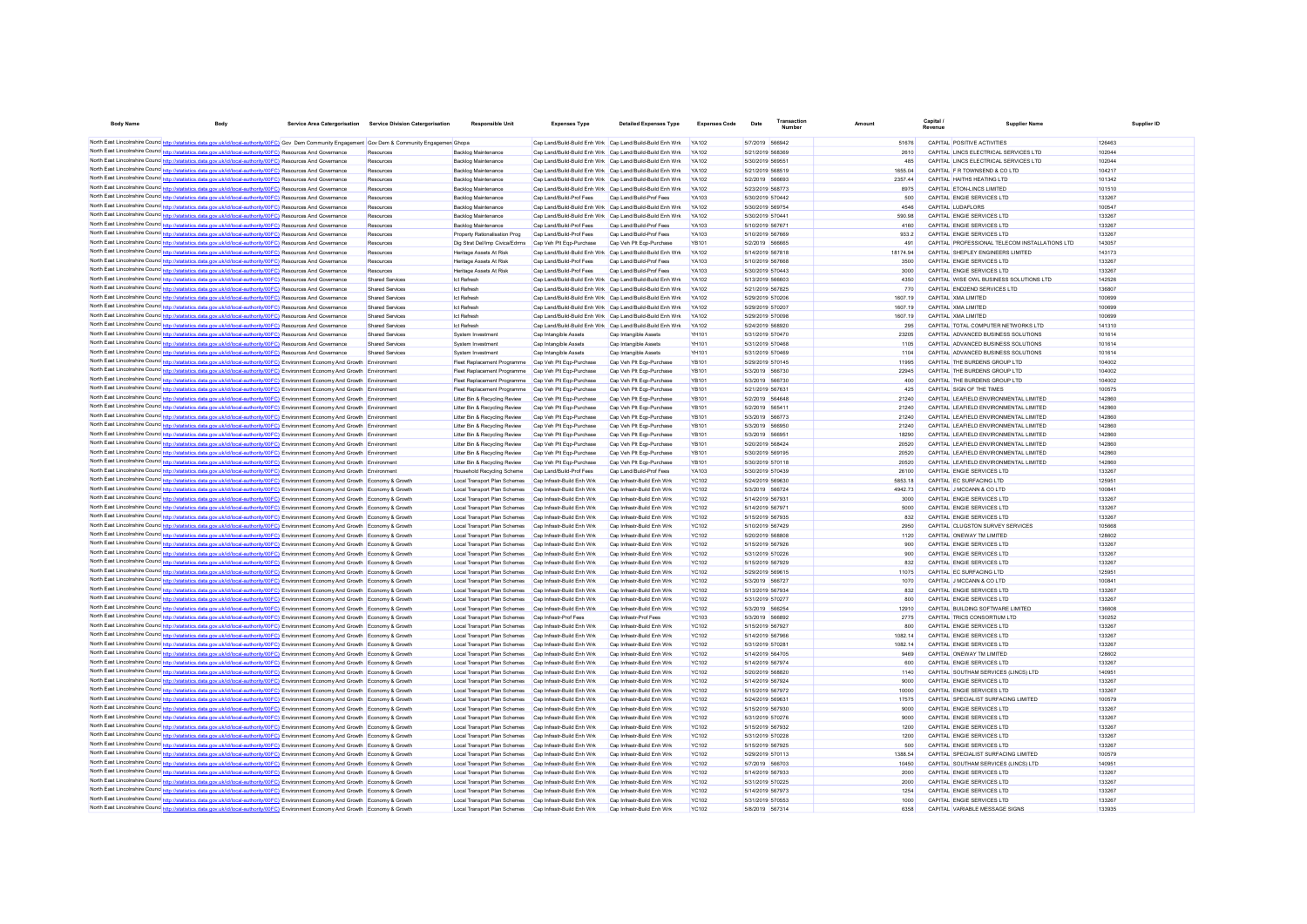| <b>Body Name</b>                                                                                                                                                                                                                                                                            | Body                                                                                   | Service Area Catergorisation | <b>Service Division Catergorisation</b> | Responsible Uni                                              | <b>Expenses Type</b>                                      | <b>Detailed Expenses Type</b>                                                         | <b>Expenses Code</b>         | Date                                 | Transaction<br>Number |                    | Capital /<br>Revenue | Supplier Nam-                                                      | Supplier ID      |
|---------------------------------------------------------------------------------------------------------------------------------------------------------------------------------------------------------------------------------------------------------------------------------------------|----------------------------------------------------------------------------------------|------------------------------|-----------------------------------------|--------------------------------------------------------------|-----------------------------------------------------------|---------------------------------------------------------------------------------------|------------------------------|--------------------------------------|-----------------------|--------------------|----------------------|--------------------------------------------------------------------|------------------|
| North East Lincolnshire Counc <sup>1</sup> http://statistics.data.gov.uk/id/local-authority/00FC) Gov Dem Community Engagement Gov Dem & Community Engagemen                                                                                                                                |                                                                                        |                              |                                         |                                                              |                                                           | Cap Land/Build-Build Enh Wrk Cap Land/Build-Build Enh Wrk YA102                       |                              | 5/7/2019 566942                      |                       | 51676              |                      | CAPITAL POSITIVE ACTIVITIES                                        | 126463           |
| North East Lincolnshire Counc http://statistics.data.gov.uk/id/local-authority/00FC) Resources And Governance                                                                                                                                                                               |                                                                                        |                              | Resources                               | Backlog Maintenance                                          | Cap Land/Build-Build Enh Wrk Cap Land/Build-Build Enh Wrk |                                                                                       | YA102                        | 5/21/2019 568369                     |                       | 2610               |                      | CAPITAL LINCS ELECTRICAL SERVICES LTD                              | 102044           |
| North East Lincolnshire Counc http://statistics.data.gov.uk/id/local-authority/00FC) Resources And Governance                                                                                                                                                                               |                                                                                        |                              | Resources                               | Backlog Maintenance                                          | Cap Land/Build-Build Enh Wrk Cap Land/Build-Build Enh Wrk |                                                                                       | <b>YA102</b>                 | 5/30/2019 569551                     |                       | 485                |                      | CAPITAL LINCS ELECTRICAL SERVICES LTD                              | 102044           |
| North East Lincolnshire Counc http://statistics.data.gov.uk/id/local-authority/00FC) Resources And Governance                                                                                                                                                                               |                                                                                        |                              | Resources                               | Backlog Maintenance                                          | Cap Land/Build-Build Enh Wrk Cap Land/Build-Build Enh Wrk |                                                                                       | <b>YA102</b>                 | 5/21/2019 568519                     |                       | 1655.04            |                      | CAPITAL F R TOWNSEND & CO LTD                                      | 104217           |
| North East Lincolnshire Counc http://statistics.data.gov.uk/id/local-authority/00FC) Resources And Governance                                                                                                                                                                               |                                                                                        |                              | Resources                               | <b>Backlog Maintenance</b>                                   | Cap Land/Build-Build Enh Wrk Cap Land/Build-Build Enh Wrk |                                                                                       | <b>YA102</b>                 | 5/2/2019 566693                      |                       | 235744             |                      | CAPITAL HAITHS HEATING LTD                                         | 101342           |
| North East Lincolnshire Counc http://statistics.data.gov.uk/id/local-authority/00FC) Resources And Governance                                                                                                                                                                               |                                                                                        |                              | Resources                               | <b>Backlog Maintenance</b>                                   | Cap Land/Build-Build Enh Wrk Cap Land/Build-Build Enh Wrk |                                                                                       | <b>YA102</b>                 | 5/23/2019 568773                     |                       | 8975               |                      | CAPITAL ETON-LINCS LIMITED                                         | 101510           |
| North East Lincolnshire Counc http://statistics.data.gov.uk/id/local-authority/00FC) Resources And Governance                                                                                                                                                                               |                                                                                        |                              | Resources                               | <b>Backlog Maintenance</b>                                   | Cap Land/Build-Prof Fees                                  | Cap Land/Build-Prof Fees                                                              | YA103                        | 5/30/2019 570442                     |                       | 500                |                      | CAPITAL ENGIE SERVICES LTD                                         | 133267           |
| North East Lincolnshire Counc http://statistics.data.gov.uk/id/local-authority/00FC) Resources And Governance                                                                                                                                                                               |                                                                                        |                              | Resources                               | <b>Backlog Maintenance</b>                                   | Cap Land/Build-Build Enh Wrk Cap Land/Build-Build Enh Wrk |                                                                                       | <b>YA102</b>                 | 5/30/2019 569754                     |                       | 4546               |                      | CAPITAL LUDAELORS                                                  | 100547           |
| North East Lincolnshire Counc http://statistics.data.gov.uk/id/local-authority/00FC) Resources And Governance                                                                                                                                                                               |                                                                                        |                              | Resources                               | <b>Backlog Maintenance</b>                                   | Cap Land/Build-Build Enh Wrk Cap Land/Build-Build Enh Wrk |                                                                                       | <b>YA102</b>                 | 5/30/2019 570441                     |                       | 590.98             |                      | CAPITAL ENGIE SERVICES LTD                                         | 133267           |
| North East Lincolnshire Counc http://statistics.data.gov.uk/id/local-authority/00FC) Resources And Governance                                                                                                                                                                               |                                                                                        |                              | Resources                               | <b>Backlog Maintenance</b>                                   | Cap Land/Build-Prof Fees                                  | Cap Land/Build-Prof Fees                                                              | <b>YA103</b>                 | 5/10/2019 567671                     |                       | 4160               |                      | CAPITAL ENGIE SERVICES LTD                                         | 133267           |
| North East Lincolnshire Counc http://statistics.data.gov.uk/id/local-authority/00FC) Resources And Governance                                                                                                                                                                               |                                                                                        |                              | Resources                               | Property Rationalisation Prog                                | Cap Land/Build-Prof Fees                                  | Cap Land/Build-Prof Fees                                                              | YA103                        | 5/10/2019 567669                     |                       | 933.2              |                      | CAPITAL ENGIE SERVICES LTD                                         | 133267           |
| North East Lincolnshire Counc http://statistics.data.gov.uk/id/local-authority/00FC) Resources And Governance                                                                                                                                                                               |                                                                                        |                              | Resources                               | Dig Strat Del/Imp Civica/Edrms                               | Cap Veh Plt Egp-Purchase                                  | Cap Veh Pit Egp-Purchase                                                              | YB101                        | 5/2/2019 566665                      |                       | 491                |                      | CAPITAL PROFESSIONAL TELECOM INSTALLATIONS LTD                     | 143057           |
| North East Lincolnshire Counc http://statistics.data.gov.uk/id/local-authority/00FC) Resources And Governance<br>North East Lincolnshire Counc http://statistics.data.gov.uk/id/local-authority/00FC) Resources And Governance                                                              |                                                                                        |                              | Resources<br>Resources                  | Heritage Assets At Risk<br>Heritage Assets At Risk           | Can Land/Build-Prof Fees                                  | Cap Land/Build-Build Enh Wrk Cap Land/Build-Build Enh Wrk<br>Can Land/Build-Prof Fees | <b>YA102</b><br>YA103        | 5/14/2019 567818<br>5/10/2019 567668 |                       | 18174.94<br>3500   |                      | CAPITAL SHEPLEY ENGINEERS LIMITED<br>CAPITAL FNGIF SERVICES LTD    | 143173<br>133267 |
| North East Lincolnshire Counc http://statistics.data.gov.uk/id/local-authority/00FC) Resources And Governance                                                                                                                                                                               |                                                                                        |                              | Resources                               | Heritage Assets At Risk                                      | Cap Land/Build-Prof Fees                                  | Cap Land/Build-Prof Fees                                                              | YA103                        | 5/30/2019 570443                     |                       | 3000               |                      | CAPITAL ENGIE SERVICES LTD                                         | 133267           |
| North East Lincolnshire Counc http://statistics.data.gov.uk/id/local-authority/00FC) Resources And Governance                                                                                                                                                                               |                                                                                        |                              | Shared Services                         | Ict Refresh                                                  | Cap Land/Build-Build Enh Wrk Cap Land/Build-Build Enh Wrk |                                                                                       | <b>YA102</b>                 | 5/13/2019 566603                     |                       | 4350               |                      | CAPITAL WISE OWL BUSINESS SOLUTIONS LTD                            | 142526           |
| North East Lincolnshire Councines. Its                                                                                                                                                                                                                                                      | cs.data.gov.uk/id/local-authority/00FC) Resources And Governance                       |                              | Shared Services                         | <b>Ict Refresh</b>                                           | Cap Land/Build-Build Enh Wrk Cap Land/Build-Build Enh Wrk |                                                                                       | <b>YA102</b>                 | 5/21/2019 567825                     |                       | 770                |                      | CAPITAL END2END SERVICES LTD                                       | 136807           |
| North East Lincolnshire Counc http://statistics.data.gov.uk/id/local-authority/00FC) Resources And Governance                                                                                                                                                                               |                                                                                        |                              | Shared Services                         | <b>Ict Refresh</b>                                           | Cap Land/Build-Build Enh Wrk Cap Land/Build-Build Enh Wrk |                                                                                       | YA102                        | 5/29/2019 570206                     |                       | 1607.19            |                      | CAPITAL XMA LIMITED                                                | 100699           |
| North East Lincolnshire Counc http://statistics.data.gov.uk/id/local-authority/00FC) Resources And Governance                                                                                                                                                                               |                                                                                        |                              | Shared Services                         | <b>Ict Refresh</b>                                           | Cap Land/Build-Build Enh Wrk Cap Land/Build-Build Enh Wrk |                                                                                       | YA102                        | 5/29/2019 570207                     |                       | 1607.19            |                      | CAPITAL XMA LIMITED                                                | 100699           |
| North East Lincolnshire Counc http://statistics.data.gov.uk/id/local-authority/00FC) Resources And Governance                                                                                                                                                                               |                                                                                        |                              | Shared Services                         | <b>Ict Refresh</b>                                           | Cap Land/Build-Build Enh Wrk Cap Land/Build-Build Enh Wrk |                                                                                       | YA102                        | 5/29/2019 57009                      |                       | 1607.19            |                      | CAPITAL XMA LIMITED                                                | 100699           |
| North East Lincolnshire Counc http://statistics.data.gov.uk/id/local-authority/00FC) Resources And Governance                                                                                                                                                                               |                                                                                        |                              | Shared Services                         | Ict Refresh                                                  | Cap Land/Build-Build Enh Wrk Cap Land/Build-Build Enh Wrk |                                                                                       | <b>YA102</b>                 | 5/24/2019 568920                     |                       | 295                |                      | CAPITAL TOTAL COMPUTER NETWORKS LTD                                | 141310           |
| North East Lincolnshire Counc http://statistics.data.gov.uk/id/local-authority/00FC) Resources And Governance                                                                                                                                                                               |                                                                                        |                              | Shared Services                         | System Investmen                                             | Cap Intangible Assets                                     | Cap Intangible Assets                                                                 | YH101                        | 5/31/2019 570470                     |                       | 23205              |                      | CAPITAL ADVANCED BUSINESS SOLUTIONS                                | 101614           |
| North East Lincolnshire Counc http://statistics.data.gov.uk/id/local-authority/00FC) Resources And Governance                                                                                                                                                                               |                                                                                        |                              | <b>Shared Services</b>                  | System Investment                                            | Cap Intangible Assets                                     | Cap Intangible Assets                                                                 | YH101                        | 5/31/2019 570468                     |                       | 1105               |                      | CAPITAL ADVANCED BUSINESS SOLUTIONS                                | 101614           |
| North East Lincolnshire Counc http://statistics.data.gov.uk/id/local-authority/00FC) Resources And Governance                                                                                                                                                                               |                                                                                        |                              | Shared Services                         | System Investment                                            | Cap Intangible Assets                                     | Cap Intangible Assets                                                                 | YH101                        | 5/31/2019 570469                     |                       | 1104               |                      | CAPITAL ADVANCED BUSINESS SOLUTIONS                                | 101614           |
| North East Lincolnshire Counc http://statistics.data.gov.uk/id/local-authority/00FC) Environment Economy And Growth Environment<br>North East Lincolnshire Counc <sup>1</sup> http://statistics.data.gov.uk/id/local-authority/00FC) Environment Economy And Growth Environment             |                                                                                        |                              |                                         | Fleet Replacement Programme                                  | Cap Veh Pit Egp-Purchase                                  | Cap Veh Pit Egp-Purchase                                                              | YB101                        | 5/29/2019 570145                     |                       | 11995<br>22945     |                      | CAPITAL THE BURDENS GROUP LTD                                      | 104002<br>104002 |
| North East Lincolnshire Counc http://statistics.data.gov.uk/id/local-authority/00FC) Environment Economy And Growth Environment                                                                                                                                                             |                                                                                        |                              |                                         | Fleet Replacement Programme<br>Fleet Replacement Programme   | Cap Veh Pit Egp-Purchase<br>Cap Veh Plt Egp-Purchase      | Cap Veh Pit Egp-Purchase<br>Cap Veh Pit Egp-Purchase                                  | YB101<br>YB101               | 5/3/2019 566730<br>5/3/2019 566730   |                       | 400                |                      | CAPITAL THE BURDENS GROUP LTD<br>CAPITAL THE BURDENS GROUP LTD     | 104002           |
| North East Lincolnshire Counc http://statistics.data.gov.uk/id/local-authority/00FC) Environment Economy And Growth Environment                                                                                                                                                             |                                                                                        |                              |                                         | Fleet Replacement Programme                                  | Cap Veh Plt Egp-Purchase                                  | Cap Veh Pit Egp-Purchase                                                              | YB101                        | 5/21/2019 567631                     |                       | 425                |                      | CAPITAL SIGN OF THE TIMES                                          | 100575           |
| North East Lincolnshire Counce http://statistics.data.gov.uk/id/local-authority/00FC) Environment Economy And Growth Environment                                                                                                                                                            |                                                                                        |                              |                                         | Litter Rin & Recycling Review                                | Can Veh Pit Fon-Purchase                                  | Can Veh Pit Fon-Purchase                                                              | <b>YR101</b>                 | 5/2/2019 564648                      |                       | 21240              |                      | CAPITAL LEAFIFLD ENVIRONMENTAL LIMITED                             | 142860           |
| North East Lincolnshire Counc http://statistics.data.gov.uk/id/local-authority/00FC) Environment Economy And Growth Environment                                                                                                                                                             |                                                                                        |                              |                                         | Litter Rin & Recycling Review                                | Can Veh Pit Fon-Purchase                                  | Can Veh Pit Fon-Purchase                                                              | <b>YR101</b>                 | 5/2/2019 565411                      |                       | 21240              |                      | CAPITAL LEAFIFLD ENVIRONMENTAL LIMITED                             | 142860           |
| North East Lincolnshire Counc http://statistics.data.gov.uk/id/local-authority/00FC) Environment Economy And Growth Environment                                                                                                                                                             |                                                                                        |                              |                                         | Litter Bin & Recycling Review                                | Cap Veh Plt Egp-Purchase                                  | Cap Veh Plt Ego-Purchase                                                              | <b>YR101</b>                 | 5/3/2019 566773                      |                       | 21240              |                      | CAPITAL I FAFIFI D FNVIRONMENTAL LIMITED                           | 142860           |
| North East Lincolnshire Counc http://statistics.data.gov.uk/id/local-authority/00FC) Environment Economy And Growth Environment                                                                                                                                                             |                                                                                        |                              |                                         | Litter Bin & Recycling Review                                | Cap Veh Plt Egp-Purchase                                  | Cap Veh Plt Ego-Purchase                                                              | <b>YR101</b>                 | 5/3/2019 566950                      |                       | 21240              |                      | CAPITAL LEAFIELD ENVIRONMENTAL LIMITED                             | 142860           |
| North East Lincolnshire Counc http://statistics.data.gov.uk/id/local-authority/00FC) Environment Economy And Growth Environment                                                                                                                                                             |                                                                                        |                              |                                         | Litter Bin & Recycling Review                                | Cap Veh Plt Egp-Purchase                                  | Cap Veh Plt Eqp-Purchase                                                              | <b>YR101</b>                 | 5/3/2019 56695                       |                       | 18290              |                      | CAPITAL LEAFIELD ENVIRONMENTAL LIMITED                             | 142860           |
| North East Lincolnshire Counce http://statistics.data.gov.uk/id/local-authority/00FC) Environment Economy And Growth Environment                                                                                                                                                            |                                                                                        |                              |                                         | Litter Bin & Recycling Review                                | Cap Veh Plt Egp-Purchase                                  | Cap Veh Plt Ego-Purchase                                                              | <b>YB101</b>                 | 5/20/2019 568424                     |                       | 20520              |                      | CAPITAL LEAFIELD ENVIRONMENTAL LIMITED                             | 142860           |
| North East Lincolnshire Counc http://statistics.data.gov.uk/id/local-authority/00FC) Environment Economy And Growth Environment                                                                                                                                                             |                                                                                        |                              |                                         | Litter Bin & Recycling Review                                | Cap Veh Plt Egp-Purchase                                  | Cap Veh Plt Ego-Purchase                                                              | YB101                        | 5/30/2019 569195                     |                       | 20520              |                      | CAPITAL LEAFIELD ENVIRONMENTAL LIMITED                             | 142860           |
| North East Lincolnshire Counc http://statistics.data.gov.uk/id/local-authority/00FC) Environment Economy And Growth Environment                                                                                                                                                             |                                                                                        |                              |                                         | Litter Bin & Recycling Review                                | Cap Veh Plt Egp-Purchase                                  | Cap Veh Plt Ego-Purchase                                                              | YB101                        | 5/30/2019 570118                     |                       | 20520              |                      | CAPITAL LEAFIELD ENVIRONMENTAL LIMITED                             | 142860           |
| North East Lincolnshire Counc <sup>1</sup> http://statistics.data.gov.uk/id/local-authority/00FC) Environment Economy And Growth Environment                                                                                                                                                |                                                                                        |                              |                                         | <b>Household Recycling Scheme</b>                            | Cap Land/Build-Prof Fees                                  | Cap Land/Build-Prof Fees                                                              | YA103                        | 5/30/2019 570439                     |                       | 26100              |                      | CAPITAL ENGIE SERVICES LTD                                         | 133267           |
| North East Lincolnshire Counc http://statistics.data.gov.uk/id/local-authority/00FC) Environment Economy And Growth Economy & Growth<br>North East Lincolnshire Counc http://statistics.data.gov.uk/id/local-authority/00FC) Environment Economy And Growth                                 |                                                                                        |                              |                                         | Local Transport Plan Schemes<br>Local Transport Plan Schemes | Cap Infrastr-Build Enh Wrk<br>Cap Infrastr-Build Enh Wrk  | Cap Infrastr-Build Enh Wrk<br>Cap Infrastr-Build Enh Wrk                              | <b>YC102</b><br><b>YC102</b> | 5/24/2019 569630<br>5/3/2019 566724  |                       | 5853.18<br>4942.73 |                      | CAPITAL EC SURFACING LTD<br>CAPITAL J MCCANN & CO LTD              | 125951<br>100841 |
| North East Lincolnshire Counc <sup>1</sup> http://statistics.data.gov.uk/id/local-authority/00FC1 Environment Economy And Growth Economy & Growth                                                                                                                                           |                                                                                        |                              |                                         | Local Transport Plan Schemes                                 | Cap Infrastr-Build Enh Wrk                                | Cap Infrastr-Build Enh Wrk                                                            | YC102                        | 5/14/2019 567931                     |                       | 3000               |                      | CAPITAL ENGIE SERVICES LTD                                         | 133267           |
| North East Lincolnshire Counc <sup>1</sup> http://statistics.data.gov.uk/id/local-authority/00FC) Environment Economy And Growth Economy & Growth                                                                                                                                           |                                                                                        |                              |                                         | Local Transport Plan Schemes                                 | Cap Infrastr-Build Enh Wrk                                | Cap Infrastr-Build Enh Wrk                                                            | YC102                        | 5/14/2019 567971                     |                       | 5000               |                      | CAPITAL ENGIF SERVICES LTD                                         | 133267           |
| North East Lincolnshire Counc http://statistics.data.gov.uk/id/local-authority/00FC) Environment Economy And Growth Economy & Growth                                                                                                                                                        |                                                                                        |                              |                                         | Local Transport Plan Schemes                                 | Cap Infrastr-Build Enh Wrk                                | Cap Infrastr-Build Enh Wrk                                                            | YC102                        | 5/15/2019 567935                     |                       | 832                |                      | CAPITAL ENGIE SERVICES LTD                                         | 133267           |
| North East Lincolnshire Counc http://statistics.data.gov.uk/id/local-authority/00FC) Environment Economy And Growth Economy & Growth                                                                                                                                                        |                                                                                        |                              |                                         | Local Transport Plan Schemes                                 | Cap Infrastr-Build Enh Wrk                                | Cap Infrastr-Build Enh Wrk                                                            | <b>YC102</b>                 | 5/10/2019 567429                     |                       | 2950               |                      | CAPITAL CLUGSTON SURVEY SERVICES                                   | 105668           |
| North East Lincolnshire Counc http://statistics.data.gov.uk/id/local-authority/00FC) Environment Economy And Growth Economy & Growth                                                                                                                                                        |                                                                                        |                              |                                         | Local Transport Plan Schemes                                 | Can Infrastr-Build Enh Wrk                                | Can Infrastr-Build Enh Wrk                                                            | YC102                        | 5/20/2019 568808                     |                       | 1120               |                      | CAPITAL ONEWAY TM LIMITED                                          | 128602           |
| North East Lincolnshire Counc <sup>1</sup> http://statistics.data.gov.uk/id/local-authority/00FC) Environment Economy And Growth Economy & Growth                                                                                                                                           |                                                                                        |                              |                                         | Local Transport Plan Schemes                                 | Can Infrastr-Build Enh Wrk                                | Can Infrastr-Build Enh Wrk                                                            | YC102                        | 5/15/2019 567926                     |                       | ann                |                      | CAPITAL ENGIF SERVICES LTD                                         | 133267           |
| North East Lincolnshire Counce http://statistics.data.gov.uk/id/local-authority/00FC) Environment Economy And Growth Economy & Growth                                                                                                                                                       |                                                                                        |                              |                                         | Local Transport Plan Schemes                                 | Can Infrastr-Build Enh Wrk                                | Can Infrastr-Build Enh Wrk                                                            | YC102                        | 5/31/2019 570226                     |                       | 900                |                      | CAPITAL FNGIF SERVICES LTD                                         | 133267           |
| North East Lincolnshire Counce http://statistics.data.gov.uk/id/local-authority/00FC) Environment Economy And Growth Economy & Growth                                                                                                                                                       |                                                                                        |                              |                                         | Local Transport Plan Schemes<br>Local Transport Plan Schemes | Cap Infrastr-Build Enh Wrk<br>Cap Infrastr-Build Enh Wrk  | Can Infrastr-Build Enh Wrk<br>Can Infrastr-Build Enh Wrk                              | YC102<br>YC102               | 5/15/2019 567929<br>5/29/2019 569615 |                       | 832<br>11075       |                      | CAPITAL FNGIF SERVICES LTD<br>CAPITAL EC SURFACING LTD             | 133267<br>125951 |
| North East Lincolnshire Counc http://statistics.data.gov.uk/id/local-authority/00FC) Environment Economy And Growth Economy & Growth<br>North East Lincolnshire Counc http://                                                                                                               | s.data.gov.uk/id/local-authority/00FC) Environment Economy And Growth Economy & Growth |                              |                                         | Local Transport Plan Schemes                                 | Cap Infrastr-Build Enh Wrk                                | Can Infrastr-Build Enh Wrk                                                            | YC102                        | 5/3/2019 566727                      |                       | 1070               |                      | CAPITAL J MCCANN & CO LTD                                          | 10084            |
| North East Lincolnshire Counce http://statistics.data.gov.uk/id/local-authority/00FC) Environment Economy And Growth Economy & Growth                                                                                                                                                       |                                                                                        |                              |                                         | <b>Local Transport Plan Schemes</b>                          | Cap Infrastr-Build Enh Wrk                                | Cap Infrastr-Build Enh Wrk                                                            | <b>YC102</b>                 | 5/13/2019 567934                     |                       | 832                |                      | CAPITAL ENGIE SERVICES LTD                                         | 133267           |
| North East Lincolnshire Counc http://statistics.data.gov.uk/id/local-authority/00FC) Environment Economy And Growth Economy & Growth                                                                                                                                                        |                                                                                        |                              |                                         | <b>Local Transport Plan Schemes</b>                          | Cap Infrastr-Build Enh Wrk                                | Cap Infrastr-Build Enh Wrk                                                            | <b>YC102</b>                 | 5/31/2019 570277                     |                       | 800                |                      | CAPITAL ENGIE SERVICES LTD                                         | 133267           |
| North East Lincolnshire Counc http://statistics.data.gov.uk/id/local-authority/00FC) Environment Economy And Growth Economy & Growth                                                                                                                                                        |                                                                                        |                              |                                         | <b>Local Transport Plan Schemes</b>                          | Cap Infrastr-Build Enh Wrk                                | Cap Infrastr-Build Enh Wrk                                                            | <b>YC102</b>                 | 5/3/2019 56625                       |                       | 12910              |                      | CAPITAL BUILDING SOFTWARE LIMITED                                  | 136608           |
| North East Lincolnshire Counc http://statistics.data.gov.uk/id/local-authority/00FC) Environment Economy And Growth Economy & Growth                                                                                                                                                        |                                                                                        |                              |                                         | Local Transport Plan Schemes                                 | Cap Infrastr-Prof Fees                                    | Cap Infrastr-Prof Fees                                                                | <b>YC103</b>                 | 5/3/2019 566892                      |                       | 2775               |                      | CAPITAL TRICS CONSORTIUM LTD                                       | 130252           |
| North East Lincolnshire Counc http://statistics.data.gov.uk/id/local-authority/00FC) Environment Economy And Growth Economy & Growth                                                                                                                                                        |                                                                                        |                              |                                         | Local Transport Plan Schemes                                 | Cap Infrastr-Build Enh Wrk                                | Cap Infrastr-Build Enh Wrk                                                            | <b>YC102</b>                 | 5/15/2019 567927                     |                       | 800                |                      | CAPITAL ENGIE SERVICES LTD                                         | 133267           |
| North East Lincolnshire Counc http://statistics.data.gov.uk/id/local-authority/00FC) Environment Economy And Growth Economy & Growth                                                                                                                                                        |                                                                                        |                              |                                         | Local Transport Plan Schemes                                 | Cap Infrastr-Build Enh Wrk                                | Cap Infrastr-Build Enh Wrk                                                            | <b>YC102</b>                 | 5/14/2019 567966                     |                       | 1082.14            |                      | CAPITAL ENGIE SERVICES LTD                                         | 133267           |
| North East Lincolnshire Councint the intertion and a district Council Council Council Council Control of the Scott Lincoln of North Economy & Growth                                                                                                                                        |                                                                                        |                              |                                         | Local Transport Plan Schemes                                 | Can Infrastr-Build Fnh Wrk                                | Can Infrastr-Build Enh Wrk                                                            | YC102                        | 5/31/2019 570281                     |                       | 1082 14            |                      | CAPITAL ENGIF SERVICES LTD                                         | 133267           |
| North East Lincolnshire Counc <sup>http://statistics.data.gov.uk/id/local-authority/00FC) Environment Economy And Growth Economy &amp; Growth</sup>                                                                                                                                         |                                                                                        |                              |                                         | Local Transport Plan Schemes                                 | Cap Infrastr-Build Enh Wrk                                | Cap Infrastr-Build Enh Wrk                                                            | <b>YC102</b>                 | 5/14/2019 564705                     |                       | 9469               |                      | CAPITAL ONEWAY TM LIMITED                                          | 128602           |
| North East Lincolnshire Councint the intertional and a new ukinding and hority/00FC) Environment Economy And Growth<br>North East Lincolnshire Councint tutto://statistics.data.gov.uk/id/local-authority/00FC) Environment Economy And Growth Economy & Growth                             |                                                                                        |                              |                                         | Local Transport Plan Schemes<br>Local Transport Plan Schemes | Cap Infrastr-Build Enh Wrk<br>Can Infrastr-Build Fnh Wrk  | Cap Infrastr-Build Enh Wrk<br>Can Infrastr-Build Enh Wrk                              | <b>YC102</b><br>YC102        | 5/14/2019 567974<br>5/20/2019 568820 |                       | 600<br>1140        |                      | CAPITAL ENGIE SERVICES LTD<br>CAPITAL SOUTHAM SERVICES (LINCS) LTD | 133267<br>140951 |
| North East Lincolnshire Counc http://statistics.data.gov.uk/id/local-authority/00FC) Environment Economy And Growth Economy & Growth                                                                                                                                                        |                                                                                        |                              |                                         | Local Transport Plan Schemes                                 | Can Infrastr-Build Enh Wrk                                | Can Infrastr-Build Enh Wrk                                                            | YC102                        | 5/14/2019 567924                     |                       | 9000               |                      | CAPITAL FNGIF SERVICES LTD                                         | 133267           |
| North East Lincolnshire Counc http://statistics.data.gov.uk/id/local-authority/00FC) Environment Economy And Growth Economy & Growth                                                                                                                                                        |                                                                                        |                              |                                         | Local Transport Plan Schemes                                 | Can Infrastr-Build Enh Wrk                                | Can Infrastr-Build Enh Wrk                                                            | YC102                        | 5/15/2019 567972                     |                       | 10000              |                      | CAPITAL FNGIF SERVICES LTD                                         | 133267           |
| North East Lincolnshire Counce http://statistics.data.gov.uk/id/local-authority/00FC) Environment Economy And Growth Economy & Growth                                                                                                                                                       |                                                                                        |                              |                                         | Local Transport Plan Schemes                                 | Cap Infrastr-Build Enh Wrk                                | Cap Infrastr-Build Enh Wrk                                                            | YC102                        | 5/24/2019 569631                     |                       | 17575              |                      | CAPITAL SPECIALIST SURFACING LIMITED                               | 100579           |
| North East Lincolnshire Counce http://statistics.data.gov.uk/id/local-authority/00FC) Environment Economy And Growth Economy & Growth                                                                                                                                                       |                                                                                        |                              |                                         | Local Transport Plan Schemes                                 | Cap Infrastr-Build Enh Wrk                                | Cap Infrastr-Build Enh Wrk                                                            | YC102                        | 5/15/2019 567930                     |                       | 9000               |                      | CAPITAL FNGIF SERVICES LTD                                         | 133267           |
| North East Lincolnshire Counc http://statistics.data.gov.uk/id/local-authority/00FC) Environment Economy And Growth Economy & Growth                                                                                                                                                        |                                                                                        |                              |                                         | Local Transport Plan Schemes                                 | Cap Infrastr-Build Enh Wrk                                | Cap Infrastr-Build Enh Wrk                                                            | <b>YC102</b>                 | 5/31/2019 570276                     |                       | 9000               |                      | CAPITAL ENGIE SERVICES LTD                                         | 133267           |
| North East Lincolnshire Counc http://statistics.data.gov.uk/id/local-authority/00FC) Environment Economy And Growth Economy & Growth                                                                                                                                                        |                                                                                        |                              |                                         | Local Transport Plan Schemes                                 | Cap Infrastr-Build Enh Wrk                                | Cap Infrastr-Build Enh Wrk                                                            | <b>YC102</b>                 | 5/15/2019 567932                     |                       | 1200               |                      | CAPITAL ENGIE SERVICES LTD                                         | 133267           |
| North East Lincolnshire Counc http://statistics.data.gov.uk/id/local-authority/00FC) Environment Economy And Growth Economy & Growth                                                                                                                                                        |                                                                                        |                              |                                         | Local Transport Plan Schemes                                 | Cap Infrastr-Build Enh Wrk                                | Cap Infrastr-Build Enh Wrk                                                            | <b>YC102</b>                 | 5/31/2019 570228                     |                       | 1200               |                      | CAPITAL ENGIE SERVICES LTD                                         | 133267           |
| North East Lincolnshire Counc http://statistics.data.gov.uk/id/local-authority/00FC) Environment Economy And Growth Economy & Growth                                                                                                                                                        |                                                                                        |                              |                                         | Local Transport Plan Schemes                                 | Cap Infrastr-Build Enh Wrk                                | Cap Infrastr-Build Enh Wrk                                                            | <b>YC102</b>                 | 5/15/2019 567925                     |                       | 500                |                      | CAPITAL ENGIE SERVICES LTD                                         | 133267           |
| North East Lincolnshire Counc http://statistics.data.gov.uk/id/local-authority/00FC) Environment Economy And Growth Economy & Growth                                                                                                                                                        |                                                                                        |                              |                                         | Local Transport Plan Schemes                                 | Cap Infrastr-Build Enh Wrk                                | Cap Infrastr-Build Enh Wrk                                                            | <b>YC102</b>                 | 5/29/2019 570113                     |                       | 1388.54            |                      | CAPITAL SPECIALIST SURFACING LIMITED                               | 100579           |
| North East Lincolnshire Counce http://statistics.data.gov.uk/id/local-authority/00FC) Environment Economy And Growth Economy & Growth                                                                                                                                                       |                                                                                        |                              |                                         | Local Transport Plan Schemes                                 | Cap Infrastr-Build Enh Wrk                                | Cap Infrastr-Build Enh Wrk                                                            | <b>YC102</b>                 | 5/7/2019 566703                      |                       | 10450              |                      | CAPITAL SOUTHAM SERVICES (LINCS) LTD                               | 140951           |
| North East Lincolnshire Councint the Manufacture and Article and Article and Article and Article and Article and Article and Article and Article and Article and Article and Article and Article and Article and Article and A                                                              |                                                                                        |                              |                                         | Local Transport Plan Schemes                                 | Cap Infrastr-Build Enh Wrk                                | Cap Infrastr-Build Enh Wrk                                                            | <b>YC102</b>                 | 5/14/2019 567933                     |                       | 2000               |                      | CAPITAL ENGIE SERVICES LTD                                         | 133267           |
| North East Lincolnshire Councint to the Material State gov.uk/id/local-authority/00FC) Environment Economy And Growth Economy & Growth<br>North East Lincolnshire Councint the intertion and a district Council Council Council Control Council Control of Council Council Council & Growth |                                                                                        |                              |                                         | Local Transport Plan Schemes<br>Local Transport Plan Schemes | Cap Infrastr-Build Enh Wrk<br>Cap Infrastr-Build Enh Wrk  | Cap Infrastr-Build Enh Wrk<br>Cap Infrastr-Build Enh Wrk                              | <b>YC102</b><br>YC102        | 5/31/2019 570225<br>5/14/2019 567973 |                       | 2000<br>1254       |                      | CAPITAL ENGIE SERVICES LTD<br>CAPITAL ENGIE SERVICES LTD           | 133267<br>133267 |
| North East Lincolnshire Counc http://statistics.data.gov.uk/id/local-authority/00FC) Environment Economy And Growth Economy & Growth                                                                                                                                                        |                                                                                        |                              |                                         | Local Transport Plan Schemes Cap Infrastr-Build Enh Wrk      |                                                           | Cap Infrastr-Build Enh Wrk                                                            | <b>YC102</b>                 | 5/31/2019 570553                     |                       | 1000               |                      | CAPITAL ENGIE SERVICES LTD                                         | 133267           |
| North East Lincolnshire Councint the intertional asta cover with the authority (00FC) Environment Economy And Growth                                                                                                                                                                        |                                                                                        |                              |                                         | Local Transport Plan Schemes                                 | Cap Infrastr-Build Enh Wrk                                | Cap Infrastr-Build Enh Wrk                                                            | YC102                        | 5/8/2019 567314                      |                       | 6358               |                      | CAPITAL VARIABLE MESSAGE SIGNS                                     | 133935           |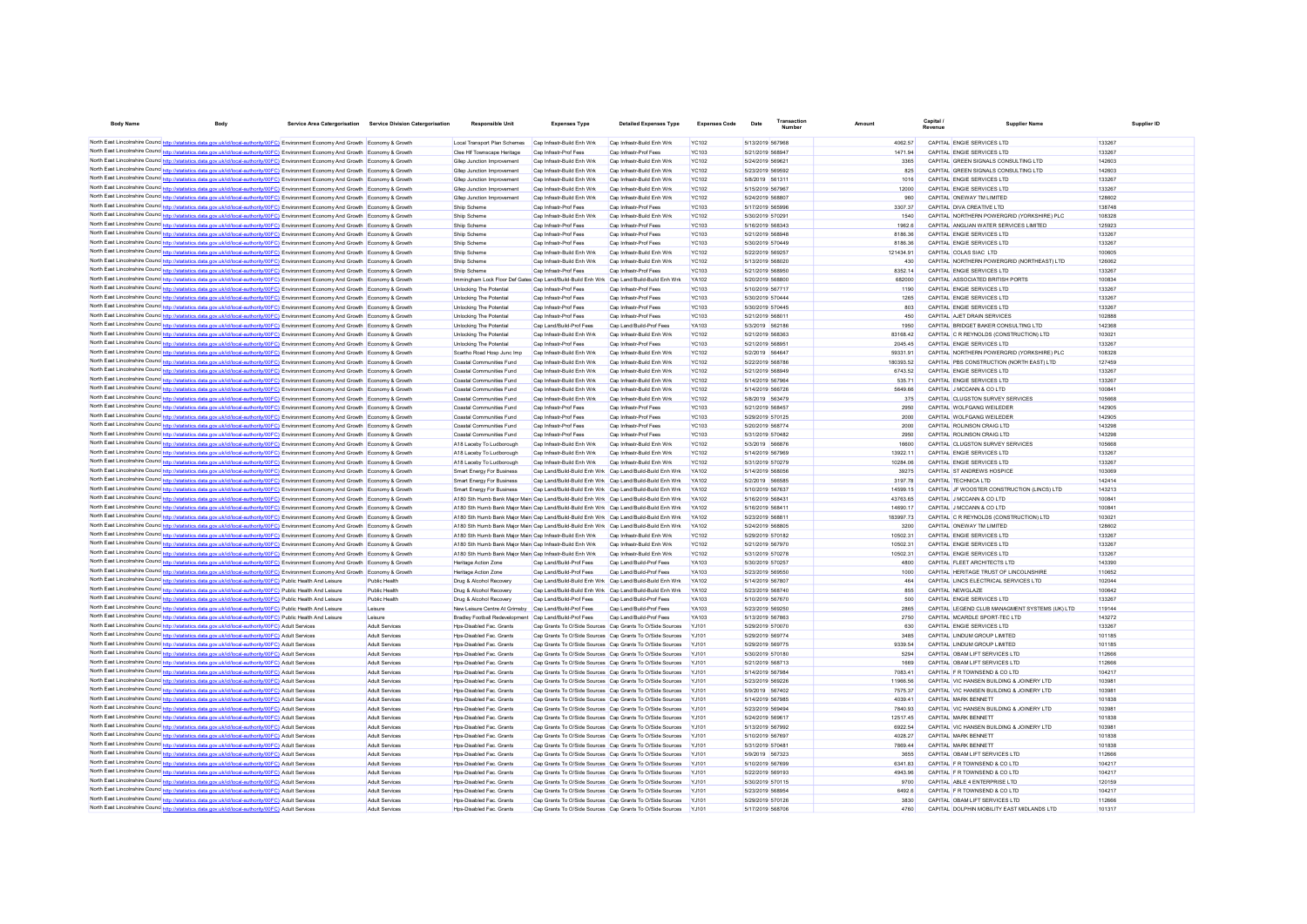| <b>Body Name</b>                          | <b>Body</b>                                                                                                                                                                                                                                                                                                         | Service Area Catergorisation Service Division Catergorisation | <b>Responsible Unit</b>                                                                                              | <b>Expenses Type</b>                                                                  | <b>Detailed Expenses Type</b>                                                                                          | <b>Expenses Code</b>         | Transaction<br>Date                  | Amoun                | Capital / | <b>Supplier Nam</b>                                                                  | Supplier ID      |
|-------------------------------------------|---------------------------------------------------------------------------------------------------------------------------------------------------------------------------------------------------------------------------------------------------------------------------------------------------------------------|---------------------------------------------------------------|----------------------------------------------------------------------------------------------------------------------|---------------------------------------------------------------------------------------|------------------------------------------------------------------------------------------------------------------------|------------------------------|--------------------------------------|----------------------|-----------|--------------------------------------------------------------------------------------|------------------|
|                                           |                                                                                                                                                                                                                                                                                                                     |                                                               |                                                                                                                      |                                                                                       |                                                                                                                        |                              |                                      |                      |           |                                                                                      |                  |
|                                           | North East Lincolnshire Counc <sup>1</sup> http://statistics.data.gov.uk/id/local-authority/00FCJ Environment Economy And Growth Economy & Growth<br>North East Lincolnshire Counc <sup>1</sup> http://statistics.data.gov.uk/id/local-authority/00FC3 <sup>1</sup> Environment Economy And Growth Economy & Growth |                                                               | Local Transport Plan Schemes<br>Clee Hif Townscape Heritage                                                          | Cap Infrastr-Build Enh Wrk<br>Cap Infrastr-Prof Fees                                  | Cap Infrastr-Build Enh Wrk<br>Cap Infrastr-Prof Fees                                                                   | <b>YC102</b><br>YC103        | 5/13/2019 567968<br>5/21/2019 568947 | 4062.57<br>1471 94   |           | CAPITAL ENGIE SERVICES LTD<br>CAPITAL ENGIF SERVICES LTD                             | 133267<br>133267 |
|                                           | North East Lincolnshire Counc http://statistics.data.gov.uk/id/local-authority/00FC) Environment Economy And Growth Economy & Growth                                                                                                                                                                                |                                                               | Gllep Junction Improvement                                                                                           | Cap Infrastr-Build Enh Wrk                                                            | Cap Infrastr-Build Enh Wrk                                                                                             | <b>YC102</b>                 | 5/24/2019 569621                     | 3365                 |           | CAPITAL GREEN SIGNALS CONSULTING LTD                                                 | 142603           |
|                                           | North East Lincolnshire Counc http://statistics.data.gov.uk/id/local-authority/00FC) Environment Economy And Growth Economy & Growth                                                                                                                                                                                |                                                               | Gllep Junction Improvement                                                                                           | Cap Infrastr-Build Enh Wrk                                                            | Cap Infrastr-Build Enh Wrk                                                                                             | <b>YC102</b>                 | 5/23/2019 569592                     | 825                  |           | CAPITAL GREEN SIGNALS CONSULTING LTD                                                 | 142603           |
|                                           | North East Lincolnshire Counc <sup>1</sup> http://statistics.data.gov.uk/id/local-authority/00FC) Environment Economy And Growth Economy & Growth                                                                                                                                                                   |                                                               | Gliep Junction Improvement                                                                                           | Can Infrastr-Build Enh Wrk                                                            | Can Infrastr-Build Enh Wrk                                                                                             | YC102                        | 5/8/2019 561311                      | 1016                 |           | CAPITAL ENGIF SERVICES LTD                                                           | 133267           |
|                                           | North East Lincolnshire Councint the ://statistics.data.gov.uk/id/local-authority/00FC) Environment Economy And Growth Economy & Growth                                                                                                                                                                             |                                                               | Gliep Junction Improvement                                                                                           | Cap Infrastr-Build Enh Wrk                                                            | Can Infrastr-Build Enh Wrk                                                                                             | YC102                        | 5/15/2019 567967                     | 12000                |           | CAPITAL ENGIF SERVICES LTD                                                           | 133267           |
|                                           | North East Lincolnshire Counc http://statistics.data.gov.uk/id/local-authority/00FC) Environment Economy And Growth Economy & Growth                                                                                                                                                                                |                                                               | Gliep Junction Improvement                                                                                           | Cap Infrastr-Build Enh Wrk                                                            | Can Infrastr-Build Enh Wrk                                                                                             | YC102                        | 5/24/2019 568807                     | 960                  |           | CAPITAL ONEWAY TM LIMITED                                                            | 128602           |
|                                           | North East Lincolnshire Counc http://statistics.data.gov.uk/id/local-authority/00FC) Environment Economy And Growth Economy & Growth                                                                                                                                                                                |                                                               | Shiip Scheme                                                                                                         | Cap Infrastr-Prof Fees                                                                | Cap Infrastr-Prof Fees                                                                                                 | <b>YC103</b>                 | 5/17/2019 565996                     | 3307.37              |           | CAPITAL DIVA CREATIVE LTD                                                            | 138748           |
|                                           | North East Lincolnshire Counc http://statistics.data.gov.uk/id/local-authority/00FC) Environment Economy And Growth Economy & Growth<br>North East Lincolnshire Counc http://statistics.data.gov.uk/id/local-authority/00FC) Environment Economy And Growth Economy & Growth                                        |                                                               | Shiip Scheme<br>Shiip Scheme                                                                                         | Cap Infrastr-Build Enh Wrk<br>Cap Infrastr-Prof Fees                                  | Cap Infrastr-Build Enh Wrk<br>Cap Infrastr-Prof Fees                                                                   | <b>YC102</b><br><b>YC103</b> | 5/30/2019 570291<br>5/16/2019 568343 | 1540<br>1962.6       |           | CAPITAL NORTHERN POWERGRID (YORKSHIRE) PLC<br>CAPITAL ANGLIAN WATER SERVICES LIMITED | 108328<br>125923 |
| North East Lincolnshire Counc http://etat | istics data gov uk/id/local-authority/00EC). Environment Fconomy And Growth. Economy & Growth                                                                                                                                                                                                                       |                                                               | Shiin Scheme                                                                                                         | Can Infrastr-Prof Fees                                                                | Can Infrastr-Prof Fees                                                                                                 | YC103                        | 5/21/2019 568948                     | 818636               |           | CAPITAL ENGIF SERVICES LTD                                                           | 133267           |
|                                           | North East Lincolnshire Counc <sup>1</sup> nttp://statistics.data.gov.uk/id/local-authority/00FC) Environment Economy And Growth Economy & Growth                                                                                                                                                                   |                                                               | Shiip Scheme                                                                                                         | Cap Infrastr-Prof Fees                                                                | Cap Infrastr-Prof Fees                                                                                                 | <b>YC103</b>                 | 5/30/2019 570449                     | 8186.36              |           | CAPITAL ENGIE SERVICES LTD                                                           | 133267           |
|                                           | North East Lincolnshire Counce http://statistics.data.gov.uk/id/local-authority/00FC) Environment Economy And Growth Economy & Growth                                                                                                                                                                               |                                                               | Shiip Scheme                                                                                                         | Cap Infrastr-Build Enh Wrk                                                            | Cap Infrastr-Build Enh Wrk                                                                                             | <b>YC102</b>                 | 5/22/2019 569257                     | 121434 91            |           | CAPITAL COLAS SIAC LTD                                                               | 100605           |
| North East Lincolnshire Councines. Its    | s.data.gov.uk/id/local-authority/00FC) Environment Economy And Growth Economy & Growth                                                                                                                                                                                                                              |                                                               | Shiip Scheme                                                                                                         | Cap Infrastr-Build Enh Wrk                                                            | Cap Infrastr-Build Enh Wrk                                                                                             | <b>YC102</b>                 | 5/13/2019 568020                     | 430                  |           | CAPITAL NORTHERN POWERGRID (NORTHEAST) LTD                                           | 126062           |
|                                           | North East Lincolnshire Counce http://statistics.data.gov.uk/id/local-authority/00FC) Environment Economy And Growth Economy & Growth                                                                                                                                                                               |                                                               | Shiip Scheme                                                                                                         | Cap Infrastr-Prof Fee                                                                 | Cap Infrastr-Prof Fees                                                                                                 | <b>YC103</b>                 | 5/21/2019 568950                     | 8352.14              |           | CAPITAL ENGIE SERVICES LTD                                                           | 133267           |
|                                           | North East Lincolnshire Counc http://statistics.data.gov.uk/id/local-authority/00FC) Environment Economy And Growth Economy & Growth                                                                                                                                                                                |                                                               | Immingham Lock Floor Def Gates Cap Land/Build-Build Enh Wrk Cap Land/Build-Build Enh Wrk                             |                                                                                       |                                                                                                                        | YA102                        | 5/20/2019 568800                     | 682000               |           | CAPITAL ASSOCIATED BRITISH PORTS                                                     | 100834           |
|                                           | North East Lincolnshire Councint the intertional asta dov.uk/id/local-authority/00FC) Environment Economy And Growth<br>North East Lincolnshire Counc http://statistics.data.gov.uk/id/local-authority/00FC) Environment Economy And Growth Economy & Growth                                                        |                                                               | Unlocking The Potential<br>Unlocking The Potential                                                                   | Cap Infrastr-Prof Fees<br>Cap Infrastr-Prof Feer                                      | Cap Infrastr-Prof Fees<br>Cap Infrastr-Prof Fees                                                                       | <b>YC103</b><br><b>YC103</b> | 5/10/2019 567717<br>5/30/2019 570444 | 1190<br>1265         |           | CAPITAL ENGIE SERVICES LTD<br>CAPITAL ENGIE SERVICES LTD                             | 133267<br>133267 |
|                                           | North East Lincolnshire Counc <sup>http://statistics.data.gov.uk/id/local-authority/00FC) Environment Economy And Growth Economy &amp; Growth</sup>                                                                                                                                                                 |                                                               | Unlocking The Potential                                                                                              | Cap Infrastr-Prof Fees                                                                | Cap Infrastr-Prof Fees                                                                                                 | <b>YC103</b>                 | 5/30/2019 570445                     | 803                  |           | CAPITAL ENGIE SERVICES LTD                                                           | 133267           |
|                                           | North East Lincolnshire Counc http://statistics.data.gov.uk/id/local-authority/00FC) Environment Economy And Growth Economy & Growth                                                                                                                                                                                |                                                               | Unlocking The Potential                                                                                              | Cap Infrastr-Prof Fees                                                                | Cap Infrastr-Prof Fees                                                                                                 | <b>YC103</b>                 | 5/21/2019 568011                     | 450                  |           | CAPITAL AJET DRAIN SERVICES                                                          | 102888           |
|                                           | North East Lincolnshire Counc <sup>1</sup> http://statistics.data.gov.uk/id/local-authority/00FC) Environment Economy And Growth Economy & Growth                                                                                                                                                                   |                                                               | Unlocking The Potential                                                                                              | Cap Land/Build-Prof Fees                                                              | Cap Land/Build-Prof Fees                                                                                               | YA103                        | 5/3/2019 562186                      | 1950                 |           | CAPITAL BRIDGET BAKER CONSULTING LTD                                                 | 142368           |
|                                           | North East Lincolnshire Counc <sup>http://statistics.data.gov.uk/id/local-authority/00FC) Environment Economy And Growth Economy &amp; Growth</sup>                                                                                                                                                                 |                                                               | Unlocking The Potential                                                                                              | Cap Infrastr-Build Enh Wrk                                                            | Cap Infrastr-Build Enh Wrk                                                                                             | <b>YC102</b>                 | 5/21/2019 568363                     | 83168.42             |           | CAPITAL C R REYNOLDS (CONSTRUCTION) LTD                                              | 103021           |
|                                           | North East Lincolnshire Counc <sup>http://statistics.data.gov.uk/id/local-authority/00FC) Environment Economy And Growth Economy &amp; Growth</sup>                                                                                                                                                                 |                                                               | <b>Unlocking The Potential</b>                                                                                       | Cap Infrastr-Prof Fees                                                                | Cap Infrastr-Prof Fees                                                                                                 | <b>YC103</b>                 | 5/21/2019 568951                     | 2045.45              |           | CAPITAL ENGIF SERVICES LTD                                                           | 133267           |
|                                           | North East Lincolnshire Counc <sup>1</sup> http://statistics.data.gov.uk/id/local-authority/00FC) Environment Economy And Growth Economy & Growth                                                                                                                                                                   |                                                               | Scartho Road Hosp Junc Imp                                                                                           | Can Infrastr-Build Enh Wrk                                                            | Can Infrastr-Build Enh Wrk                                                                                             | YC102                        | 5/2/2019 564647                      | 59331.91             |           | CAPITAL NORTHERN POWERGRID (YORKSHIRE) PLC                                           | 108328           |
|                                           | North East Lincolnshire Counc <sup>1</sup> http://statistics.data.gov.uk/id/local-authority/00FC) Environment Economy And Growth Economy & Growth                                                                                                                                                                   |                                                               | Coastal Communities Fund                                                                                             | Can Infrastr-Build Enh Wrk                                                            | Can Infrastr-Build Enh Wrk                                                                                             | YC102                        | 5/22/2019 568786                     | 180393.52            |           | CAPITAL PBS CONSTRUCTION (NORTH FAST) LTD                                            | 127459           |
|                                           | North East Lincolnshire Counc <sup>1</sup> http://statistics.data.gov.uk/id/local-authority/00FC) Environment Economy And Growth Economy & Growth                                                                                                                                                                   |                                                               | Coastal Communities Fund                                                                                             | Can Infrastr-Build Enh Wrk                                                            | Can Infrastr-Build Enh Wrk                                                                                             | YC102                        | 5/21/2019 568949                     | 6743.52<br>535 71    |           | CAPITAL ENGIF SERVICES LTD<br>CAPITAL FNGIF SERVICES LTD                             | 133267           |
|                                           | North East Lincolnshire Counc http://statistics.data.gov.uk/id/local-authority/00FC) Environment Economy And Growth Economy & Growth<br>North East Lincolnshire Counc http://statistics.data.gov.uk/id/local-authority/00FC) Environment Economy And Growth Economy & Growth                                        |                                                               | Coastal Communities Fund<br>Coastal Communities Fund                                                                 | Cap Infrastr-Build Enh Wrk<br>Cap Infrastr-Build Enh Wrk                              | Cap Infrastr-Build Enh Wrk<br>Cap Infrastr-Build Enh Wrk                                                               | <b>YC102</b><br><b>YC102</b> | 5/14/2019 567964<br>5/14/2019 566726 | 5649.66              |           | CAPITAL J MCCANN & CO LTD                                                            | 133267<br>100841 |
|                                           | North East Lincolnshire Counc <sup>1</sup> http://statistics.data.gov.uk/id/local-authority/00FC) Environment Economy And Growth Economy & Growth                                                                                                                                                                   |                                                               | Coastal Communities Fund                                                                                             | Cap Infrastr-Build Enh Wrk                                                            | Cap Infrastr-Build Enh Wrk                                                                                             | <b>YC102</b>                 | 5/8/2019 563479                      | 375                  |           | CAPITAL CLUGSTON SURVEY SERVICES                                                     | 105668           |
|                                           | North East Lincolnshire Counc http://statistics.data.gov.uk/id/local-authority/00FC) Environment Economy And Growth Economy & Growth                                                                                                                                                                                |                                                               | Coastal Communities Fund                                                                                             | Cap Infrastr-Prof Fees                                                                | Cap Infrastr-Prof Fees                                                                                                 | <b>YC103</b>                 | 5/21/2019 568457                     | 2950                 |           | CAPITAL WOLFGANG WEILEDER                                                            | 142905           |
|                                           | North East Lincolnshire Counc <sup>1</sup> http://statistics.data.gov.uk/id/local-authority/00FC3 <sup>1</sup> Environment Economy And Growth Economy & Growth                                                                                                                                                      |                                                               | Coastal Communities Fund                                                                                             | Cap Infrastr-Prof Fees                                                                | Cap Infrastr-Prof Fees                                                                                                 | <b>YC103</b>                 | 5/29/2019 570125                     | 2000                 |           | CAPITAL WOLFGANG WEILEDER                                                            | 142905           |
|                                           | North East Lincolnshire Councint true intertions.data.gov.uk/id/local-authority/00FC) Environment Economy And Growth Economy & Growth                                                                                                                                                                               |                                                               | Coastal Communities Fund                                                                                             | Cap Infrastr-Prof Fees                                                                | Cap Infrastr-Prof Fees                                                                                                 | <b>YC103</b>                 | 5/20/2019 568774                     | 2000                 |           | CAPITAL ROLINSON CRAIG LTD                                                           | 143298           |
|                                           | North East Lincolnshire Counc http://statistics.data.gov.uk/id/local-authority/00FC) Environment Economy And Growth Economy & Growth                                                                                                                                                                                |                                                               | Coastal Communities Fund                                                                                             | Cap Infrastr-Prof Fees                                                                | Cap Infrastr-Prof Fees                                                                                                 | <b>YC103</b>                 | 5/31/2019 570482                     | 2950                 |           | CAPITAL ROLINSON CRAIG LTD                                                           | 143298           |
|                                           | North East Lincolnshire Councetto http://statistics.data.gov.uk/id/local-authority/00FC) Environment Economy And Growth Economy & Growth                                                                                                                                                                            |                                                               | A18 Laceby To Ludborough                                                                                             | Cap Infrastr-Build Enh Wrk                                                            | Cap Infrastr-Build Enh Wrk                                                                                             | <b>YC102</b>                 | 5/3/2019 566876                      | 16600                |           | CAPITAL CLUGSTON SURVEY SERVICES                                                     | 105668           |
|                                           |                                                                                                                                                                                                                                                                                                                     |                                                               | A18 Laceby To Ludborough                                                                                             | Cap Infrastr-Build Enh Wrk                                                            | Cap Infrastr-Build Enh Wrk                                                                                             | <b>YC102</b>                 | 5/14/2019 567969                     | 13922.11             |           | CAPITAL ENGIE SERVICES LTD                                                           | 133267           |
|                                           | North East Lincolnshire Counc http://statistics.data.gov.uk/id/local-authority/00FC) Environment Economy And Growth Economy & Growth<br>North East Lincolnshire Counc http://statistics.data.gov.uk/id/local-authority/00FC) Environment Economy And Growth Economy & Growth                                        |                                                               | A18 Laceby To Ludborough<br>Smart Energy For Business                                                                | Cap Infrastr-Build Enh Wrk                                                            | Cap Infrastr-Build Enh Wrk<br>Cap Land/Build-Build Enh Wrk Cap Land/Build-Build Enh Wrk                                | <b>YC102</b><br><b>YA102</b> | 5/31/2019 570279<br>5/14/2019 568056 | 10284.06<br>39275    |           | CAPITAL ENGIE SERVICES LTD<br>CAPITAL ST ANDREWS HOSPICE                             | 133267<br>103069 |
|                                           | North East Lincolnshire Counc http://statistics.data.gov.uk/id/local-authority/00FC) Environment Economy And Growth Economy & Growth                                                                                                                                                                                |                                                               | Smart Energy For Business                                                                                            |                                                                                       | Cap Land/Build-Build Enh Wrk Cap Land/Build-Build Enh Wrk                                                              | <b>YA102</b>                 | 5/2/2019 566585                      | 3197.78              |           | CAPITAL TECHNICA LTD                                                                 | 142414           |
|                                           | North East Lincolnshire Counc http://statistics.data.gov.uk/id/local-authority/00FC) Environment Economy And Growth Economy & Growth                                                                                                                                                                                |                                                               | Smart Energy For Business                                                                                            |                                                                                       | Cap Land/Build-Build Enh Wrk Cap Land/Build-Build Enh Wrk                                                              | <b>YA102</b>                 | 5/10/2019 567637                     | 14599 15             |           | CAPITAL JF WOOSTER CONSTRUCTION (LINCS) LTD                                          | 143213           |
|                                           | North East Lincolnshire Counc <sup>http://statistics.data.gov.uk/id/local-authority/00FC) Environment Economy And Growth Economy &amp; Growth</sup>                                                                                                                                                                 |                                                               | A180 Sth Humb Bank Maior Main Cap Land/Build-Build Enh Wrk   Cap Land/Build-Build Enh Wrk                            |                                                                                       |                                                                                                                        | <b>YA102</b>                 | 5/16/2019 568431                     | 4376365              |           | CAPITAL JMCCANN & CO LTD                                                             | 10084            |
|                                           | North East Lincolnshire Counc http://statistics.data.gov.uk/id/local-authority/00FC) Environment Economy And Growth Economy & Growth                                                                                                                                                                                |                                                               | A180 Sth Humb Bank Maior Main Cap Land/Build-Build Enh Wrk Cap Land/Build-Build Enh Wrk                              |                                                                                       |                                                                                                                        | <b>YA102</b>                 | 5/16/2019 568411                     | 14690 17             |           | CAPITAL J MCCANN & CO LTD                                                            | 10084            |
|                                           |                                                                                                                                                                                                                                                                                                                     |                                                               | A180 Sth Humb Bank Maior Main Cap Land/Build-Build Enh Wrk Cap Land/Build-Build Enh Wrk                              |                                                                                       |                                                                                                                        | <b>YA102</b>                 | 5/23/2019 568811                     | 183997 73            |           | CAPITAL C R REYNOLDS (CONSTRUCTION) LTD                                              | 103021           |
|                                           | North East Lincolnshire Councint the ://statistics.data.gov.uk/id/local-authority/00FC) Environment Economy And Growth Economy & Growth                                                                                                                                                                             |                                                               | A180 Sth Humb Bank Maior Main Cap Land/Build-Build Enh Wrk   Cap Land/Build-Build Enh Wrk                            |                                                                                       |                                                                                                                        | YA102                        | 5/24/2019 568805                     | 3200                 |           | CAPITAL ONEWAY TM LIMITED                                                            | 128602           |
|                                           | North East Lincolnshire Counc <sup>1</sup> http://statistics.data.gov.uk/id/local-authority/00FC) Environment Economy And Growth Economy & Growth<br>North East Lincolnshire Counc <sup>1</sup> http://statistics.data.gov.uk/id/local-authority/00FC) Environment Economy And Growth Economy & Growth              |                                                               | A180 Sth Humb Bank Maior Main Cap Infrastr-Build Enh Wrk<br>A180 Sth Humb Bank Maior Main Cap Infrastr-Build Enh Wrk |                                                                                       | Cap Infrastr-Build Enh Wrk<br>Cap Infrastr-Build Enh Wrk                                                               | <b>YC102</b><br><b>YC102</b> | 5/29/2019 570182<br>5/21/2019 567970 | 10502.31<br>10502.31 |           | CAPITAL ENGIE SERVICES LTD<br>CAPITAL ENGIE SERVICES LTD                             | 133267<br>133267 |
|                                           | North East Lincolnshire Counc http://statistics.data.gov.uk/id/local-authority/00FC) Environment Economy And Growth Economy & Growth                                                                                                                                                                                |                                                               | A180 Sth Humb Bank Maior Main Cap Infrastr-Build Enh Wrk                                                             |                                                                                       | Cap Infrastr-Build Enh Wrk                                                                                             | <b>YC102</b>                 | 5/31/2019 570278                     | 10502.31             |           | CAPITAL ENGIE SERVICES LTD                                                           | 133267           |
|                                           | North East Lincolnshire Counc <sup>1</sup> http://statistics.data.gov.uk/id/local-authority/00FC3 <sup>1</sup> Environment Economy And Growth Economy & Growth                                                                                                                                                      |                                                               | Heritage Action Zone                                                                                                 | Cap Land/Build-Prof Fees                                                              | Cap Land/Build-Prof Fees                                                                                               | YA103                        | 5/30/2019 570257                     | 4800                 |           | CAPITAL FLEET ARCHITECTS LTD                                                         | 143390           |
|                                           | North East Lincolnshire Councint true list state council and a state of the base of the form of the state of the money of the state of the Score of the Score of the Score of the Score of the Score of the Score of the Score                                                                                      |                                                               | Heritage Action Zone                                                                                                 | Cap Land/Build-Prof Fees                                                              | Cap Land/Build-Prof Fees                                                                                               | YA103                        | 5/23/2019 569550                     | 1000                 |           | CAPITAL HERITAGE TRUST OF LINCOLNSHIRE                                               | 110652           |
| North East Lincolnshire Counc http://st   | s data nov uk/id/local-authority/00FC). Public Health And Leisure                                                                                                                                                                                                                                                   | Public Health                                                 | Drug & Alcohol Recovery                                                                                              | Can Land/Build-Build Enh Wrk Can Land/Build-Build Enh Wrk                             |                                                                                                                        | <b>YA102</b>                 | 5/14/2019 567807                     | 464                  |           | CAPITAL LINCS ELECTRICAL SERVICES LTD                                                | 102044           |
|                                           | North East Lincolnshire Counc http://statistics.data.gov.uk/id/local-authority/00FC) Public Health And Leisure                                                                                                                                                                                                      | Public Health                                                 | Drug & Alcohol Recovery                                                                                              | Cap Land/Build-Build Enh Wrk Cap Land/Build-Build Enh Wrk                             |                                                                                                                        | YA102                        | 5/23/2019 568740                     | 855                  |           | CAPITAL NEWGLAZE                                                                     | 100642           |
|                                           | North East Lincolnshire Counc http://statistics.data.gov.uk/id/local-authority/00FC) Public Health And Leisure                                                                                                                                                                                                      | Public Health                                                 | Drug & Alcohol Recovery                                                                                              | Cap Land/Build-Prof Fees                                                              | Cap Land/Build-Prof Fees                                                                                               | YA103                        | 5/10/2019 567670                     | 500                  |           | CAPITAL ENGIE SERVICES LTD                                                           | 133267           |
|                                           | North East Lincolnshire Counc http://statistics.data.gov.uk/id/local-authority/00FC) Public Health And Leisure                                                                                                                                                                                                      | Leisure                                                       | New Leisure Centre At Grimsby                                                                                        | Cap Land/Build-Prof Fees                                                              | Cap Land/Build-Prof Fees                                                                                               | YA103<br><b>YA103</b>        | 5/23/2019 569250                     | 2865                 |           | CAPITAL LEGEND CLUB MANAGMENT SYSTEMS (UK) LTD                                       | 119144           |
|                                           | North East Lincolnshire Counc http://statistics.data.gov.uk/id/local-authority/00FC) Public Health And Leisure<br>North East Lincolnshire Counc http://statistics.data.gov.uk/id/local-authority/00FC) Adult Services                                                                                               | Leisure<br>Adult Services                                     | <b>Bradley Football Redevelopment</b><br>Hps-Disabled Fac. Grants                                                    | Cap Land/Build-Prof Fees<br>Cap Grants To O/Side Sources Cap Grants To O/Side Sources | Cap Land/Build-Prof Fees                                                                                               | <b>YJ101</b>                 | 5/13/2019 567863<br>5/29/2019 570070 | 2750<br>630          |           | CAPITAL MCARDLE SPORT-TEC LTD<br>CAPITAL ENGIE SERVICES LTD                          | 143272<br>133267 |
|                                           | North East Lincolnshire Counce http://statistics.data.gov.uk/id/local-authority/00FC) Adult Services                                                                                                                                                                                                                | Adult Services                                                | Hps-Disabled Fac. Grants                                                                                             |                                                                                       | Cap Grants To O/Side Sources Cap Grants To O/Side Sources                                                              | <b>YJ101</b>                 | 5/29/2019 569774                     | 3485                 |           | CAPITAL LINDUM GROUP LIMITED                                                         | 101185           |
|                                           | North East Lincolnshire Counc http://statistics.data.gov.uk/id/local-authority/00FC) Adult Services                                                                                                                                                                                                                 | Adult Services                                                | Hos-Disabled Fac. Grants                                                                                             |                                                                                       | Cap Grants To O/Side Sources Cap Grants To O/Side Sources                                                              | Y.1101                       | 5/29/2019 569775                     | 9339.54              |           | CAPITAL LINDUM GROUP LIMITED                                                         | 101185           |
|                                           | North East Lincolnshire Counc http://statistics.data.gov.uk/id/local-authority/00FC) Adult Services                                                                                                                                                                                                                 | Adult Services                                                | Hos-Disabled Fac. Grants                                                                                             |                                                                                       | Cap Grants To O/Side Sources Cap Grants To O/Side Sources                                                              | Y.1101                       | 5/30/2019 570180                     | 5294                 |           | CAPITAL OBAM LIFT SERVICES LTD                                                       | 112666           |
|                                           | North East Lincolnshire Counc http://statistics.data.gov.uk/id/local-authority/00FC) Adult Services                                                                                                                                                                                                                 | Adult Services                                                | Hos-Disabled Fac. Grants                                                                                             | Cap Grants To O/Side Sources Cap Grants To O/Side Sources                             |                                                                                                                        | Y.1101                       | 5/21/2019 568713                     | 1669                 |           | CAPITAL OBAM LIFT SERVICES LTD                                                       | 112666           |
|                                           | North East Lincolnshire Counc http://statistics.data.gov.uk/id/local-authority/00FC) Adult Services                                                                                                                                                                                                                 | Adult Services                                                | Hos-Disabled Fac. Grants                                                                                             |                                                                                       | Cap Grants To O/Side Sources Cap Grants To O/Side Sources                                                              | Y.1101                       | 5/14/2019 567984                     | 7083.41              |           | CAPITAL F R TOWNSEND & CO LTD                                                        | 104217           |
|                                           | North East Lincolnshire Counc http://statistics.data.gov.uk/id/local-authority/00FC) Adult Services                                                                                                                                                                                                                 | Adult Services                                                | Hos-Disabled Fac. Grants                                                                                             |                                                                                       | Cap Grants To O/Side Sources Cap Grants To O/Side Sources                                                              | Y.1101                       | 5/23/2019 569226                     | 11966.56             |           | CAPITAL VIC HANSEN BUILDING & JOINERY LTD                                            | 103981           |
|                                           | North East Lincolnshire Counce http://statistics.data.gov.uk/id/local-authority/00FC) Adult Services                                                                                                                                                                                                                | Adult Services                                                | Hos-Disabled Fac. Grants                                                                                             |                                                                                       | Cap Grants To O/Side Sources Cap Grants To O/Side Sources                                                              | Y.1101<br>Y.1101             | 5/9/2019 567402                      | 7575.37<br>4039.41   |           | CAPITAL VIC HANSEN BUILDING & JOINERY LTD<br>CAPITAL MARK RENNETT                    | 103981<br>101838 |
|                                           | North East Lincolnshire Counc http://statistics.data.gov.uk/id/local-authority/00FC) Adult Services<br>North East Lincolnshire Counc http://statistics.data.gov.uk/id/local-authority/00FC) Adult Services                                                                                                          | Adult Services<br>Adult Services                              | Hos-Disabled Fac. Grants<br>Hos-Disabled Fac. Grants                                                                 |                                                                                       | Cap Grants To O/Side Sources Cap Grants To O/Side Sources<br>Cap Grants To O/Side Sources Cap Grants To O/Side Sources | Y.1101                       | 5/14/2019 567985<br>5/23/2019 569494 | 7840.93              |           | CAPITAL VIC HANSEN BUILDING & JOINERY LTD                                            | 10398            |
|                                           | North East Lincolnshire Counc http://statistics.data.gov.uk/id/local-authority/00FC) Adult Services                                                                                                                                                                                                                 | Adult Services                                                | Hos-Disabled Fac. Grants                                                                                             |                                                                                       | Cap Grants To O/Side Sources Cap Grants To O/Side Sources                                                              | Y.1101                       | 5/24/2019 569617                     | 1251745              |           | CAPITAL MARK BENNETT                                                                 | 101838           |
|                                           | North East Lincolnshire Counc http://statistics.data.gov.uk/id/local-authority/00FC) Adult Services                                                                                                                                                                                                                 | Adult Services                                                | Hos-Disabled Fac. Grants                                                                                             | Cap Grants To O/Side Sources Cap Grants To O/Side Sources                             |                                                                                                                        |                              | 5/13/2019 567992                     | 6922.54              |           | CAPITAL VIC HANSEN BUILDING & JOINERY LTD                                            | 10398            |
|                                           | North East Lincolnshire Counc http://statistics.data.gov.uk/id/local-authority/00FC) Adult Services                                                                                                                                                                                                                 | Adult Services                                                | Hos-Disabled Fac. Grants                                                                                             | Cap Grants To O/Side Sources Cap Grants To O/Side Sources                             |                                                                                                                        |                              | 5/10/2019 567697                     | 4028.27              |           | CAPITAL MARK BENNETT                                                                 | 101838           |
|                                           | North East Lincolnshire Counc http://statistics.data.gov.uk/id/local-authority/00FC) Adult Services                                                                                                                                                                                                                 | Adult Services                                                | Hos-Disabled Fac. Grants                                                                                             | Cap Grants To O/Side Sources Cap Grants To O/Side Sources                             |                                                                                                                        |                              | 5/31/2019 570481                     | 7869.44              |           | CAPITAL MARK BENNETT                                                                 | 101838           |
|                                           | North East Lincolnshire Counc http://statistics.data.gov.uk/id/local-authority/00FC) Adult Services                                                                                                                                                                                                                 | Adult Services                                                | Hos-Disabled Fac. Grants                                                                                             | Cap Grants To O/Side Sources Cap Grants To O/Side Sources                             |                                                                                                                        |                              | 5/9/2019 567323                      | 3655                 |           | CAPITAL OBAM LIFT SERVICES LTD                                                       | 112666           |
|                                           | North East Lincolnshire Counc http://statistics.data.gov.uk/id/local-authority/00FC) Adult Services                                                                                                                                                                                                                 | Adult Services                                                | Hps-Disabled Fac. Grants                                                                                             |                                                                                       | Cap Grants To O/Side Sources Cap Grants To O/Side Sources                                                              | YJ101                        | 5/10/2019 567699                     | 6341.83              |           | CAPITAL F R TOWNSEND & CO LTD                                                        | 104217           |
|                                           | North East Lincolnshire Counc http://statistics.data.gov.uk/id/local-authority/00FC) Adult Services                                                                                                                                                                                                                 | Adult Services                                                | Hps-Disabled Fac. Grants                                                                                             |                                                                                       | Cap Grants To O/Side Sources Cap Grants To O/Side Sources                                                              |                              | 5/22/2019 569193                     | 4943.96              |           | CAPITAL F R TOWNSEND & CO LTD                                                        | 104217           |
|                                           | North East Lincolnshire Counc http://statistics.data.gov.uk/id/local-authority/00FC) Adult Services<br>North East Lincolnshire Counc http://statistics.data.gov.uk/id/local-authority/00FC) Adult Services                                                                                                          | Adult Services<br>Adult Services                              | Hps-Disabled Fac. Grants<br>Hps-Disabled Fac. Grants                                                                 | Cap Grants To O/Side Sources Cap Grants To O/Side Sources                             | Cap Grants To O/Side Sources Cap Grants To O/Side Sources                                                              | Y.110                        | 5/30/2019 570115<br>5/23/2019 568954 | 9700<br>6492.6       |           | CAPITAL ABLE 4 ENTERPRISE LTD<br>CAPITAL F R TOWNSEND & CO LTD                       | 120159<br>104217 |
|                                           | North East Lincolnshire Counc http://statistics.data.gov.uk/id/local-authority/00FC) Adult Services                                                                                                                                                                                                                 | Adult Services                                                | Hps-Disabled Fac. Grants                                                                                             |                                                                                       | Cap Grants To O/Side Sources Cap Grants To O/Side Sources                                                              | YJ101                        | 5/29/2019 570126                     | 3830                 |           | CAPITAL OBAM LIFT SERVICES LTD                                                       | 112666           |
|                                           | North East Lincolnshire Counce http://statistics.data.gov.uk/id/local-authority/00FC) Adult Services                                                                                                                                                                                                                | Adult Services                                                | Hps-Disabled Fac. Grants                                                                                             |                                                                                       | Cap Grants To O/Side Sources Cap Grants To O/Side Sources                                                              |                              | 5/17/2019 568706                     | 4760                 |           | CAPITAL DOLPHIN MOBILITY EAST MIDLANDS LTD                                           | 101317           |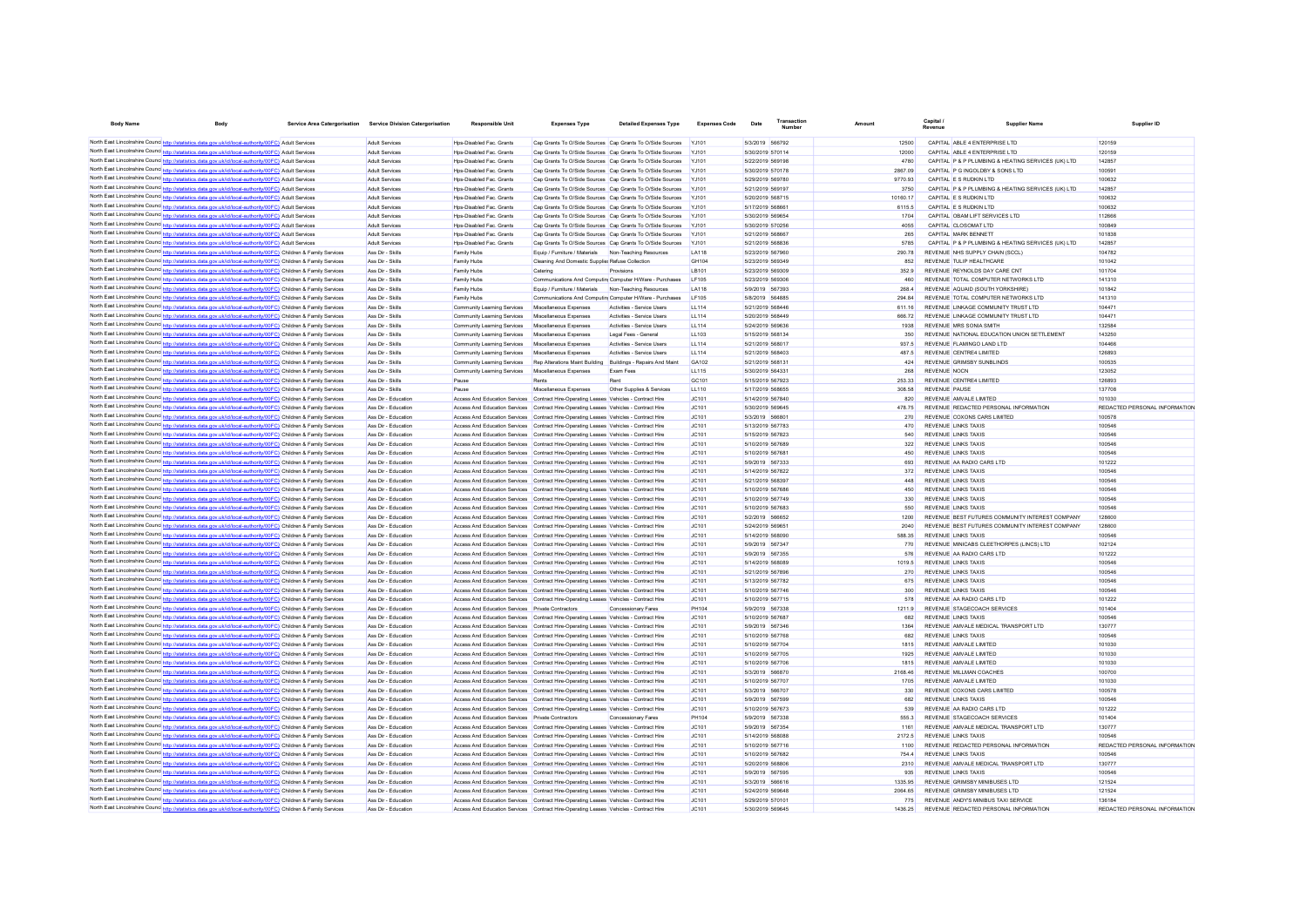| <b>Body Name</b>                              | <b>Body</b>                                                                                                                                                                                                                                       | <b>Service Area Catergorisation</b> | <b>Service Division Catergorisation</b>    | <b>Responsible Unit</b>                                                                                                                                                        | <b>Expenses Type</b>                                                           | <b>Detailed Expenses Type</b>                             | <b>Expenses Code</b>  | Date                                 | Transaction |                | Capital.<br>Revenue                                            | Supplier Nam-                                                                                      | Supplier ID                   |
|-----------------------------------------------|---------------------------------------------------------------------------------------------------------------------------------------------------------------------------------------------------------------------------------------------------|-------------------------------------|--------------------------------------------|--------------------------------------------------------------------------------------------------------------------------------------------------------------------------------|--------------------------------------------------------------------------------|-----------------------------------------------------------|-----------------------|--------------------------------------|-------------|----------------|----------------------------------------------------------------|----------------------------------------------------------------------------------------------------|-------------------------------|
|                                               | North East Lincolnshire Councert http://statistics.data.gov.uk/id/local-authority/00FC) Adult Services                                                                                                                                            |                                     | Adult Services                             | Hos-Disabled Fac. Grants                                                                                                                                                       |                                                                                | Cap Grants To O/Side Sources Cap Grants To O/Side Sources | Y.1101                | 5/3/2019 566792                      |             | 12500          | CAPITAL ABLE 4 ENTERPRISE LTD.                                 |                                                                                                    | 120159                        |
|                                               | North East Lincolnshire Counc http://statistics.data.gov.uk/id/local-authority/00FC) Adult Services                                                                                                                                               |                                     | Adult Services                             | Hos-Disabled Fac. Grants                                                                                                                                                       | Cap Grants To O/Side Sources Cap Grants To O/Side Sources                      |                                                           | Y.1101                | 5/30/2019 570114                     |             | 12000          | CAPITAL ABLE 4 ENTERPRISE LTD                                  |                                                                                                    | 12015                         |
|                                               | North East Lincolnshire Counc http://statistics.data.gov.uk/id/local-authority/00FC) Adult Services                                                                                                                                               |                                     | <b>Adult Services</b>                      | Hos-Disabled Fac. Grants                                                                                                                                                       | Cap Grants To O/Side Sources Cap Grants To O/Side Sources                      |                                                           |                       | 5/22/2019 569198                     |             | 4780           |                                                                | CAPITAL P & P PLUMBING & HEATING SERVICES (UK) LTD                                                 | 142857                        |
|                                               | North East Lincolnshire Counc http://statistics.data.gov.uk/id/local-authority/00FC) Adult Services                                                                                                                                               |                                     | <b>Adult Services</b>                      | Hos-Disabled Fac. Grants                                                                                                                                                       | Cap Grants To O/Side Sources Cap Grants To O/Side Sources                      |                                                           |                       | 5/30/2019 570178                     |             | 2867.09        | CAPITAL P G INGOLDBY & SONS LTD                                |                                                                                                    | 10059                         |
|                                               | North East Lincolnshire Counc http://statistics.data.gov.uk/id/local-authority/00FC) Adult Services                                                                                                                                               |                                     | Adult Services                             | Hps-Disabled Fac. Grants                                                                                                                                                       | Cap Grants To O/Side Sources Cap Grants To O/Side Sources                      |                                                           | YJ101                 | 5/29/2019 569780                     |             | 9770.93        | CAPITAL E S RUDKIN LTD                                         |                                                                                                    | 100632                        |
|                                               | North East Lincolnshire Counc http://statistics.data.gov.uk/id/local-authority/00FC) Adult Services                                                                                                                                               |                                     | Adult Services                             | Hps-Disabled Fac. Grants                                                                                                                                                       | Cap Grants To O/Side Sources Cap Grants To O/Side Sources                      |                                                           | YJ101                 | 5/21/2019 569197                     |             | 3750           |                                                                | CAPITAL P & P PLUMBING & HEATING SERVICES (UK) LTD                                                 | 142857                        |
|                                               | North East Lincolnshire Counc http://statistics.data.gov.uk/id/local-authority/00FC) Adult Services                                                                                                                                               |                                     | <b>Adult Services</b>                      | Hps-Disabled Fac. Grants                                                                                                                                                       | Cap Grants To O/Side Sources Cap Grants To O/Side Sources                      |                                                           | YJ101                 | 5/20/2019 568715                     |             | 10160.17       | CAPITAL E S RUDKIN LTD                                         |                                                                                                    | 100632                        |
|                                               | North East Lincolnshire Counc http://statistics.data.gov.uk/id/local-authority/00FC) Adult Services                                                                                                                                               |                                     | Adult Services                             | Hos-Disabled Fac. Grants                                                                                                                                                       | Cap Grants To O/Side Sources Cap Grants To O/Side Sources                      |                                                           | Y.1101                | 5/17/2019 568661                     |             | 6115.5         | CAPITAL E S RUDKIN LTD                                         |                                                                                                    | 100632                        |
|                                               | North East Lincolnshire Counc http://statistics.data.gov.uk/id/local-authority/00FC) Adult Services                                                                                                                                               |                                     | <b>Adult Services</b>                      | Hps-Disabled Fac. Grants                                                                                                                                                       | Cap Grants To O/Side Sources Cap Grants To O/Side Sources                      |                                                           | <b>YJ101</b>          | 5/30/2019 569654                     |             | 1704           | CAPITAL OBAM LIFT SERVICES LTD                                 |                                                                                                    | 112666                        |
|                                               | North East Lincolnshire Counc http://statistics.data.gov.uk/id/local-authority/00FC) Adult Services                                                                                                                                               |                                     | <b>Adult Services</b>                      | Hps-Disabled Fac. Grants                                                                                                                                                       | Cap Grants To O/Side Sources Cap Grants To O/Side Sources                      |                                                           | <b>YJ101</b>          | 5/30/2019 570256                     |             | 4055           | CAPITAL CLOSOMAT LTD                                           |                                                                                                    | 100849                        |
|                                               | North East Lincolnshire Counc http://statistics.data.gov.uk/id/local-authority/00FC) Adult Services                                                                                                                                               |                                     | <b>Adult Services</b>                      | Hps-Disabled Fac. Grants                                                                                                                                                       | Cap Grants To O/Side Sources Cap Grants To O/Side Sources                      |                                                           | <b>YJ101</b>          | 5/21/2019 568667                     |             | 265            | CAPITAL MARK BENNETT                                           |                                                                                                    | 101838                        |
|                                               | North East Lincolnshire Counc http://statistics.data.gov.uk/id/local-authority/00FC) Adult Services                                                                                                                                               |                                     | Adult Services                             | Hos-Disabled Fac. Grants                                                                                                                                                       | Cap Grants To O/Side Sources Cap Grants To O/Side Sources                      |                                                           | <b>YJ101</b>          | 5/21/2019 568836                     |             | 5785           |                                                                | CAPITAL P & P PLUMBING & HEATING SERVICES (UK) LTD                                                 | 142857                        |
|                                               | North East Lincolnshire Counc http://statistics.data.gov.uk/id/local-authority/00FC) Children & Family Services                                                                                                                                   |                                     | Ass Dir - Skills                           | Family Hubs                                                                                                                                                                    | Equip / Furniture / Materials                                                  | Non-Teaching Resources                                    | LA118                 | 5/23/2019 567960                     |             | 290.78         | REVENUE NHS SUPPLY CHAIN (SCCL)                                |                                                                                                    | 104782                        |
|                                               | North East Lincolnshire Counce http://statistics.data.gov.uk/id/local-authority/00FC) Children & Family Services                                                                                                                                  |                                     | Ass Dir - Skills                           | Family Hubs                                                                                                                                                                    | Cleaning And Domestic Supplier Refuse Collection                               |                                                           | GH104                 | 5/23/2019 569349                     |             | 852            | REVENUE TULIP HEALTHCARE                                       |                                                                                                    | 101042                        |
|                                               | North East Lincolnshire Counc http://statistics.data.gov.uk/id/local-authority/00FC) Children & Family Services                                                                                                                                   |                                     | Ass Dir - Skills                           | Family Hubs                                                                                                                                                                    | Catering                                                                       | Provisions                                                | I B101                | 5/23/2019 569309                     |             | 3529           | REVENUE REYNOLDS DAY CARE CNT                                  |                                                                                                    | 101704                        |
|                                               | North East Lincolnshire Counc http://statistics.data.gov.uk/id/local-authority/00FC) Children & Family Services                                                                                                                                   |                                     | Ass Dir - Skills                           | Family Hubs                                                                                                                                                                    | Communications And Computin Computer H/Ware - Purchases                        |                                                           | I F105                | 5/23/2019 569306                     |             | 460            | REVENUE TOTAL COMPUTER NETWORKS LTD                            |                                                                                                    | 141310                        |
| North East Lincolnshire Council berg Hotel    | stics.data.gov.uk/id/local-authority/00FC) Children & Family Services                                                                                                                                                                             |                                     | Ass Dir - Skills                           | Family Hubs                                                                                                                                                                    | Equip / Furniture / Materials                                                  | Non-Teaching Resources                                    | I A118                | 5/9/2019 567393                      |             | 2684           | REVENUE AQUAID (SOUTH YORKSHIRE)                               |                                                                                                    | 101842                        |
|                                               | North East Lincolnshire Counc http://statistics.data.gov.uk/id/local-authority/00FC) Children & Family Services                                                                                                                                   |                                     | Ass Dir - Skills                           | Family Hubs                                                                                                                                                                    | Communications And Computin Computer H/Ware - Purchaser                        |                                                           | LF105                 | 5/8/2019 564885                      |             | 294.84         | REVENUE TOTAL COMPUTER NETWORKS LTD                            |                                                                                                    | 141310                        |
|                                               | North East Lincolnshire Counc http://statistics.data.gov.uk/id/local-authority/00FC) Children & Family Services                                                                                                                                   |                                     | Ass Dir - Skills                           | Community Learning Services                                                                                                                                                    | Miscellaneous Expenses                                                         | Activities - Service Users                                | <b>LL114</b>          | 5/21/2019 568446                     |             | 611.16         | REVENUE LINKAGE COMMUNITY TRUST LTD                            |                                                                                                    | 10447                         |
|                                               | North East Lincolnshire Counc http://statistics.data.gov.uk/id/local-authority/00FC) Children & Family Services<br>North East Lincolnshire Counc http://statistics.data.gov.uk/id/local-authority/00FC) Children & Family Services                |                                     | Ass Dir - Skills<br>Ass Dir - Skills       | Community Learning Services                                                                                                                                                    | Miscellaneous Expenses                                                         | Activities - Service Users<br>Activities - Service Users  | <b>LL114</b>          | 5/20/2019 568449<br>5/24/2019 569636 |             | 666.72<br>1938 | REVENUE LINKAGE COMMUNITY TRUST LTD<br>REVENUE MRS SONIA SMITH |                                                                                                    | 10447<br>132584               |
|                                               | North East Lincolnshire Counc http://statistics.data.gov.uk/id/local-authority/00FC) Children & Family Services                                                                                                                                   |                                     |                                            | Community Learning Services                                                                                                                                                    | Miscellaneous Expenses                                                         |                                                           | LL114                 | 5/15/2019 568134                     |             | 350            |                                                                |                                                                                                    |                               |
|                                               | North East Lincolnshire Counc http://statistics.data.gov.uk/id/local-authority/00FC) Children & Family Services                                                                                                                                   |                                     | Ass Dir - Skills<br>Ass Dir - Skills       | Community Learning Services<br>Community Learning Services                                                                                                                     | Miscellaneous Expenses<br>Miscellaneous Expenses                               | Legal Fees - General<br>Activities - Service Users        | LL103<br>LL114        | 5/21/2019 568017                     |             | 937.5          | REVENUE FLAMINGO LAND LTD                                      | REVENUE NATIONAL EDUCATION UNION SETTLEMENT                                                        | 143250<br>104466              |
|                                               | North East Lincolnshire Counc http://statistics.data.gov.uk/id/local-authority/00FC) Children & Family Services                                                                                                                                   |                                     | Ass Dir - Skills                           | Community Learning Services                                                                                                                                                    | Miscellaneous Expenses                                                         | Activities - Service Users                                | LL114                 | 5/21/2019 568403                     |             | 487.5          | REVENUE CENTRE4 LIMITED                                        |                                                                                                    | 126893                        |
|                                               | North East Lincolnshire Counc http://statistics.data.gov.uk/id/local-authority/00FC) Children & Family Services                                                                                                                                   |                                     | Ass Dir - Skills                           | Community Learning Services                                                                                                                                                    | Rep Alterations Maint Building Buildings - Repairs And Maint                   |                                                           | GA102                 | 5/21/2019 568131                     |             | 424            | REVENUE GRIMSBY SUNBLINDS                                      |                                                                                                    | 100535                        |
|                                               | North East Lincolnshire Counc http://statistics.data.gov.uk/id/local-authority/00FC) Children & Family Services                                                                                                                                   |                                     | Ass Dir - Skills                           | Community Learning Services                                                                                                                                                    | Miscellaneous Expenses                                                         | Exam Fees                                                 | LL115                 | 5/30/2019 564331                     |             | 268            | REVENUE NOCN                                                   |                                                                                                    | 123052                        |
|                                               | North East Lincolnshire Counc http://statistics.data.gov.uk/id/local-authority/00FC) Children & Family Services                                                                                                                                   |                                     | Ass Dir - Skills                           | Pause                                                                                                                                                                          | Rents                                                                          | Rent                                                      | GC101                 | 5/15/2019 567923                     |             | 253.33         | REVENUE CENTRE4 LIMITED                                        |                                                                                                    | 126893                        |
|                                               | North East Lincolnshire Counc http://statistics.data.gov.uk/id/local-authority/00FC) Children & Family Services                                                                                                                                   |                                     | Ass Dir - Skills                           | Pause                                                                                                                                                                          | Miscellaneous Expenses                                                         | Other Supplies & Services                                 | LL110                 | 5/17/2019 568655                     |             | 308.58         | <b>REVENUE PAUSE</b>                                           |                                                                                                    | 137708                        |
|                                               | North East Lincolnshire Counc http://statistics.data.gov.uk/id/local-authority/00FC) Children & Family Services                                                                                                                                   |                                     | Ass Dir - Education                        | Access And Education Services Contract Hire-Operating Leases Vehicles - Contract Hire                                                                                          |                                                                                |                                                           | JCA01                 | 5/14/2019 567840                     |             | 820            | REVENUE AMVALE LIMITED                                         |                                                                                                    | 101030                        |
|                                               | North East Lincolnshire Counce http://statistics.data.gov.uk/id/local-authority/00FC) Children & Family Services                                                                                                                                  |                                     | Ass Dir - Education                        | Access And Education Services Contract Hire-Operating Leases Vehicles - Contract Hire                                                                                          |                                                                                |                                                           | JCA01                 | 5/30/2019 569645                     |             | 478.75         | REVENUE REDACTED PERSONAL INFORMATION                          |                                                                                                    | REDACTED PERSONAL INFORMATION |
|                                               | North East Lincolnshire Counc http://statistics.data.gov.uk/id/local-authority/00FC) Children & Family Services                                                                                                                                   |                                     | Ass Dir - Education                        | Access And Education Services Contract Hire-Operating Leases Vehicles - Contract Hire                                                                                          |                                                                                |                                                           | JC101                 | 5/3/2019 566801                      |             | 270            | REVENUE COXONS CARS LIMITED                                    |                                                                                                    | 100578                        |
|                                               | North East Lincolnshire Counc http://statistics.data.gov.uk/id/local-authority/00FC) Children & Family Services                                                                                                                                   |                                     | Ass Dir - Education                        | Access And Education Services Contract Hire-Operating Leases Vehicles - Contract Hire                                                                                          |                                                                                |                                                           | JC101                 | 5/13/2019 567783                     |             | 470            | <b>REVENUE LINKS TAXIS</b>                                     |                                                                                                    | 100546                        |
|                                               | North East Lincolnshire Counc http://statistics.data.gov.uk/id/local-authority/00FC) Children & Family Services                                                                                                                                   |                                     | Ass Dir - Education                        | Access And Education Services Contract Hire-Operating Leases Vehicles - Contract Hire                                                                                          |                                                                                |                                                           | JC101                 | 5/15/2019 567823                     |             | 540            | REVENUE LINKS TAXIS                                            |                                                                                                    | 100546                        |
|                                               | North East Lincolnshire Counc http://statistics.data.gov.uk/id/local-authority/00FC) Children & Family Services                                                                                                                                   |                                     | Ass Dir - Education                        | Access And Education Services Contract Hire-Operating Leases Vehicles - Contract Hire                                                                                          |                                                                                |                                                           | JC101                 | 5/10/2019 567689                     |             | 322            | <b>REVENUE LINKS TAXIS</b>                                     |                                                                                                    | 100546                        |
|                                               | North East Lincolnshire Counc http://statistics.data.gov.uk/id/local-authority/00FC) Children & Family Services                                                                                                                                   |                                     | Ass Dir - Education                        | Access And Education Services Contract Hire-Operating Leases Vehicles - Contract Hire                                                                                          |                                                                                |                                                           | JC101                 | 5/10/2019 56768                      |             | 450            | <b>REVENUE LINKS TAXIS</b>                                     |                                                                                                    | 100546                        |
|                                               | North East Lincolnshire Counce http://statistics.data.gov.uk/id/local-authority/00FC) Children & Family Services                                                                                                                                  |                                     | Ass Dir - Education                        | Access And Education Services Contract Hire-Operating Leases Vehicles - Contract Hire                                                                                          |                                                                                |                                                           | JC101                 | 5/9/2019 567333                      |             | 693            | REVENUE AA RADIO CARS LTD                                      |                                                                                                    | 101222                        |
|                                               | North East Lincolnshire Counc http://statistics.data.gov.uk/id/local-authority/00FC) Children & Family Services                                                                                                                                   |                                     | Ass Dir - Education                        | Access And Education Services Contract Hire-Operating Leases Vehicles - Contract Hire                                                                                          |                                                                                |                                                           | JC101                 | 5/14/2019 567822                     |             | 372            | REVENUE LINKS TAXIS                                            |                                                                                                    | 100546                        |
|                                               | North East Lincolnshire Counc http://statistics.data.gov.uk/id/local-authority/00FC) Children & Family Services                                                                                                                                   |                                     | Ass Dir - Education                        | Access And Education Services Contract Hire-Operating Leases Vehicles - Contract Hire                                                                                          |                                                                                |                                                           | JC101                 | 5/21/2019 568397                     |             | 448            | REVENUE LINKS TAXIS                                            |                                                                                                    | 100546                        |
|                                               | North East Lincolnshire Counce http://statistics.data.gov.uk/id/local-authority/00FC) Children & Family Services                                                                                                                                  |                                     | Ass Dir - Education                        | Access And Education Services Contract Hire-Operating Leases Vehicles - Contract Hire                                                                                          |                                                                                |                                                           | JC101                 | 5/10/2019 567686                     |             | 450            | <b>REVENUE LINKS TAXIS</b>                                     |                                                                                                    | 100546                        |
|                                               | North East Lincolnshire Counc http://statistics.data.gov.uk/id/local-authority/00FC) Children & Family Services                                                                                                                                   |                                     | Ass Dir - Education                        | Access And Education Services Contract Hire-Operating Leases Vehicles - Contract Hire                                                                                          |                                                                                |                                                           | JC101                 | 5/10/2019 567749                     |             | 330            | <b>REVENUE LINKS TAXIS</b>                                     |                                                                                                    | 100546                        |
|                                               | North East Lincolnshire Counc http://statistics.data.gov.uk/id/local-authority/00FC) Children & Family Services                                                                                                                                   |                                     | Ass Dir - Education                        | Access And Education Services Contract Hire-Operating Leases Vehicles - Contract Hire                                                                                          |                                                                                |                                                           | JC101                 | 5/10/2019 567683                     |             | 550            | <b>REVENUE LINKS TAXIS</b>                                     |                                                                                                    | 100546                        |
|                                               | North East Lincolnshire Counc http://statistics.data.gov.uk/id/local-authority/00FC) Children & Family Services<br>North East Lincolnshire Counc <sup>http://statistics.data.gov.uk/id/local-authority/00FC) Children &amp; Family Services</sup> |                                     | Ass Dir - Education<br>Ass Dir - Education | Access And Education Services Contract Hire-Operating Leases Vehicles - Contract Hire<br>Access And Education Services Contract Hire-Operating Leases Vehicles - Contract Hire |                                                                                |                                                           | JC101<br>JC101        | 5/2/2019 566652<br>5/24/2019 569651  |             | 1200<br>2040   |                                                                | REVENUE BEST FUTURES COMMUNITY INTEREST COMPANY<br>REVENUE BEST FUTURES COMMUNITY INTEREST COMPANY | 128600<br>128600              |
|                                               | North East Lincolnshire Counce http://statistics.data.gov.uk/id/local-authority/00FC) Children & Family Services                                                                                                                                  |                                     | Ass Dir - Education                        | Access And Education Services Contract Hire-Operating Leases Vehicles - Contract Hire                                                                                          |                                                                                |                                                           | JCA01                 | 5/14/2019 568090                     |             | 588 35         | <b>REVENUE LINKS TAXIS</b>                                     |                                                                                                    | 100546                        |
|                                               | North East Lincolnshire Counce http://statistics.data.gov.uk/id/local-authority/00FC) Children & Family Services                                                                                                                                  |                                     | Ass Dir - Education                        | Access And Education Services Contract Hire-Operating Leases Vehicles - Contract Hire                                                                                          |                                                                                |                                                           | IC101                 | 5/9/2019 567347                      |             | 770            | REVENUE MINICARS CLEETHORPES (LINCS) LTD                       |                                                                                                    | 102124                        |
|                                               | North East Lincolnshire Counc http://statistics.data.gov.uk/id/local-authority/00FC) Children & Family Services                                                                                                                                   |                                     | Ass Dir - Education                        | Access And Education Services Contract Hire-Operating Leases Vehicles - Contract Hire                                                                                          |                                                                                |                                                           | IC101                 | 5/9/2019 567355                      |             | 576            | REVENUE AA RADIO CARS LTD                                      |                                                                                                    | 101222                        |
|                                               | North East Lincolnshire Counc http://statistics.data.gov.uk/id/local-authority/00FC) Children & Family Services                                                                                                                                   |                                     | Ass Dir - Education                        | Access And Education Services Contract Hire-Operating Leases Vehicles - Contract Hire                                                                                          |                                                                                |                                                           | IC101                 | 5/14/2019 568089                     |             | 1019.5         | <b>REVENUE LINKS TAXIS</b>                                     |                                                                                                    | 100546                        |
|                                               | North East Lincolnshire Counc http://statistics.data.gov.uk/id/local-authority/00FC) Children & Family Services                                                                                                                                   |                                     | Ass Dir - Education                        | Access And Education Services Contract Hire-Operating Leases Vehicles - Contract Hire                                                                                          |                                                                                |                                                           | IC101                 | 5/21/2019 567896                     |             | 270            | <b>REVENUE LINKS TAXIS</b>                                     |                                                                                                    | 100546                        |
| North East Lincolnshire Councert http://stati | tics data goy uk/id/local-authority/00FC). Children & Family Services                                                                                                                                                                             |                                     | Ass Dir - Education                        | Access And Education Services Contract Hire-Operating Leases Vehicles - Contract Hire                                                                                          |                                                                                |                                                           | JC101                 | 5/13/2019 567782                     |             | 675            | <b>REVENUE LINKS TAXIS</b>                                     |                                                                                                    | 100546                        |
|                                               | North East Lincolnshire Counc http://statistics.data.gov.uk/id/local-authority/00FC) Children & Family Services                                                                                                                                   |                                     | Ass Dir - Education                        | Access And Education Services                                                                                                                                                  | Contract Hire-Operating Leases Vehicles - Contract Hire                        |                                                           | JC101                 | 5/10/2019 567746                     |             | 300            | <b>REVENUE LINKS TAXIS</b>                                     |                                                                                                    | 100546                        |
|                                               | North East Lincolnshire Counce http://statistics.data.gov.uk/id/local-authority/00FC) Children & Family Services                                                                                                                                  |                                     | Ass Dir - Education                        | Access And Education Services                                                                                                                                                  | Contract Hire-Operating Leases Vehicles - Contract Hire                        |                                                           | JC101                 | 5/10/2019 567715                     |             | 578            | REVENUE AA RADIO CARS LTD                                      |                                                                                                    | 101222                        |
|                                               | North East Lincolnshire Counc http://statistics.data.gov.uk/id/local-authority/00FC) Children & Family Services                                                                                                                                   |                                     | Ass Dir - Education                        | Access And Education Services                                                                                                                                                  | Private Contractors                                                            | Concessionary Fares                                       | PH104                 | 5/9/2019 567338                      |             | 1211.9         | REVENUE STAGECOACH SERVICES                                    |                                                                                                    | 101404                        |
|                                               | North East Lincolnshire Counc http://statistics.data.gov.uk/id/local-authority/00FC) Children & Family Services                                                                                                                                   |                                     | Ass Dir - Education                        | Access And Education Services                                                                                                                                                  | Contract Hire-Operating Leases Vehicles - Contract Hire                        |                                                           | JC101                 | 5/10/2019 567687                     |             | 682            | <b>REVENUE LINKS TAXIS</b>                                     |                                                                                                    | 100546                        |
|                                               | North East Lincolnshire Counc http://statistics.data.gov.uk/id/local-authority/00FC) Children & Family Services                                                                                                                                   |                                     | Ass Dir - Education                        | Access And Education Services                                                                                                                                                  | Contract Hire-Operating Leases Vehicles - Contract Hire                        |                                                           | JC101                 | 5/9/2019 567346                      |             | 1364           | REVENUE AMVALE MEDICAL TRANSPORT LTD                           |                                                                                                    | 130777                        |
|                                               | North East Lincolnshire Counc http://statistics.data.gov.uk/id/local-authority/00FC) Children & Family Services                                                                                                                                   |                                     | Ass Dir - Education                        | Access And Education Services                                                                                                                                                  | Contract Hire-Operating Leases Vehicles - Contract Hire                        |                                                           | JC101                 | 5/10/2019 567768                     |             | 682            | <b>REVENUE LINKS TAXIS</b>                                     |                                                                                                    | 100546                        |
|                                               | North East Lincolnshire Counc http://statistics.data.gov.uk/id/local-authority/00FC) Children & Family Services                                                                                                                                   |                                     | Ass Dir - Education                        | Access And Education Services                                                                                                                                                  | Contract Hire-Operating Leases Vehicles - Contract Hire                        |                                                           | JC101                 | 5/10/2019 567704                     |             | 1815           | REVENUE AMVALE LIMITED                                         |                                                                                                    | 101030                        |
|                                               | North East Lincolnshire Counc http://statistics.data.gov.uk/id/local-authority/00FC) Children & Family Services                                                                                                                                   |                                     | Ass Dir - Education                        | Access And Education Services                                                                                                                                                  | Contract Hire-Operating Leases Vehicles - Contract Hire                        |                                                           | JC101                 | 5/10/2019 567705                     |             | 1925           | REVENUE AMVALE LIMITED                                         |                                                                                                    | 101030                        |
|                                               | North East Lincolnshire Counc http://statistics.data.gov.uk/id/local-authority/00FC) Children & Family Services                                                                                                                                   |                                     | Ass Dir - Education                        | Access And Education Services                                                                                                                                                  | Contract Hire-Operating Leases Vehicles - Contract Hire                        |                                                           | JC101                 | 5/10/2019 567706                     |             | 1815           | REVENUE AMVALE LIMITED                                         |                                                                                                    | 101030                        |
|                                               | North East Lincolnshire Counc http://statistics.data.gov.uk/id/local-authority/00FC) Children & Family Services                                                                                                                                   |                                     | Ass Dir - Education                        | Access And Education Services Contract Hire-Operating Leases Vehicles - Contract Hire                                                                                          |                                                                                |                                                           | IC101                 | 5/3/2019 566870                      |             | 2168.46        | REVENUE MILLMAN COACHES                                        |                                                                                                    | 100700                        |
|                                               | North East Lincolnshire Counc http://statistics.data.gov.uk/id/local-authority/00FC) Children & Family Services                                                                                                                                   |                                     | Ass Dir - Education                        | Access And Education Services Contract Hire-Operating Leases Vehicles - Contract Hire                                                                                          |                                                                                |                                                           | JCA01                 | 5/10/2019 567707                     |             | 1705           | REVENUE AMVALE LIMITED                                         |                                                                                                    | 101030                        |
|                                               | North East Lincolnshire Counc http://statistics.data.gov.uk/id/local-authority/00FC) Children & Family Services                                                                                                                                   |                                     | Ass Dir - Education                        | Access And Education Services Contract Hire-Operating Leases Vehicles - Contract Hire                                                                                          |                                                                                |                                                           | JCA01                 | 5/3/2019 566707                      |             | 330            | REVENUE COXONS CARS LIMITED<br><b>REVENUE LINKS TAXIS</b>      |                                                                                                    | 100578                        |
|                                               | North East Lincolnshire Counc http://statistics.data.gov.uk/id/local-authority/00FC) Children & Family Services                                                                                                                                   |                                     | Ass Dir - Education                        | Access And Education Services Contract Hire-Operating Leases Vehicles - Contract Hire                                                                                          |                                                                                |                                                           | JC101                 | 5/9/2019 567599                      |             | 682            |                                                                |                                                                                                    | 100546                        |
|                                               | North East Lincolnshire Counc http://statistics.data.gov.uk/id/local-authority/00FC) Children & Family Services<br>North East Lincolnshire Counc http://statistics.data.gov.uk/id/local-authority/00FC) Children & Family Services                |                                     | Ass Dir - Education<br>Ass Dir - Education | Access And Education Services<br>Access And Education Services                                                                                                                 | Contract Hire-Operating Leases Vehicles - Contract Hire<br>Private Contractors |                                                           | JC101<br><b>PH104</b> | 5/10/2019 567673<br>5/9/2019 567338  |             | 539<br>555.3   | REVENUE AA RADIO CARS LTD<br>REVENUE STAGECOACH SERVICES       |                                                                                                    | 101222<br>101404              |
|                                               | North East Lincolnshire Counc http://statistics.data.gov.uk/id/local-authority/00FC) Children & Family Services                                                                                                                                   |                                     | Ass Dir - Education                        | Access And Education Services Contract Hire-Operating Leases Vehicles - Contract Hire                                                                                          |                                                                                | Concessionary Fares                                       | JC101                 | 5/9/2019 567354                      |             | 1161           | REVENUE AMVALE MEDICAL TRANSPORT LTD                           |                                                                                                    | 130777                        |
|                                               | North East Lincolnshire Counc http://statistics.data.gov.uk/id/local-authority/00FC) Children & Family Services                                                                                                                                   |                                     | Ass Dir - Education                        | Access And Education Services Contract Hire-Operating Leases Vehicles - Contract Hire                                                                                          |                                                                                |                                                           | JC101                 | 5/14/2019 56808                      |             | 2172.5         | <b>REVENUE LINKS TAXIS</b>                                     |                                                                                                    | 100546                        |
|                                               | North East Lincolnshire Counc http://statistics.data.gov.uk/id/local-authority/00FC) Children & Family Services                                                                                                                                   |                                     | Ass Dir - Education                        | Access And Education Services Contract Hire-Operating Leases Vehicles - Contract Hire                                                                                          |                                                                                |                                                           | JC101                 | 5/10/2019 567716                     |             | 1100           | REVENUE REDACTED PERSONAL INFORMATION                          |                                                                                                    | REDACTED PERSONAL INFORMATION |
|                                               | North East Lincolnshire Counc http://statistics.data.gov.uk/id/local-authority/00FC) Children & Family Services                                                                                                                                   |                                     | Ass Dir - Education                        | Access And Education Services Contract Hire-Operating Leases Vehicles - Contract Hire                                                                                          |                                                                                |                                                           | JC101                 | 5/10/2019 567682                     |             | 754.4          | <b>REVENUE LINKS TAXIS</b>                                     |                                                                                                    | 100546                        |
|                                               | North East Lincolnshire Counc http://statistics.data.gov.uk/id/local-authority/00FC) Children & Family Services                                                                                                                                   |                                     | Ass Dir - Education                        | Access And Education Services Contract Hire-Operating Leases Vehicles - Contract Hire                                                                                          |                                                                                |                                                           | JC101                 | 5/20/2019 568806                     |             | 2310           | REVENUE AMVALE MEDICAL TRANSPORT LTD                           |                                                                                                    | 130777                        |
|                                               | North East Lincolnshire Counc http://statistics.data.gov.uk/id/local-authority/00FC) Children & Family Services                                                                                                                                   |                                     | Ass Dir - Education                        | Access And Education Services Contract Hire-Operating Leases Vehicles - Contract Hire                                                                                          |                                                                                |                                                           | JC101                 | 5/9/2019 567595                      |             | 935            | <b>REVENUE LINKS TAXIS</b>                                     |                                                                                                    | 100546                        |
|                                               | North East Lincolnshire Counc http://statistics.data.gov.uk/id/local-authority/00FC) Children & Family Services                                                                                                                                   |                                     | Ass Dir - Education                        | Access And Education Services Contract Hire-Operating Leases Vehicles - Contract Hire                                                                                          |                                                                                |                                                           | JC101                 | 5/3/2019 566616                      |             | 1335.95        | REVENUE GRIMSBY MINIBUSES LTD                                  |                                                                                                    | 12152                         |
|                                               | North East Lincolnshire Counc http://statistics.data.gov.uk/id/local-authority/00FC) Children & Family Services                                                                                                                                   |                                     | Ass Dir - Education                        | Access And Education Services Contract Hire-Operating Leases Vehicles - Contract Hire                                                                                          |                                                                                |                                                           | JC101                 | 5/24/2019 569648                     |             | 2064.65        | REVENUE GRIMSBY MINIBUSES LTD                                  |                                                                                                    | 121524                        |
|                                               | North East Lincolnshire Counc http://statistics.data.gov.uk/id/local-authority/00FC) Children & Family Services                                                                                                                                   |                                     | Ass Dir - Education                        | Access And Education Services Contract Hire-Operating Leases Vehicles - Contract Hire                                                                                          |                                                                                |                                                           | JC101                 | 5/29/2019 570101                     |             | 775            | REVENUE ANDY'S MINIBUS TAXI SERVICE                            |                                                                                                    | 136184                        |
|                                               | North East Lincolnshire Counc http://statistics.data.gov.uk/id/local-authority/00FC) Children & Family Services                                                                                                                                   |                                     | Ass Dir - Education                        | Access And Education Services Contract Hire-Operating Leases Vehicles - Contract Hire                                                                                          |                                                                                |                                                           | JC101                 | 5/30/2019 569645                     |             | 1436.25        | REVENUE REDACTED PERSONAL INFORMATION                          |                                                                                                    | REDACTED PERSONAL INFORMATION |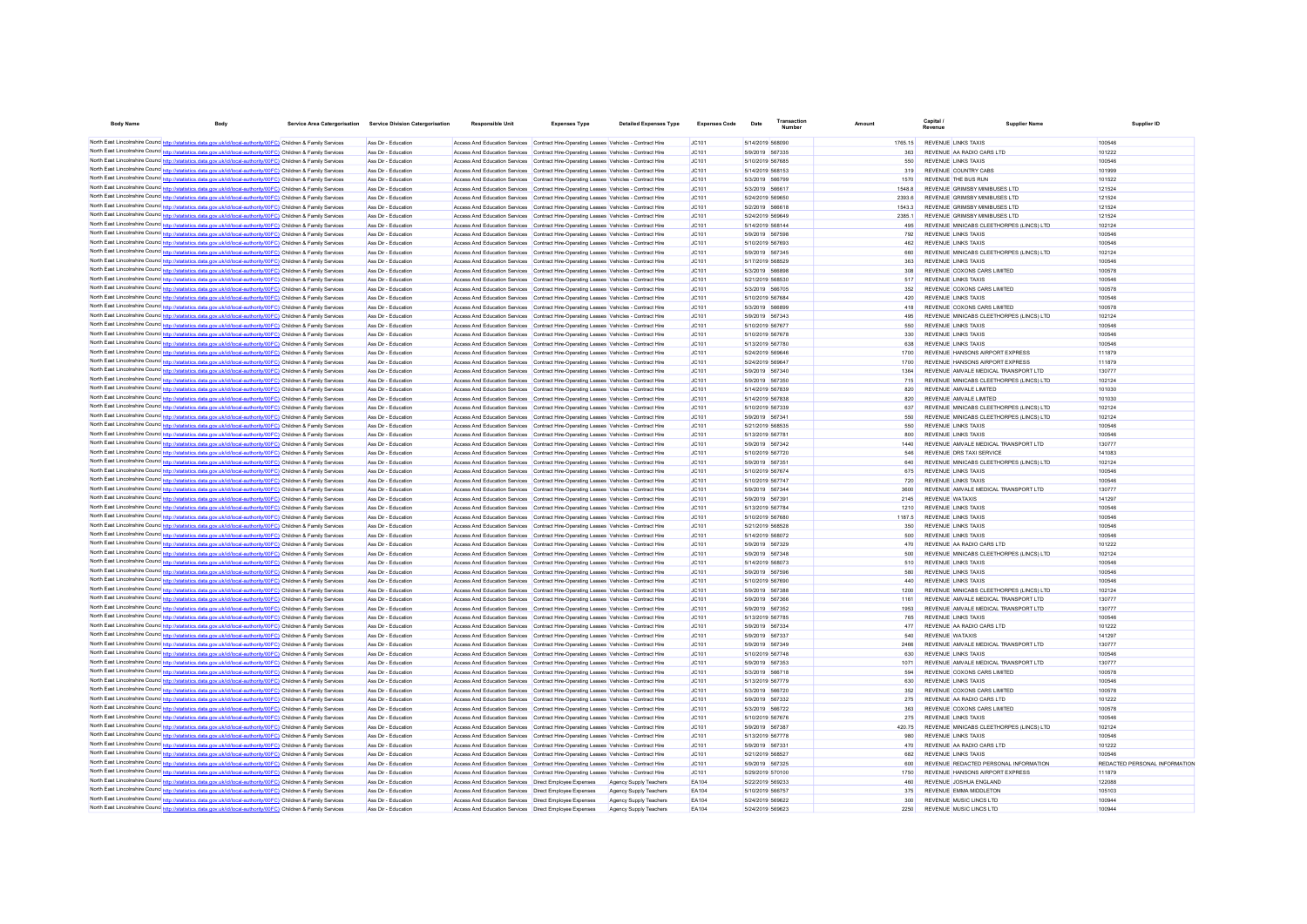| <b>Body Name</b>                       | <b>Body</b>                                                                                                                                                                                                                                     | Service Area Catergorisation Service Division Catergorisation | <b>Responsible Unit</b>                                                                                                                                                        | <b>Expenses Type</b>                                    | <b>Detailed Expenses Type</b>                           | <b>Expenses Code</b> | Date                                 | Transaction      |                 | Capital.                                                               | <b>Supplier Nam</b> | Supplier ID                   |
|----------------------------------------|-------------------------------------------------------------------------------------------------------------------------------------------------------------------------------------------------------------------------------------------------|---------------------------------------------------------------|--------------------------------------------------------------------------------------------------------------------------------------------------------------------------------|---------------------------------------------------------|---------------------------------------------------------|----------------------|--------------------------------------|------------------|-----------------|------------------------------------------------------------------------|---------------------|-------------------------------|
|                                        | North East Lincolnshire Counc <sup>htto://statistics.data.cov.uk/id/local-authority/00FC) Children &amp; Family Services</sup>                                                                                                                  | Ass Dir - Education                                           | Access And Education Services Contract Hire-Operating Leases Vehicles - Contract Hire                                                                                          |                                                         |                                                         | JC101                | 5/14/2019 568090                     |                  | 1765.15         | REVENUE LINKS TAXIS                                                    |                     | 100546                        |
|                                        | North East Lincolnshire Counc. http://statistics.data.gov.uk/id/local-authority/00FC) Children & Family Services                                                                                                                                | Ass Dir - Education                                           | Access And Education Services Contract Hire-Operating Leases Vehicles - Contract Hire                                                                                          |                                                         |                                                         | JC101                | 5/9/2019 567335                      |                  | 363             | REVENUE AA RADIO CARS LTD                                              |                     | 101222                        |
|                                        | North East Lincolnshire Counc http://statistics.data.gov.uk/id/local-authority/00FC) Children & Family Services                                                                                                                                 | Ass Dir - Education                                           | Access And Education Services Contract Hire-Operating Leases Vehicles - Contract Hire                                                                                          |                                                         |                                                         | JC101                | 5/10/2019 567685                     |                  | 550             | <b>REVENUE LINKS TAXIS</b>                                             |                     | 100546                        |
|                                        | North East Lincolnshire Counc http://statistics.data.gov.uk/id/local-authority/00FC) Children & Family Services                                                                                                                                 | Ass Dir - Education                                           | Access And Education Services Contract Hire-Operating Leases Vehicles - Contract Hire                                                                                          |                                                         |                                                         | <b>JC101</b>         | 5/14/2019 568153                     |                  | 319             | REVENUE COUNTRY CARS                                                   |                     | 101999                        |
|                                        | North East Lincolnshire Counc http://statistics.data.gov.uk/id/local-authority/00FC) Children & Family Services                                                                                                                                 | Ass Dir - Education                                           | Access And Education Services Contract Hire-Operating Leases Vehicles - Contract Hire                                                                                          |                                                         |                                                         | JC101                | 5/3/2019 566799                      |                  | 1570            | REVENUE THE BUS RUN                                                    |                     | 101522                        |
|                                        | North East Lincolnshire Counce http://statistics.data.gov.uk/id/local-authority/00FC) Children & Family Services<br>North East Lincolnshire Counc http://statistics.data.gov.uk/id/local-authority/00FC) Children & Family Services             | Ass Dir - Education<br>Ass Dir - Education                    | Access And Education Services Contract Hire-Operating Leases Vehicles - Contract Hire                                                                                          |                                                         |                                                         | JC101                | 5/3/2019 566617<br>5/24/2019 569650  |                  | 15488<br>2393.6 | REVENUE GRIMSBY MINIBUSES LTD<br>REVENUE GRIMSBY MINIBUSES LTD         |                     | 121524<br>121524              |
|                                        | North East Lincolnshire Counc http://statistics.data.gov.uk/id/local-authority/00FC) Children & Family Services                                                                                                                                 | Ass Dir - Education                                           | Access And Education Services Contract Hire-Operating Leases Vehicles - Contract Hire<br>Access And Education Services Contract Hire-Operating Leases Vehicles - Contract Hire |                                                         |                                                         | JC101<br>JC101       | 5/2/2019 566618                      |                  | 1543.3          | REVENUE GRIMSBY MINIBUSES LTD                                          |                     | 121524                        |
|                                        | North East Lincolnshire Counc http://statistics.data.gov.uk/id/local-authority/00FC) Children & Family Services                                                                                                                                 | Ass Dir - Education                                           | Access And Education Services Contract Hire-Operating Leases Vehicles - Contract Hire                                                                                          |                                                         |                                                         | JC101                | 5/24/2019 569649                     |                  | 23851           | REVENUE GRIMSBY MINIBUSES LTD                                          |                     | 121524                        |
|                                        | North East Lincolnshire Counc http://statistics.data.gov.uk/id/local-authority/00FC) Children & Family Services                                                                                                                                 | Ass Dir - Education                                           | Access And Education Services Contract Hire-Operating Leases Vehicles - Contract Hire                                                                                          |                                                         |                                                         | JC101                | 5/14/2019 568144                     |                  | 495             | REVENUE MINICABS CLEETHORPES (LINCS) LTD                               |                     | 102124                        |
| North East Lincolnshire Counc http://e | tics.data.gov.uk/id/local-authority/00FC) Children & Family Services                                                                                                                                                                            | Ass Dir - Education                                           | Access And Education Services Contract Hire-Operating Leases Vehicles - Contract Hire                                                                                          |                                                         |                                                         | JC101                | 5/9/2019 567598                      |                  | 792             | <b>REVENUE LINKS TAXIS</b>                                             |                     | 100546                        |
|                                        | North East Lincolnshire Counc http://statistics.data.gov.uk/id/local-authority/00FC) Children & Family Services                                                                                                                                 | Ass Dir - Education                                           | Access And Education Services Contract Hire-Operating Leases Vehicles - Contract Hire                                                                                          |                                                         |                                                         | JC101                | 5/10/2019 567693                     |                  | 462             | <b>REVENUE LINKS TAXIS</b>                                             |                     | 100546                        |
|                                        | North East Lincolnshire Counc http://statistics.data.gov.uk/id/local-authority/00FC) Children & Family Services<br>North East Lincolnshire Counc http://statistics.data.gov.uk/id/local-authority/00FC) Children & Family Services              | Ass Dir - Education<br>Ass Dir - Education                    | Access And Education Services Contract Hire-Operating Leases Vehicles - Contract Hire                                                                                          |                                                         |                                                         | JC101<br>JC101       | 5/9/2019 567345<br>5/17/2019 568529  |                  | 660<br>363      | REVENUE MINICABS CLEETHORPES (LINCS) LTD<br><b>REVENUE LINKS TAXIS</b> |                     | 102124<br>100546              |
|                                        | North East Lincolnshire Counc http://statistics.data.gov.uk/id/local-authority/00FC) Children & Family Services                                                                                                                                 | Ass Dir - Education                                           | Access And Education Services Contract Hire-Operating Leases Vehicles - Contract Hire<br>Access And Education Services Contract Hire-Operating Leases Vehicles - Contract Hire |                                                         |                                                         | JC101                | 5/3/2019 566898                      |                  | 308             | REVENUE COXONS CARS LIMITED                                            |                     | 100578                        |
|                                        | North East Lincolnshire Counc http://statistics.data.gov.uk/id/local-authority/00FC) Children & Family Services                                                                                                                                 | Ass Dir - Education                                           | Access And Education Services                                                                                                                                                  | Contract Hire-Operating Leases Vehicles - Contract Hire |                                                         | JC101                | 5/21/2019 568530                     |                  | 517             | <b>REVENUE LINKS TAXIS</b>                                             |                     | 100546                        |
|                                        | North East Lincolnshire Counc http://statistics.data.gov.uk/id/local-authority/00FC) Children & Family Services                                                                                                                                 | Ass Dir - Education                                           | Access And Education Services                                                                                                                                                  | Contract Hire-Operating Leases Vehicles - Contract Hire |                                                         | JC101                | 5/3/2019 566705                      |                  | 352             | REVENUE COXONS CARS LIMITED                                            |                     | 100578                        |
|                                        | North East Lincolnshire Counc http://statistics.data.gov.uk/id/local-authority/00FC) Children & Family Services                                                                                                                                 | Ass Dir - Education                                           | Access And Education Services Contract Hire-Operating Leases Vehicles - Contract Hire                                                                                          |                                                         |                                                         | JC101                | 5/10/2019 567684                     |                  | 420             | <b>REVENUE LINKS TAXIS</b>                                             |                     | 100546                        |
|                                        | North East Lincolnshire Counc http://statistics.data.gov.uk/id/local-authority/00FC) Children & Family Services                                                                                                                                 | Ass Dir - Education                                           | Access And Education Services Contract Hire-Operating Leases Vehicles - Contract Hire                                                                                          |                                                         |                                                         | JC101                | 5/3/2019 566899                      |                  | 418             | REVENUE COXONS CARS LIMITED                                            |                     | 100578                        |
|                                        | North East Lincolnshire Counc http://statistics.data.gov.uk/id/local-authority/00FC) Children & Family Services<br>North East Lincolnshire Councinto://statistics.data.gov.uk/id/local-authority/00FC) Children & Family Services               | Ass Dir - Education<br>Ass Dir - Education                    | Access And Education Services Contract Hire-Operating Leases Vehicles - Contract Hire<br>Access And Education Services Contract Hire-Operating Leases Vehicles - Contract Hire |                                                         |                                                         | JC101<br>JCA01       | 5/9/2019 567343<br>5/10/2019 567677  |                  | 495<br>550      | REVENUE MINICABS CLEETHORPES (LINCS) LTD<br><b>REVENUE LINKS TAXIS</b> |                     | 102124<br>100546              |
|                                        | North East Lincolnshire Counce http://statistics.data.gov.uk/id/local-authority/00FC) Children & Family Services                                                                                                                                | Ass Dir - Education                                           | Access And Education Services Contract Hire-Operating Leases Vehicles - Contract Hire                                                                                          |                                                         |                                                         | JC101                | 5/10/2019 567678                     |                  | 330             | <b>REVENUE LINKS TAXIS</b>                                             |                     | 100546                        |
|                                        | North East Lincolnshire Counce http://statistics.data.gov.uk/id/local-authority/00FC) Children & Family Services                                                                                                                                | Ass Dir - Education                                           | Access And Education Services Contract Hire-Operating Leases Vehicles - Contract Hire                                                                                          |                                                         |                                                         | IC101                | 5/13/2019 567780                     |                  | 638             | <b>REVENUE LINKS TAXIS</b>                                             |                     | 100546                        |
|                                        | North East Lincolnshire Counc http://statistics.data.gov.uk/id/local-authority/00FC) Children & Family Services                                                                                                                                 | Ass Dir - Education                                           | Access And Education Services Contract Hire-Operating Leases Vehicles - Contract Hire                                                                                          |                                                         |                                                         | JC101                | 5/24/2019 569646                     |                  | 1700            | REVENUE HANSONS AIRPORT EXPRESS                                        |                     | 111879                        |
|                                        | North East Lincolnshire Counc http://statistics.data.gov.uk/id/local-authority/00FC) Children & Family Services                                                                                                                                 | Ass Dir - Education                                           | Access And Education Services Contract Hire-Operating Leases Vehicles - Contract Hire                                                                                          |                                                         |                                                         | JC101                | 5/24/2019 569647                     |                  | 1700            | REVENUE HANSONS AIRPORT EXPRESS                                        |                     | 111879                        |
|                                        | North East Lincolnshire Counc http://statistics.data.gov.uk/id/local-authority/00FC) Children & Family Services                                                                                                                                 | Ass Dir - Education                                           | Access And Education Services Contract Hire-Operating Leases Vehicles - Contract Hire                                                                                          |                                                         |                                                         | JC101                | 5/9/2019 567340                      |                  | 1364            | REVENUE AMVALE MEDICAL TRANSPORT LTD                                   |                     | 130777                        |
|                                        | North East Lincolnshire Counc http://statistics.data.gov.uk/id/local-authority/00FC) Children & Family Services                                                                                                                                 | Ass Dir - Education                                           | Access And Education Services Contract Hire-Operating Leases Vehicles - Contract Hire                                                                                          |                                                         |                                                         | JC101                | 5/9/2019 567350                      |                  | 715             | REVENUE MINICABS CLEETHORPES (LINCS) LTD                               |                     | 102124                        |
|                                        | North East Lincolnshire Counc http://statistics.data.gov.uk/id/local-authority/00FC) Children & Family Services<br>North East Lincolnshire Counce http://statistics.data.gov.uk/id/local-authority/00FC) Children & Family Services             | Ass Dir - Education<br>Ass Dir - Education                    | Access And Education Services Contract Hire-Operating Leases Vehicles - Contract Hire<br>Access And Education Services Contract Hire-Operating Leases Vehicles - Contract Hire |                                                         |                                                         | JC101<br>JC101       | 5/14/2019 567839<br>5/14/2019 567838 |                  | 820<br>820      | REVENUE AMVALE LIMITED<br>REVENUE AMVALE LIMITED                       |                     | 101030<br>101030              |
|                                        | North East Lincolnshire Counc http://statistics.data.gov.uk/id/local-authority/00FC) Children & Family Services                                                                                                                                 | Ass Dir - Education                                           | Access And Education Services Contract Hire-Operating Leases Vehicles - Contract Hire                                                                                          |                                                         |                                                         | JC101                | 5/10/2019 567339                     |                  | 637             | REVENUE MINICABS CLEETHORPES (LINCS) LTD                               |                     | 102124                        |
|                                        | North East Lincolnshire Counc http://statistics.data.gov.uk/id/local-authority/00FC) Children & Family Services                                                                                                                                 | Ass Dir - Education                                           | Access And Education Services Contract Hire-Operating Leases Vehicles - Contract Hire                                                                                          |                                                         |                                                         | JC101                | 5/9/2019 567341                      |                  | 550             | REVENUE MINICABS CLEETHORPES (LINCS) LTD                               |                     | 102124                        |
|                                        | North East Lincolnshire Counc http://statistics.data.gov.uk/id/local-authority/00FC) Children & Family Services                                                                                                                                 | Ass Dir - Education                                           | Access And Education Services Contract Hire-Operating Leases Vehicles - Contract Hire                                                                                          |                                                         |                                                         | JC101                | 5/21/2019 568535                     |                  | 550             | <b>REVENUE LINKS TAXIS</b>                                             |                     | 100546                        |
|                                        | North East Lincolnshire Counc http://statistics.data.gov.uk/id/local-authority/00FC) Children & Family Services                                                                                                                                 | Ass Dir - Education                                           | Access And Education Services Contract Hire-Operating Leases Vehicles - Contract Hire                                                                                          |                                                         |                                                         | JC101                | 5/13/2019 567781                     |                  | 800             | <b>REVENUE LINKS TAXIS</b>                                             |                     | 100546                        |
|                                        | North East Lincolnshire Counc http://statistics.data.gov.uk/id/local-authority/00FC) Children & Family Services                                                                                                                                 | Ass Dir - Education                                           | Access And Education Services Contract Hire-Operating Leases Vehicles - Contract Hire                                                                                          |                                                         |                                                         | JC101                | 5/9/2019 567342                      |                  | 1440            | REVENUE AMVALE MEDICAL TRANSPORT LTD                                   |                     | 130777                        |
|                                        | North East Lincolnshire Counc http://statistics.data.gov.uk/id/local-authority/00FC) Children & Family Services<br>North East Lincolnshire Counc <sup>1</sup> http://statistics.data.gov.uk/id/local-authority/00FC) Children & Family Services | Ass Dir - Education                                           | Access And Education Services Contract Hire-Operating Leases Vehicles - Contract Hire                                                                                          |                                                         |                                                         | JC101                | 5/10/2019 567720                     |                  | 546             | REVENUE DRS TAXI SERVICE                                               |                     | 141083                        |
|                                        | North East Lincolnshire Counc http://statistics.data.gov.uk/id/local-authority/00FC) Children & Family Services                                                                                                                                 | Ass Dir - Education<br>Ass Dir - Education                    | Access And Education Services Contract Hire-Operating Leases Vehicles - Contract Hire<br>Access And Education Services Contract Hire-Operating Leases Vehicles - Contract Hire |                                                         |                                                         | JC101<br>IC101       | 5/9/2019 567351<br>5/10/2019 567674  |                  | 640<br>675      | REVENUE MINICABS CLEETHORPES (LINCS) LTD<br><b>REVENUE LINKS TAXIS</b> |                     | 102124<br>100546              |
|                                        | North East Lincolnshire Counc http://statistics.data.gov.uk/id/local-authority/00FC) Children & Family Services                                                                                                                                 | Ass Dir - Education                                           | Access And Education Services Contract Hire-Operating Leases Vehicles - Contract Hire                                                                                          |                                                         |                                                         | IC101                | 5/10/2019 567747                     |                  | 720             | <b>REVENUE LINKS TAXIS</b>                                             |                     | 100546                        |
|                                        | North East Lincolnshire Counc http://statistics.data.gov.uk/id/local-authority/00FC) Children & Family Services                                                                                                                                 | Ass Dir - Education                                           | Access And Education Services Contract Hire-Operating Leases Vehicles - Contract Hire                                                                                          |                                                         |                                                         | IC101                | 5/9/2019 567344                      |                  | 3600            | REVENUE AMVALE MEDICAL TRANSPORT LTD                                   |                     | 130777                        |
|                                        | North East Lincolnshire Counc http://statistics.data.gov.uk/id/local-authority/00FC) Children & Family Services                                                                                                                                 | Ass Dir - Education                                           | Access And Education Services Contract Hire-Operating Leases Vehicles - Contract Hire                                                                                          |                                                         |                                                         | IC101                | 5/9/2019 567391                      |                  | 2145            | <b>REVENUE WATAXIS</b>                                                 |                     | 141297                        |
|                                        | North East Lincolnshire Counc http://statistics.data.gov.uk/id/local-authority/00FC) Children & Family Services                                                                                                                                 | Ass Dir - Education                                           | Access And Education Services Contract Hire-Operating Leases Vehicles - Contract Hire                                                                                          |                                                         |                                                         | IC101                | 5/13/2019 567784                     |                  | 1210            | <b>REVENUE LINKS TAXIS</b>                                             |                     | 100546                        |
|                                        | North East Lincolnshire Counc http://statistics.data.gov.uk/id/local-authority/00FC) Children & Family Services                                                                                                                                 | Ass Dir - Education<br>Ass Dir - Education                    | Access And Education Services Contract Hire-Operating Leases Vehicles - Contract Hire<br>Access And Education Services Contract Hire-Operating Leases Vehicles - Contract Hire |                                                         |                                                         | JC101<br>JC101       | 5/21/2019 568528                     | 5/10/2019 567680 | 1187.5<br>350   | <b>REVENUE LINKS TAXIS</b><br><b>REVENUE LINKS TAXIS</b>               |                     | 100546<br>100546              |
|                                        | North East Lincolnshire Counc http://statistics.data.gov.uk/id/local-authority/00FC) Children & Family Services<br>North East Lincolnshire Counc http://statistics.data.gov.uk/id/local-authority/00FC) Children & Family Services              | Ass Dir - Education                                           | Access And Education Services Contract Hire-Operating Leases Vehicles - Contract Hire                                                                                          |                                                         |                                                         | JC101                |                                      | 5/14/2019 568072 | 500             | <b>REVENUE LINKS TAXIS</b>                                             |                     | 100546                        |
|                                        | North East Lincolnshire Counc http://statistics.data.gov.uk/id/local-authority/00FC) Children & Family Services                                                                                                                                 | Ass Dir - Education                                           | Access And Education Services Contract Hire-Operating Leases Vehicles - Contract Hire                                                                                          |                                                         |                                                         | JC101                | 5/9/2019 567329                      |                  | 470             | REVENUE AA RADIO CARS LTD                                              |                     | 101222                        |
|                                        | North East Lincolnshire Counc http://statistics.data.gov.uk/id/local-authority/00FC) Children & Family Services                                                                                                                                 | Ass Dir - Education                                           | Access And Education Services Contract Hire-Operating Leases Vehicles - Contract Hire                                                                                          |                                                         |                                                         | JC101                | 5/9/2019 567348                      |                  | 500             | REVENUE MINICABS CLEETHORPES (LINCS) LTD                               |                     | 102124                        |
|                                        | North East Lincolnshire Counc http://statistics.data.gov.uk/id/local-authority/00FC) Children & Family Services                                                                                                                                 | Ass Dir - Education                                           | Access And Education Services Contract Hire-Operating Leases Vehicles - Contract Hire                                                                                          |                                                         |                                                         | JC101                | 5/14/2019 568073                     |                  | 510             | <b>REVENUE LINKS TAXIS</b>                                             |                     | 100546                        |
|                                        | North East Lincolnshire Counc http://statistics.data.gov.uk/id/local-authority/00FC) Children & Family Services                                                                                                                                 | Ass Dir - Education                                           | Access And Education Services                                                                                                                                                  | Contract Hire-Operating Leases Vehicles - Contract Hire |                                                         | JC101                | 5/9/2019 567596                      |                  | 580             | <b>REVENUE LINKS TAXIS</b>                                             |                     | 100546                        |
|                                        | North East Lincolnshire Counc http://statistics.data.gov.uk/id/local-authority/00FC) Children & Family Services<br>North East Lincolnshire Counc http://statistics.data.gov.uk/id/local-authority/00FC) Children & Family Services              | Ass Dir - Education                                           | Access And Education Services                                                                                                                                                  | Contract Hire-Operating Leases Vehicles - Contract Hire |                                                         | JC101                | 5/10/2019 567690                     |                  | 440             | <b>REVENUE LINKS TAXIS</b><br>REVENUE MINICARS CLEETHORPES (LINCS) LTD |                     | 100546                        |
|                                        | North East Lincolnshire Counc http://statistics.data.gov.uk/id/local-authority/00FC) Children & Family Services                                                                                                                                 | Ass Dir - Education<br>Ass Dir - Education                    | Access And Education Services Contract Hire-Operating Leases Vehicles - Contract Hire<br>Access And Education Services Contract Hire-Operating Leases Vehicles - Contract Hire |                                                         |                                                         | JC101<br>JC101       | 5/9/2019 567388<br>5/9/2019 567366   |                  | 1200<br>1161    | REVENUE AMVALE MEDICAL TRANSPORT LTD                                   |                     | 102124<br>130777              |
|                                        | North East Lincolnshire Counce http://statistics.data.gov.uk/id/local-authority/00FC) Children & Family Services                                                                                                                                | Ass Dir - Education                                           | Access And Education Services                                                                                                                                                  | Contract Hire-Operating Leases Vehicles - Contract Hire |                                                         | JC101                | 5/9/2019 567352                      |                  | 1953            | REVENUE AMVALE MEDICAL TRANSPORT LTD                                   |                     | 130777                        |
|                                        | North East Lincolnshire Counc http://statistics.data.gov.uk/id/local-authority/00FC) Children & Family Services                                                                                                                                 | Ass Dir - Education                                           | Access And Education Services Contract Hire-Operating Leases Vehicles - Contract Hire                                                                                          |                                                         |                                                         | JC101                | 5/13/2019 567785                     |                  | 765             | <b>REVENUE LINKS TAXIS</b>                                             |                     | 100546                        |
|                                        | North East Lincolnshire Counc http://statistics.data.gov.uk/id/local-authority/00FC) Children & Family Services                                                                                                                                 | Ass Dir - Education                                           | Access And Education Services Contract Hire-Operating Leases Vehicles - Contract Hire                                                                                          |                                                         |                                                         | JC101                | 5/9/2019 567334                      |                  | 477             | REVENUE AA RADIO CARS LTD                                              |                     | 101222                        |
|                                        | North East Lincolnshire Counc http://statistics.data.gov.uk/id/local-authority/00FC) Children & Family Services                                                                                                                                 | Ass Dir - Education                                           | Access And Education Services Contract Hire-Operating Leases Vehicles - Contract Hire                                                                                          |                                                         |                                                         | JC101                | 5/9/2019 567337                      |                  | 540             | <b>REVENUE WATAXIS</b>                                                 |                     | 141297                        |
|                                        | North East Lincolnshire Counc http://statistics.data.gov.uk/id/local-authority/00FC) Children & Family Services                                                                                                                                 | Ass Dir - Education<br>Ass Dir - Education                    | Access And Education Services Contract Hire-Operating Leases Vehicles - Contract Hire                                                                                          |                                                         |                                                         | IC101<br>IC101       | 5/9/2019 567349<br>5/10/2019 567748  |                  | 2466<br>630     | REVENUE AMVALE MEDICAL TRANSPORT LTD<br><b>REVENUE LINKS TAXIS</b>     |                     | 130777<br>100546              |
|                                        | North East Lincolnshire Counc http://statistics.data.gov.uk/id/local-authority/00FC) Children & Family Services<br>North East Lincolnshire Counc http://statistics.data.gov.uk/id/local-authority/00FC) Children & Family Services              | Ass Dir - Education                                           | Access And Education Services Contract Hire-Operating Leases Vehicles - Contract Hire<br>Access And Education Services Contract Hire-Operating Leases Vehicles - Contract Hire |                                                         |                                                         | JC101                | 5/9/2019 567353                      |                  | 1071            | REVENUE AMVALE MEDICAL TRANSPORT LTD                                   |                     | 130777                        |
|                                        | North East Lincolnshire Counc http://statistics.data.gov.uk/id/local-authority/00FC) Children & Family Services                                                                                                                                 | Ass Dir - Education                                           | Access And Education Services Contract Hire-Operating Leases Vehicles - Contract Hire                                                                                          |                                                         |                                                         | JC101                | 5/3/2019 566718                      |                  | 594             | REVENUE COXONS CARS LIMITED                                            |                     | 100578                        |
|                                        | North East Lincolnshire Counc http://statistics.data.gov.uk/id/local-authority/00FC) Children & Family Services                                                                                                                                 | Ass Dir - Education                                           | Access And Education Services Contract Hire-Operating Leases Vehicles - Contract Hire                                                                                          |                                                         |                                                         | JC101                | 5/13/2019 567779                     |                  | 630             | <b>REVENUE LINKS TAXIS</b>                                             |                     | 100546                        |
|                                        | North East Lincolnshire Counc http://statistics.data.gov.uk/id/local-authority/00FC) Children & Family Services                                                                                                                                 | Ass Dir - Education                                           | Access And Education Services Contract Hire-Operating Leases Vehicles - Contract Hire                                                                                          |                                                         |                                                         | JC101                | 5/3/2019 566720                      |                  | 352             | REVENUE COXONS CARS LIMITED                                            |                     | 100578                        |
|                                        | North East Lincolnshire Counc http://statistics.data.gov.uk/id/local-authority/00FC) Children & Family Services                                                                                                                                 | Ass Dir - Education                                           | Access And Education Services Contract Hire-Operating Leases Vehicles - Contract Hire                                                                                          |                                                         |                                                         | JC101                | 5/9/2019 567332                      |                  | 275             | REVENUE AA RADIO CARS LTD                                              |                     | 101222                        |
|                                        | North East Lincolnshire Counc http://statistics.data.gov.uk/id/local-authority/00FC) Children & Family Services                                                                                                                                 | Ass Dir - Education                                           | Access And Education Services Contract Hire-Operating Leases Vehicles - Contract Hire                                                                                          |                                                         |                                                         | JC101                | 5/3/2019 566722                      |                  | 363             | REVENUE COXONS CARS LIMITED                                            |                     | 100578                        |
|                                        | North East Lincolnshire Counc http://statistics.data.gov.uk/id/local-authority/00FC) Children & Family Services<br>North East Lincolnshire Counce http://statistics.data.gov.uk/id/local-authority/00FC) Children & Family Services             | Ass Dir - Education<br>Ass Dir - Education                    | Access And Education Services Contract Hire-Operating Leases Vehicles - Contract Hire<br>Access And Education Services Contract Hire-Operating Leases Vehicles - Contract Hire |                                                         |                                                         | JC101<br>JC101       | 5/10/2019 567676<br>5/9/2019 567387  |                  | 275<br>420.75   | <b>REVENUE LINKS TAXIS</b><br>REVENUE MINICABS CLEETHORPES (LINCS) LTD |                     | 100546<br>102124              |
|                                        | North East Lincolnshire Counc http://statistics.data.gov.uk/id/local-authority/00FC) Children & Family Services                                                                                                                                 | Ass Dir - Education                                           | Access And Education Services Contract Hire-Operating Leases Vehicles - Contract Hire                                                                                          |                                                         |                                                         | JC101                | 5/13/2019 567778                     |                  | 980             | <b>REVENUE LINKS TAXIS</b>                                             |                     | 100546                        |
|                                        | North East Lincolnshire Counc http://statistics.data.gov.uk/id/local-authority/00FC) Children & Family Services                                                                                                                                 | Ass Dir - Education                                           | Access And Education Services Contract Hire-Operating Leases Vehicles - Contract Hire                                                                                          |                                                         |                                                         | JC101                | 5/9/2019 567331                      |                  | 470             | REVENUE AA RADIO CARS LTD                                              |                     | 101222                        |
|                                        | North East Lincolnshire Counc http://statistics.data.gov.uk/id/local-authority/00FC) Children & Family Services                                                                                                                                 | Ass Dir - Education                                           | Access And Education Services Contract Hire-Operating Leases Vehicles - Contract Hire                                                                                          |                                                         |                                                         | JC101                | 5/21/2019 568527                     |                  | 682             | <b>REVENUE LINKS TAXIS</b>                                             |                     | 100546                        |
|                                        | North East Lincolnshire Counc http://statistics.data.gov.uk/id/local-authority/00FC) Children & Family Services                                                                                                                                 | Ass Dir - Education                                           | Access And Education Services Contract Hire-Operating Leases Vehicles - Contract Hire                                                                                          |                                                         |                                                         | JC101                | 5/9/2019 567325                      |                  | 600             | REVENUE REDACTED PERSONAL INFORMATION                                  |                     | REDACTED PERSONAL INFORMATION |
|                                        | North East Lincolnshire Counc http://statistics.data.gov.uk/id/local-authority/00FC) Children & Family Services                                                                                                                                 | Ass Dir - Education                                           | Access And Education Services Contract Hire-Operating Leases Vehicles - Contract Hire                                                                                          |                                                         |                                                         | JC101                | 5/29/2019 570100                     |                  | 1750            | REVENUE HANSONS AIRPORT EXPRESS                                        |                     | 111879                        |
|                                        | North East Lincolnshire Counc http://statistics.data.gov.uk/id/local-authority/00FC) Children & Family Services<br>North East Lincolnshire Counc http://statistics.data.gov.uk/id/local-authority/00FC) Children & Family Services              | Ass Dir - Education<br>Ass Dir - Education                    | Access And Education Services  Direct Employee Expenses<br>Access And Education Services   Direct Employee Expenses                                                            |                                                         | Agency Supply Teachers<br><b>Agency Supply Teachers</b> | EA104<br>EA104       | 5/22/2019 569233<br>5/10/2019 566757 |                  | 460<br>375      | REVENUE JOSHUA ENGLAND<br>REVENUE EMMA MIDDLETON                       |                     | 122088<br>105103              |
|                                        | North East Lincolnshire Counc http://statistics.data.gov.uk/id/local-authority/00FC) Children & Family Services                                                                                                                                 | Ass Dir - Education                                           | Access And Education Services  Direct Employee Expenses                                                                                                                        |                                                         | Agency Supply Teachers                                  | EA104                | 5/24/2019 569622                     |                  | 300             | REVENUE MUSIC LINCS LTD                                                |                     | 10094                         |
|                                        | North East Lincolnshire Counc <sup>1</sup> http://statistics.data.gov.uk/id/local-authority/00FC1 Children & Family Services                                                                                                                    | Ass Dir - Education                                           | Access And Education Services   Direct Employee Expenses                                                                                                                       |                                                         | <b>Agency Supply Teachers</b>                           | EA104                | 5/24/2019 569623                     |                  | 2250            | REVENUE MUSIC LINCS LTD                                                |                     | 10094                         |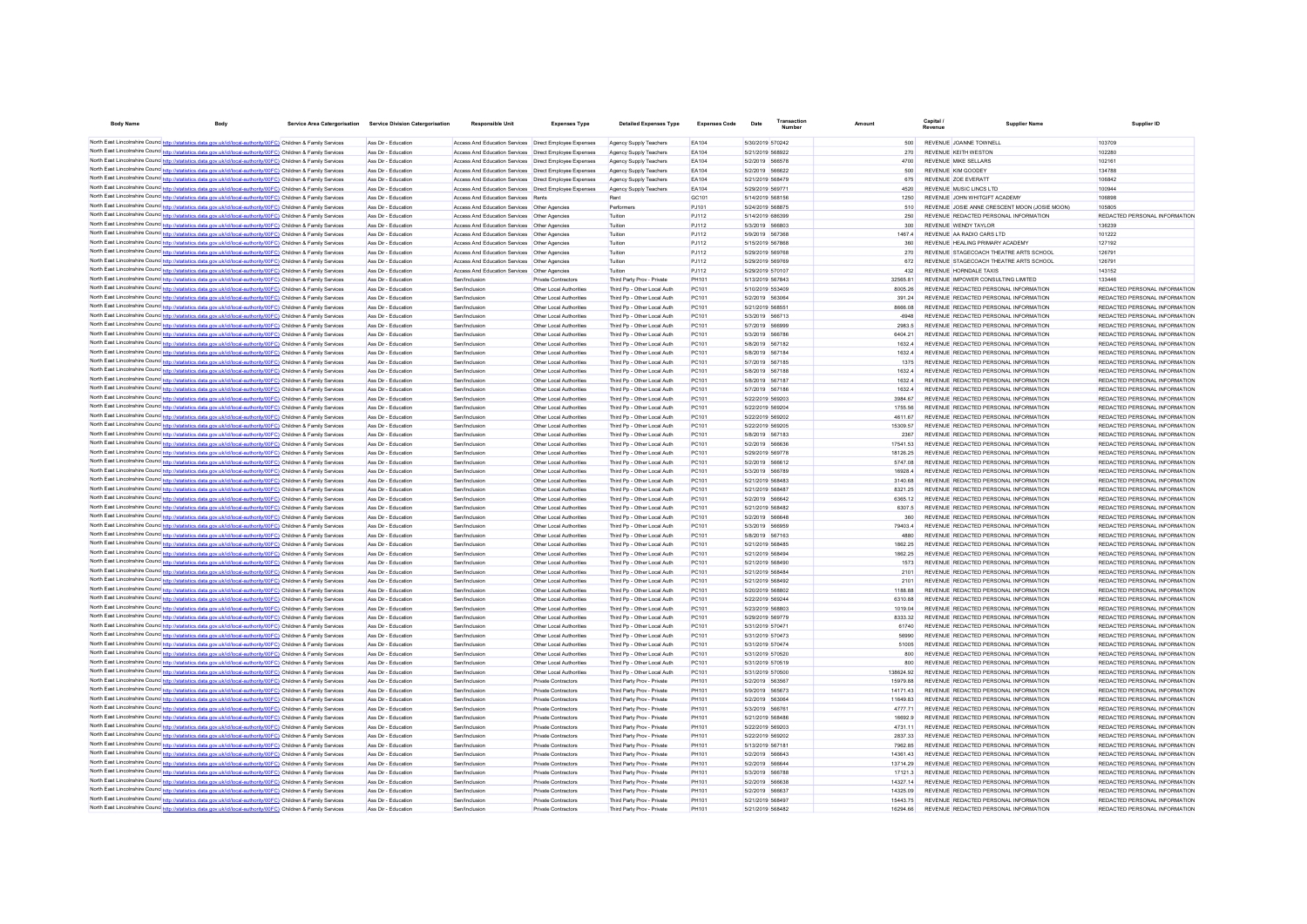| <b>Body Name</b> | <b>Body</b>                                                                                                                                                                                                                        | Service Area Catergorisation Service Division Catergorisation | Responsible Unit                                                                | <b>Expenses Type</b>                                     | <b>Detailed Expenses Type</b>                              | <b>Expenses Code</b>  | Date                                 | Transactio | Amount               |                                                                                | <b>Supplier Name</b>                          | Supplier ID                                                    |
|------------------|------------------------------------------------------------------------------------------------------------------------------------------------------------------------------------------------------------------------------------|---------------------------------------------------------------|---------------------------------------------------------------------------------|----------------------------------------------------------|------------------------------------------------------------|-----------------------|--------------------------------------|------------|----------------------|--------------------------------------------------------------------------------|-----------------------------------------------|----------------------------------------------------------------|
|                  | North East Lincolnshire Counc http://statistics.data.gov.uk/id/local-authority/00FC) Children & Family Services                                                                                                                    | Ass Dir - Education                                           | Access And Education Services  Direct Employee Expenses                         |                                                          | Agency Supply Teachers                                     | FA104                 | 5/30/2019 570242                     |            | 500                  | REVENUE JOANNE TOWNELL                                                         |                                               | 103709                                                         |
|                  | North East Lincolnshire Counce http://statistics.data.gov.uk/id/local-authority/00FC) Children & Family Services                                                                                                                   | Ass Dir - Education                                           | Access And Education Services   Direct Employee Expenses                        |                                                          | Agency Supply Teachers                                     | FA104                 | 5/21/2019 568922                     |            | 270                  | <b>REVENUE KEITH WESTON</b>                                                    |                                               | 102280                                                         |
|                  | North East Lincolnshire Counce http://statistics.data.gov.uk/id/local-authority/00FC) Children & Family Services                                                                                                                   | Ass Dir - Education                                           | Access And Education Services   Direct Employee Expenses                        |                                                          | Agency Supply Teachers                                     | FA104                 | 5/2/2019 566578                      |            | 4700                 | REVENUE MIKE SELLARS                                                           |                                               | 102161                                                         |
|                  | North East Lincolnshire Counce http://statistics.data.gov.uk/id/local-authority/00FC) Children & Family Services                                                                                                                   | Ass Dir - Education                                           | Access And Education Services   Direct Employee Expenses                        |                                                          | Agency Supply Teachers                                     | FA104                 | 5/2/2019 566622                      |            | 500                  | REVENUE KIM GOODEY                                                             |                                               | 134788                                                         |
|                  | North East Lincolnshire Counc http://statistics.data.gov.uk/id/local-authority/00FC) Children & Family Services                                                                                                                    | Ass Dir - Education                                           | Access And Education Services   Direct Employee Expenses                        |                                                          | Agency Supply Teachers                                     | EA104                 | 5/21/2019 568479                     |            | 675                  | REVENUE ZOE EVERATT                                                            |                                               | 106842                                                         |
|                  | North East Lincolnshire Counc http://statistics.data.gov.uk/id/local-authority/00FC) Children & Family Services                                                                                                                    | Ass Dir - Education                                           | Access And Education Services   Direct Employee Expenses                        |                                                          | Agency Supply Teachers                                     | EA104                 | 5/29/2019 569771                     |            | 4520                 | REVENUE MUSIC LINCS LTD                                                        |                                               | 100944                                                         |
|                  | North East Lincolnshire Counc http://statistics.data.gov.uk/id/local-authority/00FC) Children & Family Services                                                                                                                    | Ass Dir - Education                                           | Access And Education Services Rents                                             |                                                          | Rent                                                       | GC101                 | 5/14/2019 568156                     |            | 1250                 | REVENUE JOHN WHITGIFT ACADEMY                                                  |                                               | 106898                                                         |
|                  | North East Lincolnshire Counc http://statistics.data.gov.uk/id/local-authority/00FC) Children & Family Services                                                                                                                    | Ass Dir - Education                                           | Access And Education Services   Other Agencies                                  |                                                          | Performers                                                 | PJ101                 | 5/24/2019 568875                     |            | 510                  |                                                                                | REVENUE JOSIE ANNE CRESCENT MOON (JOSIE MOON) | 105805                                                         |
|                  | North East Lincolnshire Counc http://statistics.data.gov.uk/id/local-authority/00FC) Children & Family Services                                                                                                                    | Ass Dir - Education                                           | Access And Education Services   Other Agencies                                  |                                                          | Tuition                                                    | PJ112                 | 5/14/2019 686399                     |            | 250                  | REVENUE REDACTED PERSONAL INFORMATION                                          |                                               | REDACTED PERSONAL INFORMATION                                  |
|                  | North East Lincolnshire Counc http://statistics.data.gov.uk/id/local-authority/00FC) Children & Family Services                                                                                                                    | Ass Dir - Education                                           | Access And Education Services   Other Agencies                                  |                                                          | Tuition                                                    | PJ112                 | 5/3/2019 566803                      |            | 300                  | REVENUE WENDY TAYLOR                                                           |                                               | 136239                                                         |
|                  | North East Lincolnshire Counc http://statistics.data.gov.uk/id/local-authority/00FC) Children & Family Services                                                                                                                    | Ass Dir - Education                                           | Access And Education Services   Other Agencies                                  |                                                          | Tuition                                                    | PJ112                 | 5/9/2019 567368                      |            | 14674                | REVENUE AA RADIO CARS LTD                                                      |                                               | 101222                                                         |
|                  | North East Lincolnshire Counc http://statistics.data.gov.uk/id/local-authority/00FC) Children & Family Services                                                                                                                    | Ass Dir - Education                                           | Access And Education Services                                                   | Other Agencies                                           | Tuition                                                    | PJ112                 | 5/15/2019 567868                     |            | 360                  | REVENUE HEALING PRIMARY ACADEMY                                                |                                               | 127192                                                         |
|                  | North East Lincolnshire Counc http://statistics.data.gov.uk/id/local-authority/00FC) Children & Family Services                                                                                                                    | Ass Dir - Education                                           | Access And Education Services                                                   | Other Agencies                                           | Tuition                                                    | PJ112                 | 5/29/2019 569768                     |            | 270                  | REVENUE STAGECOACH THEATRE ARTS SCHOOL                                         |                                               | 126791                                                         |
|                  | North East Lincolnshire Counc http://statistics.data.gov.uk/id/local-authority/00FC) Children & Family Services<br>North East Lincolnshire Counc http://statistics.data.gov.uk/id/local-authority/00FC) Children & Family Services | Ass Dir - Education<br>Ass Dir - Education                    | Access And Education Services<br>Access And Education Services   Other Agencies | Other Agencies                                           | Tuition<br>Tuition                                         | PJ112<br>PJ112        | 5/29/2019 569769<br>5/29/2019 570107 |            | 672<br>432           | REVENUE STAGECOACH THEATRE ARTS SCHOOL<br>REVENUE HORNDALE TAXIS               |                                               | 126791<br>143152                                               |
|                  | North East Lincolnshire Counc http://statistics.data.gov.uk/id/local-authority/00FC) Children & Family Services                                                                                                                    | Ass Dir - Education                                           | Sen/Inclusion                                                                   | <b>Private Contractors</b>                               | Third Party Prov - Private                                 | PH101                 | 5/13/2019 567843                     |            | 32565.81             | REVENUE IMPOWER CONSULTING LIMITED                                             |                                               | 133446                                                         |
|                  | North East Lincolnshire Counce http://statistics.data.gov.uk/id/local-authority/00FC) Children & Family Services                                                                                                                   | Ass Dir - Education                                           | Sen/Inclusion                                                                   | Other Local Authorities                                  | Third Pp - Other Local Auth                                | PC101                 | 5/10/2019 553409                     |            | 8005.26              | REVENUE REDACTED PERSONAL INFORMATION                                          |                                               | REDACTED PERSONAL INFORMATION                                  |
|                  | North East Lincolnshire Counc http://statistics.data.gov.uk/id/local-authority/00FC) Children & Family Services                                                                                                                    | Ass Dir - Education                                           | Sen/Inclusion                                                                   | Other Local Authorities                                  | Third Po - Other Local Auth                                | PC101                 | 5/2/2019 563064                      |            | 391.24               | REVENUE REDACTED PERSONAL INFORMATION                                          |                                               | REDACTED PERSONAL INFORMATION                                  |
|                  | North East Lincolnshire Counc http://statistics.data.gov.uk/id/local-authority/00FC) Children & Family Services                                                                                                                    | Ass Dir - Education                                           | Sen/Inclusion                                                                   | Other Local Authorities                                  | Third Pp - Other Local Auth                                | PC101                 | 5/21/2019 568551                     |            | 8666.08              | REVENUE REDACTED PERSONAL INFORMATION                                          |                                               | REDACTED PERSONAL INFORMATION                                  |
|                  | North East Lincolnshire Counce http://statistics.data.gov.uk/id/local-authority/00FC) Children & Family Services                                                                                                                   | Ass Dir - Education                                           | Sen/Inclusion                                                                   | Other Local Authorities                                  | Third Po - Other Local Auth                                | PC101                 | 5/3/2019 566713                      |            | $-6948$              | REVENUE REDACTED PERSONAL INFORMATION                                          |                                               | REDACTED PERSONAL INFORMATION                                  |
|                  | North East Lincolnshire Counc http://statistics.data.gov.uk/id/local-authority/00FC) Children & Family Services                                                                                                                    | Ass Dir - Education                                           | Sen/Inclusion                                                                   | Other Local Authorities                                  | Third Po - Other Local Auth                                | PC101                 | 5/7/2019 566999                      |            | 2983.5               | REVENUE REDACTED PERSONAL INFORMATION                                          |                                               | REDACTED PERSONAL INFORMATION                                  |
|                  | North East Lincolnshire Counc http://statistics.data.gov.uk/id/local-authority/00FC) Children & Family Services                                                                                                                    | Ass Dir - Education                                           | Sen/Inclusion                                                                   | Other Local Authorities                                  | Third Po - Other Local Auth                                | PC101                 | 5/3/2019 566786                      |            | 6404.21              | REVENUE REDACTED PERSONAL INFORMATION                                          |                                               | REDACTED PERSONAL INFORMATION                                  |
|                  | North East Lincolnshire Counc http://statistics.data.gov.uk/id/local-authority/00FC) Children & Family Services                                                                                                                    | Ass Dir - Education                                           | Sen/Inclusion                                                                   | Other Local Authorities                                  | Third Po - Other Local Auth                                | PC101                 | 5/8/2019 567182                      |            | 1632.4               | REVENUE REDACTED PERSONAL INFORMATION                                          |                                               | REDACTED PERSONAL INFORMATION                                  |
|                  | North East Lincolnshire Counc http://statistics.data.gov.uk/id/local-authority/00FC) Children & Family Services                                                                                                                    | Ass Dir - Education                                           | Sen/Inclusion                                                                   | Other Local Authorities                                  | Third Pp - Other Local Auth                                | PC101                 | 5/8/2019 567184                      |            | 16324                | REVENUE REDACTED PERSONAL INFORMATION                                          |                                               | REDACTED PERSONAL INFORMATION                                  |
|                  | North East Lincolnshire Counc http://statistics.data.gov.uk/id/local-authority/00FC) Children & Family Services                                                                                                                    | Ass Dir - Education                                           | Sen/Inclusion                                                                   | Other Local Authorities                                  | Third Pp - Other Local Auth                                | PC101                 | 5/7/2019 567185                      |            | 1375                 | REVENUE REDACTED PERSONAL INFORMATION                                          |                                               | REDACTED PERSONAL INFORMATION                                  |
|                  | North East Lincolnshire Counc http://statistics.data.gov.uk/id/local-authority/00FC) Children & Family Services                                                                                                                    | Ass Dir - Education                                           | Sen/Inclusion                                                                   | Other Local Authorities                                  | Third Pp - Other Local Auth                                | PC101                 | 5/8/2019 567188                      |            | 16324                | REVENUE REDACTED PERSONAL INFORMATION                                          |                                               | REDACTED PERSONAL INFORMATION                                  |
|                  | North East Lincolnshire Counc http://statistics.data.gov.uk/id/local-authority/00FC) Children & Family Services                                                                                                                    | Ass Dir - Education                                           | Sen/Inclusion                                                                   | Other Local Authorities                                  | Third Pp - Other Local Auth                                | PC101                 | 5/8/2019 567187                      |            | 1632.4               | REVENUE REDACTED PERSONAL INFORMATION                                          |                                               | REDACTED PERSONAL INFORMATION                                  |
|                  | North East Lincolnshire Counc http://statistics.data.gov.uk/id/local-authority/00FC) Children & Family Services                                                                                                                    | Ass Dir - Education                                           | Sen/Inclusion                                                                   | Other Local Authorities                                  | Third Pp - Other Local Auth                                | PC101                 | 5/7/2019 567186                      |            | 1632.4               | REVENUE REDACTED PERSONAL INFORMATION                                          |                                               | REDACTED PERSONAL INFORMATION                                  |
|                  | North East Lincolnshire Counc http://statistics.data.gov.uk/id/local-authority/00FC) Children & Family Services                                                                                                                    | Ass Dir - Education                                           | Sen/Inclusion                                                                   | Other Local Authorities                                  | Third Po - Other Local Auth                                | PC101                 | 5/22/2019 569203                     |            | 3984.67              | REVENUE REDACTED PERSONAL INFORMATION                                          |                                               | REDACTED PERSONAL INFORMATION                                  |
|                  | North East Lincolnshire Counc http://statistics.data.gov.uk/id/local-authority/00FC) Children & Family Services                                                                                                                    | Ass Dir - Education                                           | Sen/Inclusion                                                                   | Other Local Authorities                                  | Third Po - Other Local Auth                                | PC101                 | 5/22/2019 569204                     |            | 1755.56              | REVENUE REDACTED PERSONAL INFORMATION                                          |                                               | REDACTED PERSONAL INFORMATION                                  |
|                  | North East Lincolnshire Counc http://statistics.data.gov.uk/id/local-authority/00FC) Children & Family Services                                                                                                                    | Ass Dir - Education                                           | Sen/Inclusion                                                                   | Other Local Authorities                                  | Third Pp - Other Local Auth                                | PC101                 | 5/22/2019 569202                     |            | 4611.67              | REVENUE REDACTED PERSONAL INFORMATION                                          |                                               | REDACTED PERSONAL INFORMATION                                  |
|                  | North East Lincolnshire Counc http://statistics.data.gov.uk/id/local-authority/00FC) Children & Family Services                                                                                                                    | Ass Dir - Education                                           | Sen/Inclusion                                                                   | Other Local Authorities                                  | Third Pp - Other Local Auth                                | PC101                 | 5/22/2019 569205                     |            | 15309.57             | REVENUE REDACTED PERSONAL INFORMATION                                          |                                               | REDACTED PERSONAL INFORMATION                                  |
|                  | North East Lincolnshire Counc http://statistics.data.gov.uk/id/local-authority/00FC) Children & Family Services<br>North East Lincolnshire Counc http://statistics.data.gov.uk/id/local-authority/00FC) Children & Family Services | Ass Dir - Education<br>Ass Dir - Education                    | Sen/Inclusion<br>Sen/Inclusion                                                  | Other Local Authorities<br>Other Local Authorities       | Third Pp - Other Local Auth<br>Third Pp - Other Local Auth | PC101<br>PC101        | 5/8/2019 567183<br>5/2/2019 566636   |            | 2367<br>17541.53     | REVENUE REDACTED PERSONAL INFORMATION<br>REVENUE REDACTED PERSONAL INFORMATION |                                               | REDACTED PERSONAL INFORMATION<br>REDACTED PERSONAL INFORMATION |
|                  | North East Lincolnshire Counc http://statistics.data.gov.uk/id/local-authority/00FC) Children & Family Services                                                                                                                    | Ass Dir - Education                                           | Sen/Inclusion                                                                   | Other Local Authorities                                  | Third Pp - Other Local Auth                                | PC101                 | 5/29/2019 569778                     |            | 18126.25             | REVENUE REDACTED PERSONAL INFORMATION                                          |                                               | REDACTED PERSONAL INFORMATION                                  |
|                  | North East Lincolnshire Counc <sup>hto://statistics.data.cov.uk/id/local-authority/00FC) Children &amp; Family Services</sup>                                                                                                      | Ass Dir - Education                                           | Sen/Inclusion                                                                   | Other Local Authorities                                  | Third Pp - Other Local Auth                                | PC101                 | 5/2/2019 566612                      |            | 5747.08              | REVENUE REDACTED PERSONAL INFORMATION                                          |                                               | REDACTED PERSONAL INFORMATION                                  |
|                  | North East Lincolnshire Counce http://statistics.data.gov.uk/id/local-authority/00FC) Children & Family Services                                                                                                                   | Ass Dir - Education                                           | Sen/Inclusion                                                                   | Other Local Authorities                                  | Third Pn - Other Local Auth                                | PC101                 | 5/3/2019 566789                      |            | 169284               | REVENUE REDACTED PERSONAL INFORMATION                                          |                                               | REDACTED PERSONAL INFORMATION                                  |
|                  | North East Lincolnshire Counc http://statistics.data.gov.uk/id/local-authority/00FC) Children & Family Services                                                                                                                    | Ass Dir - Education                                           | Sen/Inclusion                                                                   | Other Local Authorities                                  | Third Pn - Other Local Auth                                | PC101                 | 5/21/2019 568483                     |            | 3140.68              | REVENUE REDACTED PERSONAL INFORMATION                                          |                                               | REDACTED PERSONAL INFORMATION                                  |
|                  | North East Lincolnshire Counc http://statistics.data.gov.uk/id/local-authority/00FC) Children & Family Services                                                                                                                    | Ass Dir - Education                                           | Sen/Inclusion                                                                   | Other Local Authorities                                  | Third Pn - Other Local Auth                                | PC101                 | 5/21/2019 568487                     |            | 8321.25              | REVENUE REDACTED PERSONAL INFORMATION                                          |                                               | REDACTED PERSONAL INFORMATION                                  |
|                  | North East Lincolnshire Counc http://statistics.data.gov.uk/id/local-authority/00FC) Children & Family Services                                                                                                                    | Ass Dir - Education                                           | Sen/Inclusion                                                                   | Other Local Authorities                                  | Third Pp - Other Local Auth                                | PC101                 | 5/2/2019 566642                      |            | 6365.12              | REVENUE REDACTED PERSONAL INFORMATION                                          |                                               | REDACTED PERSONAL INFORMATION                                  |
|                  | North East Lincolnshire Counc http://statistics.data.gov.uk/id/local-authority/00FC) Children & Family Services                                                                                                                    | Ass Dir - Education                                           | Sen/Inclusion                                                                   | Other Local Authorities                                  | Third Pp - Other Local Auth                                | PC101                 | 5/21/2019 568482                     |            | 6307.5               | REVENUE REDACTED PERSONAL INFORMATION                                          |                                               | REDACTED PERSONAL INFORMATION                                  |
|                  | North East Lincolnshire Counc http://statistics.data.gov.uk/id/local-authority/00FC) Children & Family Services                                                                                                                    | Ass Dir - Education                                           | Sen/Inclusion                                                                   | Other Local Authorities                                  | Third Pp - Other Local Auth                                | PC101                 | 5/2/2019 566648                      |            | 360                  | REVENUE REDACTED PERSONAL INFORMATION                                          |                                               | REDACTED PERSONAL INFORMATION                                  |
|                  | North East Lincolnshire Counc http://statistics.data.gov.uk/id/local-authority/00FC) Children & Family Services                                                                                                                    | Ass Dir - Education                                           | Sen/Inclusion                                                                   | Other Local Authorities                                  | Third Pp - Other Local Auth                                | PC101                 | 5/3/2019 566959                      |            | 79403.4              | REVENUE REDACTED PERSONAL INFORMATION                                          |                                               | REDACTED PERSONAL INFORMATION                                  |
|                  | North East Lincolnshire Counc http://statistics.data.gov.uk/id/local-authority/00FC) Children & Family Services                                                                                                                    | Ass Dir - Education                                           | Sen/Inclusion                                                                   | Other Local Authorities                                  | Third Pp - Other Local Auth                                | PC101                 | 5/8/2019 567163                      |            | 4880                 | REVENUE REDACTED PERSONAL INFORMATION                                          |                                               | REDACTED PERSONAL INFORMATION                                  |
|                  | North East Lincolnshire Counc http://statistics.data.gov.uk/id/local-authority/00FC) Children & Family Services                                                                                                                    | Ass Dir - Education                                           | Sen/Inclusion                                                                   | Other Local Authorities                                  | Third Pp - Other Local Auth                                | PC101                 | 5/21/2019 568485                     |            | 1862.25              | REVENUE REDACTED PERSONAL INFORMATION                                          |                                               | REDACTED PERSONAL INFORMATION                                  |
|                  | North East Lincolnshire Counc http://statistics.data.gov.uk/id/local-authority/00FC) Children & Family Services                                                                                                                    | Ass Dir - Education                                           | Sen/Inclusion                                                                   | Other Local Authorities                                  | Third Pp - Other Local Auth                                | PC101                 | 5/21/2019 568494                     |            | 1862.25              | REVENUE REDACTED PERSONAL INFORMATION                                          |                                               | REDACTED PERSONAL INFORMATION                                  |
|                  | North East Lincolnshire Counc http://statistics.data.gov.uk/id/local-authority/00FC) Children & Family Services                                                                                                                    | Ass Dir - Education                                           | Sen/Inclusion                                                                   | Other Local Authorities                                  | Third Pp - Other Local Auth                                | PC101                 | 5/21/2019 568490                     |            | 1573                 | REVENUE REDACTED PERSONAL INFORMATION                                          |                                               | REDACTED PERSONAL INFORMATION                                  |
|                  | North East Lincolnshire Counc http://statistics.data.gov.uk/id/local-authority/00FC) Children & Family Services                                                                                                                    | Ass Dir - Education                                           | Sen/Inclusion                                                                   | Other Local Authorities                                  | Third Pp - Other Local Auth                                | PC101                 | 5/21/2019 568484                     |            | 2101                 | REVENUE REDACTED PERSONAL INFORMATION                                          |                                               | REDACTED PERSONAL INFORMATION                                  |
|                  | North East Lincolnshire Counc http://statistics.data.gov.uk/id/local-authority/00FC) Children & Family Services<br>North East Lincolnshire Counc http://statistics.data.gov.uk/id/local-authority/00FC) Children & Family Services | Ass Dir - Education<br>Ass Dir - Education                    | Sen/Inclusion<br>Sen/Inclusion                                                  | Other Local Authorities<br>Other Local Authorities       | Third Pp - Other Local Auth<br>Third Pp - Other Local Auth | PC101<br>PC101        | 5/21/2019 568492<br>5/20/2019 568802 |            | 2101<br>1188.88      | REVENUE REDACTED PERSONAL INFORMATION<br>REVENUE REDACTED PERSONAL INFORMATION |                                               | REDACTED PERSONAL INFORMATION<br>REDACTED PERSONAL INFORMATION |
|                  | North East Lincolnshire Counc http://statistics.data.gov.uk/id/local-authority/00FC) Children & Family Services                                                                                                                    | Ass Dir - Education                                           | Sen/Inclusion                                                                   | Other Local Authorities                                  | Third Pp - Other Local Auth                                | PC101                 | 5/22/2019 569244                     |            | 6310.88              | REVENUE REDACTED PERSONAL INFORMATION                                          |                                               | REDACTED PERSONAL INFORMATION                                  |
|                  | North East Lincolnshire Counce http://statistics.data.gov.uk/id/local-authority/00FC) Children & Family Services                                                                                                                   | Ass Dir - Education                                           | Sen/Inclusion                                                                   | Other Local Authorities                                  | Third Pp - Other Local Auth                                | PC101                 | 5/23/2019 568803                     |            | 1019.04              | REVENUE REDACTED PERSONAL INFORMATION                                          |                                               | REDACTED PERSONAL INFORMATION                                  |
|                  | North East Lincolnshire Counce http://statistics.data.gov.uk/id/local-authority/00FC) Children & Family Services                                                                                                                   | Ass Dir - Education                                           | Sen/Inclusion                                                                   | Other Local Authorities                                  | Third Po - Other Local Auth                                | PC101                 | 5/29/2019 569779                     |            | 833332               | REVENUE REDACTED PERSONAL INFORMATION                                          |                                               | REDACTED PERSONAL INFORMATION                                  |
|                  | North East Lincolnshire Counce http://statistics.data.gov.uk/id/local-authority/00FC) Children & Family Services                                                                                                                   | Ass Dir - Education                                           | Sen/Inclusion                                                                   | Other Local Authorities                                  | Third Po - Other Local Auth                                | PC101                 | 5/31/2019 570471                     |            | 61740                | REVENUE REDACTED PERSONAL INFORMATION                                          |                                               | REDACTED PERSONAL INFORMATION                                  |
|                  | North East Lincolnshire Counc http://statistics.data.gov.uk/id/local-authority/00FC) Children & Family Services                                                                                                                    | Ass Dir - Education                                           | Sen/Inclusion                                                                   | Other Local Authorities                                  | Third Po - Other Local Auth                                | PC101                 | 5/31/2019 570473                     |            | 56990                | REVENUE REDACTED PERSONAL INFORMATION                                          |                                               | REDACTED PERSONAL INFORMATION                                  |
|                  | North East Lincolnshire Counc http://statistics.data.gov.uk/id/local-authority/00FC) Children & Family Services                                                                                                                    | Ass Dir - Education                                           | Sen/Inclusion                                                                   | Other Local Authorities                                  | Third Po - Other Local Auth                                | PC101                 | 5/31/2019 570474                     |            | 51005                | REVENUE REDACTED PERSONAL INFORMATION                                          |                                               | REDACTED PERSONAL INFORMATION                                  |
|                  | North East Lincolnshire Counc http://statistics.data.gov.uk/id/local-authority/00FC) Children & Family Services                                                                                                                    | Ass Dir - Education                                           | Sen/Inclusion                                                                   | Other Local Authorities                                  | Third Po - Other Local Auth                                | PC101                 | 5/31/2019 570520                     |            | 800                  | REVENUE REDACTED PERSONAL INFORMATION                                          |                                               | REDACTED PERSONAL INFORMATION                                  |
|                  | North East Lincolnshire Counc http://statistics.data.gov.uk/id/local-authority/00FC) Children & Family Services                                                                                                                    | Ass Dir - Education                                           | Sen/Inclusion                                                                   | Other Local Authorities                                  | Third Po - Other Local Auth                                | PC101                 | 5/31/2019 570519                     |            | 800                  | REVENUE REDACTED PERSONAL INFORMATION                                          |                                               | REDACTED PERSONAL INFORMATION                                  |
|                  | North East Lincolnshire Counc http://statistics.data.gov.uk/id/local-authority/00FC) Children & Family Services                                                                                                                    | Ass Dir - Education                                           | Sen/Inclusion                                                                   | Other Local Authorities                                  | Third Pp - Other Local Auth                                | PC101                 | 5/31/2019 570500                     |            | 138624.92            | REVENUE REDACTED PERSONAL INFORMATION                                          |                                               | REDACTED PERSONAL INFORMATION                                  |
|                  | North East Lincolnshire Counc http://statistics.data.gov.uk/id/local-authority/00FC) Children & Family Services                                                                                                                    | Ass Dir - Education                                           | Sen/Inclusion                                                                   | Private Contractors                                      | Third Party Prov - Private                                 | PH101                 | 5/2/2019 563567                      |            | 15979.88             | REVENUE REDACTED PERSONAL INFORMATION                                          |                                               | REDACTED PERSONAL INFORMATION                                  |
|                  | North East Lincolnshire Counc http://statistics.data.gov.uk/id/local-authority/00FC) Children & Family Services                                                                                                                    | Ass Dir - Education                                           | Sen/Inclusion                                                                   | <b>Private Contractors</b>                               | Third Party Prov - Private                                 | <b>PH101</b>          | 5/9/2019 565673                      |            | 14171.43             | REVENUE REDACTED PERSONAL INFORMATION                                          |                                               | REDACTED PERSONAL INFORMATION                                  |
|                  | North East Lincolnshire Counc <sup>http://</sup> statistics.data.gov.uk/id/local-authority/00FC) Children & Family Services                                                                                                        | Ass Dir - Education                                           | Sen/Inclusion                                                                   | <b>Private Contractors</b>                               | Third Party Prov - Private                                 | PH101                 | 5/2/2019 563064                      |            | 11649.83             | REVENUE REDACTED PERSONAL INFORMATION                                          |                                               | REDACTED PERSONAL INFORMATION                                  |
|                  | North East Lincolnshire Counc http://statistics.data.gov.uk/id/local-authority/00FC) Children & Family Services                                                                                                                    | Ass Dir - Education                                           | Sen/Inclusion                                                                   | <b>Private Contractors</b>                               | Third Party Prov - Private                                 | <b>PH101</b>          | 5/3/2019 566761                      |            | 4777.71              | REVENUE REDACTED PERSONAL INFORMATION                                          |                                               | REDACTED PERSONAL INFORMATION                                  |
|                  | North East Lincolnshire Counc http://statistics.data.gov.uk/id/local-authority/00FC) Children & Family Services                                                                                                                    | Ass Dir - Education                                           | Sen/Inclusion                                                                   | <b>Private Contractors</b>                               | Third Party Prov - Private                                 | <b>PH101</b>          | 5/21/2019 568486                     |            | 16692.9              | REVENUE REDACTED PERSONAL INFORMATION                                          |                                               | REDACTED PERSONAL INFORMATION                                  |
|                  | North East Lincolnshire Counc http://statistics.data.gov.uk/id/local-authority/00FC) Children & Family Services                                                                                                                    | Ass Dir - Education                                           | Sen/Inclusion                                                                   | <b>Private Contractors</b>                               | Third Party Prov - Private                                 | PH101                 | 5/22/2019 569203                     |            | 4731.11              | REVENUE REDACTED PERSONAL INFORMATION                                          |                                               | REDACTED PERSONAL INFORMATION                                  |
|                  | North East Lincolnshire Counc http://statistics.data.gov.uk/id/local-authority/00FC) Children & Family Services                                                                                                                    | Ass Dir - Education                                           | Sen/Inclusion                                                                   | <b>Private Contractors</b>                               | Third Party Prov - Private                                 | PH101                 | 5/22/2019 569202                     |            | 2837.33              | REVENUE REDACTED PERSONAL INFORMATION                                          |                                               | REDACTED PERSONAL INFORMATION                                  |
|                  | North East Lincolnshire Counc http://statistics.data.gov.uk/id/local-authority/00FC) Children & Family Services<br>North East Lincolnshire Counc http://statistics.data.gov.uk/id/local-authority/00FC) Children & Family Services | Ass Dir - Education                                           | Sen/Inclusion                                                                   | <b>Private Contractors</b>                               | Third Party Prov - Private                                 | PH101<br><b>PH101</b> | 5/13/2019 567181                     |            | 7962.85              | REVENUE REDACTED PERSONAL INFORMATION<br>REVENUE REDACTED PERSONAL INFORMATION |                                               | REDACTED PERSONAL INFORMATION<br>REDACTED PERSONAL INFORMATION |
|                  | North East Lincolnshire Counce http://statistics.data.gov.uk/id/local-authority/00FC) Children & Family Services                                                                                                                   | Ass Dir - Education<br>Ass Dir - Education                    | Sen/Inclusion<br>Sen/Inclusion                                                  | <b>Private Contractors</b><br><b>Private Contractors</b> | Third Party Prov - Private<br>Third Party Prov - Private   | <b>PH101</b>          | 5/2/2019 566643<br>5/2/2019 566644   |            | 14361.43<br>13714.29 | REVENUE REDACTED PERSONAL INFORMATION                                          |                                               | REDACTED PERSONAL INFORMATION                                  |
|                  | North East Lincolnshire Counc http://statistics.data.gov.uk/id/local-authority/00FC) Children & Family Services                                                                                                                    | Ass Dir - Education                                           | Sen/Inclusion                                                                   | Private Contractors                                      | Third Party Prov - Private                                 | <b>PH101</b>          | 5/3/2019 566788                      |            | 17121.3              | REVENUE REDACTED PERSONAL INFORMATION                                          |                                               | REDACTED PERSONAL INFORMATION                                  |
|                  | North East Lincolnshire Counc http://statistics.data.gov.uk/id/local-authority/00FC) Children & Family Services                                                                                                                    | Ass Dir - Education                                           | Sen/Inclusion                                                                   | Private Contractors                                      | Third Party Prov - Private                                 | <b>PH101</b>          | 5/2/2019 566638                      |            | 14327.14             | REVENUE REDACTED PERSONAL INFORMATION                                          |                                               | REDACTED PERSONAL INFORMATION                                  |
|                  | North East Lincolnshire Counc http://statistics.data.gov.uk/id/local-authority/00FC) Children & Family Services                                                                                                                    | Ass Dir - Education                                           | Sen/Inclusion                                                                   | <b>Private Contractors</b>                               | Third Party Prov - Private                                 | <b>PH101</b>          | 5/2/2019 566637                      |            | 14325.09             | REVENUE REDACTED PERSONAL INFORMATION                                          |                                               | REDACTED PERSONAL INFORMATION                                  |
|                  | North East Lincolnshire Counc http://statistics.data.gov.uk/id/local-authority/00FC) Children & Family Services                                                                                                                    | Ass Dir - Education                                           | Sen/Inclusion                                                                   | <b>Private Contractors</b>                               | Third Party Prov - Private                                 | <b>PH101</b>          | 5/21/2019 568497                     |            | 15443.75             | REVENUE REDACTED PERSONAL INFORMATION                                          |                                               | REDACTED PERSONAL INFORMATION                                  |
|                  | North East Lincolnshire Counc http://statistics.data.gov.uk/id/local-authority/00FC) Children & Family Services                                                                                                                    | Ass Dir - Education                                           | Sen/Inclusion                                                                   | <b>Private Contractors</b>                               | Third Party Prov - Private                                 | PH101                 | 5/21/2019 568482                     |            | 16294.66             | REVENUE REDACTED PERSONAL INFORMATION                                          |                                               | REDACTED PERSONAL INFORMATION                                  |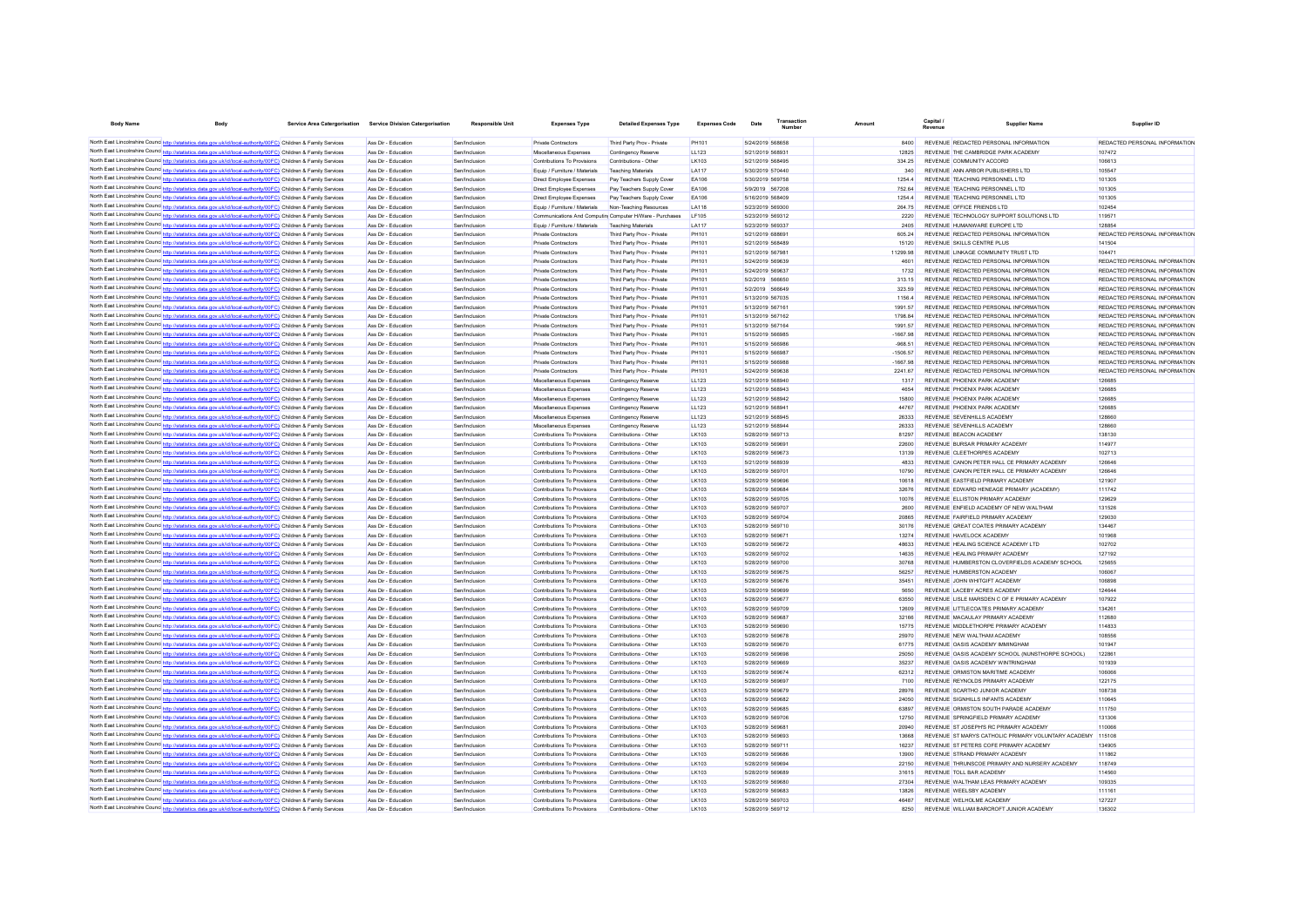| <b>Body Name</b> | Body                                                                                                                                                                                                                                             | Service Area Catergorisation | Service Division Catergorisation           | <b>Responsible Unit</b>        | <b>Expenses Type</b>                                       | <b>Detailed Expenses Type</b>                            | <b>Expenses Code</b>  | Date                                 | Transactic<br>Number | Amount          | Revenue                                                                        | <b>Supplier Name</b>                                       | Supplier ID                                                    |
|------------------|--------------------------------------------------------------------------------------------------------------------------------------------------------------------------------------------------------------------------------------------------|------------------------------|--------------------------------------------|--------------------------------|------------------------------------------------------------|----------------------------------------------------------|-----------------------|--------------------------------------|----------------------|-----------------|--------------------------------------------------------------------------------|------------------------------------------------------------|----------------------------------------------------------------|
|                  | North East Lincolnshire Counce http://statistics.data.gov.uk/id/local-authority/00FC) Children & Family Services                                                                                                                                 |                              | Ass Dir - Education                        |                                |                                                            | Third Party Prov - Private                               | PH101                 |                                      |                      |                 | REVENUE REDACTED PERSONAL INFORMATION                                          |                                                            | REDACTED PERSONAL INFORMATION                                  |
|                  | North East Lincolnshire Counc http://statistics.data.gov.uk/id/local-authority/00FC) Children & Family Services                                                                                                                                  |                              | Ass Dir - Education                        | Sen/Inclusion<br>Sen/Inclusion | Private Contractors<br>Miscellaneous Expenses              | Contingency Reserve                                      | <b>LL123</b>          | 5/24/2019 568658<br>5/21/2019 568931 |                      | 8400<br>12825   | REVENUE THE CAMBRIDGE PARK ACADEMY                                             |                                                            | 107472                                                         |
|                  | North East Lincolnshire Counc http://statistics.data.gov.uk/id/local-authority/00FC) Children & Family Services                                                                                                                                  |                              | Ass Dir - Education                        | Sen/Inclusion                  | Contributions To Provisions                                | Contributions - Other                                    | LK103                 | 5/21/2019 568495                     |                      | 334.25          | REVENUE COMMUNITY ACCORD                                                       |                                                            | 106613                                                         |
|                  | North East Lincolnshire Counc http://statistics.data.gov.uk/id/local-authority/00FC) Children & Family Services                                                                                                                                  |                              | Ass Dir - Education                        | Sen/Inclusion                  | Equip / Furniture / Materials                              | <b>Teaching Materials</b>                                | <b>LA117</b>          | 5/30/2019 570440                     |                      | 340             | REVENUE ANN ARBOR PUBLISHERS LTD                                               |                                                            | 105547                                                         |
|                  | North East Lincolnshire Counc http://statistics.data.gov.uk/id/local-authority/00FC) Children & Family Services                                                                                                                                  |                              | Ass Dir - Education                        | Sen/Inclusion                  | Direct Employee Expenses                                   | Pay Teachers Supply Cover                                | EA106                 | 5/30/2019 569758                     |                      | 1254.4          | REVENUE TEACHING PERSONNEL LTD                                                 |                                                            | 101305                                                         |
|                  | North East Lincolnshire Counc http://statistics.data.gov.uk/id/local-authority/00FC) Children & Family Services                                                                                                                                  |                              | Ass Dir - Education                        | Sen/Inclusion                  | Direct Employee Expenses                                   | Pay Teachers Supply Cover                                | EA106                 | 5/9/2019 567208                      |                      | 752.64          | REVENUE TEACHING PERSONNEL LTD                                                 |                                                            | 101305                                                         |
|                  | North East Lincolnshire Counc http://statistics.data.gov.uk/id/local-authority/00FC) Children & Family Services                                                                                                                                  |                              | Ass Dir - Education                        | Sen/Inclusion                  | Direct Employee Expenses                                   | Pay Teachers Supply Cover                                | EA106                 | 5/16/2019 568409                     |                      | 1254.4          | REVENUE TEACHING PERSONNEL LTD                                                 |                                                            | 101305                                                         |
|                  | North East Lincolnshire Counc http://statistics.data.gov.uk/id/local-authority/00FC) Children & Family Services                                                                                                                                  |                              | Ass Dir - Education                        | Sen/Inclusion                  | Equip / Furniture / Materials                              | Non-Teaching Resources                                   | LA118                 | 5/23/2019 569300                     |                      | 264.75          | REVENUE OFFICE FRIENDS LTD                                                     |                                                            | 102454                                                         |
|                  | North East Lincolnshire Counc http://statistics.data.gov.uk/id/local-authority/00FC) Children & Family Services                                                                                                                                  |                              | Ass Dir - Education                        | Sen/Inclusion                  | Communications And Computin Computer H/Ware - Purchaser    |                                                          | LF105                 | 5/23/2019 569312                     |                      | 2220            | REVENUE TECHNOLOGY SUPPORT SOLUTIONS LTD                                       |                                                            | 119571                                                         |
|                  | North East Lincolnshire Counc http://statistics.data.gov.uk/id/local-authority/00FC) Children & Family Services                                                                                                                                  |                              | Ass Dir - Education                        | Sen/Inclusion                  | Equip / Furniture / Materials                              | Teaching Materials                                       | <b>LA117</b>          | 5/23/2019 569337                     |                      | 2405            | REVENUE HUMANWARE EUROPE LTD                                                   |                                                            | 128854                                                         |
|                  | North East Lincolnshire Counc http://statistics.data.gov.uk/id/local-authority/00FC) Children & Family Services                                                                                                                                  |                              | Ass Dir - Education                        | Sen/Inclusion                  | <b>Private Contractors</b>                                 | Third Party Prov - Private                               | <b>PH101</b>          | 5/21/2019 688691                     |                      | 605.24          | REVENUE REDACTED PERSONAL INFORMATION                                          |                                                            | REDACTED PERSONAL INFORMATION                                  |
|                  | North East Lincolnshire Counc http://statistics.data.gov.uk/id/local-authority/00FC) Children & Family Services                                                                                                                                  |                              | Ass Dir - Education                        | Sen/Inclusion                  | <b>Private Contractors</b>                                 | Third Party Prov - Private                               | PH101                 | 5/21/2019 568489                     |                      | 15120           | REVENUE SKILLS CENTRE PLUS                                                     |                                                            | 141504                                                         |
|                  | North East Lincolnshire Counc http://statistics.data.gov.uk/id/local-authority/00FC) Children & Family Services                                                                                                                                  |                              | Ass Dir - Education                        | Sen/Inclusion                  | <b>Private Contractors</b>                                 | Third Party Prov - Private                               | <b>PH101</b>          | 5/21/2019 567981                     |                      | 11299.98        | REVENUE LINKAGE COMMUNITY TRUST LTD                                            |                                                            | 104471                                                         |
|                  | North East Lincolnshire Counc http://statistics.data.gov.uk/id/local-authority/00FC) Children & Family Services                                                                                                                                  |                              | Ass Dir - Education                        | Sen/Inclusion                  | <b>Private Contractors</b>                                 | Third Party Prov - Private                               | <b>PH101</b>          | 5/24/2019 569639                     |                      | 4601            | REVENUE REDACTED PERSONAL INFORMATION                                          |                                                            | REDACTED PERSONAL INFORMATION                                  |
|                  | North East Lincolnshire Counc http://statistics.data.gov.uk/id/local-authority/00FC) Children & Family Services                                                                                                                                  |                              | Ass Dir - Education                        | Sen/Inclusion                  | <b>Private Contractors</b>                                 | Third Party Prov - Private                               | <b>PH101</b>          | 5/24/2019 569637                     |                      | 1732            | REVENUE REDACTED PERSONAL INFORMATION                                          |                                                            | REDACTED PERSONAL INFORMATION                                  |
|                  | North East Lincolnshire Counc <sup>1</sup> http://statistics.data.gov.uk/id/local-authority/00FC) Children & Family Services                                                                                                                     |                              | Ass Dir - Education                        | Sen/Inclusion                  | <b>Private Contractors</b>                                 | Third Party Prov - Private                               | PH101                 | 5/2/2019 566650                      |                      | 313.15          | REVENUE REDACTED PERSONAL INFORMATION                                          |                                                            | REDACTED PERSONAL INFORMATION                                  |
|                  | North East Lincolnshire Counc <sup>1</sup> http://statistics.data.gov.uk/id/local-authority/00FC) Children & Family Services<br>North East Lincolnshire Counce http://statistics.data.gov.uk/id/local-authority/00FC) Children & Family Services |                              | Ass Dir - Education                        | Sen/Inclusion                  | <b>Private Contractors</b><br>Private Contractors          | Third Party Prov - Private                               | PH101<br><b>PH101</b> | 5/2/2019 566649<br>5/13/2019 567035  |                      | 323.59<br>11564 | REVENUE REDACTED PERSONAL INFORMATION<br>REVENUE REDACTED PERSONAL INFORMATION |                                                            | REDACTED PERSONAL INFORMATION<br>REDACTED PERSONAL INFORMATION |
|                  | North East Lincolnshire Counc http://statistics.data.gov.uk/id/local-authority/00FC) Children & Family Services                                                                                                                                  |                              | Ass Dir - Education<br>Ass Dir - Education | Sen/Inclusion<br>Sen/Inclusion | Private Contractors                                        | Third Party Prov - Private<br>Third Party Prov - Private | <b>PH101</b>          | 5/13/2019 567161                     |                      | 1991.57         | REVENUE REDACTED PERSONAL INFORMATION                                          |                                                            | REDACTED PERSONAL INFORMATION                                  |
|                  | North East Lincolnshire Counc http://statistics.data.gov.uk/id/local-authority/00FC) Children & Family Services                                                                                                                                  |                              | Ass Dir - Education                        | Sen/Inclusion                  | Private Contractors                                        | Third Party Prov - Private                               | PH101                 | 5/13/2019 567162                     |                      | 179884          | REVENUE REDACTED PERSONAL INFORMATION                                          |                                                            | REDACTED PERSONAL INFORMATION                                  |
|                  | North East Lincolnshire Counc http://statistics.data.gov.uk/id/local-authority/00FC) Children & Family Services                                                                                                                                  |                              | Ass Dir - Education                        | Sen/Inclusion                  | <b>Private Contractors</b>                                 | Third Party Prov - Private                               | <b>PH101</b>          | 5/13/2019 567164                     |                      | 1991.57         | REVENUE REDACTED PERSONAL INFORMATION                                          |                                                            | REDACTED PERSONAL INFORMATION                                  |
|                  | North East Lincolnshire Counc http://statistics.data.gov.uk/id/local-authority/00FC) Children & Family Services                                                                                                                                  |                              | Ass Dir - Education                        | Sen/Inclusion                  | <b>Private Contractors</b>                                 | Third Party Prov - Private                               | PH101                 | 5/15/2019 566985                     |                      | $-1667.98$      | REVENUE REDACTED PERSONAL INFORMATION                                          |                                                            | REDACTED PERSONAL INFORMATION                                  |
|                  | North East Lincolnshire Counc http://statistics.data.gov.uk/id/local-authority/00FC) Children & Family Services                                                                                                                                  |                              | Ass Dir - Education                        | Sen/Inclusion                  | <b>Private Contractors</b>                                 | Third Party Prov - Private                               | PH101                 | 5/15/2019 566986                     |                      | $-968.51$       | REVENUE REDACTED PERSONAL INFORMATION                                          |                                                            | REDACTED PERSONAL INFORMATION                                  |
|                  | North East Lincolnshire Counc http://statistics.data.gov.uk/id/local-authority/00FC) Children & Family Services                                                                                                                                  |                              | Ass Dir - Education                        | Sen/Inclusion                  | <b>Private Contractors</b>                                 | Third Party Prov - Private                               | PH101                 | 5/15/2019 566987                     |                      | $-1506.57$      | REVENUE REDACTED PERSONAL INFORMATION                                          |                                                            | REDACTED PERSONAL INFORMATION                                  |
|                  | North East Lincolnshire Counc http://statistics.data.gov.uk/id/local-authority/00FC) Children & Family Services                                                                                                                                  |                              | Ass Dir - Education                        | Sen/Inclusion                  | <b>Private Contractors</b>                                 | Third Party Prov - Private                               | PH101                 | 5/15/2019 566988                     |                      | $-1667.98$      | REVENUE REDACTED PERSONAL INFORMATION                                          |                                                            | REDACTED PERSONAL INFORMATION                                  |
|                  | North East Lincolnshire Counc http://statistics.data.gov.uk/id/local-authority/00FC) Children & Family Services                                                                                                                                  |                              | Ass Dir - Education                        | Sen/Inclusion                  | <b>Private Contractors</b>                                 | Third Party Prov - Private                               | <b>PH101</b>          | 5/24/2019 569638                     |                      | 2241.67         | REVENUE REDACTED PERSONAL INFORMATION                                          |                                                            | REDACTED PERSONAL INFORMATION                                  |
|                  | North East Lincolnshire Counc <sup>http://statistics.data.gov.uk/id/local-authority/00FC) Children &amp; Family Services</sup>                                                                                                                   |                              | Ass Dir - Education                        | Sen/Inclusion                  | Miscellaneous Expenses                                     | Contingency Reserve                                      | LL123                 | 5/21/2019 568940                     |                      | 1317            | REVENUE PHOENIX PARK ACADEMY                                                   |                                                            | 126685                                                         |
|                  | North East Lincolnshire Counc http://statistics.data.gov.uk/id/local-authority/00FC) Children & Family Services                                                                                                                                  |                              | Ass Dir - Education                        | Sen/Inclusion                  | Miscellaneous Expenses                                     | Contingency Reserve                                      | <b>LL123</b>          | 5/21/2019 568943                     |                      | 4654            | REVENUE PHOENIX PARK ACADEMY                                                   |                                                            | 126685                                                         |
|                  | North East Lincolnshire Counc http://statistics.data.gov.uk/id/local-authority/00FC) Children & Family Services                                                                                                                                  |                              | Ass Dir - Education                        | Sen/Inclusion                  | Miscellaneous Expenses                                     | Contingency Reserve                                      | <b>LL123</b>          | 5/21/2019 568942                     |                      | 15800           | REVENUE PHOENIX PARK ACADEMY                                                   |                                                            | 126685                                                         |
|                  | North East Lincolnshire Counc http://statistics.data.gov.uk/id/local-authority/00FC) Children & Family Services                                                                                                                                  |                              | Ass Dir - Education                        | Sen/Inclusion                  | Miscellaneous Expenses                                     | Contingency Reserve                                      | <b>LL123</b>          | 5/21/2019 56894                      |                      | 44767           | REVENUE PHOENIX PARK ACADEMY                                                   |                                                            | 126685                                                         |
|                  | North East Lincolnshire Counc http://statistics.data.gov.uk/id/local-authority/00FC) Children & Family Services                                                                                                                                  |                              | Ass Dir - Education                        | Sen/Inclusion                  | Miscellaneous Expenses                                     | Contingency Reserve                                      | <b>LL123</b>          | 5/21/2019 568945                     |                      | 26333           | REVENUE SEVENHILLS ACADEMY                                                     |                                                            | 128660                                                         |
|                  | North East Lincolnshire Counc http://statistics.data.gov.uk/id/local-authority/00FC) Children & Family Services                                                                                                                                  |                              | Ass Dir - Education                        | Sen/Inclusion                  | Miscellaneous Expenses                                     | Contingency Reserve                                      | <b>LL123</b>          | 5/21/2019 568944                     |                      | 26333           | REVENUE SEVENHILLS ACADEMY                                                     |                                                            | 128660                                                         |
|                  | North East Lincolnshire Counc http://statistics.data.gov.uk/id/local-authority/00FC) Children & Family Services                                                                                                                                  |                              | Ass Dir - Education                        | Sen/Inclusion                  | Contributions To Provisions                                | Contributions - Other                                    | LK103                 | 5/28/2019 569713                     |                      | 81297           | REVENUE BEACON ACADEMY                                                         |                                                            | 138130                                                         |
|                  | North East Lincolnshire Counc http://statistics.data.gov.uk/id/local-authority/00FC) Children & Family Services                                                                                                                                  |                              | Ass Dir - Education                        | Sen/Inclusion                  | Contributions To Provisions                                | Contributions - Other                                    | LK103                 | 5/28/2019 569691                     |                      | 22600           | REVENUE BURSAR PRIMARY ACADEMY                                                 |                                                            | 114977                                                         |
|                  | North East Lincolnshire Counc http://statistics.data.gov.uk/id/local-authority/00FC) Children & Family Services                                                                                                                                  |                              | Ass Dir - Education                        | Sen/Inclusion                  | Contributions To Provisions                                | Contributions - Other                                    | LK103                 | 5/28/2019 569673                     |                      | 13139           | REVENUE CLEETHORPES ACADEMY                                                    |                                                            | 102713                                                         |
|                  | North East Lincolnshire Counc <sup>hto://statistics.data.cov.uk/id/local-authority/00FC) Children &amp; Family Services</sup>                                                                                                                    |                              | Ass Dir - Education                        | Sen/Inclusion                  | Contributions To Provisions                                | Contributions - Other                                    | LK103                 | 5/21/2019 568939                     |                      | 4833            | REVENUE CANON PETER HALL CE PRIMARY ACADEMY                                    |                                                            | 126646                                                         |
|                  | North East Lincolnshire Counce http://statistics.data.gov.uk/id/local-authority/00FC) Children & Family Services                                                                                                                                 |                              | Ass Dir - Education                        | Sen/Inclusion                  | Contributions To Provisions                                | Contributions - Other                                    | LK103                 | 5/28/2019 569701                     |                      | 10790           | REVENUE CANON PETER HALL CE PRIMARY ACADEMY                                    |                                                            | 126646                                                         |
|                  | North East Lincolnshire Counce http://statistics.data.gov.uk/id/local-authority/00FC) Children & Family Services                                                                                                                                 |                              | Ass Dir - Education                        | Sen/Inclusion                  | Contributions To Provisions                                | Contributions - Other                                    | LK103                 | 5/28/2019 569696                     |                      | 10618           | REVENUE FASTEIELD PRIMARY ACADEMY                                              |                                                            | 121907                                                         |
|                  | North East Lincolnshire Counce http://statistics.data.gov.uk/id/local-authority/00FC) Children & Family Services                                                                                                                                 |                              | Ass Dir - Education                        | Sen/Inclusion                  | Contributions To Provisions                                | Contributions - Other                                    | LK103                 | 5/28/2019 569684                     |                      | 32676           | REVENUE EDWARD HENEAGE PRIMARY (ACADEMY)                                       |                                                            | 111742                                                         |
|                  | North East Lincolnshire Counc http://statistics.data.gov.uk/id/local-authority/00FC) Children & Family Services                                                                                                                                  |                              | Ass Dir - Education                        | Sen/Inclusion                  | Contributions To Provisions                                | Contributions - Other                                    | LK103                 | 5/28/2019 569705                     |                      | 10076           | REVENUE ELLISTON PRIMARY ACADEMY                                               |                                                            | 129629                                                         |
|                  | North East Lincolnshire Counc http://statistics.data.gov.uk/id/local-authority/00FC) Children & Family Services                                                                                                                                  |                              | Ass Dir - Education                        | Sen/Inclusion                  | Contributions To Provisions                                | Contributions - Other                                    | LK103                 | 5/28/2019 569707                     |                      | 2600            | REVENUE ENFIELD ACADEMY OF NEW WALTHAM                                         |                                                            | 131526                                                         |
|                  | North East Lincolnshire Counc http://statistics.data.gov.uk/id/local-authority/00FC) Children & Family Services<br>North East Lincolnshire Counc http://statistics.data.gov.uk/id/local-authority/00FC) Children & Family Services               |                              | Ass Dir - Education<br>Ass Dir - Education | Sen/Inclusion<br>Sen/Inclusion | Contributions To Provisions<br>Contributions To Provisions | Contributions - Other<br>Contributions - Other           | LK103<br>LK103        | 5/28/2019 569704<br>5/28/2019 569710 |                      | 20865<br>30176  | REVENUE FAIRFIELD PRIMARY ACADEMY<br>REVENUE GREAT COATES PRIMARY ACADEMY      |                                                            | 129030<br>134467                                               |
|                  | North East Lincolnshire Counc http://statistics.data.gov.uk/id/local-authority/00FC) Children & Family Services                                                                                                                                  |                              | Ass Dir - Education                        | Sen/Inclusion                  | Contributions To Provisions                                | Contributions - Other                                    | LK103                 | 5/28/2019 56967                      |                      | 13274           | REVENUE HAVELOCK ACADEMY                                                       |                                                            | 101968                                                         |
|                  | North East Lincolnshire Counc http://statistics.data.gov.uk/id/local-authority/00FC) Children & Family Services                                                                                                                                  |                              | Ass Dir - Education                        | Sen/Inclusion                  | Contributions To Provisions                                | Contributions - Other                                    | LK103                 | 5/28/2019 569672                     |                      | 48633           | REVENUE HEALING SCIENCE ACADEMY LTD                                            |                                                            | 102702                                                         |
|                  | North East Lincolnshire Counc http://statistics.data.gov.uk/id/local-authority/00FC) Children & Family Services                                                                                                                                  |                              | Ass Dir - Education                        | Sen/Inclusion                  | Contributions To Provisions                                | Contributions - Other                                    | LK103                 | 5/28/2019 569702                     |                      | 14635           | REVENUE HEALING PRIMARY ACADEMY                                                |                                                            | 127192                                                         |
|                  | North East Lincolnshire Counc http://statistics.data.gov.uk/id/local-authority/00FC) Children & Family Services                                                                                                                                  |                              | Ass Dir - Education                        | Sen/Inclusion                  | Contributions To Provisions                                | Contributions - Other                                    | LK103                 | 5/28/2019 569700                     |                      | 30768           |                                                                                | REVENUE HUMBERSTON CLOVERFIELDS ACADEMY SCHOOL             | 125655                                                         |
|                  | North East Lincolnshire Counc http://statistics.data.gov.uk/id/local-authority/00FC) Children & Family Services                                                                                                                                  |                              | Ass Dir - Education                        | Sen/Inclusion                  | Contributions To Provisions                                | Contributions - Other                                    | LK103                 | 5/28/2019 569675                     |                      | 56257           | REVENUE HUMBERSTON ACADEMY                                                     |                                                            | 106067                                                         |
|                  | North East Lincolnshire Counce http://statistics.data.gov.uk/id/local-authority/00FC) Children & Family Services                                                                                                                                 |                              | Ass Dir - Education                        | Sen/Inclusion                  | Contributions To Provisions                                | Contributions - Other                                    | LK103                 | 5/28/2019 569676                     |                      | 35451           | REVENUE JOHN WHITGIFT ACADEMY                                                  |                                                            | 106898                                                         |
|                  | North East Lincolnshire Counc http://statistics.data.gov.uk/id/local-authority/00FC) Children & Family Services                                                                                                                                  |                              | Ass Dir - Education                        | Sen/Inclusion                  | Contributions To Provisions                                | Contributions - Other                                    | LK103                 | 5/28/2019 569699                     |                      | 5650            | REVENUE LACEBY ACRES ACADEMY                                                   |                                                            | 124644                                                         |
|                  | North East Lincolnshire Counc http://statistics.data.gov.uk/id/local-authority/00FC) Children & Family Services                                                                                                                                  |                              | Ass Dir - Education                        | Sen/Inclusion                  | Contributions To Provisions                                | Contributions - Other                                    | LK103                 | 5/28/2019 569677                     |                      | 63550           | REVENUE LISLE MARSDEN C OF E PRIMARY ACADEMY                                   |                                                            | 107922                                                         |
|                  | North East Lincolnshire Counce http://statistics.data.gov.uk/id/local-authority/00FC) Children & Family Services                                                                                                                                 |                              | Ass Dir - Education                        | Sen/Inclusion                  | Contributions To Provisions                                | Contributions - Other                                    | LK103                 | 5/28/2019 569709                     |                      | 12609           | REVENUE LITTLECOATES PRIMARY ACADEMY                                           |                                                            | 134261                                                         |
|                  | North East Lincolnshire Counc http://statistics.data.gov.uk/id/local-authority/00FC) Children & Family Services                                                                                                                                  |                              | Ass Dir - Education                        | Sen/Inclusion                  | Contributions To Provisions                                | Contributions - Other                                    | LK103                 | 5/28/2019 569687                     |                      | 32166           | REVENUE MACAULAY PRIMARY ACADEMY                                               |                                                            | 112680                                                         |
|                  | North East Lincolnshire Counc http://statistics.data.gov.uk/id/local-authority/00FC) Children & Family Services                                                                                                                                  |                              | Ass Dir - Education                        | Sen/Inclusion                  | Contributions To Provisions                                | Contributions - Other                                    | LK103                 | 5/28/2019 569690                     |                      | 15775           | REVENUE MIDDI ETHORPE PRIMARY ACADEMY                                          |                                                            | 114833                                                         |
|                  | North East Lincolnshire Counc http://statistics.data.gov.uk/id/local-authority/00FC) Children & Family Services                                                                                                                                  |                              | Ass Dir - Education                        | Sen/Inclusion                  | Contributions To Provisions                                | Contributions - Other                                    | LK103                 | 5/28/2019 569678                     |                      | 25970           | REVENUE NEW WAI THAM ACADEMY                                                   |                                                            | 108556                                                         |
|                  | North East Lincolnshire Counc http://statistics.data.gov.uk/id/local-authority/00FC) Children & Family Services                                                                                                                                  |                              | Ass Dir - Education                        | Sen/Inclusion                  | Contributions To Provisions                                | Contributions - Other                                    | I K103                | 5/28/2019 569670                     |                      | 61775           | REVENUE OASIS ACADEMY IMMINGHAM                                                |                                                            | 101947                                                         |
|                  | North East Lincolnshire Counce http://statistics.data.gov.uk/id/local-authority/00FC) Children & Family Services                                                                                                                                 |                              | Ass Dir - Education                        | Sen/Inclusion                  | Contributions To Provisions                                | Contributions - Other                                    | I K103                | 5/28/2019 569698                     |                      | 25050           |                                                                                | REVENUE OASIS ACADEMY SCHOOL (NUNSTHORPE SCHOOL)           | 12286                                                          |
|                  | North East Lincolnshire Counc http://statistics.data.gov.uk/id/local-authority/00FC) Children & Family Services                                                                                                                                  |                              | Ass Dir - Education                        | Sen/Inclusion                  | Contributions To Provisions                                | Contributions - Other                                    | I K103                | 5/28/2019 569669                     |                      | 35237           | REVENUE OASIS ACADEMY WINTRINGHAM                                              |                                                            | 101939                                                         |
|                  | North East Lincolnshire Counc http://statistics.data.gov.uk/id/local-authority/00FC) Children & Family Services                                                                                                                                  |                              | Ass Dir - Education                        | Sen/Inclusion                  | Contributions To Provisions                                | Contributions - Other                                    | LK103                 | 5/28/2019 569674                     |                      | 62312           | REVENUE ORMISTON MARITIME ACADEMY                                              |                                                            | 106066                                                         |
|                  | North East Lincolnshire Counc http://statistics.data.gov.uk/id/local-authority/00FC) Children & Family Services                                                                                                                                  |                              | Ass Dir - Education                        | Sen/Inclusion                  | Contributions To Provisions                                | Contributions - Other                                    | LK103                 | 5/28/2019 569697                     |                      | 7100            | REVENUE REYNOLDS PRIMARY ACADEMY                                               |                                                            | 122175                                                         |
|                  | North East Lincolnshire Counc http://statistics.data.gov.uk/id/local-authority/00FC) Children & Family Services                                                                                                                                  |                              | Ass Dir - Education                        | Sen/Inclusion                  | Contributions To Provisions                                | Contributions - Other                                    | <b>LK103</b>          | 5/28/2019 569679                     |                      | 28976           | REVENUE SCARTHO JUNIOR ACADEMY                                                 |                                                            | 108738                                                         |
|                  | North East Lincolnshire Counc http://statistics.data.gov.uk/id/local-authority/00FC) Children & Family Services                                                                                                                                  |                              | Ass Dir - Education                        | Sen/Inclusion                  | Contributions To Provisions                                | Contributions - Other                                    | LK103                 | 5/28/2019 569682                     |                      | 24050           | REVENUE SIGNHILLS INFANTS ACADEMY                                              |                                                            | 110645                                                         |
|                  | North East Lincolnshire Counc http://statistics.data.gov.uk/id/local-authority/00FC) Children & Family Services                                                                                                                                  |                              | Ass Dir - Education                        | Sen/Inclusion                  | Contributions To Provisions                                | Contributions - Other                                    | LK103                 | 5/28/2019 569685                     |                      | 63897           | REVENUE ORMISTON SOUTH PARADE ACADEMY                                          |                                                            | 111750                                                         |
|                  | North East Lincolnshire Counc http://statistics.data.gov.uk/id/local-authority/00FC) Children & Family Services                                                                                                                                  |                              | Ass Dir - Education                        | Sen/Inclusion                  | Contributions To Provisions                                | Contributions - Other                                    | LK103                 | 5/28/2019 569706                     |                      | 12750           | REVENUE SPRINGFIELD PRIMARY ACADEMY                                            |                                                            | 131306                                                         |
|                  | North East Lincolnshire Counc <sup>http://statistics.data.gov.uk/id/local-authority/00FC) Children &amp; Family Services</sup>                                                                                                                   |                              | Ass Dir - Education                        | Sen/Inclusion                  | Contributions To Provisions                                | Contributions - Other                                    | LK103                 | 5/28/2019 569681                     |                      | 20940           | REVENUE ST JOSEPH'S RC PRIMARY ACADEMY                                         |                                                            | 110066                                                         |
|                  | North East Lincolnshire Counc http://statistics.data.gov.uk/id/local-authority/00FC) Children & Family Services                                                                                                                                  |                              | Ass Dir - Education                        | Sen/Inclusion                  | Contributions To Provisions                                | Contributions - Other                                    | LK103                 | 5/28/2019 569693                     |                      | 13668           |                                                                                | REVENUE ST MARYS CATHOLIC PRIMARY VOLUNTARY ACADEMY 115108 |                                                                |
|                  | North East Lincolnshire Counc http://statistics.data.gov.uk/id/local-authority/00FC) Children & Family Services                                                                                                                                  |                              | Ass Dir - Education                        | Sen/Inclusion                  | Contributions To Provisions                                | Contributions - Other                                    | LK103                 | 5/28/2019 56971                      |                      | 16237           | REVENUE ST PETERS COFE PRIMARY ACADEMY                                         |                                                            | 134905                                                         |
|                  | North East Lincolnshire Counc http://statistics.data.gov.uk/id/local-authority/00FC) Children & Family Services                                                                                                                                  |                              | Ass Dir - Education<br>Ass Dir - Education | Sen/Inclusion                  | Contributions To Provisions<br>Contributions To Provisions | Contributions - Other                                    | LK103                 | 5/28/2019 569686<br>5/28/2019 569694 |                      | 13900           | REVENUE STRAND PRIMARY ACADEMY                                                 | REVENUE THRUNSCOE PRIMARY AND NURSERY ACADEMY              | 111862<br>118749                                               |
|                  | North East Lincolnshire Counc http://statistics.data.gov.uk/id/local-authority/00FC) Children & Family Services                                                                                                                                  |                              |                                            | Sen/Inclusion                  |                                                            | Contributions - Other                                    | LK103                 | 5/28/2019 569689                     |                      | 22150           |                                                                                |                                                            |                                                                |
|                  | North East Lincolnshire Counc http://statistics.data.gov.uk/id/local-authority/00FC) Children & Family Services<br>North East Lincolnshire Counc http://statistics.data.gov.uk/id/local-authority/00FC) Children & Family Services               |                              | Ass Dir - Education<br>Ass Dir - Education | Sen/Inclusion<br>Sen/Inclusion | Contributions To Provisions<br>Contributions To Provisions | Contributions - Other<br>Contributions - Other           | LK103<br>LK103        | 5/28/2019 569680                     |                      | 31615<br>27304  | REVENUE TOLL BAR ACADEMY<br>REVENUE WALTHAM LEAS PRIMARY ACADEMY               |                                                            | 114560<br>109335                                               |
|                  | North East Lincolnshire Counc http://statistics.data.gov.uk/id/local-authority/00FC) Children & Family Services                                                                                                                                  |                              | Ass Dir - Education                        | Sen/Inclusion                  | Contributions To Provisions                                | Contributions - Other                                    | LK103                 | 5/28/2019 569683                     |                      | 13826           | REVENUE WEELSBY ACADEMY                                                        |                                                            | 111161                                                         |
|                  | North East Lincolnshire Counc http://statistics.data.gov.uk/id/local-authority/00FC) Children & Family Services                                                                                                                                  |                              | Ass Dir - Education                        | Sen/Inclusion                  | Contributions To Provisions                                | Contributions - Other                                    | LK103                 | 5/28/2019 569703                     |                      | 46487           | REVENUE WELHOLME ACADEMY                                                       |                                                            | 127227                                                         |
|                  | North East Lincolnshire Counce http://statistics.data.gov.uk/id/local-authority/00FC) Children & Family Services                                                                                                                                 |                              | Ass Dir - Education                        | Sen/Inclusion                  | Contributions To Provisions                                | Contributions - Other                                    | LK103                 | 5/28/2019 569712                     |                      | 8250            | REVENUE WILLIAM BARCROFT JUNIOR ACADEMY                                        |                                                            | 136302                                                         |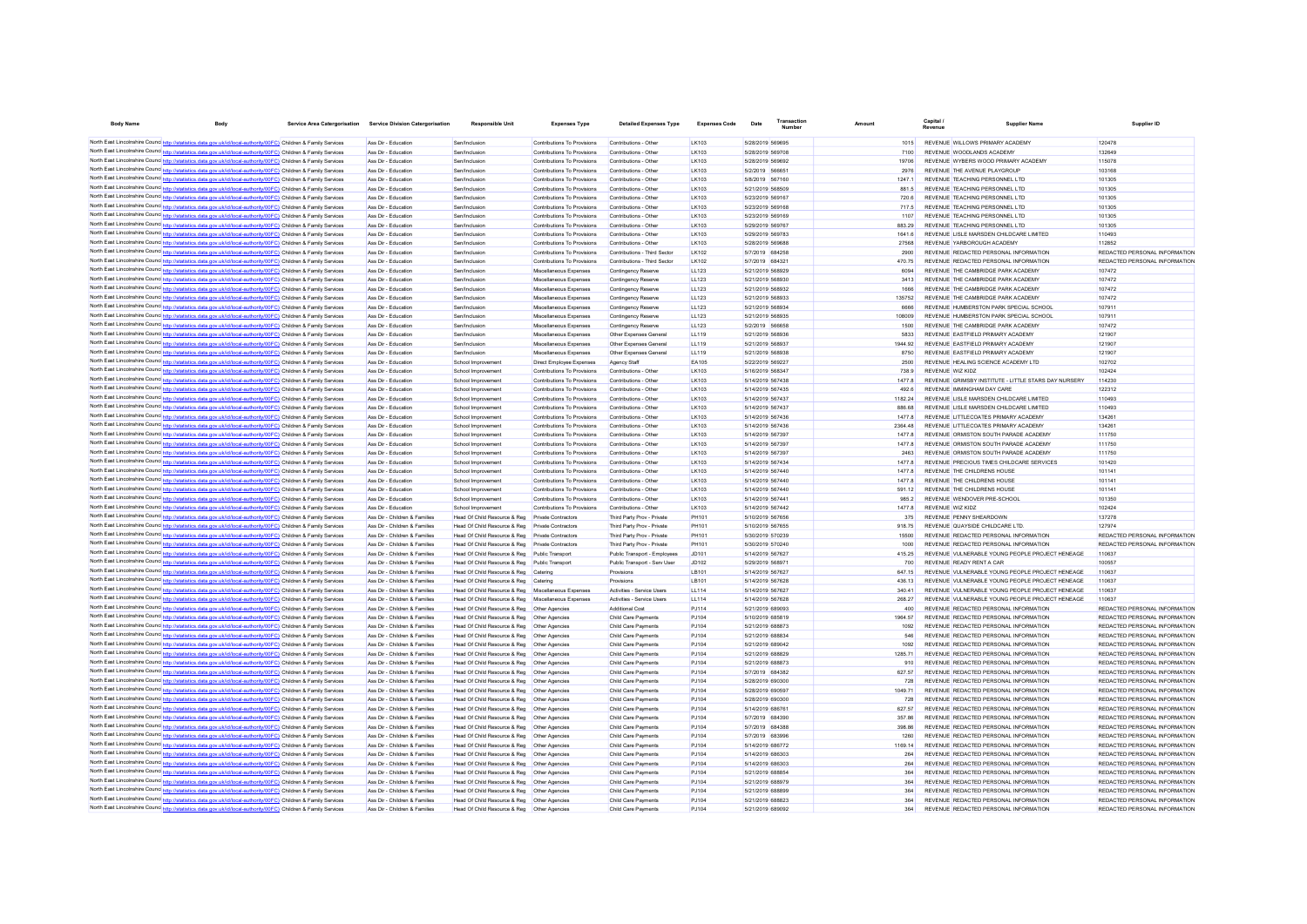| <b>Body Name</b>                                                                                                                                                                                                                   | <b>Body</b> | Service Area Catergorisation Service Division Catergorisation  | <b>Responsible Unit</b>                                      | <b>Expenses Type</b>                                      | <b>Detailed Expenses Type</b>                       | <b>Expenses Code</b>         | Date | Transactio                           | Amount |                 | <b>Capital</b>                                                                 | <b>Supplier Name</b>                                 | Supplier ID                                                    |
|------------------------------------------------------------------------------------------------------------------------------------------------------------------------------------------------------------------------------------|-------------|----------------------------------------------------------------|--------------------------------------------------------------|-----------------------------------------------------------|-----------------------------------------------------|------------------------------|------|--------------------------------------|--------|-----------------|--------------------------------------------------------------------------------|------------------------------------------------------|----------------------------------------------------------------|
| North East Lincolnshire Counc <sup>1</sup> http://statistics.data.gov.uk/id/local-authority/00FC) Children & Family Services                                                                                                       |             | Ass Dir - Education                                            | Sen/Inclusion                                                | Contributions To Provisions                               | Contributions - Other                               | I K103                       |      | 5/28/2019 569695                     |        | 1015            | REVENUE WILLOWS PRIMARY ACADEMY                                                |                                                      | 120478                                                         |
| North East Lincolnshire Counc http://statistics.data.gov.uk/id/local-authority/00FC) Children & Family Services                                                                                                                    |             | Ass Dir - Education                                            | Sen/Inclusion                                                | Contributions To Provisions                               | Contributions - Other                               | LK103                        |      | 5/28/2019 569708                     |        | 7100            | REVENUE WOODLANDS ACADEMY                                                      |                                                      | 132649                                                         |
| North East Lincolnshire Counc http://statistics.data.gov.uk/id/local-authority/00FC) Children & Family Services                                                                                                                    |             | Ass Dir - Education                                            | Sen/Inclusion                                                | Contributions To Provisions                               | Contributions - Other                               | I K103                       |      | 5/28/2019 569692                     |        | 19706           | REVENUE WYBERS WOOD PRIMARY ACADEMY                                            |                                                      | 115078                                                         |
| North East Lincolnshire Counc http://statistics.data.gov.uk/id/local-authority/00FC) Children & Family Services                                                                                                                    |             | Ass Dir - Education                                            | Sen/Inclusion                                                | Contributions To Provisions                               | Contributions - Other                               | I K103                       |      | 5/2/2019 566651                      |        | 2976            | REVENUE THE AVENUE PLAYGROUP                                                   |                                                      | 103168                                                         |
| North East Lincolnshire Counc http://statistics.data.gov.uk/id/local-authority/00FC) Children & Family Services                                                                                                                    |             | Ass Dir - Education                                            | Sen/Inclusion                                                | Contributions To Provisions                               | Contributions - Other                               | I K103                       |      | 5/8/2019 567160                      |        | 12471           | REVENUE TEACHING PERSONNEL LTD                                                 |                                                      | 101305                                                         |
| North East Lincolnshire Counc http://statistics.data.gov.uk/id/local-authority/00FC) Children & Family Services                                                                                                                    |             | Ass Dir - Education                                            | Sen/Inclusion                                                | Contributions To Provisions                               | Contributions - Other                               | LK103                        |      | 5/21/2019 568509                     |        | 881.5           | REVENUE TEACHING PERSONNEL LTD                                                 |                                                      | 101305                                                         |
| North East Lincolnshire Counc http://statistics.data.gov.uk/id/local-authority/00FC) Children & Family Services                                                                                                                    |             | Ass Dir - Education                                            | Sen/Inclusion                                                | Contributions To Provisions                               | Contributions - Other                               | LK103                        |      | 5/23/2019 569167                     |        | 720.6           | REVENUE TEACHING PERSONNEL LTD                                                 |                                                      | 101305                                                         |
| North East Lincolnshire Counc http://statistics.data.gov.uk/id/local-authority/00FC) Children & Family Services                                                                                                                    |             | Ass Dir - Education                                            | Sen/Inclusion                                                | Contributions To Provision                                | Contributions - Othe                                | LK103                        |      | 5/23/2019 569168                     |        | 717.5           | REVENUE TEACHING PERSONNEL LTD                                                 |                                                      | 101305                                                         |
| North East Lincolnshire Counc http://statistics.data.gov.uk/id/local-authority/00FC) Children & Family Services                                                                                                                    |             | Ass Dir - Education                                            | Sen/Inclusion                                                | Contributions To Provisions                               | Contributions - Othe                                | LK103                        |      | 5/23/2019 569169                     |        | 1107            | REVENUE TEACHING PERSONNEL LTD                                                 |                                                      | 101305                                                         |
| North East Lincolnshire Counc http://statistics.data.gov.uk/id/local-authority/00FC) Children & Family Services                                                                                                                    |             | Ass Dir - Education                                            | Sen/Inclusion                                                | Contributions To Provisions                               | Contributions - Other                               | LK103                        |      | 5/29/2019 569767                     |        | 883.29          | REVENUE TEACHING PERSONNEL LTD                                                 |                                                      | 101305                                                         |
| North East Lincolnshire Counc http://statistics.data.gov.uk/id/local-authority/00FC) Children & Family Services                                                                                                                    |             | Ass Dir - Education                                            | Sen/Inclusion                                                | Contributions To Provisions                               | Contributions - Other                               | LK103                        |      | 5/29/2019 569783                     |        | 1641.6          | REVENUE LISLE MARSDEN CHILDCARE LIMITED                                        |                                                      | 110493                                                         |
| North East Lincolnshire Counc http://statistics.data.gov.uk/id/local-authority/00FC) Children & Family Services                                                                                                                    |             | Ass Dir - Education                                            | Sen/Inclusio                                                 | Contributions To Provisions                               | Contributions - Othe                                | LK103                        |      | 5/28/2019 569688                     |        | 27568           | REVENUE YARBOROUGH ACADEMY                                                     |                                                      | 112852                                                         |
| North East Lincolnshire Counc http://statistics.data.gov.uk/id/local-authority/00FC) Children & Family Services                                                                                                                    |             | Ass Dir - Education                                            | Sen/Inclusio                                                 | Contributions To Provisions                               | Contributions - Third Sector                        | <b>LK102</b>                 |      | 5/7/2019 684258                      |        | 2900            | REVENUE REDACTED PERSONAL INFORMATION                                          |                                                      | REDACTED PERSONAL INFORMATION                                  |
| North East Lincolnshire Counc http://statistics.data.gov.uk/id/local-authority/00FC) Children & Family Services                                                                                                                    |             | Ass Dir - Education                                            | Sen/Inclusion                                                | Contributions To Provisions                               | Contributions - Third Sector                        | <b>LK102</b>                 |      | 5/7/2019 684321                      |        | 470.75          | REVENUE REDACTED PERSONAL INFORMATION                                          |                                                      | REDACTED PERSONAL INFORMATION                                  |
| North East Lincolnshire Counc http://statistics.data.gov.uk/id/local-authority/00FC) Children & Family Services                                                                                                                    |             | Ass Dir - Education                                            | Sen/Inclusion                                                | Miscellaneous Expenses                                    | Contingency Reserve                                 | LL123                        |      | 5/21/2019 568929                     |        | 6094            | REVENUE THE CAMBRIDGE PARK ACADEMY                                             |                                                      | 107472                                                         |
| North East Lincolnshire Counc <sup>1</sup> http://statistics.data.gov.uk/id/local-authority/00FC) Children & Family Services                                                                                                       |             | Ass Dir - Education                                            | Sen/Inclusion                                                | Miscellaneous Expenses                                    | Contingency Reserve                                 | LL123                        |      | 5/21/2019 568930                     |        | 3413            | REVENUE THE CAMBRIDGE PARK ACADEMY                                             |                                                      | 107472                                                         |
| North East Lincolnshire Counc http://statistics.data.gov.uk/id/local-authority/00FC) Children & Family Services<br>North East Lincolnshire Councinto://statistics.data.gov.uk/id/local-authority/00FC) Children & Family Services  |             | Ass Dir - Education<br>Ass Dir - Education                     | Sen/Inclusion<br>Sen/Inclusion                               | Miscellaneous Expenses<br>Miscellaneous Expenses          | Contingency Reserve                                 | LL123                        |      | 5/21/2019 568932<br>5/21/2019 568933 |        | 1666<br>135752  | REVENUE THE CAMBRIDGE PARK ACADEMY<br>REVENUE THE CAMBRIDGE PARK ACADEMY       |                                                      | 107472<br>107472                                               |
| North East Lincolnshire Counce http://statistics.data.gov.uk/id/local-authority/00FC) Children & Family Services                                                                                                                   |             | Ass Dir - Education                                            | Sen/Inclusion                                                | Miscellaneous Expenses                                    | Contingency Reserve                                 | <b>LL123</b><br><b>LL123</b> |      | 5/21/2019 568934                     |        | 6666            | REVENUE HUMBERSTON PARK SPECIAL SCHOOL                                         |                                                      | 107911                                                         |
| North East Lincolnshire Counc http://statistics.data.gov.uk/id/local-authority/00FC) Children & Family Services                                                                                                                    |             | Ass Dir - Education                                            | Sen/Inclusion                                                | Miscellaneous Expenses                                    | Contingency Reserve<br>Contingency Reserve          | 11123                        |      | 5/21/2019 568935                     |        | 108009          | REVENUE HUMBERSTON PARK SPECIAL SCHOOL                                         |                                                      | 107911                                                         |
| North East Lincolnshire Counc http://statistics.data.gov.uk/id/local-authority/00FC) Children & Family Services                                                                                                                    |             | Ass Dir - Education                                            | Sen/Inclusion                                                | Miscellaneous Expenses                                    | Contingency Reserve                                 | <b>LL123</b>                 |      | 5/2/2019 566658                      |        | 1500            | REVENUE THE CAMBRIDGE PARK ACADEMY                                             |                                                      | 107472                                                         |
| North East Lincolnshire Counc http://statistics.data.gov.uk/id/local-authority/00FC) Children & Family Services                                                                                                                    |             | Ass Dir - Education                                            | Sen/Inclusion                                                | Miscellaneous Expenses                                    | Other Expenses General                              | <b>LL119</b>                 |      | 5/21/2019 568936                     |        | 5833            | REVENUE EASTFIELD PRIMARY ACADEMY                                              |                                                      | 121907                                                         |
| North East Lincolnshire Counc http://statistics.data.gov.uk/id/local-authority/00FC) Children & Family Services                                                                                                                    |             | Ass Dir - Education                                            | Sen/Inclusion                                                | Miscellaneous Expenses                                    | Other Expenses General                              | <b>LL119</b>                 |      | 5/21/2019 568937                     |        | 1944 92         | REVENUE EASTFIELD PRIMARY ACADEMY                                              |                                                      | 121907                                                         |
| North East Lincolnshire Counc http://statistics.data.gov.uk/id/local-authority/00FC) Children & Family Services                                                                                                                    |             | Ass Dir - Education                                            | Sen/Inclusion                                                | Miscellaneous Expenses                                    | Other Expenses General                              | <b>LL119</b>                 |      | 5/21/2019 568938                     |        | 8750            | REVENUE EASTFIELD PRIMARY ACADEMY                                              |                                                      | 121907                                                         |
| North East Lincolnshire Counc http://statistics.data.gov.uk/id/local-authority/00FC) Children & Family Services                                                                                                                    |             | Ass Dir - Education                                            | School Improvement                                           | Direct Employee Expenses                                  | Agency Staff                                        | EA105                        |      | 5/22/2019 569227                     |        | 2500            | REVENUE HEALING SCIENCE ACADEMY LTD                                            |                                                      | 102702                                                         |
| North East Lincolnshire Counc http://statistics.data.gov.uk/id/local-authority/00FC) Children & Family Services                                                                                                                    |             | Ass Dir - Education                                            | School Improvement                                           | Contributions To Provisions                               | Contributions - Other                               | LK103                        |      | 5/16/2019 568347                     |        | 738.9           | REVENUE WIZ KIDZ                                                               |                                                      | 102424                                                         |
| North East Lincolnshire Counc http://statistics.data.gov.uk/id/local-authority/00FC) Children & Family Services                                                                                                                    |             | Ass Dir - Education                                            | School Improvement                                           | Contributions To Provisions                               | Contributions - Other                               | LK103                        |      | 5/14/2019 567438                     |        | 1477.8          |                                                                                | REVENUE GRIMSBY INSTITUTE - LITTLE STARS DAY NURSERY | 114230                                                         |
| North East Lincolnshire Counc http://statistics.data.gov.uk/id/local-authority/00FC) Children & Family Services                                                                                                                    |             | Ass Dir - Education                                            | School Improvement                                           | Contributions To Provisions                               | Contributions - Other                               | LK103                        |      | 5/14/2019 567435                     |        | 492.6           | REVENUE IMMINGHAM DAY CARE                                                     |                                                      | 122312                                                         |
| North East Lincolnshire Counc http://statistics.data.gov.uk/id/local-authority/00FC) Children & Family Services                                                                                                                    |             | Ass Dir - Education                                            | School Improvement                                           | Contributions To Provisions                               | Contributions - Other                               | LK103                        |      | 5/14/2019 567437                     |        | 1182.24         | REVENUE LISLE MARSDEN CHILDCARE LIMITED                                        |                                                      | 110493                                                         |
| North East Lincolnshire Counc http://statistics.data.gov.uk/id/local-authority/00FC) Children & Family Services                                                                                                                    |             | Ass Dir - Education                                            | School Improvement                                           | Contributions To Provisions                               | Contributions - Other                               | LK103                        |      | 5/14/2019 567437                     |        | 886.68          | REVENUE LISLE MARSDEN CHILDCARE LIMITED                                        |                                                      | 110493                                                         |
| North East Lincolnshire Counc http://statistics.data.gov.uk/id/local-authority/00FC) Children & Family Services                                                                                                                    |             | Ass Dir - Education                                            | School Improvement                                           | Contributions To Provisions                               | Contributions - Other                               | LK103                        |      | 5/14/2019 567436                     |        | 1477.8          | REVENUE LITTLECOATES PRIMARY ACADEMY                                           |                                                      | 134261                                                         |
| North East Lincolnshire Counc http://statistics.data.gov.uk/id/local-authority/00FC) Children & Family Services                                                                                                                    |             | Ass Dir - Education                                            | School Improvement                                           | Contributions To Provisions                               | Contributions - Other                               | LK103                        |      | 5/14/2019 567436                     |        | 2364.48         | REVENUE LITTLECOATES PRIMARY ACADEMY                                           |                                                      | 134261                                                         |
| North East Lincolnshire Counc http://statistics.data.gov.uk/id/local-authority/00FC) Children & Family Services                                                                                                                    |             | Ass Dir - Education                                            | School Improvement                                           | Contributions To Provisions                               | Contributions - Other                               | LK103                        |      | 5/14/2019 567397                     |        | 1477.8          | REVENUE ORMISTON SOUTH PARADE ACADEMY                                          |                                                      | 111750                                                         |
| North East Lincolnshire Counc http://statistics.data.gov.uk/id/local-authority/00FC) Children & Family Services                                                                                                                    |             | Ass Dir - Education                                            | School Improvement                                           | Contributions To Provisions                               | Contributions - Other                               | LK103                        |      | 5/14/2019 567397                     |        | 1477.8          | REVENUE ORMISTON SOUTH PARADE ACADEMY                                          |                                                      | 111750                                                         |
| North East Lincolnshire Counc http://statistics.data.gov.uk/id/local-authority/00FC) Children & Family Services                                                                                                                    |             | Ass Dir - Education                                            | School Improvement                                           | Contributions To Provisions                               | Contributions - Other                               | LK103                        |      | 5/14/2019 567397                     |        | 2463            | REVENUE ORMISTON SOUTH PARADE ACADEMY                                          |                                                      | 111750                                                         |
| North East Lincolnshire Counc http://statistics.data.gov.uk/id/local-authority/00FC) Children & Family Services                                                                                                                    |             | Ass Dir - Education                                            | School Improvement                                           | Contributions To Provisions                               | Contributions - Other                               | LK103                        |      | 5/14/2019 567434                     |        | 1477.8          | REVENUE PRECIOUS TIMES CHILDCARE SERVICES                                      |                                                      | 101420                                                         |
| North East Lincolnshire Counc http://statistics.data.gov.uk/id/local-authority/00FC) Children & Family Services                                                                                                                    |             | Ass Dir - Education                                            | School Improvement                                           | Contributions To Provisions                               | Contributions - Other                               | I K103                       |      | 5/14/2019 567440                     |        | 14778           | REVENUE THE CHILDRENS HOUSE                                                    |                                                      | 101141                                                         |
| North East Lincolnshire Counc http://statistics.data.gov.uk/id/local-authority/00FC) Children & Family Services                                                                                                                    |             | Ass Dir - Education                                            | School Improvement                                           | Contributions To Provisions                               | Contributions - Other                               | I K103                       |      | 5/14/2019 567440                     |        | 1477.8          | REVENUE THE CHILDRENS HOUSE                                                    |                                                      | 101141                                                         |
| North East Lincolnshire Counc http://statistics.data.gov.uk/id/local-authority/00FC) Children & Family Services                                                                                                                    |             | Ass Dir - Education                                            | School Improvement                                           | Contributions To Provisions                               | Contributions - Other                               | I K103                       |      | 5/14/2019 567440                     |        | 591.12          | REVENUE THE CHILDRENS HOUSE                                                    |                                                      | 101141                                                         |
| North East Lincolnshire Counc http://statistics.data.gov.uk/id/local-authority/00FC) Children & Family Services                                                                                                                    |             | Ass Dir - Education                                            | School Improvement                                           | Contributions To Provisions                               | Contributions - Othe                                | LK103                        |      | 5/14/2019 567441                     |        | 985.2           | REVENUE WENDOVER PRE-SCHOOL                                                    |                                                      | 101350                                                         |
| North East Lincolnshire Counc http://statistics.data.gov.uk/id/local-authority/00FC) Children & Family Services                                                                                                                    |             | Ass Dir - Education<br>Ass Dir - Children & Families           | School Improvement<br>Head Of Child Resource & Reg           | Contributions To Provisions<br><b>Private Contractors</b> | Contributions - Other<br>Third Party Prov - Private | LK103<br>PH101               |      | 5/14/2019 567442<br>5/10/2019 567656 |        | 1477.8<br>375   | REVENUE WIZ KIDZ<br>REVENUE PENNY SHEARDOWN                                    |                                                      | 102424<br>137278                                               |
| North East Lincolnshire Counc http://statistics.data.gov.uk/id/local-authority/00FC) Children & Family Services<br>North East Lincolnshire Counc http://statistics.data.gov.uk/id/local-authority/00FC) Children & Family Services |             | Ass Dir - Children & Families                                  | Head Of Child Resource & Reg                                 | <b>Private Contractors</b>                                | Third Party Prov - Private                          | PH101                        |      | 5/10/2019 567655                     |        | 918 75          | REVENUE QUAYSIDE CHILDCARE LTD                                                 |                                                      | 127974                                                         |
| North East Lincolnshire Counc http://statistics.data.gov.uk/id/local-authority/00FC) Children & Family Services                                                                                                                    |             | Ass Dir - Children & Families                                  | Head Of Child Resource & Reg                                 | Private Contractors                                       | Third Party Prov - Private                          | PH101                        |      | 5/30/2019 570239                     |        | 15500           | REVENUE REDACTED PERSONAL INFORMATION                                          |                                                      | REDACTED PERSONAL INFORMATION                                  |
| North East Lincolnshire Counc http://statistics.data.gov.uk/id/local-authority/00FC) Children & Family Services                                                                                                                    |             | Ass Dir - Children & Families                                  | Head Of Child Resource & Reg                                 | Private Contractors                                       | Third Party Prov - Private                          | PH101                        |      | 5/30/2019 570240                     |        | 1000            | REVENUE REDACTED PERSONAL INFORMATION                                          |                                                      | REDACTED PERSONAL INFORMATION                                  |
| North East Lincolnshire Counc http://statistics.data.gov.uk/id/local-authority/00FC) Children & Family Services                                                                                                                    |             | Ass Dir - Children & Families                                  | Head Of Child Resource & Reg                                 | Public Transport                                          | Public Transport - Employees                        | JD101                        |      | 5/14/2019 567627                     |        | 415 25          |                                                                                | REVENUE VULNERABLE YOUNG PEOPLE PROJECT HENEAGE      | 110637                                                         |
| North East Lincolnshire Counc http://statistics.data.gov.uk/id/local-authority/00FC) Children & Family Services                                                                                                                    |             | Ass Dir - Children & Families                                  | Head Of Child Resource & Reg                                 | Public Transport                                          | Public Transport - Serv User                        | JD102                        |      | 5/29/2019 568971                     |        | 700             | REVENUE READY RENT A CAR                                                       |                                                      | 100557                                                         |
| North East Lincolnshire Counc http://statistics.data.gov.uk/id/local-authority/00FC) Children & Family Services                                                                                                                    |             | Ass Dir - Children & Families                                  | Head Of Child Resource & Reg                                 | Caterino                                                  | Provisions                                          | I B101                       |      | 5/14/2019 567627                     |        | 647 15          |                                                                                | REVENUE VULNERABLE YOUNG PEOPLE PROJECT HENEAGE      | 110637                                                         |
| North East Lincolnshire Counce http://statistics.data.gov.uk/id/local-authority/00FC) Children & Family Services                                                                                                                   |             | Ass Dir - Children & Families                                  | Head Of Child Resource & Reg                                 | Catering                                                  | Provisions                                          | LB101                        |      | 5/14/2019 567628                     |        | 436 13          |                                                                                | REVENUE VULNERABLE YOUNG PEOPLE PROJECT HENEAGE      | 110637                                                         |
| North East Lincolnshire Counc http://statistics.data.gov.uk/id/local-authority/00FC) Children & Family Services                                                                                                                    |             | Ass Dir - Children & Families                                  | Head Of Child Resource & Reg                                 | Miscellaneous Expenses                                    | Activities - Service Users                          | <b>LL114</b>                 |      | 5/14/2019 567627                     |        | 340.41          |                                                                                | REVENUE VULNERABLE YOUNG PEOPLE PROJECT HENEAGE      | 110637                                                         |
| North East Lincolnshire Counc http://statistics.data.gov.uk/id/local-authority/00FC) Children & Family Services                                                                                                                    |             | Ass Dir - Children & Families                                  | Head Of Child Resource & Reg                                 | Miscellaneous Expenses                                    | Activities - Service Users                          | <b>LL114</b>                 |      | 5/14/2019 567628                     |        | 268.27          |                                                                                | REVENUE VULNERABLE YOUNG PEOPLE PROJECT HENEAGE      | 110637                                                         |
| North East Lincolnshire Counc http://statistics.data.gov.uk/id/local-authority/00FC) Children & Family Services                                                                                                                    |             | Ass Dir - Children & Families                                  | Head Of Child Resource & Reg                                 | Other Agencies                                            | Additional Cost                                     | PJ114                        |      | 5/21/2019 689093                     |        | 400             | REVENUE REDACTED PERSONAL INFORMATION                                          |                                                      | REDACTED PERSONAL INFORMATION                                  |
| North East Lincolnshire Counc http://statistics.data.gov.uk/id/local-authority/00FC) Children & Family Services                                                                                                                    |             | Ass Dir - Children & Families                                  | Head Of Child Resource & Reg                                 | Other Agencies                                            | Child Care Payments                                 | PJ104                        |      | 5/10/2019 685819                     |        | 1964.57         | REVENUE REDACTED PERSONAL INFORMATION                                          |                                                      | REDACTED PERSONAL INFORMATION                                  |
| North East Lincolnshire Counc http://statistics.data.gov.uk/id/local-authority/00FC) Children & Family Services                                                                                                                    |             | Ass Dir - Children & Families                                  | Head Of Child Resource & Reg                                 | Other Agencies                                            | Child Care Payments                                 | PJ104                        |      | 5/21/2019 688873                     |        | 1092            | REVENUE REDACTED PERSONAL INFORMATION                                          |                                                      | REDACTED PERSONAL INFORMATION                                  |
| North East Lincolnshire Counc http://statistics.data.gov.uk/id/local-authority/00FC) Children & Family Services                                                                                                                    |             | Ass Dir - Children & Families                                  | Head Of Child Resource & Reg                                 | Other Agencies                                            | Child Care Payments                                 | PJ104                        |      | 5/21/2019 688834                     |        | 546             | REVENUE REDACTED PERSONAL INFORMATION                                          |                                                      | REDACTED PERSONAL INFORMATION                                  |
| North East Lincolnshire Counc http://statistics.data.gov.uk/id/local-authority/00FC) Children & Family Services                                                                                                                    |             | Ass Dir - Children & Families                                  | Head Of Child Resource & Reg                                 | Other Agencies                                            | Child Care Payments                                 | PJ104                        |      | 5/21/2019 689042                     |        | 1092            | REVENUE REDACTED PERSONAL INFORMATION                                          |                                                      | REDACTED PERSONAL INFORMATION                                  |
| North East Lincolnshire Counc http://statistics.data.gov.uk/id/local-authority/00FC) Children & Family Services                                                                                                                    |             | Ass Dir - Children & Families                                  | Head Of Child Resource & Reg                                 | Other Agencies                                            | Child Care Payments                                 | PJ104                        |      | 5/21/2019 688829                     |        | 1285 71         | REVENUE REDACTED PERSONAL INFORMATION                                          |                                                      | REDACTED PERSONAL INFORMATION                                  |
| North East Lincolnshire Counc http://statistics.data.gov.uk/id/local-authority/00FC) Children & Family Services                                                                                                                    |             | Ass Dir - Children & Families                                  | Head Of Child Resource & Reg                                 | Other Agencies                                            | Child Care Payments                                 | PJ104                        |      | 5/21/2019 688873                     |        | 910             | REVENUE REDACTED PERSONAL INFORMATION                                          |                                                      | REDACTED PERSONAL INFORMATION                                  |
| North East Lincolnshire Counc http://statistics.data.gov.uk/id/local-authority/00FC) Children & Family Services                                                                                                                    |             | Ass Dir - Children & Families                                  | Head Of Child Resource & Reg                                 | Other Agencies                                            | Child Care Payments                                 | P.1104                       |      | 5/7/2019 684382                      |        | 627.57          | REVENUE REDACTED PERSONAL INFORMATION                                          |                                                      | REDACTED PERSONAL INFORMATION                                  |
| North East Lincolnshire Counc http://statistics.data.gov.uk/id/local-authority/00FC) Children & Family Services                                                                                                                    |             | Ass Dir - Children & Families                                  | Head Of Child Resource & Reg                                 | Other Agencies                                            | Child Care Payments                                 | PJ104                        |      | 5/28/2019 690300                     |        | 728             | REVENUE REDACTED PERSONAL INFORMATION                                          |                                                      | REDACTED PERSONAL INFORMATION                                  |
| North East Lincolnshire Counc http://statistics.data.gov.uk/id/local-authority/00FC) Children & Family Services                                                                                                                    |             | Ass Dir - Children & Families                                  | Head Of Child Resource & Reg                                 | Other Agencies                                            | Child Care Payments                                 | PJ104                        |      | 5/28/2019 690597                     |        | 1049 71         | REVENUE REDACTED PERSONAL INFORMATION                                          |                                                      | REDACTED PERSONAL INFORMATION                                  |
| North East Lincolnshire Counc http://statistics.data.gov.uk/id/local-authority/00FC) Children & Family Services                                                                                                                    |             | Ass Dir - Children & Families                                  | Head Of Child Resource & Reg                                 | Other Anencies                                            | Child Care Payments                                 | P.1104<br>P.1104             |      | 5/28/2019 690300<br>5/14/2019 686761 |        | 728             | REVENUE REDACTED PERSONAL INFORMATION                                          |                                                      | REDACTED PERSONAL INFORMATION                                  |
| North East Lincolnshire Counc http://statistics.data.gov.uk/id/local-authority/00FC) Children & Family Services<br>North East Lincolnshire Counc http://statistics.data.gov.uk/id/local-authority/00FC) Children & Family Services |             | Ass Dir - Children & Families<br>Ass Dir - Children & Families | Head Of Child Resource & Reg<br>Head Of Child Resource & Reg | Other Anencies<br>Other Anencies                          | Child Care Payments<br>Child Care Payments          | P.1104                       |      | 5/7/2019 684390                      |        | 627.57<br>35786 | REVENUE REDACTED PERSONAL INFORMATION<br>REVENUE REDACTED PERSONAL INFORMATION |                                                      | REDACTED PERSONAL INFORMATION<br>REDACTED PERSONAL INFORMATION |
| North East Lincolnshire Counc http://statistics.data.gov.uk/id/local-authority/00FC) Children & Family Services                                                                                                                    |             | Ass Dir - Children & Families                                  | Head Of Child Resource & Reg                                 | Other Agencies                                            | Child Care Payments                                 | PJ104                        |      | 5/7/2019 684388                      |        | 398.86          | REVENUE REDACTED PERSONAL INFORMATION                                          |                                                      | REDACTED PERSONAL INFORMATION                                  |
| North East Lincolnshire Counc http://statistics.data.gov.uk/id/local-authority/00FC) Children & Family Services                                                                                                                    |             | Ass Dir - Children & Families                                  | Head Of Child Resource & Reg                                 | Other Agencies                                            | Child Care Payments                                 | PJ104                        |      | 5/7/2019 683996                      |        | 1260            | REVENUE REDACTED PERSONAL INFORMATION                                          |                                                      | REDACTED PERSONAL INFORMATION                                  |
| North East Lincolnshire Counc http://statistics.data.gov.uk/id/local-authority/00FC) Children & Family Services                                                                                                                    |             | Ass Dir - Children & Families                                  | Head Of Child Resource & Reg                                 | Other Agencies                                            | Child Care Payments                                 | PJ104                        |      | 5/14/2019 686772                     |        | 1169.14         | REVENUE REDACTED PERSONAL INFORMATION                                          |                                                      | REDACTED PERSONAL INFORMATION                                  |
| North East Lincolnshire Counc http://statistics.data.gov.uk/id/local-authority/00FC) Children & Family Services                                                                                                                    |             | Ass Dir - Children & Families                                  | Head Of Child Resource & Reg                                 | Other Agencies                                            | Child Care Payments                                 | PJ104                        |      | 5/14/2019 686303                     |        | 264             | REVENUE REDACTED PERSONAL INFORMATION                                          |                                                      | REDACTED PERSONAL INFORMATION                                  |
| North East Lincolnshire Counc http://statistics.data.gov.uk/id/local-authority/00FC) Children & Family Services                                                                                                                    |             | Ass Dir - Children & Families                                  | Head Of Child Resource & Reg                                 | Other Agencies                                            | Child Care Payments                                 | PJ104                        |      | 5/14/2019 686303                     |        | 264             | REVENUE REDACTED PERSONAL INFORMATION                                          |                                                      | REDACTED PERSONAL INFORMATION                                  |
| North East Lincolnshire Counc http://statistics.data.gov.uk/id/local-authority/00FC) Children & Family Services                                                                                                                    |             | Ass Dir - Children & Families                                  | Head Of Child Resource & Reg                                 | Other Agencies                                            | Child Care Payments                                 | PJ104                        |      | 5/21/2019 688854                     |        | 364             | REVENUE REDACTED PERSONAL INFORMATION                                          |                                                      | REDACTED PERSONAL INFORMATION                                  |
| North East Lincolnshire Counce http://statistics.data.gov.uk/id/local-authority/00FC) Children & Family Services                                                                                                                   |             | Ass Dir - Children & Families                                  | Head Of Child Resource & Reg                                 | Other Agencies                                            | Child Care Payments                                 | PJ104                        |      | 5/21/2019 688979                     |        | 364             | REVENUE REDACTED PERSONAL INFORMATION                                          |                                                      | REDACTED PERSONAL INFORMATION                                  |
| North East Lincolnshire Counc http://statistics.data.gov.uk/id/local-authority/00FC) Children & Family Services                                                                                                                    |             | Ass Dir - Children & Families                                  | Head Of Child Resource & Reg                                 | Other Agencies                                            | Child Care Payments                                 | PJ104                        |      | 5/21/2019 688899                     |        | 364             | REVENUE REDACTED PERSONAL INFORMATION                                          |                                                      | REDACTED PERSONAL INFORMATION                                  |
| North East Lincolnshire Counc http://statistics.data.gov.uk/id/local-authority/00FC) Children & Family Services                                                                                                                    |             | Ass Dir - Children & Families                                  | Head Of Child Resource & Reg                                 | Other Agencies                                            | Child Care Payments                                 | PJ104                        |      | 5/21/2019 688823                     |        | 364             | REVENUE REDACTED PERSONAL INFORMATION                                          |                                                      | REDACTED PERSONAL INFORMATION                                  |
| North East Lincolnshire Counc http://statistics.data.gov.uk/id/local-authority/00FC) Children & Family Services                                                                                                                    |             | Ass Dir - Children & Families                                  | Head Of Child Resource & Reg                                 | Other Agencies                                            | Child Care Payments                                 | PJ104                        |      | 5/21/2019 689092                     |        | 364             | REVENUE REDACTED PERSONAL INFORMATION                                          |                                                      | REDACTED PERSONAL INFORMATION                                  |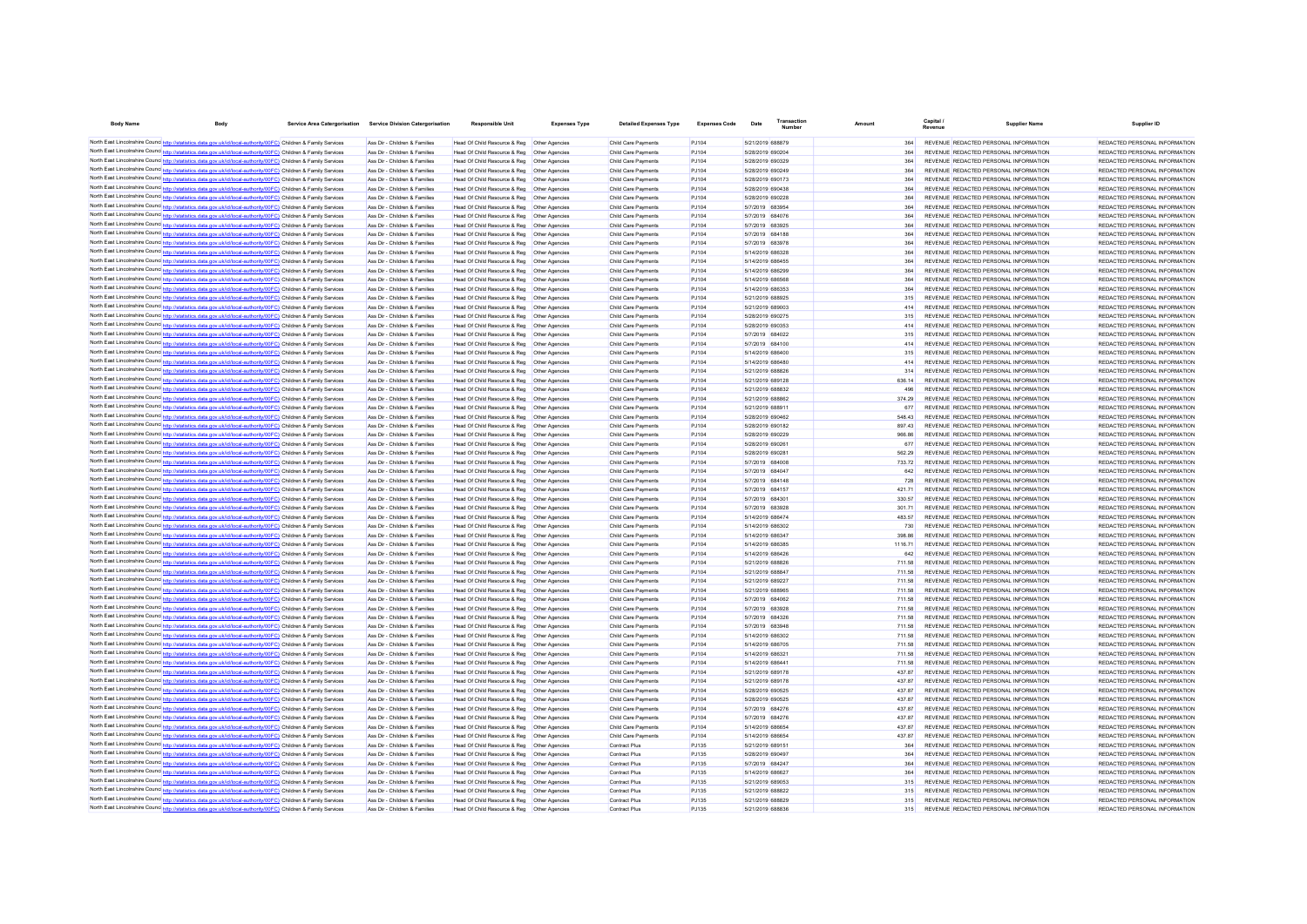| <b>Body Name</b>                                                                                                                                                                                                                   | <b>Body</b>                                                           | Service Area Catergorisation Service Division Catergorisation  | <b>Responsible Unit</b>                                                                        | <b>Expenses Type</b>             | <b>Detailed Expenses Type</b>              | <b>Expenses Code</b> | Date                                 | Transactio | Amount           |                                                                                | <b>Supplier Name</b> | Supplier ID                                                    |
|------------------------------------------------------------------------------------------------------------------------------------------------------------------------------------------------------------------------------------|-----------------------------------------------------------------------|----------------------------------------------------------------|------------------------------------------------------------------------------------------------|----------------------------------|--------------------------------------------|----------------------|--------------------------------------|------------|------------------|--------------------------------------------------------------------------------|----------------------|----------------------------------------------------------------|
| North East Lincolnshire Counc http://statistics.data.gov.uk/id/local-authority/00FC) Children & Family Services                                                                                                                    |                                                                       | Ass Dir - Children & Families                                  | Head Of Child Resource & Reg   Other Agencies                                                  |                                  | Child Care Payments                        | P.1104               | 5/21/2019 688879                     |            | 364              | REVENUE REDACTED PERSONAL INFORMATION                                          |                      | REDACTED PERSONAL INFORMATION                                  |
| North East Lincolnshire Counce http://statistics.data.gov.uk/id/local-authority/00FC) Children & Family Services                                                                                                                   |                                                                       | Ass Dir - Children & Families                                  | Head Of Child Resource & Reg   Other Agencies                                                  |                                  | Child Care Payments                        | P.1104               | 5/28/2019 690204                     |            | 364              | REVENUE REDACTED PERSONAL INFORMATION                                          |                      | REDACTED PERSONAL INFORMATION                                  |
| North East Lincolnshire Counc http://statistics.data.gov.uk/id/local-authority/00FC) Children & Family Services                                                                                                                    |                                                                       | Ass Dir - Children & Families                                  | Head Of Child Resource & Reg   Other Agencies                                                  |                                  | Child Care Payments                        | P.1104               | 5/28/2019 690329                     |            | 364              | REVENUE REDACTED PERSONAL INFORMATION                                          |                      | REDACTED PERSONAL INFORMATION                                  |
| North East Lincolnshire Counc http://statistics.data.gov.uk/id/local-authority/00FC) Children & Family Services                                                                                                                    |                                                                       | Ass Dir - Children & Families                                  | Head Of Child Resource & Reg    Other Agencies                                                 |                                  | Child Care Payments                        | P.1104               | 5/28/2019 690249                     |            | 364              | REVENUE REDACTED PERSONAL INFORMATION                                          |                      | REDACTED PERSONAL INFORMATION                                  |
| North East Lincolnshire Counc http://statistics.data.gov.uk/id/local-authority/00FC) Children & Family Services                                                                                                                    |                                                                       | Ass Dir - Children & Families                                  | Head Of Child Resource & Reg                                                                   | Other Agencies                   | Child Care Payments                        | PJ104                | 5/28/2019 690173                     |            | 364              | REVENUE REDACTED PERSONAL INFORMATION                                          |                      | REDACTED PERSONAL INFORMATION                                  |
| North East Lincolnshire Counc http://statistics.data.gov.uk/id/local-authority/00FC) Children & Family Services                                                                                                                    |                                                                       | Ass Dir - Children & Families                                  | Head Of Child Resource & Reg                                                                   | Other Agencies                   | Child Care Payments                        | PJ104                | 5/28/2019 690438                     |            | 364              | REVENUE REDACTED PERSONAL INFORMATION                                          |                      | REDACTED PERSONAL INFORMATION                                  |
| North East Lincolnshire Counc http://statistics.data.gov.uk/id/local-authority/00FC) Children & Family Services                                                                                                                    |                                                                       | Ass Dir - Children & Families                                  | Head Of Child Resource & Reg                                                                   | Other Agencies                   | Child Care Payments                        | PJ104                | 5/28/2019 690228                     |            | 364              | REVENUE REDACTED PERSONAL INFORMATION                                          |                      | REDACTED PERSONAL INFORMATION                                  |
| North East Lincolnshire Counc http://statistics.data.gov.uk/id/local-authority/00FC) Children & Family Services                                                                                                                    |                                                                       | Ass Dir - Children & Families                                  | Head Of Child Resource & Reg                                                                   | Other Agencies                   | Child Care Payments                        | PJ104                | 5/7/2019 683954                      |            | 364              | REVENUE REDACTED PERSONAL INFORMATION                                          |                      | REDACTED PERSONAL INFORMATION                                  |
| North East Lincolnshire Counc http://statistics.data.gov.uk/id/local-authority/00FC) Children & Family Services                                                                                                                    |                                                                       | Ass Dir - Children & Families                                  | Head Of Child Resource & Reg                                                                   | Other Agencies                   | Child Care Payments                        | PJ104                | 5/7/2019 684076                      |            | 364              | REVENUE REDACTED PERSONAL INFORMATION                                          |                      | REDACTED PERSONAL INFORMATION                                  |
| North East Lincolnshire Counc http://statistics.data.gov.uk/id/local-authority/00FC) Children & Family Services                                                                                                                    |                                                                       | Ass Dir - Children & Families                                  | Head Of Child Resource & Reg                                                                   | Other Agencies                   | Child Care Payments                        | PJ104                | 5/7/2019 683925                      |            | 364              | REVENUE REDACTED PERSONAL INFORMATION                                          |                      | REDACTED PERSONAL INFORMATION                                  |
| North East Lincolnshire Counc http://statistics.data.gov.uk/id/local-authority/00FC) Children & Family Services                                                                                                                    |                                                                       | Ass Dir - Children & Families                                  | Head Of Child Resource & Reg                                                                   | Other Agencies                   | Child Care Payments                        | PJ104                | 5/7/2019 684188                      |            | 364              | REVENUE REDACTED PERSONAL INFORMATION                                          |                      | REDACTED PERSONAL INFORMATION                                  |
| North East Lincolnshire Counc http://statistics.data.gov.uk/id/local-authority/00FC) Children & Family Services                                                                                                                    |                                                                       | Ass Dir - Children & Families                                  | Head Of Child Resource & Reg                                                                   | Other Agencies                   | Child Care Payments                        | PJ104                | 5/7/2019 683978                      |            | 364              | REVENUE REDACTED PERSONAL INFORMATION                                          |                      | REDACTED PERSONAL INFORMATION                                  |
| North East Lincolnshire Counc http://statistics.data.gov.uk/id/local-authority/00FC) Children & Family Services                                                                                                                    |                                                                       | Ass Dir - Children & Families                                  | Head Of Child Resource & Reg                                                                   | Other Agencies                   | Child Care Payments                        | PJ104                | 5/14/2019 686328                     |            | 364              | REVENUE REDACTED PERSONAL INFORMATION                                          |                      | REDACTED PERSONAL INFORMATION                                  |
| North East Lincolnshire Counc http://statistics.data.gov.uk/id/local-authority/00FC) Children & Family Services                                                                                                                    |                                                                       | Ass Dir - Children & Families                                  | Head Of Child Resource & Reg                                                                   | Other Agencies                   | Child Care Payments                        | PJ104                | 5/14/2019 686455                     |            | 364              | REVENUE REDACTED PERSONAL INFORMATION                                          |                      | REDACTED PERSONAL INFORMATION                                  |
| North East Lincolnshire Counc http://statistics.data.gov.uk/id/local-authority/00FC) Children & Family Services                                                                                                                    |                                                                       | Ass Dir - Children & Families                                  | Head Of Child Resource & Reg    Other Agencies                                                 |                                  | Child Care Payments                        | PJ104                | 5/14/2019 686299                     |            | 364              | REVENUE REDACTED PERSONAL INFORMATION                                          |                      | REDACTED PERSONAL INFORMATION                                  |
| North East Lincolnshire Counc http://statistics.data.gov.uk/id/local-authority/00FC) Children & Family Services                                                                                                                    |                                                                       | Ass Dir - Children & Families                                  | Head Of Child Resource & Reg                                                                   | Other Agencies                   | Child Care Payments                        | PJ104                | 5/14/2019 686568                     |            | 364              | REVENUE REDACTED PERSONAL INFORMATION                                          |                      | REDACTED PERSONAL INFORMATION                                  |
| North East Lincolnshire Counc http://statistics.data.gov.uk/id/local-authority/00FC) Children & Family Services                                                                                                                    |                                                                       | Ass Dir - Children & Families                                  | Head Of Child Resource & Reg                                                                   | Other Anencies                   | Child Care Payments                        | PJ104                | 5/14/2019 686353                     |            | 364              | REVENUE REDACTED PERSONAL INFORMATION                                          |                      | REDACTED PERSONAL INFORMATION                                  |
| North East Lincolnshire Counc http://statistics.data.gov.uk/id/local-authority/00FC) Children & Family Services                                                                                                                    |                                                                       | Ass Dir - Children & Families                                  | Head Of Child Resource & Reg   Other Agencies                                                  |                                  | Child Care Payments                        | PJ104                | 5/21/2019 688925                     |            | 315              | REVENUE REDACTED PERSONAL INFORMATION                                          |                      | REDACTED PERSONAL INFORMATION                                  |
| North East Lincolnshire Counce http://statistics.data.gov.uk/id/local-authority/00FC) Children & Family Services                                                                                                                   |                                                                       | Ass Dir - Children & Families                                  | Head Of Child Resource & Reg    Other Agencies                                                 |                                  | Child Care Payments                        | PJ104                | 5/21/2019 689003                     |            | 414              | REVENUE REDACTED PERSONAL INFORMATION                                          |                      | REDACTED PERSONAL INFORMATION                                  |
| North East Lincolnshire Counce http://statistics.data.gov.uk/id/local-authority/00FC) Children & Family Services                                                                                                                   |                                                                       | Ass Dir - Children & Families                                  | Head Of Child Resource & Reg   Other Agencies                                                  |                                  | Child Care Payments                        | PJ104                | 5/28/2019 690275                     |            | 315              | REVENUE REDACTED PERSONAL INFORMATION                                          |                      | REDACTED PERSONAL INFORMATION                                  |
| North East Lincolnshire Counc http://statistics.data.gov.uk/id/local-authority/00FC) Children & Family Services                                                                                                                    |                                                                       | Ass Dir - Children & Families                                  | Head Of Child Resource & Reg   Other Agencies                                                  |                                  | Child Care Payments                        | PJ104                | 5/28/2019 690353                     |            | 414              | REVENUE REDACTED PERSONAL INFORMATION                                          |                      | REDACTED PERSONAL INFORMATION                                  |
| North East Lincolnshire Counc http://statistics.data.gov.uk/id/local-authority/00FC) Children & Family Services                                                                                                                    |                                                                       | Ass Dir - Children & Families                                  | Head Of Child Resource & Reg   Other Agencies                                                  |                                  | Child Care Payments                        | PJ104                | 5/7/2019 684022                      |            | 315              | REVENUE REDACTED PERSONAL INFORMATION                                          |                      | REDACTED PERSONAL INFORMATION                                  |
| North East Lincolnshire Counc http://statistics.data.gov.uk/id/local-authority/00FC) Children & Family Services                                                                                                                    |                                                                       | Ass Dir - Children & Families                                  | Head Of Child Resource & Reg   Other Agencies                                                  |                                  | Child Care Payments                        | PJ104                | 5/7/2019 684100                      |            | 414              | REVENUE REDACTED PERSONAL INFORMATION                                          |                      | REDACTED PERSONAL INFORMATION                                  |
| North East Lincolnshire Counc http://statistics.data.gov.uk/id/local-authority/00FC) Children & Family Services                                                                                                                    |                                                                       | Ass Dir - Children & Families                                  | Head Of Child Resource & Reg   Other Agencies                                                  |                                  | Child Care Payments                        | PJ104                | 5/14/2019 686400                     |            | 315              | REVENUE REDACTED PERSONAL INFORMATION                                          |                      | REDACTED PERSONAL INFORMATION                                  |
| North East Lincolnshire Counc http://statistics.data.gov.uk/id/local-authority/00FC) Children & Family Services                                                                                                                    |                                                                       | Ass Dir - Children & Families                                  | Head Of Child Resource & Reg   Other Agencies                                                  |                                  | Child Care Payments                        | PJ104                | 5/14/2019 686480                     |            | 414              | REVENUE REDACTED PERSONAL INFORMATION                                          |                      | REDACTED PERSONAL INFORMATION                                  |
| North East Lincolnshire Counc http://statistics.data.gov.uk/id/local-authority/00FC) Children & Family Services                                                                                                                    |                                                                       | Ass Dir - Children & Families                                  | Head Of Child Resource & Reg   Other Agencies                                                  |                                  | Child Care Payments                        | PJ104                | 5/21/2019 688826                     |            | 314              | REVENUE REDACTED PERSONAL INFORMATION                                          |                      | REDACTED PERSONAL INFORMATION                                  |
| North East Lincolnshire Counc http://statistics.data.gov.uk/id/local-authority/00FC) Children & Family Services                                                                                                                    |                                                                       | Ass Dir - Children & Families                                  | Head Of Child Resource & Reg   Other Agencies                                                  |                                  | Child Care Payments                        | PJ104                | 5/21/2019 689128                     |            | 636.14           | REVENUE REDACTED PERSONAL INFORMATION                                          |                      | REDACTED PERSONAL INFORMATION                                  |
| North East Lincolnshire Counc http://statistics.data.gov.uk/id/local-authority/00FC) Children & Family Services                                                                                                                    |                                                                       | Ass Dir - Children & Families                                  | Head Of Child Resource & Reg   Other Agencies                                                  |                                  | Child Care Payments                        | PJ104                | 5/21/2019 688832                     |            | 496              | REVENUE REDACTED PERSONAL INFORMATION                                          |                      | REDACTED PERSONAL INFORMATION                                  |
| North East Lincolnshire Counc http://statistics.data.gov.uk/id/local-authority/00FC) Children & Family Services                                                                                                                    |                                                                       | Ass Dir - Children & Families                                  | Head Of Child Resource & Reg   Other Agencies                                                  |                                  | Child Care Payments                        | PJ104                | 5/21/2019 688862                     |            | 374.29           | REVENUE REDACTED PERSONAL INFORMATION                                          |                      | REDACTED PERSONAL INFORMATION                                  |
| North East Lincolnshire Counc http://statistics.data.gov.uk/id/local-authority/00FC) Children & Family Services                                                                                                                    |                                                                       | Ass Dir - Children & Families<br>Ass Dir - Children & Families | Head Of Child Resource & Reg   Other Agencies                                                  |                                  | Child Care Payments                        | PJ104<br>PJ104       | 5/21/2019 688911<br>5/28/2019 690462 |            | 677              | REVENUE REDACTED PERSONAL INFORMATION<br>REVENUE REDACTED PERSONAL INFORMATION |                      | REDACTED PERSONAL INFORMATION<br>REDACTED PERSONAL INFORMATION |
| North East Lincolnshire Counc http://statistics.data.gov.uk/id/local-authority/00FC) Children & Family Services<br>North East Lincolnshire Counc http://statistics.data.gov.uk/id/local-authority/00FC) Children & Family Services |                                                                       | Ass Dir - Children & Families                                  | Head Of Child Resource & Reg   Other Agencies                                                  |                                  | Child Care Payments<br>Child Care Payments | PJ104                | 5/28/2019 690182                     |            | 548.43<br>897.43 | REVENUE REDACTED PERSONAL INFORMATION                                          |                      | REDACTED PERSONAL INFORMATION                                  |
| North East Lincolnshire Counc http://statistics.data.gov.uk/id/local-authority/00FC) Children & Family Services                                                                                                                    |                                                                       | Ass Dir - Children & Families                                  | Head Of Child Resource & Reg   Other Agencies                                                  |                                  |                                            | PJ104                | 5/28/2019 690229                     |            | 966.86           | REVENUE REDACTED PERSONAL INFORMATION                                          |                      | REDACTED PERSONAL INFORMATION                                  |
| North East Lincolnshire Counc <sup>http://statistics.data.gov.uk/id/local-authority/00FC) Children &amp; Family Services</sup>                                                                                                     |                                                                       | Ass Dir - Children & Families                                  | Head Of Child Resource & Reg   Other Agencies<br>Head Of Child Resource & Reg   Other Agencies |                                  | Child Care Payments<br>Child Care Payments | P.1104               | 5/28/2019 690261                     |            | 677              | REVENUE REDACTED PERSONAL INFORMATION                                          |                      | REDACTED PERSONAL INFORMATION                                  |
| North East Lincolnshire Counc http://statistics.data.gov.uk/id/local-authority/00FC) Children & Family Services                                                                                                                    |                                                                       | Ass Dir - Children & Families                                  | Head Of Child Resource & Reg    Other Agencies                                                 |                                  | Child Care Payments                        | P.1104               | 5/28/2019 690281                     |            | 562.29           | REVENUE REDACTED PERSONAL INFORMATION                                          |                      | REDACTED PERSONAL INFORMATION                                  |
| North East Lincolnshire Counc http://statistics.data.gov.uk/id/local-authority/00FC) Children & Family Services                                                                                                                    |                                                                       | Ass Dir - Children & Families                                  | Head Of Child Resource & Reg   Other Agencies                                                  |                                  | Child Care Payments                        | P.1104               | 5/7/2019 684008                      |            | 733 72           | REVENUE REDACTED PERSONAL INFORMATION                                          |                      | REDACTED PERSONAL INFORMATION                                  |
| North East Lincolnshire Counc http://statistics.data.gov.uk/id/local-authority/00FC) Children & Family Services                                                                                                                    |                                                                       | Ass Dir - Children & Families                                  | Head Of Child Resource & Reg   Other Agencies                                                  |                                  | Child Care Payments                        | PJ104                | 5/7/2019 684047                      |            | 642              | REVENUE REDACTED PERSONAL INFORMATION                                          |                      | REDACTED PERSONAL INFORMATION                                  |
| North East Lincolnshire Counc http://statistics.data.gov.uk/id/local-authority/00FC) Children & Family Services                                                                                                                    |                                                                       | Ass Dir - Children & Families                                  | Head Of Child Resource & Reg   Other Agencies                                                  |                                  | Child Care Payments                        | PJ104                | 5/7/2019 684148                      |            | 728              | REVENUE REDACTED PERSONAL INFORMATION                                          |                      | REDACTED PERSONAL INFORMATION                                  |
| North East Lincolnshire Counc http://stat                                                                                                                                                                                          | stics.data.gov.uk/id/local-authority/00FC) Children & Family Services | Ass Dir - Children & Families                                  | Head Of Child Resource & Reg                                                                   | Other Agencies                   | Child Care Payments                        | PJ104                | 5/7/2019 684157                      |            | 421.71           | REVENUE REDACTED PERSONAL INFORMATION                                          |                      | REDACTED PERSONAL INFORMATION                                  |
| North East Lincolnshire Counc http://statistics.data.gov.uk/id/local-authority/00FC) Children & Family Services                                                                                                                    |                                                                       | Ass Dir - Children & Families                                  | Head Of Child Resource & Reg                                                                   | Other Agencies                   | Child Care Payments                        | PJ104                | 5/7/2019 684301                      |            | 330.57           | REVENUE REDACTED PERSONAL INFORMATION                                          |                      | REDACTED PERSONAL INFORMATION                                  |
| North East Lincolnshire Counc http://statistics.data.gov.uk/id/local-authority/00FC) Children & Family Services                                                                                                                    |                                                                       | Ass Dir - Children & Families                                  | Head Of Child Resource & Reg                                                                   | Other Agencies                   | Child Care Payments                        | PJ104                | 5/7/2019 683928                      |            | 301.71           | REVENUE REDACTED PERSONAL INFORMATION                                          |                      | REDACTED PERSONAL INFORMATION                                  |
| North East Lincolnshire Counc http://statistics.data.gov.uk/id/local-authority/00FC) Children & Family Services                                                                                                                    |                                                                       | Ass Dir - Children & Families                                  | Head Of Child Resource & Reg                                                                   | Other Agencies                   | Child Care Payments                        | PJ104                | 5/14/2019 686474                     |            | 483.57           | REVENUE REDACTED PERSONAL INFORMATION                                          |                      | REDACTED PERSONAL INFORMATION                                  |
| North East Lincolnshire Counc http://statistics.data.gov.uk/id/local-authority/00FC) Children & Family Services                                                                                                                    |                                                                       | Ass Dir - Children & Families                                  | Head Of Child Resource & Reg                                                                   | Other Agencies                   | Child Care Payments                        | PJ104                | 5/14/2019 686302                     |            | 730              | REVENUE REDACTED PERSONAL INFORMATION                                          |                      | REDACTED PERSONAL INFORMATION                                  |
| North East Lincolnshire Counc <sup>http://statistics.data.gov.uk/id/local-authority/00FC) Children &amp; Family Services</sup>                                                                                                     |                                                                       | Ass Dir - Children & Families                                  | Head Of Child Resource & Reg                                                                   | Other Agencies                   | Child Care Payments                        | PJ104                | 5/14/2019 686347                     |            | 398.86           | REVENUE REDACTED PERSONAL INFORMATION                                          |                      | REDACTED PERSONAL INFORMATION                                  |
| North East Lincolnshire Counc http://statistics.data.gov.uk/id/local-authority/00FC) Children & Family Services                                                                                                                    |                                                                       | Ass Dir - Children & Families                                  | Head Of Child Resource & Reg                                                                   | Other Agencies                   | Child Care Payments                        | PJ104                | 5/14/2019 686385                     |            | 1116.71          | REVENUE REDACTED PERSONAL INFORMATION                                          |                      | REDACTED PERSONAL INFORMATION                                  |
| North East Lincolnshire Counc http://statistics.data.gov.uk/id/local-authority/00FC) Children & Family Services                                                                                                                    |                                                                       | Ass Dir - Children & Families                                  | Head Of Child Resource & Reg                                                                   | Other Agencies                   | Child Care Payments                        | PJ104                | 5/14/2019 686426                     |            | 642              | REVENUE REDACTED PERSONAL INFORMATION                                          |                      | REDACTED PERSONAL INFORMATION                                  |
| North East Lincolnshire Counc http://statistics.data.gov.uk/id/local-authority/00FC) Children & Family Services                                                                                                                    |                                                                       | Ass Dir - Children & Families                                  | Head Of Child Resource & Reg                                                                   | Other Agencies                   | Child Care Payments                        | PJ104                | 5/21/2019 688826                     |            | 711.58           | REVENUE REDACTED PERSONAL INFORMATION                                          |                      | REDACTED PERSONAL INFORMATION                                  |
| North East Lincolnshire Counc http://statistics.data.gov.uk/id/local-authority/00FC) Children & Family Services                                                                                                                    |                                                                       | Ass Dir - Children & Families                                  | Head Of Child Resource & Reg                                                                   | Other Agencies                   | Child Care Payments                        | PJ104                | 5/21/2019 688847                     |            | 711.58           | REVENUE REDACTED PERSONAL INFORMATION                                          |                      | REDACTED PERSONAL INFORMATION                                  |
| North East Lincolnshire Counc http://statistics.data.gov.uk/id/local-authority/00FC) Children & Family Services                                                                                                                    |                                                                       | Ass Dir - Children & Families                                  | Head Of Child Resource & Reg                                                                   | Other Agencies                   | Child Care Payments                        | PJ104                | 5/21/2019 689227                     |            | 711.58           | REVENUE REDACTED PERSONAL INFORMATION                                          |                      | REDACTED PERSONAL INFORMATION                                  |
| North East Lincolnshire Counce http://statistics.data.gov.uk/id/local-authority/00FC) Children & Family Services                                                                                                                   |                                                                       | Ass Dir - Children & Families                                  | Head Of Child Resource & Reg                                                                   | Other Anencies                   | Child Care Payments                        | PJ104                | 5/21/2019 688965                     |            | 711.58           | REVENUE REDACTED PERSONAL INFORMATION                                          |                      | REDACTED PERSONAL INFORMATION                                  |
| North East Lincolnshire Counc http://statistics.data.gov.uk/id/local-authority/00FC) Children & Family Services                                                                                                                    |                                                                       | Ass Dir - Children & Families                                  | Head Of Child Resource & Reg                                                                   | Other Anencies                   | Child Care Payments                        | PJ104                | 5/7/2019 684062                      |            | 711.58           | REVENUE REDACTED PERSONAL INFORMATION                                          |                      | REDACTED PERSONAL INFORMATION                                  |
| North East Lincolnshire Counc http://statistics.data.gov.uk/id/local-authority/00FC) Children & Family Services                                                                                                                    |                                                                       | Ass Dir - Children & Families                                  | Head Of Child Resource & Reg                                                                   | Other Anencies                   | Child Care Payments                        | PJ104                | 5/7/2019 683928                      |            | 711.58           | REVENUE REDACTED PERSONAL INFORMATION                                          |                      | REDACTED PERSONAL INFORMATION                                  |
| North East Lincolnshire Counc http://statistics.data.gov.uk/id/local-authority/00FC) Children & Family Services                                                                                                                    |                                                                       | Ass Dir - Children & Families                                  | Head Of Child Resource & Reg                                                                   | Other Agencies                   | Child Care Payments                        | PJ104                | 5/7/2019 684326                      |            | 711.58           | REVENUE REDACTED PERSONAL INFORMATION                                          |                      | REDACTED PERSONAL INFORMATION                                  |
| North East Lincolnshire Counc http://statistics.data.gov.uk/id/local-authority/00FC) Children & Family Services                                                                                                                    |                                                                       | Ass Dir - Children & Families                                  | Head Of Child Resource & Reg                                                                   | Other Agencies                   | Child Care Payments                        | PJ104                | 5/7/2019 683948                      |            | 711.58           | REVENUE REDACTED PERSONAL INFORMATION                                          |                      | REDACTED PERSONAL INFORMATION                                  |
| North East Lincolnshire Counc http://statistics.data.gov.uk/id/local-authority/00FC) Children & Family Services                                                                                                                    |                                                                       | Ass Dir - Children & Families                                  | Head Of Child Resource & Reg                                                                   | Other Agencies                   | Child Care Payments                        | PJ104                | 5/14/2019 686302                     |            | 711.58           | REVENUE REDACTED PERSONAL INFORMATION                                          |                      | REDACTED PERSONAL INFORMATION                                  |
| North East Lincolnshire Counc http://statistics.data.gov.uk/id/local-authority/00FC) Children & Family Services                                                                                                                    |                                                                       | Ass Dir - Children & Families                                  | Head Of Child Resource & Reg                                                                   | Other Agencies                   | Child Care Payments                        | PJ104                | 5/14/2019 686705                     |            | 711.58           | REVENUE REDACTED PERSONAL INFORMATION                                          |                      | REDACTED PERSONAL INFORMATION                                  |
| North East Lincolnshire Counc http://statistics.data.gov.uk/id/local-authority/00FC) Children & Family Services                                                                                                                    |                                                                       | Ass Dir - Children & Families                                  | Head Of Child Resource & Reg                                                                   | Other Agencies                   | Child Care Payments                        | PJ104                | 5/14/2019 686321                     |            | 711.58           | REVENUE REDACTED PERSONAL INFORMATION                                          |                      | REDACTED PERSONAL INFORMATION                                  |
| North East Lincolnshire Counc http://statistics.data.gov.uk/id/local-authority/00FC) Children & Family Services                                                                                                                    |                                                                       | Ass Dir - Children & Families                                  | Head Of Child Resource & Reg                                                                   | Other Agencies                   | Child Care Payments                        | PJ104                | 5/14/2019 68644                      |            | 711.58           | REVENUE REDACTED PERSONAL INFORMATION                                          |                      | REDACTED PERSONAL INFORMATION                                  |
| North East Lincolnshire Counc <sup>http://statistics.data.gov.uk/id/local-authority/00FC) Children &amp; Family Services</sup>                                                                                                     |                                                                       | Ass Dir - Children & Families                                  | Head Of Child Resource & Reg                                                                   | Other Agencies                   | Child Care Payments                        | PJ104                | 5/21/2019 689178                     |            | 437.87           | REVENUE REDACTED PERSONAL INFORMATION                                          |                      | REDACTED PERSONAL INFORMATION                                  |
| North East Lincolnshire Counc http://statistics.data.gov.uk/id/local-authority/00FC) Children & Family Services                                                                                                                    |                                                                       | Ass Dir - Children & Families<br>Ass Dir - Children & Families | Head Of Child Resource & Reg<br>Head Of Child Resource & Reg                                   | Other Agencies<br>Other Agencies | Child Care Payments<br>Child Care Payments | PJ104<br>PJ104       | 5/21/2019 689178<br>5/28/2019 690525 |            | 437.87<br>437.87 | REVENUE REDACTED PERSONAL INFORMATION<br>REVENUE REDACTED PERSONAL INFORMATION |                      | REDACTED PERSONAL INFORMATION<br>REDACTED PERSONAL INFORMATION |
| North East Lincolnshire Counc http://statistics.data.gov.uk/id/local-authority/00FC) Children & Family Services<br>North East Lincolnshire Counc http://statistics.data.gov.uk/id/local-authority/00FC) Children & Family Services |                                                                       | Ass Dir - Children & Families                                  | Head Of Child Resource & Reg                                                                   | Other Agencies                   | Child Care Payments                        | PJ104                | 5/28/2019 690525                     |            | 43787            | REVENUE REDACTED PERSONAL INFORMATION                                          |                      | REDACTED PERSONAL INFORMATION                                  |
| North East Lincolnshire Counc http://statistics.data.gov.uk/id/local-authority/00FC) Children & Family Services                                                                                                                    |                                                                       | Ass Dir - Children & Families                                  | Head Of Child Resource & Reg                                                                   | Other Agencies                   | Child Care Payments                        | PJ104                | 5/7/2019 684276                      |            | 437.87           | REVENUE REDACTED PERSONAL INFORMATION                                          |                      | REDACTED PERSONAL INFORMATION                                  |
| North East Lincolnshire Counc http://statistics.data.gov.uk/id/local-authority/00FC) Children & Family Services                                                                                                                    |                                                                       | Ass Dir - Children & Families                                  | Head Of Child Resource & Reg                                                                   | Other Agencies                   | Child Care Payments                        | PJ104                | 5/7/2019 684276                      |            | 437.87           | REVENUE REDACTED PERSONAL INFORMATION                                          |                      | REDACTED PERSONAL INFORMATION                                  |
| North East Lincolnshire Counc http://statistics.data.gov.uk/id/local-authority/00FC) Children & Family Services                                                                                                                    |                                                                       | Ass Dir - Children & Families                                  | Head Of Child Resource & Reg                                                                   | Other Agencies                   | Child Care Payments                        | PJ104                | 5/14/2019 686654                     |            | 43787            | REVENUE REDACTED PERSONAL INFORMATION                                          |                      | REDACTED PERSONAL INFORMATION                                  |
| North East Lincolnshire Counc http://statistics.data.gov.uk/id/local-authority/00FC) Children & Family Services                                                                                                                    |                                                                       | Ass Dir - Children & Families                                  | Head Of Child Resource & Reg                                                                   | Other Agencies                   | Child Care Payments                        | PJ104                | 5/14/2019 686654                     |            | 43787            | REVENUE REDACTED PERSONAL INFORMATION                                          |                      | REDACTED PERSONAL INFORMATION                                  |
| North East Lincolnshire Counc http://statistics.data.gov.uk/id/local-authority/00FC) Children & Family Services                                                                                                                    |                                                                       | Ass Dir - Children & Families                                  | Head Of Child Resource & Reg                                                                   | Other Anencies                   | Contract Plus                              | PJ135                | 5/21/2019 689151                     |            | 364              | REVENUE REDACTED PERSONAL INFORMATION                                          |                      | REDACTED PERSONAL INFORMATION                                  |
| North East Lincolnshire Counc http://statistics.data.gov.uk/id/local-authority/00FC) Children & Family Services                                                                                                                    |                                                                       | Ass Dir - Children & Families                                  | Head Of Child Resource & Reg                                                                   | Other Anencies                   | Contract Plus                              | PJ135                | 5/28/2019 690497                     |            | 364              | REVENUE REDACTED PERSONAL INFORMATION                                          |                      | REDACTED PERSONAL INFORMATION                                  |
| North East Lincolnshire Counc http://statistics.data.gov.uk/id/local-authority/00FC) Children & Family Services                                                                                                                    |                                                                       | Ass Dir - Children & Families                                  | Head Of Child Resource & Reg   Other Agencies                                                  |                                  | Contract Plus                              | PJ135                | 5/7/2019 684247                      |            | 364              | REVENUE REDACTED PERSONAL INFORMATION                                          |                      | REDACTED PERSONAL INFORMATION                                  |
| North East Lincolnshire Counc http://statistics.data.gov.uk/id/local-authority/00FC) Children & Family Services                                                                                                                    |                                                                       | Ass Dir - Children & Families                                  | Head Of Child Resource & Reg   Other Agencies                                                  |                                  | Contract Plus                              | PJ135                | 5/14/2019 686627                     |            | 364              | REVENUE REDACTED PERSONAL INFORMATION                                          |                      | REDACTED PERSONAL INFORMATION                                  |
| North East Lincolnshire Counc http://statistics.data.gov.uk/id/local-authority/00FC) Children & Family Services                                                                                                                    |                                                                       | Ass Dir - Children & Families                                  | Head Of Child Resource & Reg   Other Agencies                                                  |                                  | Contract Plus                              | PJ135                | 5/21/2019 689053                     |            | 315              | REVENUE REDACTED PERSONAL INFORMATION                                          |                      | REDACTED PERSONAL INFORMATION                                  |
| North East Lincolnshire Counc http://statistics.data.gov.uk/id/local-authority/00FC) Children & Family Services                                                                                                                    |                                                                       | Ass Dir - Children & Families                                  | Head Of Child Resource & Reg   Other Agencies                                                  |                                  | Contract Plus                              | PJ135                | 5/21/2019 688822                     |            | 315              | REVENUE REDACTED PERSONAL INFORMATION                                          |                      | REDACTED PERSONAL INFORMATION                                  |
| North East Lincolnshire Counc http://statistics.data.gov.uk/id/local-authority/00FC) Children & Family Services                                                                                                                    |                                                                       | Ass Dir - Children & Families                                  | Head Of Child Resource & Reg   Other Agencies                                                  |                                  | Contract Plus                              | PJ135                | 5/21/2019 688829                     |            | 315              | REVENUE REDACTED PERSONAL INFORMATION                                          |                      | REDACTED PERSONAL INFORMATION                                  |
| North East Lincolnshire Counc http://statistics.data.gov.uk/id/local-authority/00FC) Children & Family Services                                                                                                                    |                                                                       | Ass Dir - Children & Families                                  | Head Of Child Resource & Reg   Other Agencies                                                  |                                  | Contract Plus                              | PJ135                | 5/21/2019 688836                     |            | 315              | REVENUE REDACTED PERSONAL INFORMATION                                          |                      | REDACTED PERSONAL INFORMATION                                  |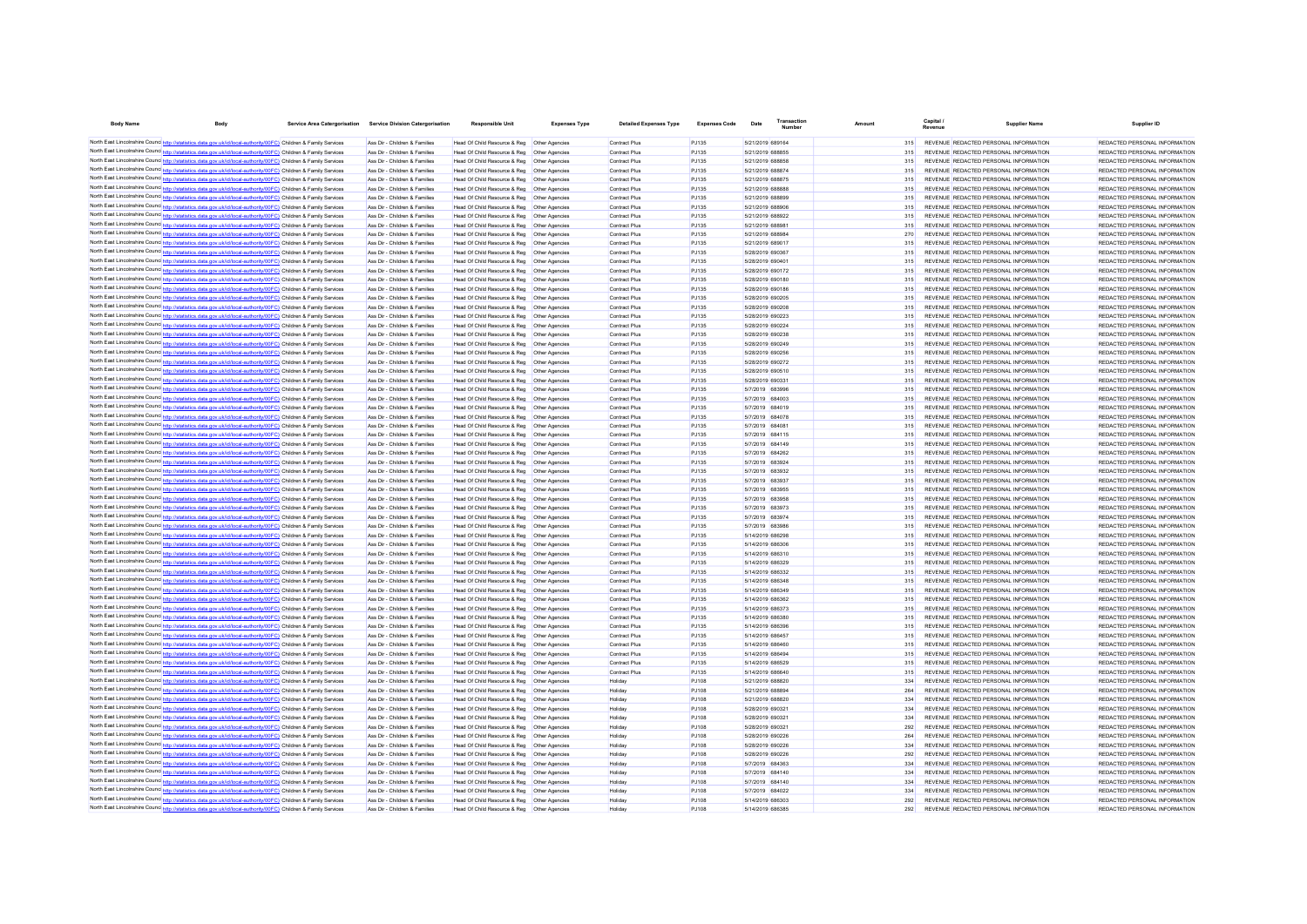| <b>Body Name</b> | <b>Body</b>                                                                                                                                                                                                                        | Service Area Catergorisation Service Division Catergorisation  | <b>Responsible Unit</b>                                                                        | <b>Expenses Type</b>             | <b>Detailed Expenses Type</b>  | <b>Expenses Code</b> | Date                                 | Transaction |            | Capital.                                                                       | <b>Supplier Name</b> | Supplier ID                                                    |
|------------------|------------------------------------------------------------------------------------------------------------------------------------------------------------------------------------------------------------------------------------|----------------------------------------------------------------|------------------------------------------------------------------------------------------------|----------------------------------|--------------------------------|----------------------|--------------------------------------|-------------|------------|--------------------------------------------------------------------------------|----------------------|----------------------------------------------------------------|
|                  | North East Lincolnshire Counc http://statistics.data.gov.uk/id/local-authority/00FC) Children & Family Services                                                                                                                    | Ass Dir - Children & Families                                  | Head Of Child Resource & Reg   Other Agencies                                                  |                                  | Contract Plus                  | PJ135                | 5/21/2019 689164                     |             | 315        | REVENUE REDACTED PERSONAL INFORMATION                                          |                      | REDACTED PERSONAL INFORMATION                                  |
|                  | North East Lincolnshire Counc http://statistics.data.gov.uk/id/local-authority/00FC) Children & Family Services                                                                                                                    | Ass Dir - Children & Families                                  | Head Of Child Resource & Reg   Other Agencies                                                  |                                  | Contract Plus                  | PJ135                | 5/21/2019 688855                     |             | 315        | REVENUE REDACTED PERSONAL INFORMATION                                          |                      | REDACTED PERSONAL INFORMATION                                  |
|                  | North East Lincolnshire Counc http://statistics.data.gov.uk/id/local-authority/00FC) Children & Family Services                                                                                                                    | Ass Dir - Children & Families                                  | Head Of Child Resource & Reg    Other Agencies                                                 |                                  | Contract Plus                  | PJ135                | 5/21/2019 688858                     |             | 315        | REVENUE REDACTED PERSONAL INFORMATION                                          |                      | REDACTED PERSONAL INFORMATION                                  |
|                  | North East Lincolnshire Counc http://statistics.data.gov.uk/id/local-authority/00FC) Children & Family Services                                                                                                                    | Ass Dir - Children & Families                                  | Head Of Child Resource & Reg                                                                   | Other Agencies                   | Contract Plus                  | PJ135                | 5/21/2019 688874                     |             | 315        | REVENUE REDACTED PERSONAL INFORMATION                                          |                      | REDACTED PERSONAL INFORMATION                                  |
|                  | North East Lincolnshire Counc http://statistics.data.gov.uk/id/local-authority/00FC) Children & Family Services                                                                                                                    | Ass Dir - Children & Families                                  |                                                                                                |                                  | Contract Plus                  | PJ135                | 5/21/2019 688875                     |             | 315        | REVENUE REDACTED PERSONAL INFORMATION                                          |                      | REDACTED PERSONAL INFORMATION                                  |
|                  | North East Lincolnshire Counc http://statistics.data.gov.uk/id/local-authority/00FC) Children & Family Services                                                                                                                    | Ass Dir - Children & Families                                  | Head Of Child Resource & Reg   Other Agencies                                                  |                                  | Contract Plus                  | PJ135                | 5/21/2019 688885                     |             | 315        | REVENUE REDACTED PERSONAL INFORMATION                                          |                      | REDACTED PERSONAL INFORMATION                                  |
|                  | North East Lincolnshire Counc http://statistics.data.gov.uk/id/local-authority/00FC) Children & Family Services                                                                                                                    | Ass Dir - Children & Families                                  | Head Of Child Resource & Reg                                                                   | Other Anencies                   | Contract Plus                  | PJ135                | 5/21/2019 688899                     |             | 315        | REVENUE REDACTED PERSONAL INFORMATION                                          |                      | REDACTED PERSONAL INFORMATION                                  |
|                  | North East Lincolnshire Counc http://statistics.data.gov.uk/id/local-authority/00FC) Children & Family Services                                                                                                                    | Ass Dir - Children & Families<br>Ass Dir - Children & Families | Head Of Child Resource & Reg<br>Head Of Child Resource & Reg                                   | Other Agencies                   | Contract Plus<br>Contract Plus | PJ135<br>PJ135       | 5/21/2019 688906<br>5/21/2019 688922 |             | 315        | REVENUE REDACTED PERSONAL INFORMATION<br>REVENUE REDACTED PERSONAL INFORMATION |                      | REDACTED PERSONAL INFORMATION<br>REDACTED PERSONAL INFORMATION |
|                  | North East Lincolnshire Counc http://statistics.data.gov.uk/id/local-authority/00FC) Children & Family Services<br>North East Lincolnshire Counc http://statistics.data.gov.uk/id/local-authority/00FC) Children & Family Services | Ass Dir - Children & Families                                  | Head Of Child Resource & Reg   Other Agencies                                                  | Other Agencies                   | Contract Plus                  | PJ135                | 5/21/2019 688981                     |             | 315<br>315 | REVENUE REDACTED PERSONAL INFORMATION                                          |                      | REDACTED PERSONAL INFORMATION                                  |
|                  | North East Lincolnshire Counc http://statistics.data.gov.uk/id/local-authority/00FC) Children & Family Services                                                                                                                    | Ass Dir - Children & Families                                  | Head Of Child Resource & Reg                                                                   | Other Agencies                   | Contract Plus                  | PJ135                | 5/21/2019 688984                     |             | 270        | REVENUE REDACTED PERSONAL INFORMATION                                          |                      | REDACTED PERSONAL INFORMATION                                  |
|                  | North East Lincolnshire Counc http://statistics.data.gov.uk/id/local-authority/00FC) Children & Family Services                                                                                                                    | Ass Dir - Children & Families                                  | Head Of Child Resource & Reg                                                                   | Other Agencies                   | Contract Plus                  | PJ135                | 5/21/2019 689017                     |             | 315        | REVENUE REDACTED PERSONAL INFORMATION                                          |                      | REDACTED PERSONAL INFORMATION                                  |
|                  | North East Lincolnshire Counc http://statistics.data.gov.uk/id/local-authority/00FC) Children & Family Services                                                                                                                    | Ass Dir - Children & Families                                  | Head Of Child Resource & Reg                                                                   | Other Agencies                   | Contract Plus                  | PJ135                | 5/28/2019 690367                     |             | 315        | REVENUE REDACTED PERSONAL INFORMATION                                          |                      | REDACTED PERSONAL INFORMATION                                  |
|                  | North East Lincolnshire Counc http://statistics.data.gov.uk/id/local-authority/00FC) Children & Family Services                                                                                                                    | Ass Dir - Children & Families                                  | Head Of Child Resource & Reg                                                                   | <b>Other Agencies</b>            | Contract Plus                  | PJ135                | 5/28/2019 690401                     |             | 315        | REVENUE REDACTED PERSONAL INFORMATION                                          |                      | REDACTED PERSONAL INFORMATION                                  |
|                  | North East Lincolnshire Counc http://statistics.data.gov.uk/id/local-authority/00FC) Children & Family Services                                                                                                                    | Ass Dir - Children & Families                                  | Head Of Child Resource & Reg                                                                   | Other Agencies                   | Contract Plus                  | PJ135                | 5/28/2019 690172                     |             | 315        | REVENUE REDACTED PERSONAL INFORMATION                                          |                      | REDACTED PERSONAL INFORMATION                                  |
|                  | North East Lincolnshire Counc http://statistics.data.gov.uk/id/local-authority/00FC) Children & Family Services                                                                                                                    | Ass Dir - Children & Families                                  | Head Of Child Resource & Reg                                                                   | Other Agencies                   | Contract Plus                  | PJ135                | 5/28/2019 690180                     |             | 315        | REVENUE REDACTED PERSONAL INFORMATION                                          |                      | REDACTED PERSONAL INFORMATION                                  |
|                  | North East Lincolnshire Counc http://statistics.data.gov.uk/id/local-authority/00FC) Children & Family Services                                                                                                                    | Ass Dir - Children & Families                                  | Head Of Child Resource & Reg                                                                   | Other Agencies                   | Contract Plus                  | PJ135                | 5/28/2019 690186                     |             | 315        | REVENUE REDACTED PERSONAL INFORMATION                                          |                      | REDACTED PERSONAL INFORMATION                                  |
|                  | North East Lincolnshire Counc http://statistics.data.gov.uk/id/local-authority/00FC) Children & Family Services                                                                                                                    | Ass Dir - Children & Families                                  | Head Of Child Resource & Reg    Other Agencies                                                 |                                  | Contract Plus                  | PJ135                | 5/28/2019 690205                     |             | 315        | REVENUE REDACTED PERSONAL INFORMATION                                          |                      | REDACTED PERSONAL INFORMATION                                  |
|                  | North East Lincolnshire Counc http://statistics.data.gov.uk/id/local-authority/00FC) Children & Family Services<br>North East Lincolnshire Counc http://statistics.data.gov.uk/id/local-authority/00FC) Children & Family Services | Ass Dir - Children & Families                                  | Head Of Child Resource & Reg    Other Agencies                                                 | Other Anencies                   | Contract Plus                  | PJ135                | 5/28/2019 690208<br>5/28/2019 690223 |             | 315        | REVENUE REDACTED PERSONAL INFORMATION<br>REVENUE REDACTED PERSONAL INFORMATION |                      | REDACTED PERSONAL INFORMATION<br>REDACTED PERSONAL INFORMATION |
|                  | North East Lincolnshire Counc http://statistics.data.gov.uk/id/local-authority/00FC) Children & Family Services                                                                                                                    | Ass Dir - Children & Families<br>Ass Dir - Children & Families | Head Of Child Resource & Reg<br>Head Of Child Resource & Reg   Other Agencies                  |                                  | Contract Plus<br>Contract Plus | PJ135<br>PJ135       | 5/28/2019 690224                     |             | 315<br>315 | REVENUE REDACTED PERSONAL INFORMATION                                          |                      | REDACTED PERSONAL INFORMATION                                  |
|                  | North East Lincolnshire Counce http://statistics.data.gov.uk/id/local-authority/00FC) Children & Family Services                                                                                                                   | Ass Dir - Children & Families                                  | Head Of Child Resource & Reg    Other Agencies                                                 |                                  | Contract Plus                  | PJ135                | 5/28/2019 690238                     |             | 315        | REVENUE REDACTED PERSONAL INFORMATION                                          |                      | REDACTED PERSONAL INFORMATION                                  |
|                  | North East Lincolnshire Counce http://statistics.data.gov.uk/id/local-authority/00FC) Children & Family Services                                                                                                                   | Ass Dir - Children & Families                                  | Head Of Child Resource & Reg. Other Agencies                                                   |                                  | Contract Plus                  | PJ135                | 5/28/2019 690249                     |             | 315        | REVENUE REDACTED PERSONAL INFORMATION                                          |                      | REDACTED PERSONAL INFORMATION                                  |
|                  | North East Lincolnshire Counc http://statistics.data.gov.uk/id/local-authority/00FC) Children & Family Services                                                                                                                    | Ass Dir - Children & Families                                  | Head Of Child Resource & Reg   Other Agencies                                                  |                                  | Contract Plus                  | PJ135                | 5/28/2019 690256                     |             | 315        | REVENUE REDACTED PERSONAL INFORMATION                                          |                      | REDACTED PERSONAL INFORMATION                                  |
|                  | North East Lincolnshire Counc http://statistics.data.gov.uk/id/local-authority/00FC) Children & Family Services                                                                                                                    | Ass Dir - Children & Families                                  | Head Of Child Resource & Reg   Other Agencies                                                  |                                  | Contract Plus                  | PJ135                | 5/28/2019 690272                     |             | 315        | REVENUE REDACTED PERSONAL INFORMATION                                          |                      | REDACTED PERSONAL INFORMATION                                  |
|                  | North East Lincolnshire Counc http://statistics.data.gov.uk/id/local-authority/00FC) Children & Family Services                                                                                                                    | Ass Dir - Children & Families                                  | Head Of Child Resource & Reg   Other Agencies                                                  |                                  | Contract Plus                  | PJ135                | 5/28/2019 690510                     |             | 315        | REVENUE REDACTED PERSONAL INFORMATION                                          |                      | REDACTED PERSONAL INFORMATION                                  |
|                  | North East Lincolnshire Counc http://statistics.data.gov.uk/id/local-authority/00FC) Children & Family Services                                                                                                                    | Ass Dir - Children & Families                                  | Head Of Child Resource & Reg   Other Agencies                                                  |                                  | Contract Plus                  | PJ135                | 5/28/2019 690331                     |             | 315        | REVENUE REDACTED PERSONAL INFORMATION                                          |                      | REDACTED PERSONAL INFORMATION                                  |
|                  | North East Lincolnshire Counc http://statistics.data.gov.uk/id/local-authority/00FC) Children & Family Services                                                                                                                    | Ass Dir - Children & Families                                  | Head Of Child Resource & Reg   Other Agencies                                                  |                                  | Contract Plus                  | PJ135                | 5/7/2019 683996                      |             | 315        | REVENUE REDACTED PERSONAL INFORMATION                                          |                      | REDACTED PERSONAL INFORMATION                                  |
|                  | North East Lincolnshire Counc http://statistics.data.gov.uk/id/local-authority/00FC) Children & Family Services                                                                                                                    | Ass Dir - Children & Families                                  | Head Of Child Resource & Reg    Other Agencies                                                 |                                  | Contract Plus                  | PJ135                | 5/7/2019 684003                      |             | 315        | REVENUE REDACTED PERSONAL INFORMATION                                          |                      | REDACTED PERSONAL INFORMATION                                  |
|                  | North East Lincolnshire Counc http://statistics.data.gov.uk/id/local-authority/00FC) Children & Family Services                                                                                                                    | Ass Dir - Children & Families                                  | Head Of Child Resource & Reg   Other Agencies                                                  |                                  | Contract Plus                  | PJ135                | 5/7/2019 684019                      |             | 315        | REVENUE REDACTED PERSONAL INFORMATION                                          |                      | REDACTED PERSONAL INFORMATION                                  |
|                  | North East Lincolnshire Counc http://statistics.data.gov.uk/id/local-authority/00FC) Children & Family Services                                                                                                                    | Ass Dir - Children & Families                                  | Head Of Child Resource & Reg   Other Agencies                                                  |                                  | Contract Plus                  | PJ135                | 5/7/2019 684078                      |             | 315        | REVENUE REDACTED PERSONAL INFORMATION                                          |                      | REDACTED PERSONAL INFORMATION                                  |
|                  | North East Lincolnshire Counc http://statistics.data.gov.uk/id/local-authority/00FC) Children & Family Services                                                                                                                    | Ass Dir - Children & Families                                  | Head Of Child Resource & Reg                                                                   | Other Agencies                   | Contract Plus                  | PJ135                | 5/7/2019 684081                      |             | 315        | REVENUE REDACTED PERSONAL INFORMATION                                          |                      | REDACTED PERSONAL INFORMATION                                  |
|                  | North East Lincolnshire Counc http://statistics.data.gov.uk/id/local-authority/00FC) Children & Family Services                                                                                                                    | Ass Dir - Children & Families<br>Ass Dir - Children & Families | Head Of Child Resource & Reg   Other Agencies                                                  |                                  | Contract Plus                  | PJ135<br>PJ135       | 5/7/2019 684115                      |             | 315        | REVENUE REDACTED PERSONAL INFORMATION<br>REVENUE REDACTED PERSONAL INFORMATION |                      | REDACTED PERSONAL INFORMATION<br>REDACTED PERSONAL INFORMATION |
|                  | North East Lincolnshire Counc http://statistics.data.gov.uk/id/local-authority/00FC) Children & Family Services<br>North East Lincolnshire Counc http://statistics.data.gov.uk/id/local-authority/00FC) Children & Family Services | Ass Dir - Children & Families                                  | Head Of Child Resource & Reg   Other Agencies<br>Head Of Child Resource & Reg   Other Agencies |                                  | Contract Plus<br>Contract Plus | PJ135                | 5/7/2019 684149<br>5/7/2019 684262   |             | 315<br>315 | REVENUE REDACTED PERSONAL INFORMATION                                          |                      | REDACTED PERSONAL INFORMATION                                  |
|                  | North East Lincolnshire Counc http://statistics.data.gov.uk/id/local-authority/00FC) Children & Family Services                                                                                                                    | Ass Dir - Children & Families                                  | Head Of Child Resource & Reg   Other Agencies                                                  |                                  | Contract Plus                  | PJ135                | 5/7/2019 683924                      |             | 315        | REVENUE REDACTED PERSONAL INFORMATION                                          |                      | REDACTED PERSONAL INFORMATION                                  |
|                  | North East Lincolnshire Counc <sup>http://statistics.data.gov.uk/id/local-authority/00FC) Children &amp; Family Services</sup>                                                                                                     | Ass Dir - Children & Families                                  | Head Of Child Resource & Reg   Other Agencies                                                  |                                  | Contract Plus                  | P.1135               | 5/7/2019 683932                      |             | 315        | REVENUE REDACTED PERSONAL INFORMATION                                          |                      | REDACTED PERSONAL INFORMATION                                  |
|                  | North East Lincolnshire Counc http://statistics.data.gov.uk/id/local-authority/00FC) Children & Family Services                                                                                                                    | Ass Dir - Children & Families                                  | Head Of Child Resource & Reg   Other Agencies                                                  |                                  | Contract Plus                  | P.1135               | 5/7/2019 683937                      |             | 315        | REVENUE REDACTED PERSONAL INFORMATION                                          |                      | REDACTED PERSONAL INFORMATION                                  |
|                  | North East Lincolnshire Counc http://statistics.data.gov.uk/id/local-authority/00FC) Children & Family Services                                                                                                                    | Ass Dir - Children & Families                                  | Head Of Child Resource & Reg   Other Agencies                                                  |                                  | Contract Plus                  | P.1135               | 5/7/2019 683955                      |             | 315        | REVENUE REDACTED PERSONAL INFORMATION                                          |                      | REDACTED PERSONAL INFORMATION                                  |
|                  | North East Lincolnshire Counc http://statistics.data.gov.uk/id/local-authority/00FC) Children & Family Services                                                                                                                    | Ass Dir - Children & Families                                  | Head Of Child Resource & Reg                                                                   | Other Agencies                   | Contract Plus                  | P.1135               | 5/7/2019 683958                      |             | 315        | REVENUE REDACTED PERSONAL INFORMATION                                          |                      | REDACTED PERSONAL INFORMATION                                  |
|                  | North East Lincolnshire Counc http://statistics.data.gov.uk/id/local-authority/00FC) Children & Family Services                                                                                                                    | Ass Dir - Children & Families                                  | Head Of Child Resource & Reg   Other Agencies                                                  |                                  | Contract Plus                  | PJ135                | 5/7/2019 683973                      |             | 315        | REVENUE REDACTED PERSONAL INFORMATION                                          |                      | REDACTED PERSONAL INFORMATION                                  |
|                  | North East Lincolnshire Counc http://statistics.data.gov.uk/id/local-authority/00FC) Children & Family Services                                                                                                                    | Ass Dir - Children & Families                                  | Head Of Child Resource & Reg                                                                   | Other Anencies                   | Contract Plus                  | PJ135                | 5/7/2019 683974                      |             | 315        | REVENUE REDACTED PERSONAL INFORMATION                                          |                      | REDACTED PERSONAL INFORMATION                                  |
|                  | North East Lincolnshire Counc http://statistics.data.gov.uk/id/local-authority/00FC) Children & Family Services                                                                                                                    | Ass Dir - Children & Families                                  | Head Of Child Resource & Reg                                                                   | Other Agencies                   | Contract Plus                  | PJ135                | 5/7/2019 683986                      |             |            | REVENUE REDACTED PERSONAL INFORMATION                                          |                      | REDACTED PERSONAL INFORMATION                                  |
|                  | North East Lincolnshire Counc http://statistics.data.gov.uk/id/local-authority/00FC) Children & Family Services                                                                                                                    | Ass Dir - Children & Families                                  | Head Of Child Resource & Reg                                                                   | Other Agencies                   | Contract Plus                  | PJ135                | 5/14/2019 686298                     |             | 315        | REVENUE REDACTED PERSONAL INFORMATION                                          |                      | REDACTED PERSONAL INFORMATION                                  |
|                  | North East Lincolnshire Counc http://statistics.data.gov.uk/id/local-authority/00FC) Children & Family Services                                                                                                                    | Ass Dir - Children & Families<br>Ass Dir - Children & Families | Head Of Child Resource & Reg                                                                   | Other Agencies<br>Other Agencies | Contract Plus                  | PJ135<br>PJ135       | 5/14/2019 686306<br>5/14/2019 686310 |             | 315<br>315 | REVENUE REDACTED PERSONAL INFORMATION<br>REVENUE REDACTED PERSONAL INFORMATION |                      | REDACTED PERSONAL INFORMATION<br>REDACTED PERSONAL INFORMATION |
|                  | North East Lincolnshire Counc http://statistics.data.gov.uk/id/local-authority/00FC) Children & Family Services<br>North East Lincolnshire Counc http://statistics.data.gov.uk/id/local-authority/00FC) Children & Family Services | Ass Dir - Children & Families                                  | Head Of Child Resource & Reg<br>Head Of Child Resource & Reg                                   | Other Agencies                   | Contract Plus<br>Contract Plus | PJ135                | 5/14/2019 686329                     |             | 315        | REVENUE REDACTED PERSONAL INFORMATION                                          |                      | REDACTED PERSONAL INFORMATION                                  |
|                  | North East Lincolnshire Counc http://statistics.data.gov.uk/id/local-authority/00FC) Children & Family Services                                                                                                                    | Ass Dir - Children & Families                                  | Head Of Child Resource & Reg                                                                   | Other Agencies                   | Contract Plus                  | PJ135                | 5/14/2019 686332                     |             | 315        | REVENUE REDACTED PERSONAL INFORMATION                                          |                      | REDACTED PERSONAL INFORMATION                                  |
|                  | North East Lincolnshire Counc http://statistics.data.gov.uk/id/local-authority/00FC) Children & Family Services                                                                                                                    | Ass Dir - Children & Families                                  | Head Of Child Resource & Reg                                                                   | Other Agencies                   | Contract Plus                  | PJ135                | 5/14/2019 686348                     |             | 315        | REVENUE REDACTED PERSONAL INFORMATION                                          |                      | REDACTED PERSONAL INFORMATION                                  |
|                  | North East Lincolnshire Counc http://statistics.data.gov.uk/id/local-authority/00FC) Children & Family Services                                                                                                                    | Ass Dir - Children & Families                                  | Head Of Child Resource & Reg                                                                   | Other Agencies                   | Contract Plus                  | PJ135                | 5/14/2019 686349                     |             | 315        | REVENUE REDACTED PERSONAL INFORMATION                                          |                      | REDACTED PERSONAL INFORMATION                                  |
|                  | North East Lincolnshire Counc http://statistics.data.gov.uk/id/local-authority/00FC) Children & Family Services                                                                                                                    | Ass Dir - Children & Families                                  | Head Of Child Resource & Reg                                                                   | Other Agencies                   | Contract Plus                  | PJ135                | 5/14/2019 686362                     |             | 315        | REVENUE REDACTED PERSONAL INFORMATION                                          |                      | REDACTED PERSONAL INFORMATION                                  |
|                  | North East Lincolnshire Counc http://statistics.data.gov.uk/id/local-authority/00FC) Children & Family Services                                                                                                                    | Ass Dir - Children & Families                                  | Head Of Child Resource & Reg                                                                   | Other Agencies                   | Contract Plus                  | PJ135                | 5/14/2019 686373                     |             | 315        | REVENUE REDACTED PERSONAL INFORMATION                                          |                      | REDACTED PERSONAL INFORMATION                                  |
|                  | North East Lincolnshire Counc http://statistics.data.gov.uk/id/local-authority/00FC) Children & Family Services                                                                                                                    | Ass Dir - Children & Families                                  | Head Of Child Resource & Reg                                                                   | <b>Other Agencies</b>            | Contract Plus                  | PJ135                | 5/14/2019 686380                     |             | 315        | REVENUE REDACTED PERSONAL INFORMATION                                          |                      | REDACTED PERSONAL INFORMATION                                  |
|                  | North East Lincolnshire Counc http://statistics.data.gov.uk/id/local-authority/00FC) Children & Family Services                                                                                                                    | Ass Dir - Children & Families                                  | Head Of Child Resource & Reg                                                                   | Other Agencies                   | Contract Plus                  | PJ135                | 5/14/2019 686396                     |             | 315        | REVENUE REDACTED PERSONAL INFORMATION                                          |                      | REDACTED PERSONAL INFORMATION                                  |
|                  | North East Lincolnshire Counc http://statistics.data.gov.uk/id/local-authority/00FC) Children & Family Services                                                                                                                    | Ass Dir - Children & Families                                  | Head Of Child Resource & Reg                                                                   | Other Agencies                   | Contract Plus                  | PJ135                | 5/14/2019 686457                     |             | 315        | REVENUE REDACTED PERSONAL INFORMATION                                          |                      | REDACTED PERSONAL INFORMATION                                  |
|                  | North East Lincolnshire Counc http://statistics.data.gov.uk/id/local-authority/00FC) Children & Family Services                                                                                                                    | Ass Dir - Children & Families                                  | Head Of Child Resource & Reg                                                                   | Other Agencies                   | Contract Plus                  | PJ135                | 5/14/2019 686460                     |             | 315        | REVENUE REDACTED PERSONAL INFORMATION                                          |                      | REDACTED PERSONAL INFORMATION                                  |
|                  | North East Lincolnshire Counc http://statistics.data.gov.uk/id/local-authority/00FC) Children & Family Services                                                                                                                    | Ass Dir - Children & Families                                  | Head Of Child Resource & Reg                                                                   | Other Anencies                   | Contract Plus                  | PJ135                | 5/14/2019 686494                     |             | 315        | REVENUE REDACTED PERSONAL INFORMATION                                          |                      | REDACTED PERSONAL INFORMATION                                  |
|                  | North East Lincolnshire Counc http://statistics.data.gov.uk/id/local-authority/00FC) Children & Family Services<br>North East Lincolnshire Counc http://statistics.data.gov.uk/id/local-authority/00FC) Children & Family Services | Ass Dir - Children & Families<br>Ass Dir - Children & Families | Head Of Child Resource & Reg<br>Head Of Child Resource & Reg                                   | Other Anencies<br>Other Agencies | Contract Plus<br>Contract Plus | PJ135<br>PJ135       | 5/14/2019 686529<br>5/14/2019 686640 |             | 315        | REVENUE REDACTED PERSONAL INFORMATION<br>REVENUE REDACTED PERSONAL INFORMATION |                      | REDACTED PERSONAL INFORMATION<br>REDACTED PERSONAL INFORMATION |
|                  | North East Lincolnshire Counc http://statistics.data.gov.uk/id/local-authority/00FC) Children & Family Services                                                                                                                    | Ass Dir - Children & Families                                  | Head Of Child Resource & Reg                                                                   | Other Agencies                   | Holidav                        | PJ108                | 5/21/2019 688820                     |             | 334        | REVENUE REDACTED PERSONAL INFORMATION                                          |                      | REDACTED PERSONAL INFORMATION                                  |
|                  | North East Lincolnshire Counc http://statistics.data.gov.uk/id/local-authority/00FC) Children & Family Services                                                                                                                    | Ass Dir - Children & Families                                  | Head Of Child Resource & Reg                                                                   | Other Agencies                   | Holidav                        | PJ108                | 5/21/2019 688894                     |             | 264        | REVENUE REDACTED PERSONAL INFORMATION                                          |                      | REDACTED PERSONAL INFORMATION                                  |
|                  | North East Lincolnshire Counc http://statistics.data.gov.uk/id/local-authority/00FC) Children & Family Services                                                                                                                    | Ass Dir - Children & Families                                  | Head Of Child Resource & Reg                                                                   | <b>Other Agencies</b>            | Holiday                        | PJ108                | 5/21/2019 688820                     |             | 334        | REVENUE REDACTED PERSONAL INFORMATION                                          |                      | REDACTED PERSONAL INFORMATION                                  |
|                  | North East Lincolnshire Counc http://statistics.data.gov.uk/id/local-authority/00FC) Children & Family Services                                                                                                                    | Ass Dir - Children & Families                                  | Head Of Child Resource & Reg                                                                   | <b>Other Agencies</b>            | Holiday                        | PJ108                | 5/28/2019 690321                     |             | 334        | REVENUE REDACTED PERSONAL INFORMATION                                          |                      | REDACTED PERSONAL INFORMATION                                  |
|                  | North East Lincolnshire Counc http://statistics.data.gov.uk/id/local-authority/00FC) Children & Family Services                                                                                                                    | Ass Dir - Children & Families                                  | Head Of Child Resource & Reg                                                                   | <b>Other Agencies</b>            | Holiday                        | PJ108                | 5/28/2019 690321                     |             | 334        | REVENUE REDACTED PERSONAL INFORMATION                                          |                      | REDACTED PERSONAL INFORMATION                                  |
|                  | North East Lincolnshire Counc http://statistics.data.gov.uk/id/local-authority/00FC) Children & Family Services                                                                                                                    | Ass Dir - Children & Families                                  | Head Of Child Resource & Reg                                                                   | Other Agencies                   | Holiday                        | PJ108                | 5/28/2019 690321                     |             | 292        | REVENUE REDACTED PERSONAL INFORMATION                                          |                      | REDACTED PERSONAL INFORMATION                                  |
|                  | North East Lincolnshire Counc http://statistics.data.gov.uk/id/local-authority/00FC) Children & Family Services                                                                                                                    | Ass Dir - Children & Families                                  | Head Of Child Resource & Reg   Other Agencies                                                  |                                  | Holiday                        | PJ108                | 5/28/2019 690226                     |             | 264        | REVENUE REDACTED PERSONAL INFORMATION                                          |                      | REDACTED PERSONAL INFORMATION                                  |
|                  | North East Lincolnshire Counc http://statistics.data.gov.uk/id/local-authority/00FC) Children & Family Services                                                                                                                    | Ass Dir - Children & Families                                  | Head Of Child Resource & Reg   Other Agencies                                                  |                                  | Holiday                        | PJ108                | 5/28/2019 690226                     |             | 334        | REVENUE REDACTED PERSONAL INFORMATION                                          |                      | REDACTED PERSONAL INFORMATION                                  |
|                  | North East Lincolnshire Counc http://statistics.data.gov.uk/id/local-authority/00FC) Children & Family Services                                                                                                                    | Ass Dir - Children & Families                                  | Head Of Child Resource & Reg   Other Agencies                                                  |                                  | Holiday                        | PJ108                | 5/28/2019 690226                     |             | 292        | REVENUE REDACTED PERSONAL INFORMATION                                          |                      | REDACTED PERSONAL INFORMATION                                  |
|                  | North East Lincolnshire Counc http://statistics.data.gov.uk/id/local-authority/00FC) Children & Family Services                                                                                                                    | Ass Dir - Children & Families                                  | Head Of Child Resource & Reg   Other Agencies                                                  |                                  | Holidav                        | PJ108                | 5/7/2019 684363                      |             | 334        | REVENUE REDACTED PERSONAL INFORMATION                                          |                      | REDACTED PERSONAL INFORMATION                                  |
|                  | North East Lincolnshire Counc http://statistics.data.gov.uk/id/local-authority/00FC) Children & Family Services                                                                                                                    | Ass Dir - Children & Families                                  | Head Of Child Resource & Reg   Other Agencies                                                  |                                  | Holidav                        | PJ108                | 5/7/2019 684140                      |             | 334        | REVENUE REDACTED PERSONAL INFORMATION                                          |                      | REDACTED PERSONAL INFORMATION                                  |
|                  | North East Lincolnshire Counc http://statistics.data.gov.uk/id/local-authority/00FC) Children & Family Services<br>North East Lincolnshire Counc http://statistics.data.gov.uk/id/local-authority/00FC) Children & Family Services | Ass Dir - Children & Families<br>Ass Dir - Children & Families | Head Of Child Resource & Reg   Other Agencies                                                  |                                  | Holidav                        | PJ108<br>PJ108       | 5/7/2019 684140<br>5/7/2019 684022   |             | 334<br>334 | REVENUE REDACTED PERSONAL INFORMATION                                          |                      | REDACTED PERSONAL INFORMATION                                  |
|                  | North East Lincolnshire Counc http://statistics.data.gov.uk/id/local-authority/00FC) Children & Family Services                                                                                                                    | Ass Dir - Children & Families                                  | Head Of Child Resource & Reg   Other Agencies<br>Head Of Child Resource & Reg   Other Agencies |                                  | Holiday<br>Holiday             | PJ108                | 5/14/2019 686303                     |             | 292        | REVENUE REDACTED PERSONAL INFORMATION<br>REVENUE REDACTED PERSONAL INFORMATION |                      | REDACTED PERSONAL INFORMATION<br>REDACTED PERSONAL INFORMATION |
|                  | North East Lincolnshire Counc http://statistics.data.gov.uk/id/local-authority/00FC) Children & Family Services                                                                                                                    | Ass Dir - Children & Families                                  | Head Of Child Resource & Reg   Other Agencies                                                  |                                  | Holidav                        | PJ108                | 5/14/2019 686385                     |             | 292        | REVENUE REDACTED PERSONAL INFORMATION                                          |                      | REDACTED PERSONAL INFORMATION                                  |
|                  |                                                                                                                                                                                                                                    |                                                                |                                                                                                |                                  |                                |                      |                                      |             |            |                                                                                |                      |                                                                |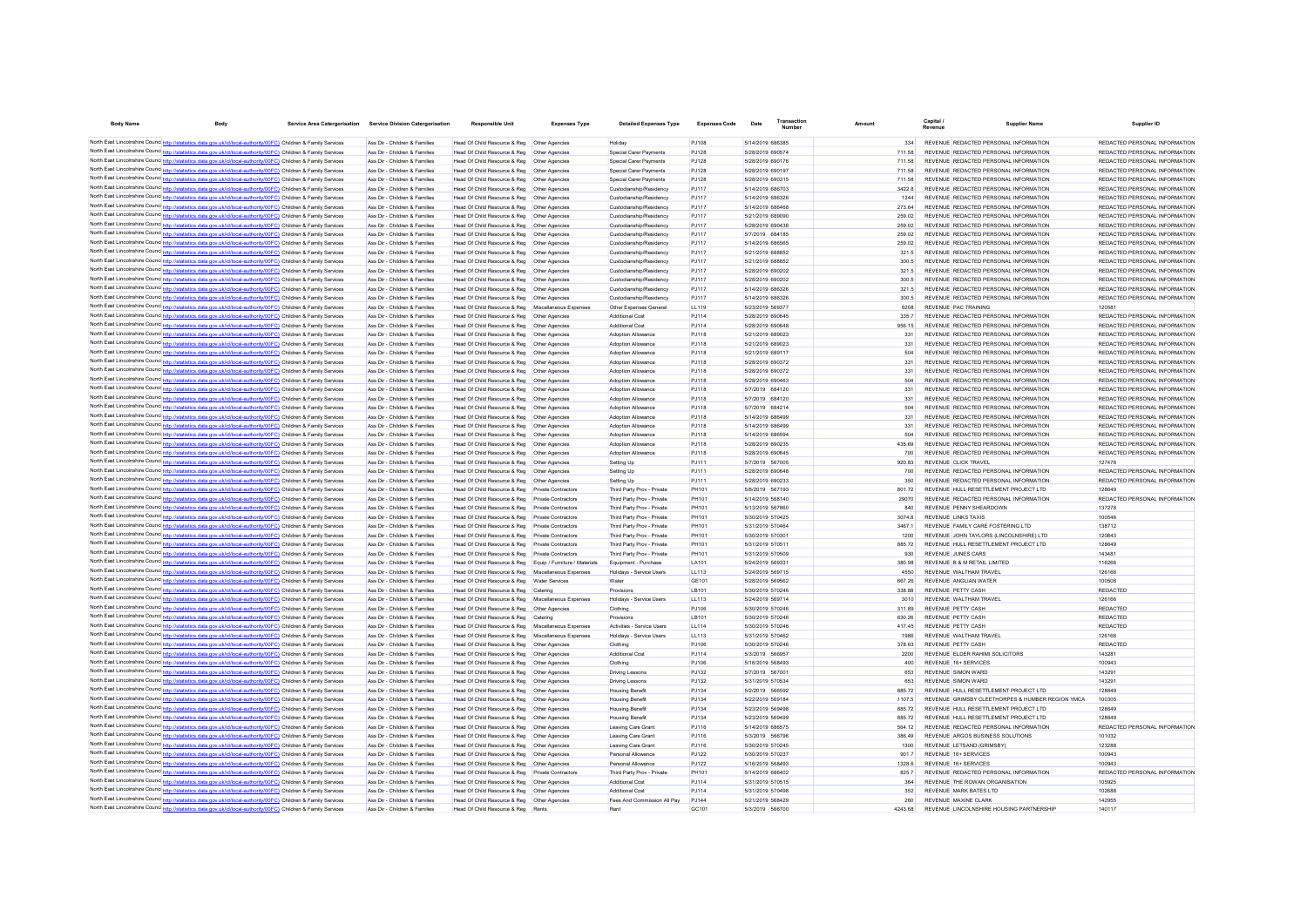| <b>Body Name</b> | <b>Body</b>                                                                                                                                                                                                                         | Service Area Catergorisation Service Division Catergorisation  | <b>Responsible Unit</b>                                                                        | <b>Expenses Type</b>              | <b>Detailed Expenses Type</b>                      | <b>Expenses Code</b> | Transaction<br>Date                  | Amoun |                  | Capital.                                                                         | <b>Supplier Name</b> | Supplier ID                                                    |
|------------------|-------------------------------------------------------------------------------------------------------------------------------------------------------------------------------------------------------------------------------------|----------------------------------------------------------------|------------------------------------------------------------------------------------------------|-----------------------------------|----------------------------------------------------|----------------------|--------------------------------------|-------|------------------|----------------------------------------------------------------------------------|----------------------|----------------------------------------------------------------|
|                  | North East Lincolnshire Counce http://statistics.data.gov.uk/id/local-authority/00FC) Children & Family Services                                                                                                                    |                                                                |                                                                                                |                                   |                                                    |                      |                                      |       |                  |                                                                                  |                      |                                                                |
|                  | North East Lincolnshire Counc. http://statistics.data.gov.uk/id/local-authority/00FC) Children & Family Services                                                                                                                    | Ass Dir - Children & Families<br>Ass Dir - Children & Families | Head Of Child Resource & Reg   Other Agencies<br>Head Of Child Resource & Reg   Other Agencies |                                   | Holidav<br>Special Carer Payments                  | PJ108<br>PJ128       | 5/14/2019 686385<br>5/28/2019 690574 |       | 334<br>711.58    | REVENUE REDACTED PERSONAL INFORMATION<br>REVENUE REDACTED PERSONAL INFORMATION   |                      | REDACTED PERSONAL INFORMATION<br>REDACTED PERSONAL INFORMATION |
|                  | North East Lincolnshire Counc http://statistics.data.gov.uk/id/local-authority/00FC) Children & Family Services                                                                                                                     | Ass Dir - Children & Families                                  | Head Of Child Resource & Reg                                                                   | Other Agencies                    | Special Carer Payments                             | PJ128                | 5/28/2019 690176                     |       | 711.58           | REVENUE REDACTED PERSONAL INFORMATION                                            |                      | REDACTED PERSONAL INFORMATION                                  |
|                  | North East Lincolnshire Counc http://statistics.data.gov.uk/id/local-authority/00FC) Children & Family Services                                                                                                                     | Ass Dir - Children & Families                                  | Head Of Child Resource & Reg                                                                   | Other Agencies                    | Special Carer Payments                             | PJ128                | 5/28/2019 690197                     |       | 711.58           | REVENUE REDACTED PERSONAL INFORMATION                                            |                      | REDACTED PERSONAL INFORMATION                                  |
|                  | North East Lincolnshire Counce http://statistics.data.gov.uk/id/local-authority/00FC) Children & Family Services                                                                                                                    | Ass Dir - Children & Families                                  | Head Of Child Resource & Reg                                                                   | Other Agencies                    | Special Carer Payments                             | P.1128               | 5/28/2019 690315                     |       | 711.58           | REVENUE REDACTED PERSONAL INFORMATION                                            |                      | REDACTED PERSONAL INFORMATION                                  |
|                  | North East Lincolnshire Counc http://statistics.data.gov.uk/id/local-authority/00FC) Children & Family Services                                                                                                                     | Ass Dir - Children & Families                                  | Head Of Child Resource & Reg                                                                   | <b>Other Agencies</b>             | Custodianship/Residency                            | PJ117                | 5/14/2019 686703                     |       | 3422.8           | REVENUE REDACTED PERSONAL INFORMATION                                            |                      | REDACTED PERSONAL INFORMATION                                  |
|                  | North East Lincolnshire Counc http://statistics.data.gov.uk/id/local-authority/00FC) Children & Family Services                                                                                                                     | Ass Dir - Children & Families                                  | Head Of Child Resource & Reg                                                                   | Other Anencies                    | Custodianship/Residency                            | PJ117                | 5/14/2019 686326                     |       | 1244             | REVENUE REDACTED PERSONAL INFORMATION                                            |                      | REDACTED PERSONAL INFORMATION                                  |
|                  | North East Lincolnshire Counc http://statistics.data.gov.uk/id/local-authority/00FC) Children & Family Services                                                                                                                     | Ass Dir - Children & Families                                  | Head Of Child Resource & Reg                                                                   | Other Agencies                    | Custodianship/Residency                            | PJ117                | 5/14/2019 686468                     |       | 273.64           | REVENUE REDACTED PERSONAL INFORMATION                                            |                      | REDACTED PERSONAL INFORMATION                                  |
|                  | North East Lincolnshire Counc http://statistics.data.gov.uk/id/local-authority/00FC) Children & Family Services                                                                                                                     | Ass Dir - Children & Families                                  | Head Of Child Resource & Reg                                                                   | <b>Other Agencies</b>             | Custodianship/Residency                            | PJ117                | 5/21/2019 689090                     |       | 259.02           | REVENUE REDACTED PERSONAL INFORMATION                                            |                      | REDACTED PERSONAL INFORMATION                                  |
|                  | North East Lincolnshire Counc http://statistics.data.gov.uk/id/local-authority/00FC) Children & Family Services<br>North East Lincolnshire Counc http://statistics.data.gov.uk/id/local-authority/00FC) Children & Family Services  | Ass Dir - Children & Families<br>Ass Dir - Children & Families | Head Of Child Resource & Reg<br>Head Of Child Resource & Reg.                                  | Other Agencies<br>Other Anencies  | Custodianship/Residency<br>Custodianship/Residency | PJ117<br>P.1117      | 5/28/2019 690436<br>5/7/2019 684185  |       | 259.02<br>259.02 | REVENUE REDACTED PERSONAL INFORMATION<br>REVENUE REDACTED PERSONAL INFORMATION   |                      | REDACTED PERSONAL INFORMATION<br>REDACTED PERSONAL INFORMATION |
|                  | North East Lincolnshire Counc http://statistics.data.gov.uk/id/local-authority/00FC) Children & Family Services                                                                                                                     | Ass Dir - Children & Families                                  | Head Of Child Resource & Reg                                                                   | Other Agencies                    | Custodianship/Residency                            | P.1117               | 5/14/2019 686565                     |       | 259.02           | REVENUE REDACTED PERSONAL INFORMATION                                            |                      | REDACTED PERSONAL INFORMATION                                  |
|                  | North East Lincolnshire Counc http://statistics.data.gov.uk/id/local-authority/00FC) Children & Family Services                                                                                                                     | Ass Dir - Children & Families                                  | Head Of Child Resource & Reg                                                                   | Other Anencies                    | Custodianship/Residency                            | P.1117               | 5/21/2019 688852                     |       | 321.5            | REVENUE REDACTED PERSONAL INFORMATION                                            |                      | REDACTED PERSONAL INFORMATION                                  |
|                  | North East Lincolnshire Counc http://statistics.data.gov.uk/id/local-authority/00FC) Children & Family Services                                                                                                                     | Ass Dir - Children & Families                                  | Head Of Child Resource & Reg                                                                   | Other Anencies                    | Custodianship/Residency                            | P.1117               | 5/21/2019 688852                     |       | 300.5            | REVENUE REDACTED PERSONAL INFORMATION                                            |                      | REDACTED PERSONAL INFORMATION                                  |
|                  | North East Lincolnshire Counc http://statistics.data.gov.uk/id/local-authority/00FC) Children & Family Services                                                                                                                     | Ass Dir - Children & Families                                  | Head Of Child Resource & Reg                                                                   | Other Agencies                    | Custodianship/Residency                            | PJ117                | 5/28/2019 690202                     |       | 321.5            | REVENUE REDACTED PERSONAL INFORMATION                                            |                      | REDACTED PERSONAL INFORMATION                                  |
|                  | North East Lincolnshire Counc http://statistics.data.gov.uk/id/local-authority/00FC) Children & Family Services                                                                                                                     | Ass Dir - Children & Families                                  | Head Of Child Resource & Reg                                                                   | Other Agencies                    | Custodianship/Residency                            | PJ117                | 5/28/2019 690202                     |       | 300.5            | REVENUE REDACTED PERSONAL INFORMATION                                            |                      | REDACTED PERSONAL INFORMATION                                  |
|                  | North East Lincolnshire Counc http://statistics.data.gov.uk/id/local-authority/00FC) Children & Family Services                                                                                                                     | Ass Dir - Children & Families                                  | Head Of Child Resource & Reg                                                                   | Other Agencies                    | Custodianship/Residency                            | PJ117                | 5/14/2019 686326                     |       | 321.5            | REVENUE REDACTED PERSONAL INFORMATION                                            |                      | REDACTED PERSONAL INFORMATION                                  |
|                  | North East Lincolnshire Counc http://statistics.data.gov.uk/id/local-authority/00FC) Children & Family Services                                                                                                                     | Ass Dir - Children & Families                                  | Head Of Child Resource & Reg                                                                   | Other Agencies                    | Custodianship/Residency                            | PJ117                | 5/14/2019 686326                     |       | 300.5            | REVENUE REDACTED PERSONAL INFORMATION                                            |                      | REDACTED PERSONAL INFORMATION                                  |
|                  | North East Lincolnshire Counc http://statistics.data.gov.uk/id/local-authority/00FC) Children & Family Services                                                                                                                     | Ass Dir - Children & Families                                  | Head Of Child Resource & Reg                                                                   | Miscellaneous Expenses            | Other Expenses General                             | LL119                | 5/23/2019 569377                     |       | 6208             | REVENUE PAC TRAINING                                                             |                      | 120581                                                         |
|                  | North East Lincolnshire Counc http://statistics.data.gov.uk/id/local-authority/00FC) Children & Family Services<br>North East Lincolnshire Councintto://statistics.data.gov.uk/id/local-authority/00FC) Children & Family Services  | Ass Dir - Children & Families<br>Ass Dir - Children & Families | Head Of Child Resource & Reg                                                                   | Other Agencies<br>Other Agencies  | Additional Cost<br>Additional Cost                 | PJ114<br>PJ114       | 5/28/2019 690645<br>5/28/2019 690648 |       | 335.7<br>956 15  | REVENUE REDACTED PERSONAL INFORMATION<br>REVENUE REDACTED PERSONAL INFORMATION   |                      | REDACTED PERSONAL INFORMATION<br>REDACTED PERSONAL INFORMATION |
|                  | North East Lincolnshire Counc http://statistics.data.gov.uk/id/local-authority/00FC) Children & Family Services                                                                                                                     | Ass Dir - Children & Families                                  | Head Of Child Resource & Reg<br>Head Of Child Resource & Reg                                   | Other Agencies                    | <b>Adoption Allowance</b>                          | PJ118                | 5/21/2019 689023                     |       | 331              | REVENUE REDACTED PERSONAL INFORMATION                                            |                      | REDACTED PERSONAL INFORMATION                                  |
|                  | North East Lincolnshire Counc <sup>1</sup> http://statistics.data.gov.uk/id/local-authority/00FC) Children & Family Services                                                                                                        | Ass Dir - Children & Families                                  | Head Of Child Resource & Reg                                                                   | Other Anencies                    | <b>Adoption Allowance</b>                          | PJ118                | 5/21/2019 689023                     |       | 331              | REVENUE REDACTED PERSONAL INFORMATION                                            |                      | REDACTED PERSONAL INFORMATION                                  |
|                  | North East Lincolnshire Counc <sup>http://</sup> statistics.data.gov.uk/id/local-authority/00FC) Children & Family Services                                                                                                         | Ass Dir - Children & Families                                  | Head Of Child Resource & Reg.                                                                  | Other Anencies                    | Adoption Allowance                                 | P.I118               | 5/21/2019 689117                     |       | 504              | REVENUE REDACTED PERSONAL INFORMATION                                            |                      | REDACTED PERSONAL INFORMATION                                  |
|                  | North East Lincolnshire Councinto://statistics.data.gov.uk/id/local-authority/00FC) Children & Family Services                                                                                                                      | Ass Dir - Children & Families                                  | Head Of Child Resource & Reg.                                                                  | Other Anencies                    | Adoption Allowance                                 | P.I118               | 5/28/2019 690372                     |       | 331              | REVENUE REDACTED PERSONAL INFORMATION                                            |                      | REDACTED PERSONAL INFORMATION                                  |
|                  | North East Lincolnshire Counce http://statistics.data.gov.uk/id/local-authority/00FC) Children & Family Services                                                                                                                    | Ass Dir - Children & Families                                  | Head Of Child Resource & Reg.                                                                  | Other Anencies                    | Adoption Allowance                                 | P.I118               | 5/28/2019 690372                     |       | 331              | REVENUE REDACTED PERSONAL INFORMATION                                            |                      | REDACTED PERSONAL INFORMATION                                  |
|                  | North East Lincolnshire Counc http://statistics.data.gov.uk/id/local-authority/00FC) Children & Family Services                                                                                                                     | Ass Dir - Children & Families                                  | Head Of Child Resource & Reg                                                                   | <b>Other Agencies</b>             | Adoption Allowance                                 | PJ118                | 5/28/2019 690463                     |       | 504              | REVENUE REDACTED PERSONAL INFORMATION                                            |                      | REDACTED PERSONAL INFORMATION                                  |
|                  | North East Lincolnshire Counc http://statistics.data.gov.uk/id/local-authority/00FC) Children & Family Services                                                                                                                     | Ass Dir - Children & Families                                  | Head Of Child Resource & Reg                                                                   | Other Agencies                    | Adoption Allowance                                 | PJ118                | 5/7/2019 684120                      |       | 331              | REVENUE REDACTED PERSONAL INFORMATION                                            |                      | REDACTED PERSONAL INFORMATION                                  |
|                  | North East Lincolnshire Counc http://statistics.data.gov.uk/id/local-authority/00FC) Children & Family Services                                                                                                                     | Ass Dir - Children & Families                                  | Head Of Child Resource & Reg                                                                   | <b>Other Agencies</b>             | Adoption Allowance                                 | PJ118                | 5/7/2019 684120                      |       | 331              | REVENUE REDACTED PERSONAL INFORMATION                                            |                      | REDACTED PERSONAL INFORMATION                                  |
|                  | North East Lincolnshire Counc http://statistics.data.gov.uk/id/local-authority/00FC) Children & Family Services                                                                                                                     | Ass Dir - Children & Families                                  | Head Of Child Resource & Reg                                                                   | Other Agencies                    | Adoption Allowance                                 | PJ118                | 5/7/2019 684214                      |       | 504              | REVENUE REDACTED PERSONAL INFORMATION                                            |                      | REDACTED PERSONAL INFORMATION                                  |
|                  | North East Lincolnshire Counc http://statistics.data.gov.uk/id/local-authority/00FC) Children & Family Services                                                                                                                     | Ass Dir - Children & Families                                  | Head Of Child Resource & Reg                                                                   | Other Agencies                    | Adoption Allowance                                 | PJ118                | 5/14/2019 686499                     |       | 331              | REVENUE REDACTED PERSONAL INFORMATION                                            |                      | REDACTED PERSONAL INFORMATION                                  |
|                  | North East Lincolnshire Counc http://statistics.data.gov.uk/id/local-authority/00FC) Children & Family Services                                                                                                                     | Ass Dir - Children & Families                                  | Head Of Child Resource & Reg                                                                   | Other Agencies                    | Adoption Allowance                                 | PJ118                | 5/14/2019 686499                     |       | 331              | REVENUE REDACTED PERSONAL INFORMATION                                            |                      | REDACTED PERSONAL INFORMATION                                  |
|                  | North East Lincolnshire Counc http://statistics.data.gov.uk/id/local-authority/00FC) Children & Family Services                                                                                                                     | Ass Dir - Children & Families                                  | Head Of Child Resource & Reg                                                                   | Other Agencies                    | Adoption Allowance                                 | PJ118                | 5/14/2019 686594                     |       | 504              | REVENUE REDACTED PERSONAL INFORMATION                                            |                      | REDACTED PERSONAL INFORMATION                                  |
|                  | North East Lincolnshire Counc http://statistics.data.gov.uk/id/local-authority/00FC) Children & Family Services                                                                                                                     | Ass Dir - Children & Families                                  | Head Of Child Resource & Reg                                                                   | Other Agencies                    | Adoption Allowance                                 | PJ118                | 5/28/2019 690235                     |       | 435.69           | REVENUE REDACTED PERSONAL INFORMATION                                            |                      | REDACTED PERSONAL INFORMATION                                  |
|                  | North East Lincolnshire Counc http://statistics.data.gov.uk/id/local-authority/00FC) Children & Family Services                                                                                                                     | Ass Dir - Children & Families                                  | Head Of Child Resource & Reg                                                                   | Other Agencies                    | Adoption Allowance                                 | PJ118                | 5/28/2019 690645                     |       | 700              | REVENUE REDACTED PERSONAL INFORMATION                                            |                      | REDACTED PERSONAL INFORMATION                                  |
|                  | North East Lincolnshire Counc http://statistics.data.gov.uk/id/local-authority/00FC) Children & Family Services<br>North East Lincolnshire Counc. http://statistics.data.gov.uk/id/local-authority/00FC) Children & Family Services | Ass Dir - Children & Families<br>Ass Dir - Children & Families | Head Of Child Resource & Reg<br>Head Of Child Resource & Reg                                   | Other Agencies<br>Other Agencies  | Setting Up<br>Setting Up                           | PJ111<br>P.I111      | 5/7/2019 567005<br>5/28/2019 690648  |       | 920.83<br>700    | <b>REVENUE CLICK TRAVEL</b><br>REVENUE REDACTED PERSONAL INFORMATION             |                      | 127476<br>REDACTED PERSONAL INFORMATION                        |
|                  | North East Lincolnshire Counc http://statistics.data.gov.uk/id/local-authority/00FC) Children & Family Services                                                                                                                     | Ass Dir - Children & Families                                  | Head Of Child Resource & Reg                                                                   | Other Agencies                    | Setting Up                                         | PJ111                | 5/28/2019 690233                     |       | 350              | REVENUE REDACTED PERSONAL INFORMATION                                            |                      | REDACTED PERSONAL INFORMATION                                  |
|                  | North East Lincolnshire Counc http://statistics.data.gov.uk/id/local-authority/00FC) Children & Family Services                                                                                                                     | Ass Dir - Children & Families                                  | Head Of Child Resource & Reg                                                                   | Private Contractors               | Third Party Prov - Private                         | PH101                | 5/8/2019 567193                      |       | 80172            | REVENUE HULL RESETTLEMENT PROJECT LTD.                                           |                      | 128649                                                         |
|                  | North East Lincolnshire Counc. http://statistics.data.gov.uk/id/local-authority/00FC) Children & Family Services                                                                                                                    | Ass Dir - Children & Families                                  | Head Of Child Resource & Reg                                                                   | Private Contractors               | Third Party Prov - Private                         | PH101                | 5/14/2019 568140                     |       | 29070            | REVENUE REDACTED PERSONAL INFORMATION                                            |                      | REDACTED PERSONAL INFORMATION                                  |
|                  | North East Lincolnshire Counc http://statistics.data.gov.uk/id/local-authority/00FC) Children & Family Services                                                                                                                     | Ass Dir - Children & Families                                  | Head Of Child Resource & Reg                                                                   | Private Contractors               | Third Party Prov - Private                         | PH101                | 5/13/2019 567860                     |       | 840              | REVENUE PENNY SHEARDOWN                                                          |                      | 137278                                                         |
|                  | North East Lincolnshire Counc http://statistics.data.gov.uk/id/local-authority/00FC) Children & Family Services                                                                                                                     | Ass Dir - Children & Families                                  | Head Of Child Resource & Reg                                                                   | Private Contractors               | Third Party Prov - Private                         | PH101                | 5/30/2019 570425                     |       | 3074.8           | <b>REVENUE LINKS TAXIS</b>                                                       |                      | 100546                                                         |
|                  | North East Lincolnshire Counc http://statistics.data.gov.uk/id/local-authority/00FC) Children & Family Services                                                                                                                     | Ass Dir - Children & Families                                  | Head Of Child Resource & Reg                                                                   | Private Contractors               | Third Party Prov - Private                         | PH101                | 5/31/2019 570464                     |       | 34671            | REVENUE FAMILY CARE FOSTERING LTD                                                |                      | 138712                                                         |
|                  | North East Lincolnshire Counc http://statistics.data.gov.uk/id/local-authority/00FC) Children & Family Services                                                                                                                     | Ass Dir - Children & Families                                  | Head Of Child Resource & Reg                                                                   | <b>Private Contractors</b>        | Third Party Prov - Private                         | PH101                | 5/30/2019 570301                     |       | 1200             | REVENUE JOHN TAYLORS (LINCOLNSHIRE) LTD                                          |                      | 120843                                                         |
|                  | North East Lincolnshire Counc http://statistics.data.gov.uk/id/local-authority/00FC) Children & Family Services                                                                                                                     | Ass Dir - Children & Families                                  | Head Of Child Resource & Reg                                                                   | <b>Private Contractors</b>        | Third Party Prov - Private                         | PH101                | 5/31/2019 570511                     |       | 885.72           | REVENUE HULL RESETTLEMENT PROJECT LTD                                            |                      | 128649                                                         |
|                  | North East Lincolnshire Counc http://statistics.data.gov.uk/id/local-authority/00FC) Children & Family Services                                                                                                                     | Ass Dir - Children & Families                                  | Head Of Child Resource & Reg                                                                   | <b>Private Contractors</b>        | Third Party Prov - Private                         | PH101                | 5/31/2019 570509                     |       | 930              | <b>REVENUE JUNES CARS</b>                                                        |                      | 143481                                                         |
|                  | North East Lincolnshire Counc http://statistics.data.gov.uk/id/local-authority/00FC) Children & Family Services                                                                                                                     | Ass Dir - Children & Families                                  | Head Of Child Resource & Reg                                                                   | Equip / Furniture / Materials     | Equipment - Purchase                               | <b>LA101</b>         | 5/24/2019 569331                     |       | 380.98           | REVENUE B & M RETAIL LIMITED                                                     |                      | 116266                                                         |
|                  | North East Lincolnshire Counc http://statistics.data.gov.uk/id/local-authority/00FC) Children & Family Services                                                                                                                     | Ass Dir - Children & Families                                  | Head Of Child Resource & Reg                                                                   | Miscellaneous Expenses            | Holidays - Service Users                           | LL113                | 5/24/2019 569715                     |       | 4550             | REVENUE WALTHAM TRAVEL                                                           |                      | 126166                                                         |
|                  | North East Lincolnshire Counc http://statistics.data.gov.uk/id/local-authority/00FC) Children & Family Services<br>North East Lincolnshire Counc http://statistics.data.gov.uk/id/local-authority/00FC) Children & Family Services  | Ass Dir - Children & Families<br>Ass Dir - Children & Families | Head Of Child Resource & Reg<br>Head Of Child Resource & Reg                                   | <b>Water Services</b><br>Catering | Water<br>Provisions                                | GF 101<br>LB101      | 5/28/2019 569562<br>5/30/2019 570246 |       | 667.26<br>338.88 | REVENUE ANGLIAN WATER<br>REVENUE PETTY CASH                                      |                      | 100508<br><b>REDACTED</b>                                      |
|                  | North East Lincolnshire Counc http://statistics.data.gov.uk/id/local-authority/00FC) Children & Family Services                                                                                                                     | Ass Dir - Children & Families                                  | Head Of Child Resource & Reg                                                                   | Miscellaneous Expenses            | Holidays - Service Users                           | LL113                | 5/24/2019 569714                     |       | 3010             | REVENUE WALTHAM TRAVEL                                                           |                      | 126166                                                         |
|                  | North East Lincolnshire Counc http://statistics.data.gov.uk/id/local-authority/00FC) Children & Family Services                                                                                                                     | Ass Dir - Children & Families                                  | Head Of Child Resource & Reg                                                                   | Other Agencies                    | Clothing                                           | PJ106                | 5/30/2019 570246                     |       | 311.89           | REVENUE PETTY CASH                                                               |                      | <b>REDACTED</b>                                                |
|                  | North East Lincolnshire Counc http://statistics.data.gov.uk/id/local-authority/00FC) Children & Family Services                                                                                                                     | Ass Dir - Children & Families                                  | Head Of Child Resource & Reg                                                                   | Catering                          | Provisione                                         | I B101               | 5/30/2019 570246                     |       | 630.26           | REVENUE PETTY CASH                                                               |                      | REDACTED                                                       |
|                  | North East Lincolnshire Counc http://statistics.data.gov.uk/id/local-authority/00FC) Children & Family Services                                                                                                                     | Ass Dir - Children & Families                                  | Head Of Child Resource & Reg                                                                   | Miscellaneous Expenses            | Activities - Service Users                         | <b>LL114</b>         | 5/30/2019 570246                     |       | 417.45           | REVENUE PETTY CASH                                                               |                      | REDACTED                                                       |
|                  | North East Lincolnshire Counc http://statistics.data.gov.uk/id/local-authority/00FC) Children & Family Services                                                                                                                     | Ass Dir - Children & Families                                  | Head Of Child Resource & Reg                                                                   | Miscellaneous Expenses            | Holidays - Service Users                           | LL113                | 5/31/2019 570462                     |       | 1986             | REVENUE WALTHAM TRAVEL                                                           |                      | 126166                                                         |
|                  | North East Lincolnshire Counce http://statistics.data.gov.uk/id/local-authority/00FC) Children & Family Services                                                                                                                    | Ass Dir - Children & Families                                  | Head Of Child Resource & Reg                                                                   | Other Anencies                    | Clothing                                           | PJ106                | 5/30/2019 570246                     |       | 378.63           | REVENUE PETTY CASH                                                               |                      | REDACTED                                                       |
|                  | North East Lincolnshire Counc http://statistics.data.gov.uk/id/local-authority/00FC) Children & Family Services                                                                                                                     | Ass Dir - Children & Families                                  | Head Of Child Resource & Reg                                                                   | Other Anencies                    | <b>Additional Cost</b>                             | PJ114                | 5/3/2019 566957                      |       | 2200             | REVENUE ELDER RAHIMI SOLICITORS                                                  |                      | 143281                                                         |
|                  | North East Lincolnshire Counce http://statistics.data.gov.uk/id/local-authority/00FC) Children & Family Services                                                                                                                    | Ass Dir - Children & Families                                  | Head Of Child Resource & Reg                                                                   | Other Anencies                    | Clothing                                           | PJ106                | 5/16/2019 568493                     |       | 400              | REVENUE 16+ SERVICES                                                             |                      | 100943                                                         |
|                  | North East Lincolnshire Counc http://statistics.data.gov.uk/id/local-authority/00FC) Children & Family Services                                                                                                                     | Ass Dir - Children & Families                                  | Head Of Child Resource & Reg                                                                   | <b>Other Agencies</b>             | <b>Driving Lessons</b>                             | PJ132                | 5/7/2019 567001                      |       | 653              | REVENUE SIMON WARD                                                               |                      | 143291                                                         |
|                  | North East Lincolnshire Counc http://statistics.data.gov.uk/id/local-authority/00FC) Children & Family Services                                                                                                                     | Ass Dir - Children & Families                                  | Head Of Child Resource & Reg                                                                   | Other Agencies                    | <b>Driving Lessons</b>                             | PJ132                | 5/31/2019 570534                     |       | 653              | <b>REVENUE SIMON WARD</b>                                                        |                      | 143291                                                         |
|                  | North East Lincolnshire Counc http://statistics.data.gov.uk/id/local-authority/00FC) Children & Family Services                                                                                                                     | Ass Dir - Children & Families                                  | Head Of Child Resource & Reg                                                                   | <b>Other Agencies</b>             | <b>Housing Benefit</b>                             | PJ134                | 5/2/2019 566592                      |       | 885.72           | REVENUE HULL RESETTLEMENT PROJECT LTD                                            |                      | 128649                                                         |
|                  | North East Lincolnshire Counc http://statistics.data.gov.uk/id/local-authority/00FC) Children & Family Services                                                                                                                     | Ass Dir - Children & Families                                  | Head Of Child Resource & Reg                                                                   | Other Agencies                    | <b>Housing Benefit</b>                             | P.1134               | 5/22/2019 569184                     |       | 1107.5           | REVENUE GRIMSBY CLEETHORPES & HUMBER REGION YMCA                                 |                      | 100305                                                         |
|                  | North East Lincolnshire Counc http://statistics.data.gov.uk/id/local-authority/00FC) Children & Family Services                                                                                                                     | Ass Dir - Children & Families<br>Ass Dir - Children & Families | Head Of Child Resource & Reg                                                                   | Other Agencies                    | <b>Housing Benefit</b>                             | PJ134                | 5/23/2019 569498<br>5/23/2019 569499 |       | 88572            | REVENUE HULL RESETTLEMENT PROJECT LTD.<br>REVENUE HULL RESETTLEMENT PROJECT LTD. |                      | 128649<br>128649                                               |
|                  | North East Lincolnshire Counc http://statistics.data.gov.uk/id/local-authority/00FC) Children & Family Services<br>North East Lincolnshire Counc http://statistics.data.gov.uk/id/local-authority/00FC) Children & Family Services  | Ass Dir - Children & Families                                  | Head Of Child Resource & Reg<br>Head Of Child Resource & Reg                                   | Other Agencies<br>Other Agencies  | <b>Housing Benefit</b><br>Leaving Care Grant       | PJ134<br>PJ116       | 5/14/2019 686575                     |       | 88572<br>564 12  | REVENUE REDACTED PERSONAL INFORMATION                                            |                      | REDACTED PERSONAL INFORMATION                                  |
|                  | North East Lincolnshire Counc http://statistics.data.gov.uk/id/local-authority/00FC) Children & Family Services                                                                                                                     | Ass Dir - Children & Families                                  | Head Of Child Resource & Reg                                                                   | Other Agencies                    | Leaving Care Grant                                 | PJ116                | 5/3/2019 566796                      |       | 386.49           | REVENUE ARGOS BUSINESS SOLUTIONS                                                 |                      | 101032                                                         |
|                  | North East Lincolnshire Counc http://statistics.data.gov.uk/id/local-authority/00FC) Children & Family Services                                                                                                                     | Ass Dir - Children & Families                                  | Head Of Child Resource & Reg                                                                   | Other Agencies                    | Leaving Care Grant                                 | PJ116                | 5/30/2019 570245                     |       | 1300             | REVENUE LETSAND (GRIMSBY)                                                        |                      | 123288                                                         |
|                  | North East Lincolnshire Counc http://statistics.data.gov.uk/id/local-authority/00FC) Children & Family Services                                                                                                                     | Ass Dir - Children & Families                                  | Head Of Child Resource & Reg                                                                   | Other Agencies                    | Personal Allowance                                 | PJ122                | 5/30/2019 570237                     |       | 901.7            | REVENUE 16+ SERVICES                                                             |                      | 100943                                                         |
|                  | North East Lincolnshire Counc http://statistics.data.gov.uk/id/local-authority/00FC) Children & Family Services                                                                                                                     | Ass Dir - Children & Families                                  | Head Of Child Resource & Reg                                                                   | Other Agencies                    | Personal Allowance                                 | PJ122                | 5/16/2019 568493                     |       | 1328.6           | REVENUE 16+ SERVICES                                                             |                      | 100943                                                         |
|                  | North East Lincolnshire Counc http://statistics.data.gov.uk/id/local-authority/00FC) Children & Family Services                                                                                                                     | Ass Dir - Children & Families                                  | Head Of Child Resource & Reg                                                                   | Private Contractor                | Third Party Prov - Private                         | <b>PH101</b>         | 5/14/2019 686402                     |       | 825.7            | REVENUE REDACTED PERSONAL INFORMATION                                            |                      | REDACTED PERSONAL INFORMATION                                  |
|                  | North East Lincolnshire Counce http://statistics.data.gov.uk/id/local-authority/00FC) Children & Family Services                                                                                                                    | Ass Dir - Children & Families                                  | Head Of Child Resource & Reg                                                                   | Other Agencies                    | Additional Cost                                    | PJ114                | 5/31/2019 570515                     |       | 364              | REVENUE THE ROWAN ORGANISATION                                                   |                      | 105925                                                         |
|                  | North East Lincolnshire Counc http://statistics.data.gov.uk/id/local-authority/00FC) Children & Family Services                                                                                                                     | Ass Dir - Children & Families                                  | Head Of Child Resource & Reg   Other Agencies                                                  |                                   | Additional Cost                                    | PJ114                | 5/31/2019 570498                     |       | 352              | <b>REVENUE MARK BATES LTD</b>                                                    |                      | 102688                                                         |
|                  | North East Lincolnshire Counc http://statistics.data.gov.uk/id/local-authority/00FC) Children & Family Services                                                                                                                     | Ass Dir - Children & Families                                  | Head Of Child Resource & Reg   Other Agencies                                                  |                                   | Fees And Commission All Pay                        | PJ144                | 5/21/2019 568429                     |       | 260              | REVENUE MAXINE CLARK                                                             |                      | 142955                                                         |
|                  | North East Lincolnshire Counc http://statistics.data.gov.uk/id/local-authority/00FC) Children & Family Services                                                                                                                     | Ass Dir - Children & Families                                  | Head Of Child Resource & Reg                                                                   |                                   |                                                    | GC101                | 5/3/2019 566700                      |       | 4243.68          | REVENUE LINCOLNSHIRE HOUSING PARTNERSHIP                                         |                      | 140117                                                         |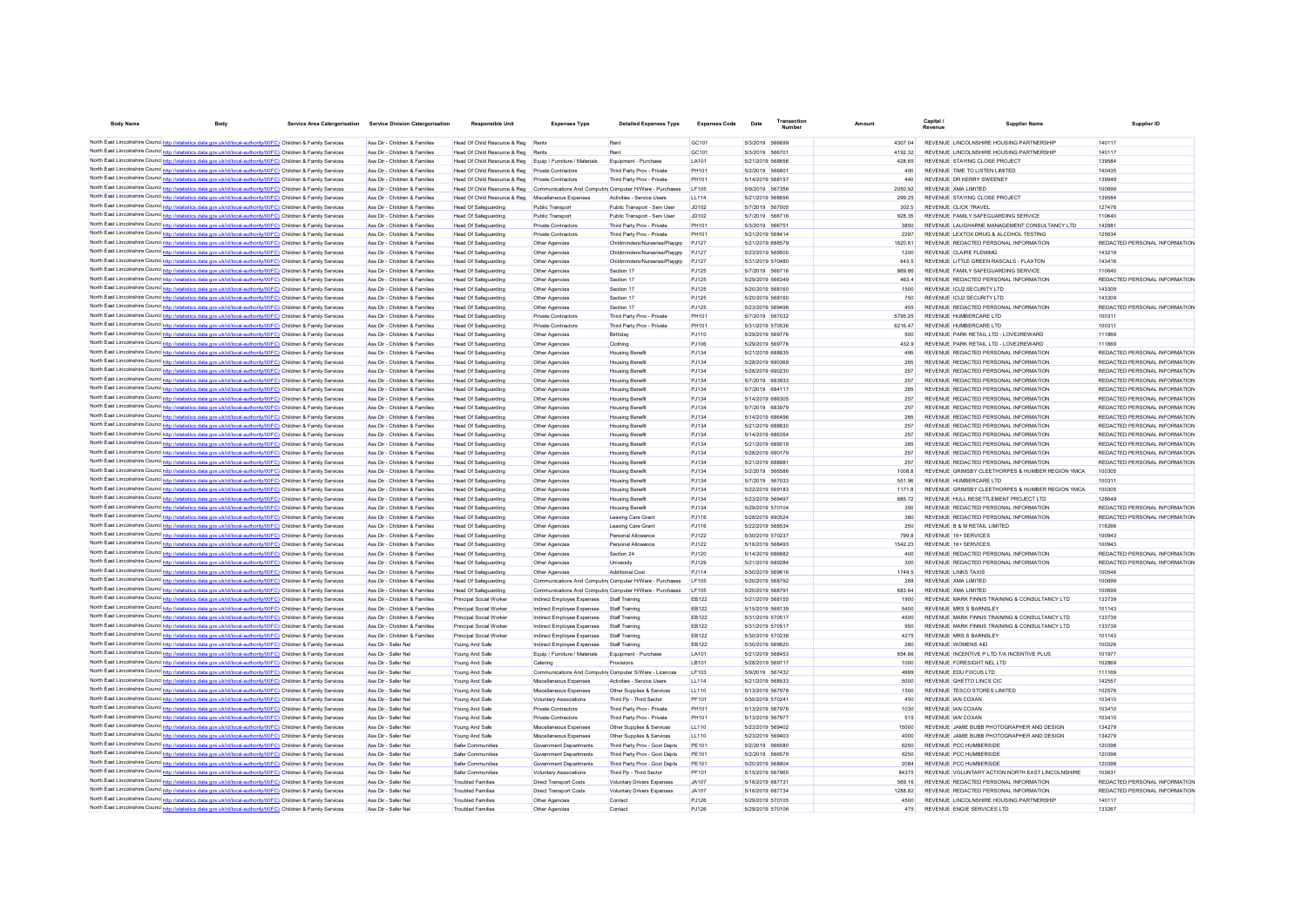| <b>Body Name</b>                    | <b>Body</b>                                                                                                                                                                                                                        | Service Area Catergorisation | <b>Service Division Catergorisation</b>                        | <b>Responsible Unit</b>                                           | <b>Expenses Type</b>                                     | <b>Detailed Expenses Type</b>                                  | <b>Expenses Code</b>         | Date                                 | Transaction | Amoun |                    | Capital.                                         | Supplier Name                                                                         | Supplier ID                             |
|-------------------------------------|------------------------------------------------------------------------------------------------------------------------------------------------------------------------------------------------------------------------------------|------------------------------|----------------------------------------------------------------|-------------------------------------------------------------------|----------------------------------------------------------|----------------------------------------------------------------|------------------------------|--------------------------------------|-------------|-------|--------------------|--------------------------------------------------|---------------------------------------------------------------------------------------|-----------------------------------------|
|                                     |                                                                                                                                                                                                                                    |                              |                                                                |                                                                   |                                                          |                                                                |                              |                                      |             |       |                    |                                                  |                                                                                       |                                         |
|                                     | North East Lincolnshire Counc http://statistics.data.gov.uk/id/local-authority/00FC) Children & Family Services<br>North East Lincolnshire Counc http://statistics.data.gov.uk/id/local-authority/00FC) Children & Family Services |                              | Ass Dir - Children & Families<br>Ass Dir - Children & Families | Head Of Child Resource & Reg<br>Head Of Child Resource & Reg Rent | Rent                                                     | Rent<br>Rent                                                   | GC101<br>GC101               | 5/3/2019 566699<br>5/3/2019 566701   |             |       | 4307.04<br>419232  |                                                  | REVENUE LINCOLNSHIRE HOUSING PARTNERSHIP<br>REVENUE LINCOLNSHIRE HOUSING PARTNERSHIP  | 140117<br>140117                        |
|                                     | North East Lincolnshire Counc http://statistics.data.gov.uk/id/local-authority/00FC) Children & Family Services                                                                                                                    |                              | Ass Dir - Children & Families                                  | Head Of Child Resource & Reg                                      | Equip / Furniture / Materials                            | Equipment - Purchase                                           | LA101                        | 5/21/2019 568656                     |             |       | 428.65             | REVENUE STAYING CLOSE PROJECT                    |                                                                                       | 139584                                  |
|                                     | North East Lincolnshire Counc http://statistics.data.gov.uk/id/local-authority/00FC) Children & Family Services                                                                                                                    |                              | Ass Dir - Children & Families                                  | Head Of Child Resource & Reg                                      | Private Contractors                                      | Third Party Prov - Private                                     | PH101                        | 5/2/2019 566601                      |             |       | 400                | REVENUE TIME TO LISTEN LIMITED                   |                                                                                       | 140435                                  |
|                                     | North East Lincolnshire Counce http://statistics.data.gov.uk/id/local-authority/00FC) Children & Family Services                                                                                                                   |                              | Ass Dir - Children & Families                                  | Head Of Child Resource & Reg                                      | Private Contractors                                      | Third Party Prov - Private                                     | PH101                        | 5/14/2019 568157                     |             |       | 440                | REVENUE DR KERRY SWEENEY                         |                                                                                       | 139949                                  |
|                                     | North East Lincolnshire Counc http://statistics.data.gov.uk/id/local-authority/00FC) Children & Family Services                                                                                                                    |                              | Ass Dir - Children & Families                                  | Head Of Child Resource & Reg                                      | Communications And Computin Computer H/Ware - Purchases  |                                                                | <b>IF105</b>                 | 5/9/2019 567356                      |             |       | 2050.92            | REVENUE XMA LIMITED                              |                                                                                       | 100699                                  |
|                                     | North East Lincolnshire Counc http://statistics.data.gov.uk/id/local-authority/00FC) Children & Family Services                                                                                                                    |                              | Ass Dir - Children & Families                                  | Head Of Child Resource & Reg                                      | Miscellaneous Expenses                                   | Activities - Service Users                                     | LL114                        | 5/21/2019 568656                     |             |       | 299.25             | REVENUE STAYING CLOSE PROJECT                    |                                                                                       | 139584                                  |
|                                     | North East Lincolnshire Counc http://statistics.data.gov.uk/id/local-authority/00FC) Children & Family Services                                                                                                                    |                              | Ass Dir - Children & Families                                  | Head Of Safeguarding                                              | <b>Public Transport</b>                                  | Public Transport - Serv User                                   | JD102                        | 5/7/2019 567005                      |             |       | 302.5              | REVENUE CLICK TRAVEL                             |                                                                                       | 127476                                  |
|                                     | North East Lincolnshire Counc http://statistics.data.gov.uk/id/local-authority/00FC) Children & Family Services                                                                                                                    |                              | Ass Dir - Children & Families                                  | <b>Head Of Safeguarding</b>                                       | Public Transport                                         | Public Transport - Serv User                                   | JD102                        | 5/7/2019 566716                      |             |       | 928.35             |                                                  | REVENUE FAMILY SAFEGUARDING SERVICE                                                   | 110640                                  |
|                                     | North East Lincolnshire Counc http://statistics.data.gov.uk/id/local-authority/00FC) Children & Family Services<br>North East Lincolnshire Counc http://statistics.data.gov.uk/id/local-authority/00FC) Children & Family Services |                              | Ass Dir - Children & Families<br>Ass Dir - Children & Families | Head Of Safeguarding<br>Head Of Safeguarding                      | Private Contractors<br><b>Private Contractors</b>        | Third Party Prov - Private<br>Third Party Prov - Private       | PH101<br><b>PH101</b>        | 5/3/2019 566751<br>5/21/2019 568414  |             |       | 3850<br>2297       |                                                  | REVENUE LAUGHARNE MANAGEMENT CONSULTANCY LTD<br>REVENUE LEXTOX DRUG & ALCOHOL TESTING | 142881<br>125634                        |
|                                     | North East Lincolnshire Counc http://statistics.data.gov.uk/id/local-authority/00FC) Children & Family Services                                                                                                                    |                              | Ass Dir - Children & Families                                  | Head Of Safeguarding                                              | Other Agencies                                           | Childminders/Nurseries/Playarp                                 | P.1127                       | 5/21/2019 688579                     |             |       | 1620 81            |                                                  | REVENUE REDACTED PERSONAL INFORMATION                                                 | REDACTED PERSONAL INFORMATION           |
|                                     | North East Lincolnshire Counc http://statistics.data.gov.uk/id/local-authority/00FC) Children & Family Services                                                                                                                    |                              | Ass Dir - Children & Families                                  | Head Of Safeguarding                                              | Other Agencies                                           | Childminders/Nurseries/Playarp                                 | P.1127                       | 5/23/2019 569500                     |             |       | 1200               | REVENUE CLAIRE FLEMIMG                           |                                                                                       | 143219                                  |
| North East Lincolnshire Councintent | istics.data.gov.uk/id/local-authority/00FC) Children & Family Services                                                                                                                                                             |                              | Ass Dir - Children & Families                                  | Head Of Safeguarding                                              | Other Agencies                                           | Childminders/Nurseries/Playarp                                 | P.1127                       | 5/31/2019 570480                     |             |       | 643.5              |                                                  | REVENUE LITTLE GREEN RASCALS - FLAXTON                                                | 143416                                  |
|                                     | North East Lincolnshire Counc http://statistics.data.gov.uk/id/local-authority/00FC) Children & Family Services                                                                                                                    |                              | Ass Dir - Children & Families                                  | Head Of Safeguarding                                              | Other Agencies                                           | Section 17                                                     | PJ125                        | 5/7/2019 566716                      |             |       | 869.86             |                                                  | REVENUE FAMILY SAFEGUARDING SERVICE                                                   | 110640                                  |
|                                     | North East Lincolnshire Counc http://statistics.data.gov.uk/id/local-authority/00FC) Children & Family Services                                                                                                                    |                              | Ass Dir - Children & Families                                  | Head Of Safeguarding                                              | Other Agencies                                           | Section 17                                                     | PJ125                        | 5/29/2019 566349                     |             |       | 463.4              |                                                  | REVENUE REDACTED PERSONAL INFORMATION                                                 | REDACTED PERSONAL INFORMATION           |
|                                     | North East Lincolnshire Counc http://statistics.data.gov.uk/id/local-authority/00FC) Children & Family Services                                                                                                                    |                              | Ass Dir - Children & Families                                  | Head Of Safeguarding                                              | Other Agencies                                           | Section 17                                                     | PJ125                        | 5/20/2019 568160                     |             |       | 1500               | REVENUE ICU2 SECURITY LTD                        |                                                                                       | 143309                                  |
|                                     | North East Lincolnshire Counc http://statistics.data.gov.uk/id/local-authority/00FC) Children & Family Services                                                                                                                    |                              | Ass Dir - Children & Families                                  | Head Of Safeguarding                                              | Other Agencie                                            | Section 17                                                     | PJ125                        | 5/20/2019 568160                     |             |       | 750                | REVENUE ICU2 SECURITY LTD                        |                                                                                       | 143309                                  |
|                                     | North East Lincolnshire Counc http://statistics.data.gov.uk/id/local-authority/00FC) Children & Family Services                                                                                                                    |                              | Ass Dir - Children & Families                                  | Head Of Safeguarding                                              | Other Agencies                                           | Section 17                                                     | <b>PJ125</b>                 | 5/23/2019 569496                     |             |       | 455                |                                                  | REVENUE REDACTED PERSONAL INFORMATION                                                 | REDACTED PERSONAL INFORMATION           |
|                                     | North East Lincolnshire Counc http://statistics.data.gov.uk/id/local-authority/00FC) Children & Family Services<br>North East Lincolnshire Counc http://statistics.data.gov.uk/id/local-authority/00FC) Children & Family Services |                              | Ass Dir - Children & Families<br>Ass Dir - Children & Families | Head Of Safeguarding                                              | Private Contractor<br>Private Contractors                | Third Party Prov - Private                                     | <b>PH101</b><br><b>PH101</b> | 5/7/2019 567032<br>5/31/2019 570536  |             |       | 5795.25<br>6216.47 | REVENUE HUMBERCARE LTD<br>REVENUE HUMBERCARE LTD |                                                                                       | 10031<br>100311                         |
|                                     | North East Lincolnshire Counc <sup>1</sup> http://statistics.data.gov.uk/id/local-authority/00FC) Children & Family Services                                                                                                       |                              | Ass Dir - Children & Families                                  | <b>Head Of Safeguarding</b><br><b>Head Of Safeguarding</b>        | Other Agencies                                           | Third Party Prov - Private<br><b>Birthday</b>                  | PJ110                        | 5/29/2019 569776                     |             |       | 500                |                                                  | REVENUE PARK RETAIL LTD - LOVE2REWARD                                                 | 111869                                  |
|                                     | North East Lincolnshire Counc <sup>1</sup> http://statistics.data.gov.uk/id/local-authority/00FC) Children & Family Services                                                                                                       |                              | Ass Dir - Children & Families                                  | Head Of Safeguarding                                              | Other Agencies                                           | Clothing                                                       | PJ106                        | 5/29/2019 569776                     |             |       | 4329               |                                                  | REVENUE PARK RETAIL LTD - LOVE2REWARD                                                 | 111869                                  |
|                                     | North East Lincolnshire Counc <sup>http://</sup> statistics.data.gov.uk/id/local-authority/00FC) Children & Family Services                                                                                                        |                              | Ass Dir - Children & Families                                  | <b>Head Of Safeguarding</b>                                       | Other Agencies                                           | <b>Housing Benefit</b>                                         | P.1134                       | 5/21/2019 688835                     |             |       | 495                |                                                  | REVENUE REDACTED PERSONAL INFORMATION                                                 | REDACTED PERSONAL INFORMATION           |
|                                     | North East Lincolnshire Counce http://statistics.data.gov.uk/id/local-authority/00FC) Children & Family Services                                                                                                                   |                              | Ass Dir - Children & Families                                  | Head Of Safeguarding                                              | Other Agencies                                           | <b>Housing Benefit</b>                                         | P.1134                       | 5/28/2019 690369                     |             |       | 265                |                                                  | REVENUE REDACTED PERSONAL INFORMATION                                                 | REDACTED PERSONAL INFORMATION           |
|                                     | North East Lincolnshire Counce http://statistics.data.gov.uk/id/local-authority/00FC) Children & Family Services                                                                                                                   |                              | Ass Dir - Children & Families                                  | Head Of Safeguarding                                              | Other Agencies                                           | <b>Housing Benefit</b>                                         | P.1134                       | 5/28/2019 690230                     |             |       | 257                |                                                  | REVENUE REDACTED PERSONAL INFORMATION                                                 | REDACTED PERSONAL INFORMATION           |
|                                     | North East Lincolnshire Counc http://statistics.data.gov.uk/id/local-authority/00FC) Children & Family Services                                                                                                                    |                              | Ass Dir - Children & Families                                  | Head Of Safeguarding                                              | Other Agencies                                           | <b>Housing Benefit</b>                                         | PJ134                        | 5/7/2019 683933                      |             |       | 257                |                                                  | REVENUE REDACTED PERSONAL INFORMATION                                                 | REDACTED PERSONAL INFORMATION           |
|                                     | North East Lincolnshire Counc http://statistics.data.gov.uk/id/local-authority/00FC) Children & Family Services                                                                                                                    |                              | Ass Dir - Children & Families                                  | Head Of Safeguarding                                              | Other Agencies                                           | <b>Housing Benefit</b>                                         | PJ134                        | 5/7/2019 684117                      |             |       | 265                |                                                  | REVENUE REDACTED PERSONAL INFORMATION                                                 | REDACTED PERSONAL INFORMATION           |
|                                     | North East Lincolnshire Counc http://statistics.data.gov.uk/id/local-authority/00FC) Children & Family Services                                                                                                                    |                              | Ass Dir - Children & Families                                  | Head Of Safeguarding                                              | Other Agencies                                           | <b>Housing Benefit</b>                                         | PJ134                        | 5/14/2019 686305                     |             |       | 257                |                                                  | REVENUE REDACTED PERSONAL INFORMATION                                                 | REDACTED PERSONAL INFORMATION           |
|                                     | North East Lincolnshire Counc http://statistics.data.gov.uk/id/local-authority/00FC) Children & Family Services                                                                                                                    |                              | Ass Dir - Children & Families                                  | Head Of Safeguarding                                              | Other Agencies                                           | <b>Housing Benefit</b>                                         | PJ134                        | 5/7/2019 683979                      |             |       | 257                |                                                  | REVENUE REDACTED PERSONAL INFORMATION                                                 | REDACTED PERSONAL INFORMATION           |
|                                     | North East Lincolnshire Counc http://statistics.data.gov.uk/id/local-authority/00FC) Children & Family Services                                                                                                                    |                              | Ass Dir - Children & Families                                  | Head Of Safeguarding                                              | Other Agencies                                           | <b>Housing Benefit</b>                                         | PJ134                        | 5/14/2019 686496                     |             |       | 265                |                                                  | REVENUE REDACTED PERSONAL INFORMATION                                                 | REDACTED PERSONAL INFORMATION           |
|                                     | North East Lincolnshire Counc http://statistics.data.gov.uk/id/local-authority/00FC) Children & Family Services                                                                                                                    |                              | Ass Dir - Children & Families                                  | <b>Head Of Safeguarding</b>                                       | Other Agencies                                           | <b>Housing Benefit</b>                                         | PJ134                        | 5/21/2019 688830                     |             |       | 257                |                                                  | REVENUE REDACTED PERSONAL INFORMATION                                                 | REDACTED PERSONAL INFORMATION           |
|                                     | North East Lincolnshire Counce http://statistics.data.gov.uk/id/local-authority/00FC) Children & Family Services                                                                                                                   |                              | Ass Dir - Children & Families                                  | Head Of Safeguarding                                              | Other Agencies                                           | <b>Housing Benefit</b>                                         | PJ134                        | 5/14/2019 686354                     |             |       | 257                |                                                  | REVENUE REDACTED PERSONAL INFORMATION                                                 | REDACTED PERSONAL INFORMATION           |
|                                     | North East Lincolnshire Counc http://statistics.data.gov.uk/id/local-authority/00FC) Children & Family Services                                                                                                                    |                              | Ass Dir - Children & Families                                  | <b>Head Of Safeguarding</b>                                       | Other Agencies                                           | <b>Housing Benefit</b>                                         | PJ134                        | 5/21/2019 689019                     |             |       | 265                |                                                  | REVENUE REDACTED PERSONAL INFORMATION                                                 | REDACTED PERSONAL INFORMATION           |
|                                     | North East Lincolnshire Counc http://statistics.data.gov.uk/id/local-authority/00FC) Children & Family Services                                                                                                                    |                              | Ass Dir - Children & Families                                  | Head Of Safeguarding                                              | Other Agencie                                            | <b>Housing Benefit</b>                                         | PJ134                        | 5/28/2019 690179                     |             |       | 257                |                                                  | REVENUE REDACTED PERSONAL INFORMATION                                                 | REDACTED PERSONAL INFORMATION           |
|                                     | North East Lincolnshire Counc http://statistics.data.gov.uk/id/local-authority/00FC) Children & Family Services                                                                                                                    |                              | Ass Dir - Children & Families                                  | <b>Head Of Safeguarding</b>                                       | Other Agencies                                           | <b>Housing Benefit</b>                                         | PJ134<br>P.1134              | 5/21/2019 688881                     |             |       | 257<br>10088       |                                                  | REVENUE REDACTED PERSONAL INFORMATION                                                 | REDACTED PERSONAL INFORMATION<br>100305 |
|                                     | North East Lincolnshire Counc http://statistics.data.gov.uk/id/local-authority/00FC) Children & Family Services                                                                                                                    |                              | Ass Dir - Children & Families<br>Ass Dir - Children & Families | Head Of Safeguarding                                              | Other Agencies                                           | <b>Housing Benefit</b>                                         | PJ134                        | 5/2/2019 566586<br>5/7/2019 567033   |             |       | 551.96             | REVENUE HUMBERCARE LTD                           | REVENUE GRIMSBY CLEETHORPES & HUMBER REGION YMCA                                      | 100311                                  |
|                                     | North East Lincolnshire Counc http://statistics.data.gov.uk/id/local-authority/00FC) Children & Family Services<br>North East Lincolnshire Counc http://statistics.data.gov.uk/id/local-authority/00FC) Children & Family Services |                              | Ass Dir - Children & Families                                  | <b>Head Of Safeguarding</b><br><b>Head Of Safeguarding</b>        | Other Agencies<br>Other Agencies                         | <b>Housing Benefit</b><br><b>Housing Benefit</b>               | PJ134                        | 5/22/2019 569183                     |             |       | 1171.8             |                                                  | REVENUE GRIMSBY CLEETHORPES & HUMBER REGION YMCA                                      | 100305                                  |
|                                     | North East Lincolnshire Counc <sup>http://statistics.data.gov.uk/id/local-authority/00FC) Children &amp; Family Services</sup>                                                                                                     |                              | Ass Dir - Children & Families                                  | Head Of Safeguarding                                              | Other Agencies                                           | <b>Housing Benefit</b>                                         | P.1134                       | 5/23/2019 569497                     |             |       | 88572              |                                                  | REVENUE HULL RESETTLEMENT PROJECT LTD.                                                | 128649                                  |
|                                     | North East Lincolnshire Counce http://statistics.data.gov.uk/id/local-authority/00FC) Children & Family Services                                                                                                                   |                              | Ass Dir - Children & Families                                  | Head Of Safeguarding                                              | Other Agencies                                           | <b>Housing Benefit</b>                                         | P.1134                       | 5/29/2019 570104                     |             |       | 350                |                                                  | REVENUE REDACTED PERSONAL INFORMATION                                                 | REDACTED PERSONAL INFORMATION           |
|                                     | North East Lincolnshire Counc http://statistics.data.gov.uk/id/local-authority/00FC) Children & Family Services                                                                                                                    |                              | Ass Dir - Children & Families                                  | Head Of Safeguarding                                              | Other Agencies                                           | Leaving Care Grant                                             | P.1116                       | 5/28/2019 690524                     |             |       | 380                |                                                  | REVENUE REDACTED PERSONAL INFORMATION                                                 | REDACTED PERSONAL INFORMATION           |
|                                     | North East Lincolnshire Counc http://statistics.data.gov.uk/id/local-authority/00FC) Children & Family Services                                                                                                                    |                              | Ass Dir - Children & Families                                  | Head Of Safeguarding                                              | Other Agencies                                           | Leaving Care Grant                                             | PJ116                        | 5/22/2019 568534                     |             |       | 250                | REVENUE B & M RETAIL LIMITED                     |                                                                                       | 116266                                  |
|                                     | North East Lincolnshire Counc http://statistics.data.gov.uk/id/local-authority/00FC) Children & Family Services                                                                                                                    |                              | Ass Dir - Children & Families                                  | Head Of Safeguarding                                              | Other Agencies                                           | Personal Allowance                                             | <b>PJ122</b>                 | 5/30/2019 570237                     |             |       | 799.8              | REVENUE 16+ SERVICES                             |                                                                                       | 100943                                  |
|                                     | North East Lincolnshire Counc http://statistics.data.gov.uk/id/local-authority/00FC) Children & Family Services                                                                                                                    |                              | Ass Dir - Children & Families                                  | Head Of Safeguarding                                              | Other Agencies                                           | Personal Allowance                                             | PJ122                        | 5/16/2019 568493                     |             |       | 1542.23            | REVENUE 16+ SERVICES                             |                                                                                       | 100943                                  |
|                                     | North East Lincolnshire Counc http://statistics.data.gov.uk/id/local-authority/00FC) Children & Family Services                                                                                                                    |                              | Ass Dir - Children & Families                                  | Head Of Safeguarding                                              | Other Agencies                                           | Section 24                                                     | PJ120                        | 5/14/2019 686682                     |             |       | 400                |                                                  | REVENUE REDACTED PERSONAL INFORMATION                                                 | REDACTED PERSONAL INFORMATION           |
|                                     | North East Lincolnshire Counc http://statistics.data.gov.uk/id/local-authority/00FC) Children & Family Services                                                                                                                    |                              | Ass Dir - Children & Families                                  | Head Of Safeguarding                                              | Other Agencies                                           | University                                                     | PJ129                        | 5/21/2019 689284                     |             |       | 300                |                                                  | REVENUE REDACTED PERSONAL INFORMATION                                                 | REDACTED PERSONAL INFORMATION           |
|                                     | North East Lincolnshire Counc http://statistics.data.gov.uk/id/local-authority/00FC) Children & Family Services                                                                                                                    |                              | Ass Dir - Children & Families                                  | <b>Head Of Safeguarding</b>                                       | Other Agencies                                           | Additional Cost                                                | PJ114                        | 5/30/2019 569616                     |             |       | 1749.5             | <b>REVENUE LINKS TAXIS</b>                       |                                                                                       | 100546                                  |
|                                     | North East Lincolnshire Counc http://statistics.data.gov.uk/id/local-authority/00FC) Children & Family Services                                                                                                                    |                              | Ass Dir - Children & Families                                  | Head Of Safeguarding                                              | Communications And Computin Computer H/Ware - Purchases  |                                                                | I F105                       | 5/20/2019 568792                     |             |       | 288                | REVENUE XMA LIMITED                              |                                                                                       | 100699                                  |
|                                     | North East Lincolnshire Counc http://statistics.data.gov.uk/id/local-authority/00FC) Children & Family Services                                                                                                                    |                              | Ass Dir - Children & Families                                  | Head Of Safeguarding                                              | Communications And Computin Computer H/Ware - Purchaser  |                                                                | I F105                       | 5/20/2019 568791                     |             |       | 683.64             | REVENUE XMA LIMITED                              |                                                                                       | 100699                                  |
|                                     | North East Lincolnshire Counc http://statistics.data.gov.uk/id/local-authority/00FC) Children & Family Services<br>North East Lincolnshire Counc http://statistics.data.gov.uk/id/local-authority/00FC) Children & Family Services |                              | Ass Dir - Children & Families                                  | Principal Social Worker                                           | Indirect Employee Expenses                               | Staff Training                                                 | EB122                        | 5/21/2019 568155                     |             |       | 1900               |                                                  | REVENUE MARK FINNIS TRAINING & CONSULTANCY LTD                                        | 133739                                  |
|                                     | North East Lincolnshire Counc http://statistics.data.gov.uk/id/local-authority/00FC) Children & Family Services                                                                                                                    |                              | Ass Dir - Children & Families<br>Ass Dir - Children & Families | Principal Social Worker<br>Principal Social Worker                | Indirect Employee Expenses<br>Indirect Employee Expenses | Staff Training<br>Staff Training                               | EB122<br><b>EB122</b>        | 5/15/2019 568139<br>5/31/2019 570517 |             |       | 5400<br>4500       | REVENUE MRS S BARNSLEY                           | REVENUE MARK FINNIS TRAINING & CONSULTANCY LTD                                        | 101143<br>133739                        |
|                                     | North East Lincolnshire Counc http://statistics.data.gov.uk/id/local-authority/00FC) Children & Family Services                                                                                                                    |                              | Ass Dir - Children & Families                                  | Principal Social Worker                                           | Indirect Employee Expenses                               | Staff Training                                                 | <b>EB122</b>                 | 5/31/2019 570517                     |             |       | 950                |                                                  | REVENUE MARK FINNIS TRAINING & CONSULTANCY LTD                                        | 133739                                  |
|                                     | North East Lincolnshire Counce http://statistics.data.gov.uk/id/local-authority/00FC) Children & Family Services                                                                                                                   |                              | Ass Dir - Children & Families                                  | Principal Social Worker                                           | Indirect Employee Expenses                               | Staff Training                                                 | <b>EB122</b>                 | 5/30/2019 570238                     |             |       | 4275               | REVENUE MRS S BARNSLEY                           |                                                                                       | 101143                                  |
|                                     | North East Lincolnshire Counce http://statistics.data.gov.uk/id/local-authority/00FC) Children & Family Services                                                                                                                   |                              | Ass Dir - Safer Nel                                            | Young And Safe                                                    | Indirect Employee Expenses                               | Staff Training                                                 | FR122                        | 5/30/2019 569620                     |             |       | 280                | REVENUE WOMENS AID                               |                                                                                       | 100326                                  |
|                                     | North East Lincolnshire Counc http://statistics.data.gov.uk/id/local-authority/00FC) Children & Family Services                                                                                                                    |                              | Ass Dir - Safer Ne                                             | Young And Safe                                                    | Equip / Furniture / Materials                            | Equipment - Purchase                                           | I A101                       | 5/21/2019 568453                     |             |       | 654.66             |                                                  | REVENUE INCENTIVE P LTD T/A INCENTIVE PLUS                                            | 101977                                  |
|                                     | North East Lincolnshire Counc http://statistics.data.gov.uk/id/local-authority/00FC) Children & Family Services                                                                                                                    |                              | Ass Dir - Safer Ne                                             | Young And Safe                                                    | Catering                                                 | Provisions                                                     | I R <sub>101</sub>           | 5/28/2019 569717                     |             |       | 1000               | REVENUE FORESIGHT NEL LTD.                       |                                                                                       | 102869                                  |
|                                     | North East Lincolnshire Counc http://statistics.data.gov.uk/id/local-authority/00FC) Children & Family Services                                                                                                                    |                              | Ass Dir - Safer Ne                                             | Young And Safe                                                    | Communications And Computin Computer S/Ware - Licences   |                                                                | LF103                        | 5/9/2019 567432                      |             |       | 4999               | REVENUE EDU FOCUS LTD                            |                                                                                       | 111169                                  |
|                                     | North East Lincolnshire Counc http://statistics.data.gov.uk/id/local-authority/00FC) Children & Family Services                                                                                                                    |                              | Ass Dir - Safer Ne                                             | Young And Safe                                                    | Miscellaneous Expenses                                   | Activities - Service Users                                     | LL114                        | 5/21/2019 568533                     |             |       | 5000               | REVENUE GHETTO LINCS CIC                         |                                                                                       | 142557                                  |
|                                     | North East Lincolnshire Counc http://statistics.data.gov.uk/id/local-authority/00FC) Children & Family Services                                                                                                                    |                              | Ass Dir - Safer Ne                                             | Young And Safe                                                    | Miscellaneous Expenses                                   | Other Supplies & Services                                      | LL110                        | 5/13/2019 567978                     |             |       | 1500               | REVENUE TESCO STORES LIMITED                     |                                                                                       | 102576                                  |
|                                     | North East Lincolnshire Counc http://statistics.data.gov.uk/id/local-authority/00FC) Children & Family Services                                                                                                                    |                              | Ass Dir - Safer Ne                                             | Young And Safe                                                    | Voluntary Associations                                   | Third Pn - Third Sector                                        | PF101                        | 5/30/2019 570241                     |             |       | 450                | REVENUE JAN COXAN                                |                                                                                       | 103410                                  |
|                                     | North East Lincolnshire Counc http://statistics.data.gov.uk/id/local-authority/00FC) Children & Family Services                                                                                                                    |                              | Ass Dir - Safer Ne                                             | Young And Safe                                                    | Private Contractors                                      | Third Party Prov - Private                                     | PH101                        | 5/13/2019 567976                     |             |       | 1030               | REVENUE JAN COXAN                                |                                                                                       | 103410                                  |
|                                     | North East Lincolnshire Counc http://statistics.data.gov.uk/id/local-authority/00FC) Children & Family Services                                                                                                                    |                              | Ass Dir - Safer Ne                                             | Young And Safe                                                    | Private Contractors                                      | Third Party Prov - Private                                     | PH101                        | 5/13/2019 567977                     |             |       | 515                | REVENUE JAN COXAN                                |                                                                                       | 103410                                  |
|                                     | North East Lincolnshire Counc http://statistics.data.gov.uk/id/local-authority/00FC) Children & Family Services                                                                                                                    |                              | Ass Dir - Safer Ne                                             | Young And Safe                                                    | Miscellaneous Expenses                                   | Other Supplies & Services                                      | <b>LL110</b>                 | 5/23/2019 569402                     |             |       | 15000              |                                                  | REVENUE JAMIE BUBB PHOTOGRAPHER AND DESIGN                                            | 134279                                  |
|                                     | North East Lincolnshire Counc http://statistics.data.gov.uk/id/local-authority/00FC) Children & Family Services                                                                                                                    |                              | Ass Dir - Safer Ne                                             | Young And Safe                                                    | Miscellaneous Expenses                                   | Other Supplies & Services                                      | <b>LL110</b>                 | 5/23/2019 569403                     |             |       | 4000               |                                                  | REVENUE JAMIE BUBB PHOTOGRAPHER AND DESIGN                                            | 134279                                  |
|                                     | North East Lincolnshire Counc http://statistics.data.gov.uk/id/local-authority/00FC) Children & Family Services<br>North East Lincolnshire Counc http://statistics.data.gov.uk/id/local-authority/00FC) Children & Family Services |                              | Ass Dir - Safer Ne<br>Ass Dir - Safer Ne                       | Safer Communities<br>Safer Communities                            | Government Departments<br>Government Departments         | Third Party Prov - Govt Depts<br>Third Party Prov - Govt Depts | PE101<br>PE101               | 5/2/2019 566580<br>5/2/2019 566579   |             |       | 6250<br>6250       | REVENUE PCC HUMBERSIDE<br>REVENUE PCC HUMBERSIDE |                                                                                       | 120398<br>120398                        |
|                                     | North East Lincolnshire Counc http://statistics.data.gov.uk/id/local-authority/00FC) Children & Family Services                                                                                                                    |                              | Ass Dir - Safer Ne                                             | Safer Communities                                                 | Government Departments                                   | Third Party Prov - Govt Depts                                  | PE101                        | 5/20/2019 568804                     |             |       | 2084               | REVENUE PCC HUMBERSIDE                           |                                                                                       | 120398                                  |
|                                     | North East Lincolnshire Counc http://statistics.data.gov.uk/id/local-authority/00FC) Children & Family Services                                                                                                                    |                              | Ass Dir - Safer Ne                                             | Safer Communities                                                 | <b>Voluntary Associations</b>                            | Third Pp - Third Sector                                        | PF101                        | 5/15/2019 567965                     |             |       | 84375              |                                                  | REVENUE VOLUNTARY ACTION NORTH EAST LINCOLNSHIRE                                      | 103631                                  |
|                                     | North East Lincolnshire Counc http://statistics.data.gov.uk/id/local-authority/00FC) Children & Family Services                                                                                                                    |                              | Ass Dir - Safer Ne                                             | <b>Troubled Families</b>                                          | <b>Direct Transport Costs</b>                            | Voluntary Drivers Expenses                                     | JA107                        | 5/16/2019 687731                     |             |       | 569.16             |                                                  | REVENUE REDACTED PERSONAL INFORMATION                                                 | REDACTED PERSONAL INFORMATION           |
|                                     | North East Lincolnshire Counc http://statistics.data.gov.uk/id/local-authority/00FC) Children & Family Services                                                                                                                    |                              | Ass Dir - Safer Ne                                             | <b>Troubled Families</b>                                          | <b>Direct Transport Costs</b>                            | Voluntary Drivers Expenses                                     | JA107                        | 5/16/2019 687734                     |             |       | 128882             |                                                  | REVENUE REDACTED PERSONAL INFORMATION                                                 | REDACTED PERSONAL INFORMATION           |
|                                     | North East Lincolnshire Counc http://statistics.data.gov.uk/id/local-authority/00FC) Children & Family Services                                                                                                                    |                              | Ass Dir - Safer Nel                                            | <b>Troubled Families</b>                                          | Other Agencies                                           | Contact                                                        | PJ126                        | 5/29/2019 570105                     |             |       | 4500               |                                                  | REVENUE LINCOLNSHIRE HOUSING PARTNERSHIP                                              | 140117                                  |
|                                     | North East Lincolnshire Counce http://statistics.data.gov.uk/id/local-authority/00FC) Children & Family Services                                                                                                                   |                              | Ass Dir - Safer Nel                                            | <b>Troubled Families</b>                                          | Other Agencies                                           | Contact                                                        | PJ126                        | 5/29/2019 570106                     |             |       | 475                | REVENUE ENGIE SERVICES LTD                       |                                                                                       | 133267                                  |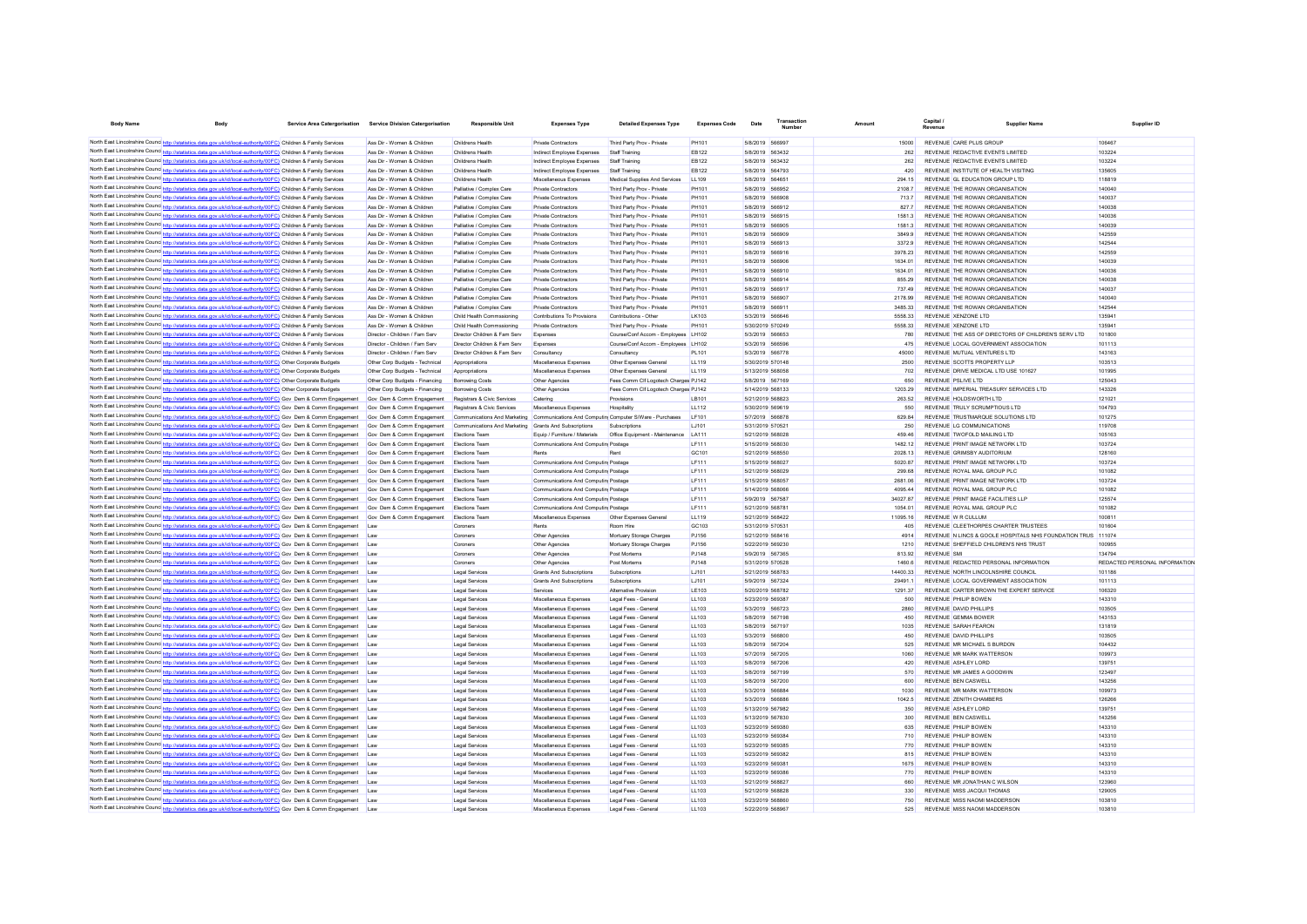| <b>Body Name</b>                                                                                                                                                                                                                  |                                                                      | Service Area Catergorisation | <b>Service Division Catergorisation</b> | <b>Responsible Unit</b>                                                              | <b>Expenses Type</b>                             | <b>Detailed Expenses Type</b>                | <b>Expenses Code</b> | Date                                 | Transaction |                | Capital.<br>Revenue                                  | <b>Supplier Nam</b>                                          | Supplier ID                   |
|-----------------------------------------------------------------------------------------------------------------------------------------------------------------------------------------------------------------------------------|----------------------------------------------------------------------|------------------------------|-----------------------------------------|--------------------------------------------------------------------------------------|--------------------------------------------------|----------------------------------------------|----------------------|--------------------------------------|-------------|----------------|------------------------------------------------------|--------------------------------------------------------------|-------------------------------|
| North East Lincolnshire Counc http://statistics.data.gov.uk/id/local-authority/00FC) Children & Family Services                                                                                                                   |                                                                      |                              | Ass Dir - Women & Children              | Childrens Health                                                                     | Private Contractors                              | Third Party Prov - Private                   | PH101                | 5/8/2019 566997                      |             | 15000          | REVENUE CARE PLUS GROUP                              |                                                              | 106467                        |
| North East Lincolnshire Counc http://statistics.data.gov.uk/id/local-authority/00FC) Children & Family Services                                                                                                                   |                                                                      |                              | Ass Dir - Women & Children              | Childrens Health                                                                     | Indirect Employee Expenses                       | Staff Training                               | EB122                | 5/8/2019 563432                      |             | 262            | REVENUE REDACTIVE EVENTS LIMITED                     |                                                              | 103224                        |
| North East Lincolnshire Counce http://statistics.data.gov.uk/id/local-authority/00FC) Children & Family Services                                                                                                                  |                                                                      |                              | Ass Dir - Women & Children              | Childrens Health                                                                     | Indirect Employee Expenses                       | Staff Training                               | EB122                | 5/8/2019 563432                      |             | 262            | REVENUE REDACTIVE EVENTS LIMITED                     |                                                              | 103224                        |
| North East Lincolnshire Counc http://statistics.data.gov.uk/id/local-authority/00FC) Children & Family Services                                                                                                                   |                                                                      |                              | Ass Dir - Women & Children              | Childrens Health                                                                     | Indirect Employee Expenses                       | Staff Training                               | EB122                | 5/8/2019 564793                      |             | 420            | REVENUE INSTITUTE OF HEALTH VISITING                 |                                                              | 135605                        |
| North East Lincolnshire Counc http://statistics.data.gov.uk/id/local-authority/00FC) Children & Family Services                                                                                                                   |                                                                      |                              | Ass Dir - Women & Children              | Childrens Health                                                                     | Miscellaneous Expenses                           | Medical Supplies And Services                | LL109                | 5/8/2019 564651                      |             | 294 15         | REVENUE GL EDUCATION GROUP LTD                       |                                                              | 118819                        |
| North East Lincolnshire Counc http://statistics.data.gov.uk/id/local-authority/00FC) Children & Family Services                                                                                                                   |                                                                      |                              | Ass Dir - Women & Children              | Palliative / Complex Care                                                            | Private Contractors                              | Third Party Prov - Private                   | PH101                | 5/8/2019 566952                      |             | 21087          | REVENUE THE ROWAN ORGANISATION                       |                                                              | 140040                        |
| North East Lincolnshire Counc http://statistics.data.gov.uk/id/local-authority/00FC) Children & Family Services                                                                                                                   |                                                                      |                              | Ass Dir - Women & Children              | Palliative / Complex Care                                                            | <b>Private Contractors</b>                       | Third Party Prov - Private                   | PH101                | 5/8/2019 566908                      |             | 713.7          | REVENUE THE ROWAN ORGANISATION                       |                                                              | 140037                        |
| North East Lincolnshire Counc http://statistics.data.gov.uk/id/local-authority/00FC) Children & Family Services                                                                                                                   |                                                                      |                              | Ass Dir - Women & Children              | Palliative / Complex Care                                                            | Private Contractors                              | Third Party Prov - Private                   | PH101                | 5/8/2019 566912                      |             | 8277           | REVENUE THE ROWAN ORGANISATION                       |                                                              | 140038                        |
| North East Lincolnshire Counc http://statistics.data.gov.uk/id/local-authority/00FC) Children & Family Services                                                                                                                   |                                                                      |                              | Ass Dir - Women & Children              | Palliative / Complex Care                                                            | Private Contractors                              | Third Party Prov - Private                   | PH101                | 5/8/2019 566915                      |             | 15813          | REVENUE THE ROWAN ORGANISATION                       |                                                              | 140036                        |
| North East Lincolnshire Counc http://statistics.data.gov.uk/id/local-authority/00FC) Children & Family Services                                                                                                                   |                                                                      |                              | Ass Dir - Women & Children              | Palliative / Complex Care                                                            | Private Contractors                              | Third Party Prov - Private                   | PH101                | 5/8/2019 566905                      |             | 15813          | REVENUE THE ROWAN ORGANISATION                       |                                                              | 140039                        |
| North East Lincolnshire Counc http://statistics.data.gov.uk/id/local-authority/00FC) Children & Family Services                                                                                                                   |                                                                      |                              | Ass Dir - Women & Children              | Palliative / Complex Care                                                            | Private Contractors                              | Third Party Prov - Private                   | PH101                | 5/8/2019 566909                      |             | 3849.9         | REVENUE THE ROWAN ORGANISATION                       |                                                              | 142559                        |
| North East Lincolnshire Counc http://statistics.data.gov.uk/id/local-authority/00FC) Children & Family Services                                                                                                                   |                                                                      |                              | Ass Dir - Women & Children              | Palliative / Complex Care                                                            | Private Contractors                              | Third Party Prov - Private                   | PH101                | 5/8/2019 566913                      |             | 3372.9         | REVENUE THE ROWAN ORGANISATION                       |                                                              | 142544                        |
| North East Lincolnshire Counc http://statistics.data.gov.uk/id/local-authority/00FC) Children & Family Services                                                                                                                   |                                                                      |                              | Ass Dir - Women & Children              | Palliative / Complex Care                                                            | <b>Private Contractors</b>                       | Third Party Prov - Private                   | PH101                | 5/8/2019 566916                      |             | 3978.23        | REVENUE THE ROWAN ORGANISATION                       |                                                              | 142559                        |
| North East Lincolnshire Counc http://et                                                                                                                                                                                           | tics.data.gov.uk/id/local-authority/00FC) Children & Family Services |                              | Ass Dir - Women & Children              | Palliative / Complex Care                                                            | <b>Private Contractors</b>                       | Third Party Prov - Private                   | PH101                | 5/8/2019 566906                      |             | 1634.01        | REVENUE THE ROWAN ORGANISATION                       |                                                              | 140039                        |
| North East Lincolnshire Counc http://statistics.data.gov.uk/id/local-authority/00FC) Children & Family Services                                                                                                                   |                                                                      |                              | Ass Dir - Women & Children              | Palliative / Complex Care                                                            | Private Contracton                               | Third Party Prov - Private                   | PH101                | 5/8/2019 566910                      |             | 1634.01        | REVENUE THE ROWAN ORGANISATION                       |                                                              | 140036                        |
| North East Lincolnshire Counc http://statistics.data.gov.uk/id/local-authority/00FC) Children & Family Services                                                                                                                   |                                                                      |                              | Ass Dir - Women & Children              | Palliative / Complex Care                                                            | Private Contracton                               | Third Party Prov - Private                   | PH101                | 5/8/2019 566914                      |             | 855.29         | REVENUE THE ROWAN ORGANISATION                       |                                                              | 140038                        |
| North East Lincolnshire Counc http://statistics.data.gov.uk/id/local-authority/00FC) Children & Family Services                                                                                                                   |                                                                      |                              | Ass Dir - Women & Children              | Palliative / Complex Care                                                            | Private Contractors                              | Third Party Prov - Private                   | PH101                | 5/8/2019 566917                      |             | 737.49         | REVENUE THE ROWAN ORGANISATION                       |                                                              | 140037                        |
| North East Lincolnshire Counc http://statistics.data.gov.uk/id/local-authority/00FC) Children & Family Services                                                                                                                   |                                                                      |                              | Ass Dir - Women & Children              | Palliative / Complex Care                                                            | Private Contracton                               | Third Party Prov - Private                   | PH101                | 5/8/2019 566907                      |             | 2178.99        | REVENUE THE ROWAN ORGANISATION                       |                                                              | 140040                        |
| North East Lincolnshire Counc http://statistics.data.gov.uk/id/local-authority/00FC) Children & Family Services                                                                                                                   |                                                                      |                              | Ass Dir - Women & Children              | Palliative / Complex Care                                                            | Private Contracton                               | Third Party Prov - Private                   | PH101                | 5/8/2019 56691                       |             | 3485.33        | REVENUE THE ROWAN ORGANISATION                       |                                                              | 142544                        |
| North East Lincolnshire Counce http://statistics.data.gov.uk/id/local-authority/00FC) Children & Family Services                                                                                                                  |                                                                      |                              | Ass Dir - Women & Children              | Child Health Commssioning                                                            | Contributions To Provisions                      | Contributions - Othe                         | LK103                | 5/3/2019 566646                      |             | 5558 33        | REVENUE XENZONE LTD                                  |                                                              | 13594                         |
| North East Lincolnshire Counc http://statistics.data.gov.uk/id/local-authority/00FC) Children & Family Services                                                                                                                   |                                                                      |                              | Ass Dir - Women & Children              | Child Health Commssioning                                                            | Private Contractor                               | Third Party Prov - Private                   | <b>PH101</b>         | 5/30/2019 570249                     |             | 5558.33        | REVENUE XENZONE LTD                                  |                                                              | 135041                        |
| North East Lincolnshire Counc http://statistics.data.gov.uk/id/local-authority/00FC) Children & Family Services                                                                                                                   |                                                                      |                              | Director - Children / Fam Serv          | Director Children & Fam Serv                                                         | Expenses                                         | Course/Conf Accom - Employees LH102          |                      | 5/3/2019 566653                      |             | 780            |                                                      | REVENUE THE ASS OF DIRECTORS OF CHILDREN'S SERV LTD          | 101800                        |
| North East Lincolnshire Counc http://statistics.data.gov.uk/id/local-authority/00FC) Children & Family Services                                                                                                                   |                                                                      |                              | Director - Children / Fam Serv          | Director Children & Fam Serv                                                         | Expenses                                         | Course/Conf Accom - Employees LH102          |                      | 5/3/2019 566596                      |             | 475            | REVENUE LOCAL GOVERNMENT ASSOCIATION                 |                                                              | 101113                        |
| North East Lincolnshire Counce http://statistics.data.gov.uk/id/local-authority/00FC) Children & Family Services                                                                                                                  |                                                                      |                              | Director - Children / Fam Serv          | Director Children & Fam Serv                                                         | Consultancy                                      | Consultancy                                  | PI 101               | 5/3/2019 566778                      |             | 45000          | REVENUE MUTUAL VENTURES LTD                          |                                                              | 143163                        |
| North East Lincolnshire Counc http://statistics.data.gov.uk/id/local-authority/00FC) Other Corporate Budgets                                                                                                                      |                                                                      |                              | Other Corp Budgets - Technical          | Annropriations                                                                       | Miscellaneous Expenses                           | Other Expenses General                       | <b>LL119</b>         | 5/30/2019 570148                     |             | 2500           | REVENUE SCOTTS PROPERTY LLP                          |                                                              | 103513                        |
| North East Lincolnshire Councert http://statistics.data.gov.uk/id/local-authority/00FC) Other Corporate Budgets                                                                                                                   |                                                                      |                              | Other Corp Budgets - Technical          | Annropriations                                                                       | Miscellaneous Expenses                           | Other Expenses General                       | LL119                | 5/13/2019 568058                     |             | 702            | REVENUE DRIVE MEDICAL LTD USE 101627                 |                                                              | 101995                        |
| North East Lincolnshire Counc http://statistics.data.gov.uk/id/local-authority/00FC) Other Corporate Budgets                                                                                                                      |                                                                      |                              | Other Corp Budgets - Financing          | <b>Borrowing Costs</b>                                                               | Other Agencies                                   | Fees Comm Cif Logotech Charges PJ142         |                      | 5/8/2019 567169                      |             | 650            | REVENUE PSLIVE LTD                                   |                                                              | 125043                        |
| North East Lincolnshire Counc http://statistics.data.gov.uk/id/local-authority/00FC) Other Corporate Budgets                                                                                                                      |                                                                      |                              | Other Corp Budgets - Financing          | <b>Borrowing Costs</b>                                                               | Other Agencies                                   | Fees Comm Cif Logotech Charges PJ142         |                      | 5/14/2019 568133                     |             | 1203.29        | REVENUE IMPERIAL TREASURY SERVICES LTD               |                                                              | 143326                        |
| North East Lincolnshire Counc http://statistics.data.gov.uk/id/local-authority/00FC) Gov Dem & Comm Engagement                                                                                                                    |                                                                      |                              | Gov Dem & Comm Engagement               | Registrars & Civic Services                                                          | Catering                                         | Provisions                                   | <b>LB101</b>         | 5/21/2019 568823                     |             | 263.52         | REVENUE HOLDSWORTH LTD                               |                                                              | 121021                        |
| North East Lincolnshire Counce http://statistics.data.gov.uk/id/local-authority/00FC) Gov Dem & Comm Engagement                                                                                                                   |                                                                      |                              | Gov Dem & Comm Engagement               | Registrars & Civic Services                                                          | Miscellaneous Expenses                           | Hospitality                                  | LL112                | 5/30/2019 569619                     |             | 550            | REVENUE TRULY SCRUMPTIOUS LTD                        |                                                              | 104793                        |
| North East Lincolnshire Counc http://statistics.data.gov.uk/id/local-authority/00FC) Gov Dem & Comm Engagement                                                                                                                    |                                                                      |                              | Gov Dem & Comm Engagement               | Communications And Marketing Communications And Computin Computer S/Ware - Purchases |                                                  |                                              | LF101                | 5/7/2019 566878                      |             | 629.84         | REVENUE TRUSTMARQUE SOLUTIONS LTD                    |                                                              | 101275                        |
| North East Lincolnshire Counc http://statistics.data.gov.uk/id/local-authority/00FC) Gov Dem & Comm Engagement                                                                                                                    |                                                                      |                              | Gov Dem & Comm Engagement               | Communications And Marketing Grants And Subscriptions                                |                                                  | Subscriptions                                | LJ101                | 5/31/2019 570521                     |             | 250            | <b>REVENUE LG COMMUNICATIONS</b>                     |                                                              | 119708                        |
| North East Lincolnshire Counce http://statistics.data.gov.uk/id/local-authority/00FC) Gov Dem & Comm Engagement                                                                                                                   |                                                                      |                              | Gov Dem & Comm Engagement               | Elections Team                                                                       | Equip / Furniture / Materials                    | Office Equipment - Maintenance LA111         |                      | 5/21/2019 568028                     |             | 459.46         | REVENUE TWOFOLD MAILING LTD                          |                                                              | 105163                        |
| North East Lincolnshire Counc http://statistics.data.gov.uk/id/local-authority/00FC) Gov Dem & Comm Engagement                                                                                                                    |                                                                      |                              | Gov Dem & Comm Engagement               | <b>Elections Team</b>                                                                | Communications And Computin Postage              |                                              | LF111                | 5/15/2019 568030                     |             | 1482.12        | REVENUE PRINT IMAGE NETWORK LTD                      |                                                              | 103724                        |
| North East Lincolnshire Counc http://statistics.data.gov.uk/id/local-authority/00FC) Gov Dem & Comm Engagement                                                                                                                    |                                                                      |                              | Gov Dem & Comm Engagement               | <b>Elections Team</b>                                                                | Rents                                            | Ren                                          | GC101                | 5/21/2019 568550                     |             | 2028.13        | REVENUE GRIMSBY AUDITORIUM                           |                                                              | 128160                        |
| North East Lincolnshire Counc http://statistics.data.gov.uk/id/local-authority/00FC) Gov Dem & Comm Engagement                                                                                                                    |                                                                      |                              | Gov Dem & Comm Engagement               | Elections Team                                                                       | Communications And Computin Postage              |                                              | LF111                | 5/15/2019 568027                     |             | 5020.87        | REVENUE PRINT IMAGE NETWORK LTD                      |                                                              | 103724                        |
| North East Lincolnshire Counc http://statistics.data.gov.uk/id/local-authority/00FC) Gov Dem & Comm Engagement                                                                                                                    |                                                                      |                              | Gov Dem & Comm Engagement               | <b>Flections Team</b>                                                                | Communications And Computin Postage              |                                              | IF111                | 5/21/2019 568029                     |             | 299.68         | REVENUE ROYAL MAIL GROUP PLC.                        |                                                              | 101082                        |
| North East Lincolnshire Counc http://statistics.data.gov.uk/id/local-authority/00FC) Gov Dem & Comm Engagement                                                                                                                    |                                                                      |                              | Gov Dem & Comm Engagement               | <b>Flections Team</b>                                                                | Communications And Computin Postage              |                                              | IF111                | 5/15/2019 568057                     |             | 2681.06        | REVENUE PRINT IMAGE NETWORK I TD                     |                                                              | 103724                        |
| North East Lincolnshire Counc http://statistics.data.gov.uk/id/local-authority/00FC) Gov Dem & Comm Engagement                                                                                                                    |                                                                      |                              | Gov Dem & Comm Engagement               | <b>Flections Team</b>                                                                | Communications And Computin Postage              |                                              | IF111                | 5/14/2019 568066                     |             | 409544         | REVENUE ROYAL MAIL GROUP PLC.                        |                                                              | 101082                        |
| North East Lincolnshire Counc <sup>http://statistics.data.gov.uk/id/local-authority/00FC) Gov Dem &amp; Comm Engagement</sup>                                                                                                     |                                                                      |                              | Gov Dem & Comm Engagement               | <b>Flections Team</b>                                                                | Communications And Computin Postage              |                                              | IF111                | 5/9/2019 567587                      |             | 3402787        | REVENUE PRINT IMAGE FACILITIES I LP                  |                                                              | 125574                        |
| North East Lincolnshire Counc <sup>http://statistics.data.gov.uk/id/local-authority/00FC) Gov Dem &amp; Comm Engagement</sup>                                                                                                     |                                                                      |                              | Gov Dem & Comm Engagement               | <b>Flections Team</b>                                                                | Communications And Computin Postage              |                                              | IF111                | 5/21/2019 568781                     |             | 1054.01        | REVENUE ROYAL MAIL GROUP PLC.                        |                                                              | 101082                        |
| North East Lincolnshire Counc http://statistics.data.gov.uk/id/local-authority/00FC) Gov Dem & Comm Engagement                                                                                                                    |                                                                      |                              | Gov Dem & Comm Engagement               | <b>Flections Team</b>                                                                | Miscellaneous Expenses                           | Other Expenses General                       | 11119                | 5/21/2019 568422                     |             | 11095 16       | REVENUE W R CULLUM                                   |                                                              | 10081                         |
| North East Lincolnshire Counc http://statistics.data.gov.uk/id/local-authority/00FC) Gov Dem & Comm Engagement                                                                                                                    |                                                                      |                              |                                         | Coroners                                                                             | Rents                                            | Room Hire                                    | GC103                | 5/31/2019 570531                     |             | 405            | REVENUE CLEETHORPES CHARTER TRUSTEES                 |                                                              | 101604                        |
| North East Lincolnshire Counc http://statistics.data.gov.uk/id/local-authority/00FC) Gov Dem & Comm Engagement                                                                                                                    |                                                                      |                              | <b>Law</b>                              | Coroners                                                                             | Other Agencies                                   | Mortuary Storage Charges                     | PJ156                | 5/21/2019 568416                     |             | 4914           |                                                      | REVENUE N LINCS & GOOLE HOSPITALS NHS FOUNDATION TRUS 111074 |                               |
| North East Lincolnshire Counc http://statistics.data.gov.uk/id/local-authority/00FC) Gov Dem & Comm Engagement                                                                                                                    |                                                                      |                              | Law                                     | Coroners                                                                             | Other Agencies                                   | Mortuary Storage Charges                     | PJ156                | 5/22/2019 569230                     |             | 1210           | REVENUE SHEFFIELD CHILDREN'S NHS TRUST               |                                                              | 100955                        |
| North East Lincolnshire Counc http://statistics.data.gov.uk/id/local-authority/00FC) Gov Dem & Comm Engagement                                                                                                                    |                                                                      |                              |                                         | Coroners                                                                             | Other Agencies                                   | Post Mortems                                 | PJ148                | 5/9/2019 567365                      |             | 813.92         | <b>REVENUE SM</b>                                    |                                                              | 134794                        |
| North East Lincolnshire Counc http://statistics.data.gov.uk/id/local-authority/00FC) Gov Dem & Comm Engagement                                                                                                                    |                                                                      |                              | Law                                     | Coroners                                                                             | Other Agencies                                   | Post Mortems                                 | PJ148                | 5/31/2019 570528                     |             | 1460.6         | REVENUE REDACTED PERSONAL INFORMATION                |                                                              | REDACTED PERSONAL INFORMATION |
| North East Lincolnshire Counc http://statistics.data.gov.uk/id/local-authority/00FC) Gov Dem & Comm Engagement                                                                                                                    |                                                                      |                              |                                         | Legal Services                                                                       | Grants And Subscriptions                         | Subscriptions                                | LJ101                | 5/21/2019 568783                     |             | 14400.33       | REVENUE NORTH LINCOLNSHIRE COUNCIL                   |                                                              | 101186                        |
| North East Lincolnshire Councintental                                                                                                                                                                                             | stics.data.gov.uk/id/local-authority/00FC) Gov Dem & Comm Engagement |                              | Law                                     | Legal Services                                                                       | Grants And Subscriptions                         | Subscriptions                                | LJ101                | 5/9/2019 567324                      |             | 29491.         | REVENUE LOCAL GOVERNMENT ASSOCIATION                 |                                                              | 101113                        |
| North East Lincolnshire Counc http://statistics.data.gov.uk/id/local-authority/00FC) Gov Dem & Comm Engagement                                                                                                                    |                                                                      |                              |                                         | Legal Service                                                                        | Services                                         | Alternative Provision                        | <b>LE103</b>         | 5/20/2019 568782                     |             | 1291.37        | REVENUE CARTER BROWN THE EXPERT SERVICE              |                                                              | 106320                        |
| North East Lincolnshire Counc http://statistics.data.gov.uk/id/local-authority/00FC) Gov Dem & Comm Engagement                                                                                                                    |                                                                      |                              |                                         | Legal Service                                                                        | Miscellaneous Expenses                           | Legal Fees - General                         | LL103                | 5/23/2019 569387                     |             | 500            | REVENUE PHILIP BOWEN                                 |                                                              | 143310                        |
| North East Lincolnshire Counc http://statistics.data.gov.uk/id/local-authority/00FC) Gov Dem & Comm Engagement                                                                                                                    |                                                                      |                              |                                         | <b>Legal Service</b>                                                                 | Miscellaneous Expenses                           | Legal Fees - General                         | LL103                | 5/3/2019 566723                      |             | 2860           | REVENUE DAVID PHILLIPS                               |                                                              | 103505                        |
| North East Lincolnshire Counc http://statistics.data.gov.uk/id/local-authority/00FC) Gov Dem & Comm Engagement                                                                                                                    |                                                                      |                              |                                         | <b>Legal Services</b>                                                                | Miscellaneous Expenses                           | Legal Fees - General                         | LL103                | 5/8/2019 567198                      |             | 450            | REVENUE GEMMA BOWER                                  |                                                              | 143153                        |
| North East Lincolnshire Counc http://statistics.data.gov.uk/id/local-authority/00FC) Gov Dem & Comm Engagement                                                                                                                    |                                                                      |                              |                                         | <b>Legal Services</b>                                                                | Miscellaneous Expenses                           | Legal Fees - General                         | LL103                | 5/8/2019 567197                      |             | 1035           | REVENUE SARAH FEARON                                 |                                                              | 131819                        |
| North East Lincolnshire Counc <sup>1</sup> http://statistics.data.gov.uk/jd/local-authority/00FC1 Gov Dem & Comm Engagement                                                                                                       |                                                                      |                              |                                         | <b>Legal Service</b>                                                                 | Miscellaneous Expenses                           | Legal Fees - General                         | LL103                | 5/3/2019 566800                      |             | 450            | REVENUE DAVID PHILLIPS                               |                                                              | 103505                        |
| North East Lincolnshire Counc http://statistics.data.gov.uk/id/local-authority/00FC) Gov Dem & Comm Engagement                                                                                                                    |                                                                      |                              | I aw                                    | Legal Services                                                                       | Miscellaneous Expenses                           | Legal Fees - General                         | 11103                | 5/8/2019 567204                      |             | 525            | REVENUE MR MICHAEL S BURDON                          |                                                              | 104432                        |
| North East Lincolnshire Counc http://statistics.data.gov.uk/id/local-authority/00FC) Gov Dem & Comm Engagement                                                                                                                    |                                                                      |                              | I aw                                    | Legal Services                                                                       | Miscellaneous Expenses                           | Legal Fees - General                         | 11103                | 5/7/2019 567205                      |             | 1060           | REVENUE MR MARK WATTERSON                            |                                                              | 109973                        |
| North East Lincolnshire Counce http://statistics.data.gov.uk/id/local-authority/00FC) Gov Dem & Comm Engagement                                                                                                                   |                                                                      |                              | I aw                                    | Legal Services                                                                       | Miscellaneous Expenses                           | Legal Fees - General                         | 11103                | 5/8/2019 567206                      |             | 420            | REVENUE ASHLEY LORD                                  |                                                              | 139751                        |
| North East Lincolnshire Counc http://statistics.data.gov.uk/id/local-authority/00FC) Gov Dem & Comm Engagement                                                                                                                    |                                                                      |                              | I aw                                    | Legal Services                                                                       | Miscellaneous Expenses                           | Legal Fees - General                         | LL103                | 5/8/2019 567199                      |             | 570            | REVENUE MR JAMES A GOODWIN                           |                                                              | 123497                        |
| North East Lincolnshire Counc http://statistics.data.gov.uk/id/local-authority/00FC) Gov Dem & Comm Engagement                                                                                                                    |                                                                      |                              | I aw                                    | Legal Services                                                                       | Miscellaneous Expenses                           | Legal Fees - General                         | LL103                | 5/8/2019 567200                      |             | 600            | REVENUE BEN CASWELL                                  |                                                              | 143256                        |
| North East Lincolnshire Counc http://statistics.data.gov.uk/id/local-authority/00FC) Gov Dem & Comm Engagement                                                                                                                    |                                                                      |                              | I aw                                    | Legal Services                                                                       | Miscellaneous Expenses                           | Legal Fees - General                         | LL103                | 5/3/2019 566884                      |             | 1030<br>1042.5 | REVENUE MR MARK WATTERSON<br>REVENUE ZENITH CHAMBERS |                                                              | 109973                        |
| North East Lincolnshire Counc http://statistics.data.gov.uk/id/local-authority/00FC) Gov Dem & Comm Engagement                                                                                                                    |                                                                      |                              |                                         | Legal Services                                                                       | Miscellaneous Expenses                           | Legal Fees - Genera                          | LL103                | 5/3/2019 566886                      |             | 350            |                                                      |                                                              | 126266                        |
| North East Lincolnshire Counce http://statistics.data.gov.uk/id/local-authority/00FC) Gov Dem & Comm Engagement<br>North East Lincolnshire Counc http://statistics.data.gov.uk/id/local-authority/00FC) Gov Dem & Comm Engagement |                                                                      |                              |                                         | Legal Services<br>Legal Services                                                     | Miscellaneous Expenses<br>Miscellaneous Expenses | Legal Fees - Genera<br>Legal Fees - Genera   | LL103<br>LL103       | 5/13/2019 567982<br>5/13/2019 567830 |             | 300            | REVENUE ASHLEY LORD<br>REVENUE BEN CASWEL            |                                                              | 13975<br>143256               |
|                                                                                                                                                                                                                                   |                                                                      |                              | Law<br>Law                              |                                                                                      |                                                  |                                              |                      | 5/23/2019 569380                     |             | 635            | <b>REVENUE PHILIP BOWEN</b>                          |                                                              | 143310                        |
| North East Lincolnshire Counc http://statistics.data.gov.uk/id/local-authority/00FC) Gov Dem & Comm Engagement                                                                                                                    |                                                                      |                              | Law                                     | <b>Legal Services</b>                                                                | Miscellaneous Expenses                           | Legal Fees - General                         | LL103                | 5/23/2019 569384                     |             | 710            | <b>REVENUE PHILIP BOWEN</b>                          |                                                              | 143310                        |
| North East Lincolnshire Counc http://statistics.data.gov.uk/id/local-authority/00FC) Gov Dem & Comm Engagement<br>North East Lincolnshire Counc http://statistics.data.gov.uk/id/local-authority/00FC) Gov Dem & Comm Engagement  |                                                                      |                              | Law                                     | <b>Legal Services</b>                                                                | Miscellaneous Expenses                           | Legal Fees - General                         | LL103                | 5/23/2019 569385                     |             | 770            | <b>REVENUE PHILIP BOWEN</b>                          |                                                              | 143310                        |
| North East Lincolnshire Counc http://statistics.data.gov.uk/id/local-authority/00FC) Gov Dem & Comm Engagement                                                                                                                    |                                                                      |                              | Law                                     | <b>Legal Service</b>                                                                 | Miscellaneous Expenses                           | Legal Fees - General                         | LL103                | 5/23/2019 569382                     |             | 815            | <b>REVENUE PHILIP BOWEN</b>                          |                                                              | 143310                        |
| North East Lincolnshire Counc http://statistics.data.gov.uk/id/local-authority/00FC) Gov Dem & Comm Engagement                                                                                                                    |                                                                      |                              | Law                                     | <b>Legal Services</b><br><b>Legal Services</b>                                       | Miscellaneous Expenses<br>Miscellaneous Expenses | Legal Fees - General<br>Legal Fees - General | LL103<br>LL103       | 5/23/2019 569381                     |             | 1675           | REVENUE PHILIP BOWEN                                 |                                                              | 143310                        |
| North East Lincolnshire Counc <sup>http://statistics.data.gov.uk/id/local-authority/00FC) Gov Dem &amp; Comm Engagement</sup>                                                                                                     |                                                                      |                              | Law                                     | <b>Legal Services</b>                                                                | Miscellaneous Expenses                           | Legal Fees - General                         | LL103                | 5/23/2019 569386                     |             | 770            | REVENUE PHILIP BOWEN                                 |                                                              | 143310                        |
| North East Lincolnshire Counc http://statistics.data.gov.uk/id/local-authority/00FC) Gov Dem & Comm Engagement                                                                                                                    |                                                                      |                              | Law                                     | <b>Legal Services</b>                                                                | Miscellaneous Expenses                           | Legal Fees - General                         | LL103                | 5/21/2019 568827                     |             | 660            | REVENUE MR JONATHAN C WILSON                         |                                                              | 123960                        |
| North East Lincolnshire Counc http://statistics.data.gov.uk/id/local-authority/00FC) Gov Dem & Comm Engagement                                                                                                                    |                                                                      |                              | Law                                     | <b>Legal Services</b>                                                                | Miscellaneous Expenses                           | Legal Fees - General                         | LL103                | 5/21/2019 568828                     |             | 330            | REVENUE MISS JACQUI THOMAS                           |                                                              | 129005                        |
| North East Lincolnshire Counc <sup>http://statistics.data.gov.uk/id/local-authority/00FC) Gov Dem &amp; Comm Engagement</sup>                                                                                                     |                                                                      |                              | Law                                     | <b>Legal Services</b>                                                                | Miscellaneous Expenses                           | Legal Fees - General                         | LL103                | 5/23/2019 568860                     |             | 750            | REVENUE MISS NAOMI MADDERSON                         |                                                              | 103810                        |
| North East Lincolnshire Counc http://sta                                                                                                                                                                                          | stics.data.gov.uk/id/local-authority/00FC) Gov Dem & Comm Engagement |                              |                                         | <b>Legal Services</b>                                                                | Miscellaneous Expenses                           | Legal Fees - General                         | LL103                | 5/22/2019 568967                     |             | 525            | REVENUE MISS NAOMI MADDERSON                         |                                                              | 103810                        |
|                                                                                                                                                                                                                                   |                                                                      |                              |                                         |                                                                                      |                                                  |                                              |                      |                                      |             |                |                                                      |                                                              |                               |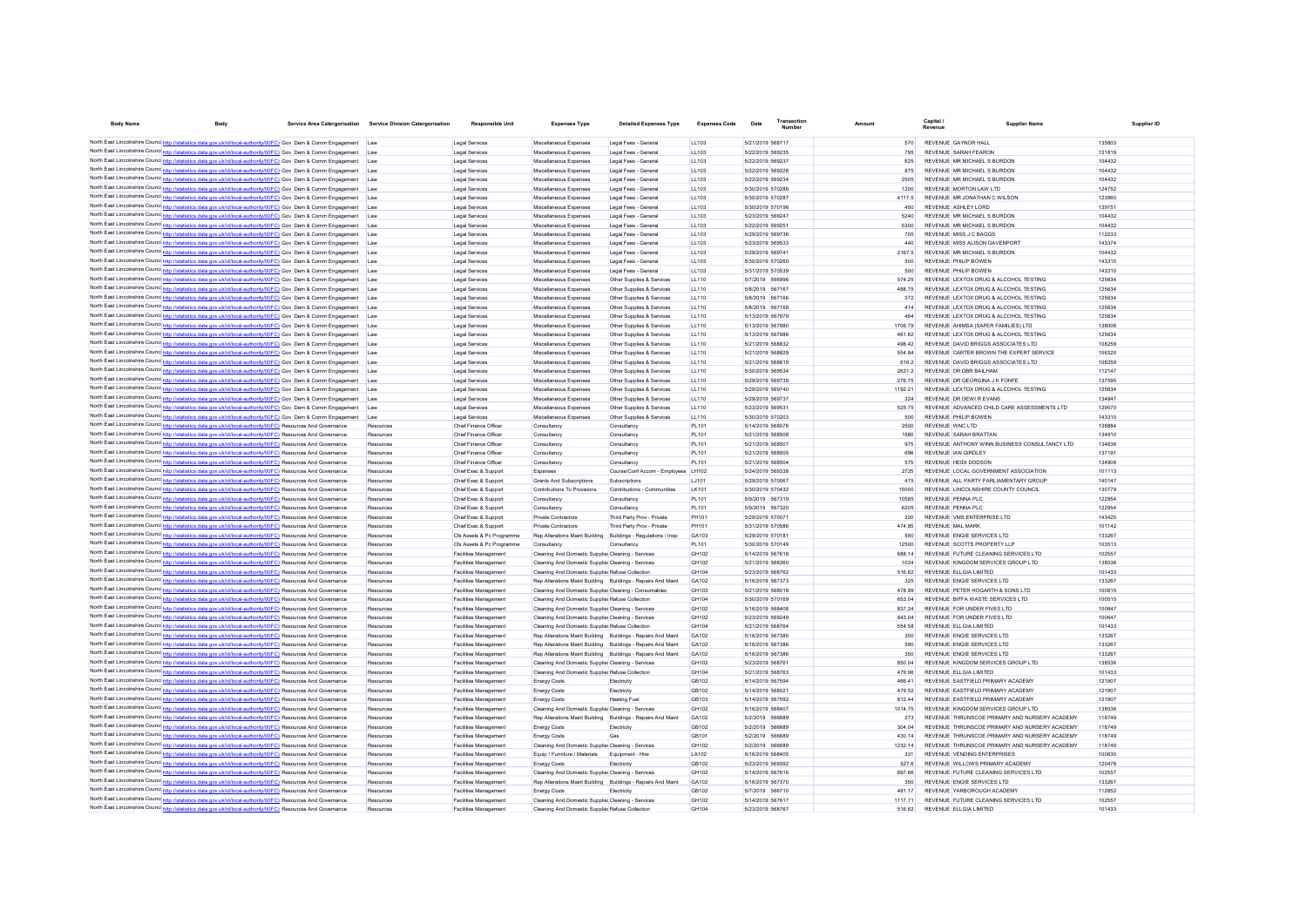| <b>Body Name</b>                         | <b>Body</b>                                                                                                                                                                                                                           | Service Area Catergorisation Service Division Catergorisation | <b>Responsible Unit</b>                                      | <b>Expenses Type</b>                                                         | <b>Detailed Expenses Type</b>                          | <b>Expenses Code</b>  | Date                                 | <b>Fransactio</b><br><b>Number</b> | Amount         | Capital<br>Revenue                          | <b>Supplier Name</b>                                                         | Supplier ID      |
|------------------------------------------|---------------------------------------------------------------------------------------------------------------------------------------------------------------------------------------------------------------------------------------|---------------------------------------------------------------|--------------------------------------------------------------|------------------------------------------------------------------------------|--------------------------------------------------------|-----------------------|--------------------------------------|------------------------------------|----------------|---------------------------------------------|------------------------------------------------------------------------------|------------------|
|                                          |                                                                                                                                                                                                                                       |                                                               |                                                              |                                                                              |                                                        |                       |                                      |                                    |                |                                             |                                                                              |                  |
|                                          | North East Lincolnshire Counc http://statistics.data.gov.uk/id/local-authority/00FC) Gov Dem & Comm Engagement Law<br>North East Lincolnshire Counce http://statistics.data.gov.uk/id/local-authority/00FC) Gov Dem & Comm Engagement | <b>Law</b>                                                    | Legal Services<br>Legal Services                             | Miscellaneous Expenses<br>Miscellaneous Exnenses                             | Legal Fees - General<br>Legal Fees - General           | 11103<br>11103        | 5/21/2019 568717<br>5/22/2019 569235 |                                    | 570<br>795     | REVENUE GAYNOR HALL<br>REVENUE SARAH FEARON |                                                                              | 135803<br>131819 |
|                                          | North East Lincolnshire Counc http://statistics.data.gov.uk/id/local-authority/00FC) Gov Dem & Comm Engagement                                                                                                                        | <b>Law</b>                                                    | Legal Services                                               | Miscellaneous Expenses                                                       | Legal Fees - General                                   | 11103                 | 5/22/2019 569237                     |                                    | 625            |                                             | REVENUE MR MICHAEL S BURDON                                                  | 104432           |
|                                          | North East Lincolnshire Counc http://statistics.data.gov.uk/id/local-authority/00FC) Gov Dem & Comm Engagement                                                                                                                        | <b>Law</b>                                                    | Legal Services                                               | Miscellaneous Expenses                                                       | Legal Fees - General                                   | 11103                 | 5/22/2019 569228                     |                                    | 875            |                                             | REVENUE MR MICHAEL S BURDON                                                  | 104432           |
|                                          | North East Lincolnshire Counc http://statistics.data.gov.uk/id/local-authority/00FC) Gov Dem & Comm Engagement                                                                                                                        | Law                                                           | Legal Services                                               | Miscellaneous Expenses                                                       | Legal Fees - General                                   | LL103                 | 5/22/2019 569234                     |                                    | 2505           |                                             | REVENUE MR MICHAEL S BURDON                                                  | 104432           |
|                                          | North East Lincolnshire Counc http://statistics.data.gov.uk/id/local-authority/00FC) Gov Dem & Comm Engagement                                                                                                                        | Law                                                           | Legal Services                                               | Miscellaneous Expenses                                                       | Legal Fees - General                                   | LL103                 | 5/30/2019 570286                     |                                    | 1200           | REVENUE MORTON LAW LTD                      |                                                                              | 124752           |
|                                          | North East Lincolnshire Counc http://statistics.data.gov.uk/id/local-authority/00FC) Gov Dem & Comm Engagement                                                                                                                        | Law                                                           | Legal Services                                               | Miscellaneous Expenses                                                       | Legal Fees - General                                   | LL103                 | 5/30/2019 570287                     |                                    | 4117.5         |                                             | REVENUE MR JONATHAN C WILSON                                                 | 123960           |
|                                          | North East Lincolnshire Counce http://statistics.data.gov.uk/id/local-authority/00FC) Gov Dem & Comm Engagement                                                                                                                       | Law                                                           | Legal Services                                               | Miscellaneous Expenses                                                       | Legal Fees - General                                   | LL103                 | 5/30/2019 570196                     |                                    | 450            | REVENUE ASHLEY LORD                         |                                                                              | 139751           |
|                                          | North East Lincolnshire Counc http://statistics.data.gov.uk/id/local-authority/00FC) Gov Dem & Comm Engagement                                                                                                                        | Law                                                           | Legal Services                                               | Miscellaneous Expenses                                                       | Legal Fees - General                                   | <b>LL103</b>          | 5/23/2019 569247                     |                                    | 5240           |                                             | REVENUE MR MICHAEL S BURDON                                                  | 104432           |
|                                          | North East Lincolnshire Counc http://statistics.data.gov.uk/id/local-authority/00FC) Gov Dem & Comm Engagement                                                                                                                        | Law                                                           | Legal Services                                               | Miscellaneous Expenses                                                       | Legal Fees - General                                   | LL103                 | 5/22/2019 569251                     |                                    | 5300           |                                             | REVENUE MR MICHAEL S BURDON                                                  | 104432           |
|                                          | North East Lincolnshire Counc http://statistics.data.gov.uk/id/local-authority/00FC) Gov Dem & Comm Engagement                                                                                                                        | Law                                                           | <b>Legal Services</b>                                        | Miscellaneous Expenses                                                       | Legal Fees - General                                   | <b>LL103</b>          | 5/29/2019 569736                     |                                    | 705            | REVENUE MISS J C BAGGS                      |                                                                              | 112233           |
|                                          | North East Lincolnshire Counc http://statistics.data.gov.uk/id/local-authority/00FC) Gov Dem & Comm Engagement                                                                                                                        |                                                               | Legal Services                                               | Miscellaneous Expenses                                                       | Legal Fees - General                                   | LL103                 | 5/23/2019 569533                     |                                    | 440            |                                             | REVENUE MISS ALISON DAVENPORT                                                | 143374           |
|                                          | North East Lincolnshire Counc http://statistics.data.gov.uk/id/local-authority/00FC) Gov Dem & Comm Engagement                                                                                                                        |                                                               | Legal Services                                               | Miscellaneous Expenses                                                       | Legal Fees - General                                   | LL103                 | 5/29/2019 569741                     |                                    | 2167.5         |                                             | REVENUE MR MICHAEL S BURDON                                                  | 104432           |
|                                          | North East Lincolnshire Counc http://statistics.data.gov.uk/id/local-authority/00FC) Gov Dem & Comm Engagement                                                                                                                        |                                                               | Legal Services                                               | Miscellaneous Expenses                                                       | Legal Fees - General                                   | LL103                 | 5/30/2019 570260                     |                                    | 500            | REVENUE PHILIP BOWEN                        |                                                                              | 143310           |
|                                          | North East Lincolnshire Counc http://statistics.data.gov.uk/id/local-authority/00FC) Gov Dem & Comm Engagement                                                                                                                        |                                                               | Legal Services                                               | Miscellaneous Expenses                                                       | Legal Fees - General                                   | LL103                 | 5/31/2019 570539                     |                                    | 500            | REVENUE PHILIP ROWEN                        |                                                                              | 143310           |
|                                          | North East Lincolnshire Counc http://statistics.data.gov.uk/id/local-authority/00FC) Gov Dem & Comm Engagement                                                                                                                        |                                                               | Legal Services                                               | Miscellaneous Expenses                                                       | Other Supplies & Services                              | LL110                 | 5/7/2019 566996                      |                                    | 574 25         |                                             | REVENUE LEXTOX DRUG & ALCOHOL TESTING                                        | 125634           |
|                                          | North East Lincolnshire Counce http://statistics.data.gov.uk/id/local-authority/00FC) Gov Dem & Comm Engagement                                                                                                                       |                                                               | <b>Legal Services</b>                                        | Miscellaneous Expenses                                                       | Other Supplies & Services                              | LL110                 | 5/8/2019 567167                      |                                    | 488.75         |                                             | REVENUE LEXTOX DRUG & ALCOHOL TESTING                                        | 125634           |
|                                          | North East Lincolnshire Counc http://statistics.data.gov.uk/id/local-authority/00FC) Gov Dem & Comm Engagement Law                                                                                                                    |                                                               | Legal Services                                               | Miscellaneous Expenses                                                       | Other Supplies & Services                              | 11110                 | 5/8/2019 567166                      |                                    | 372            |                                             | REVENUE LEXTOX DRUG & ALCOHOL TESTING                                        | 125634           |
|                                          | North East Lincolnshire Counc http://statistics.data.gov.uk/id/local-authority/00FC) Gov Dem & Comm Engagement<br>North East Lincolnshire Counc. http://statistics.data.gov.uk/id/local-authority/00FC) Gov Dem & Comm Engagement     | I aw                                                          | Legal Services                                               | Miscellaneous Expenses                                                       | Other Supplies & Services                              | LL110                 | 5/8/2019 567168                      |                                    | 414            |                                             | REVENUE LEXTOX DRUG & ALCOHOL TESTING                                        | 125634           |
|                                          | North East Lincolnshire Counc http://statistics.data.gov.uk/id/local-authority/00FC) Gov Dem & Comm Engagement                                                                                                                        | I aw                                                          | Legal Services<br>Legal Services                             | Miscellaneous Expenses<br>Miscellaneous Expenses                             | Other Supplies & Services<br>Other Supplies & Services | LL110<br>LL110        | 5/13/2019 567979<br>5/13/2019 567980 |                                    | 464<br>1706.79 |                                             | REVENUE LEXTOX DRUG & ALCOHOL TESTING<br>REVENUE AHIMSA (SAFER FAMILIES) LTD | 125634<br>138006 |
|                                          | North East Lincolnshire Counc http://statistics.data.gov.uk/id/local-authority/00FC) Gov Dem & Comm Engagement                                                                                                                        | Law                                                           | Legal Services                                               | Miscellaneous Expenses                                                       | Other Supplies & Services                              | LL110                 | 5/13/2019 567986                     |                                    | 461.62         |                                             | REVENUE LEXTOX DRUG & ALCOHOL TESTING                                        | 125634           |
|                                          | North East Lincolnshire Counc http://statistics.data.gov.uk/id/local-authority/00FC) Gov Dem & Comm Engagement                                                                                                                        | Law                                                           | Legal Services                                               | Miscellaneous Expenses                                                       | Other Supplies & Services                              | LL110                 | 5/21/2019 568832                     |                                    | 498.42         |                                             | REVENUE DAVID BRIGGS ASSOCIATES LTD                                          | 108259           |
|                                          | North East Lincolnshire Counc http://statistics.data.gov.uk/id/local-authority/00FC) Gov Dem & Comm Engagement                                                                                                                        | Law<br>Law                                                    | Legal Services                                               | Miscellaneous Expenses                                                       | Other Supplies & Services                              | LL110                 | 5/21/2019 568829                     |                                    | 554.84         |                                             | REVENUE CARTER BROWN THE EXPERT SERVICE                                      | 106320           |
|                                          | North East Lincolnshire Counc http://statistics.data.gov.uk/id/local-authority/00FC) Gov Dem & Comm Engagement                                                                                                                        | Law                                                           | Legal Services                                               | Miscellaneous Expenses                                                       | Other Supplies & Services                              | LL110                 | 5/21/2019 568819                     |                                    | 616.2          |                                             | REVENUE DAVID BRIGGS ASSOCIATES LTD                                          | 108259           |
|                                          | North East Lincolnshire Counc http://statistics.data.gov.uk/id/local-authority/00FC) Gov Dem & Comm Engagement                                                                                                                        | Law                                                           | Legal Services                                               | Miscellaneous Expenses                                                       | Other Supplies & Services                              | LL110                 | 5/30/2019 569534                     |                                    | 2631.2         | REVENUE DR DBR BAILHAM                      |                                                                              | 112147           |
|                                          | North East Lincolnshire Counc http://statistics.data.gov.uk/id/local-authority/00FC) Gov Dem & Comm Engagement                                                                                                                        |                                                               | Legal Services                                               | Miscellaneous Expenses                                                       | Other Supplies & Services                              | LL110                 | 5/29/2019 569739                     |                                    | 276.75         |                                             | REVENUE DR GEORGINA J K FONFE                                                | 137595           |
|                                          | North East Lincolnshire Counc http://statistics.data.gov.uk/id/local-authority/00FC) Gov Dem & Comm Engagement                                                                                                                        |                                                               | Legal Services                                               | Miscellaneous Expenses                                                       | Other Supplies & Services                              | LL110                 | 5/29/2019 569740                     |                                    | 1192.21        |                                             | REVENUE LEXTOX DRUG & ALCOHOL TESTING                                        | 125634           |
|                                          | North East Lincolnshire Counc http://statistics.data.gov.uk/id/local-authority/00FC) Gov Dem & Comm Engagement                                                                                                                        |                                                               | Legal Services                                               | Miscellaneous Expenses                                                       | Other Supplies & Services                              | LL110                 | 5/29/2019 569737                     |                                    | 324            | REVENUE DR DEWI R EVANS                     |                                                                              | 134847           |
|                                          | North East Lincolnshire Counc http://statistics.data.gov.uk/id/local-authority/00FC) Gov Dem & Comm Engagement                                                                                                                        | Law                                                           | Legal Services                                               | Miscellaneous Expenses                                                       | Other Supplies & Services                              | LL110                 | 5/23/2019 569531                     |                                    | 525.75         |                                             | REVENUE ADVANCED CHILD CARE ASSESSMENTS LTD                                  | 129570           |
|                                          | North East Lincolnshire Counc http://statistics.data.gov.uk/id/local-authority/00FC) Gov Dem & Comm Engagement                                                                                                                        | Law                                                           | Legal Services                                               | Miscellaneous Expenses                                                       | Other Supplies & Services                              | LL110                 | 5/30/2019 570203                     |                                    | 500            | REVENUE PHILIP ROWEN                        |                                                                              | 143310           |
|                                          | North East Lincolnshire Counc http://statistics.data.gov.uk/id/local-authority/00FC) Resources And Governance                                                                                                                         | Resources                                                     | Chief Finance Officer                                        | Consultancy                                                                  | Consultancy                                            | <b>PL101</b>          | 5/14/2019 568076                     |                                    | 2500           | REVENUE WNC LTD                             |                                                                              | 138884           |
|                                          | North East Lincolnshire Counc http://statistics.data.gov.uk/id/local-authority/00FC) Resources And Governance                                                                                                                         | Resources                                                     | Chief Finance Officer                                        | Consultancy                                                                  | Consultancy                                            | <b>PL101</b>          | 5/21/2019 568508                     |                                    | 1580           | REVENUE SARAH BRATTAN                       |                                                                              | 134910           |
|                                          | North East Lincolnshire Counc http://statistics.data.gov.uk/id/local-authority/00FC) Resources And Governance                                                                                                                         | Resources                                                     | Chief Finance Officer                                        | Consultancy                                                                  | Consultancv                                            | PI 101                | 5/21/2019 568507                     |                                    | 975            |                                             | REVENUE ANTHONY WINN BUSINESS CONSULTANCY LTD                                | 134636           |
|                                          | North East Lincolnshire Counc http://statistics.data.gov.uk/id/local-authority/00FC) Resources And Governance                                                                                                                         | Resources                                                     | Chief Finance Officer                                        | Consultancy                                                                  | Consultancv                                            | PI 101                | 5/21/2019 568505                     |                                    | 696            | REVENUE JAN GIRDLEY                         |                                                                              | 137191           |
|                                          | North East Lincolnshire Counc http://statistics.data.gov.uk/id/local-authority/00FC) Resources And Governance                                                                                                                         | Resources                                                     | Chief Finance Officer                                        | Consultancy                                                                  | Consultancv                                            | PI 101                | 5/21/2019 568504                     |                                    | 575            | REVENUE HEIDLDODSON                         |                                                                              | 134908           |
|                                          | North East Lincolnshire Counc http://statistics.data.gov.uk/id/local-authority/00FC) Resources And Governance                                                                                                                         | Resources                                                     | Chief Exec & Support                                         | Expenses                                                                     | Course/Conf Accom - Employees LH102                    |                       | 5/24/2019 569338                     |                                    | 2725           |                                             | REVENUE LOCAL GOVERNMENT ASSOCIATION                                         | 101113           |
|                                          | North East Lincolnshire Counc http://statistics.data.gov.uk/id/local-authority/00FC) Resources And Governance                                                                                                                         | Resources                                                     | Chief Exec & Support                                         | Grants And Subscriptions                                                     | Subscriptions                                          | LJ101                 | 5/29/2019 570067                     |                                    | 475            |                                             | REVENUE ALL PARTY PARLIAMENTARY GROUP                                        | 140147           |
| North East Lincolnshire Counc http://sta | tics.data.gov.uk/id/local-authority/00FC) Resources And Governance                                                                                                                                                                    | Resources                                                     | Chief Exec & Support                                         | Contributions To Provisions                                                  | Contributions - Communities                            | LK101                 | 5/30/2019 570432                     |                                    | 15000          |                                             | REVENUE LINCOLNSHIRE COUNTY COUNCIL                                          | 130779           |
|                                          | North East Lincolnshire Counc http://statistics.data.gov.uk/id/local-authority/00FC) Resources And Governance                                                                                                                         | Resources                                                     | Chief Exec & Support                                         | Consultancy                                                                  | Consultancy                                            | <b>PL101</b>          | 5/9/2019 567319                      |                                    | 10585          | REVENUE PENNA PLC                           |                                                                              | 122954           |
|                                          | North East Lincolnshire Counc http://statistics.data.gov.uk/id/local-authority/00FC) Resources And Governance                                                                                                                         | Resources                                                     | Chief Exec & Support                                         | Consultancy                                                                  | Consultancy                                            | <b>PL101</b>          | 5/9/2019 567320                      |                                    | 6205           | REVENUE PENNA PLC                           |                                                                              | 122954           |
|                                          | North East Lincolnshire Counc http://statistics.data.gov.uk/id/local-authority/00FC) Resources And Governance                                                                                                                         | Resources                                                     | Chief Exec & Support                                         | <b>Private Contractors</b>                                                   | Third Party Prov - Private                             | <b>PH101</b>          | 5/29/2019 570071                     |                                    | 320            |                                             | REVENUE VMS ENTERPRISE LTD                                                   | 143425           |
|                                          | North East Lincolnshire Counc http://statistics.data.gov.uk/id/local-authority/00FC) Resources And Governance                                                                                                                         | Resources                                                     | Chief Exec & Support                                         | Private Contractors                                                          | Third Party Prov - Private                             | PH101                 | 5/31/2019 570586                     |                                    | 474.95         | <b>REVENUE MAL MARK</b>                     | REVENUE ENGIE SERVICES LTD                                                   | 101142           |
|                                          | North East Lincolnshire Counc http://statistics.data.gov.uk/id/local-authority/00FC) Resources And Governance                                                                                                                         | Resources<br>Resources                                        | Cfs Assets & Pc Programme<br>Cfs Assets & Pc Programme       | Rep Alterations Maint Building Buildings - Regulations / Insp<br>Consultancy | Consultancy                                            | GA103<br><b>PL101</b> | 5/29/2019 570181<br>5/30/2019 570149 |                                    | 550<br>12500   |                                             | REVENUE SCOTTS PROPERTY LLP                                                  | 133267<br>103513 |
|                                          | North East Lincolnshire Counc http://statistics.data.gov.uk/id/local-authority/00FC) Resources And Governance<br>North East Lincolnshire Counc http://statistics.data.gov.uk/id/local-authority/00FC) Resources And Governance        | Resources                                                     | <b>Facilities Management</b>                                 | Cleaning And Domestic Supplier Cleaning - Services                           |                                                        | GH102                 | 5/14/2019 567618                     |                                    | 688 14         |                                             | REVENUE FUTURE CLEANING SERVICES LTD                                         | 102557           |
|                                          | North East Lincolnshire Counc http://statistics.data.gov.uk/id/local-authority/00FC) Resources And Governance                                                                                                                         | Resources                                                     | Facilities Management                                        | Cleaning And Domestic Supplier Cleaning - Services                           |                                                        | GH102                 | 5/21/2019 568360                     |                                    | 1034           |                                             | REVENUE KINGDOM SERVICES GROUP LTD                                           | 138536           |
|                                          | North East Lincolnshire Counc http://statistics.data.gov.uk/id/local-authority/00FC) Resources And Governance                                                                                                                         | Resources                                                     | <b>Facilities Management</b>                                 | Cleaning And Domestic Supplier Refuse Collection                             |                                                        | GH104                 | 5/23/2019 568762                     |                                    | 516.62         | REVENUE ELLGIA LIMITED                      |                                                                              | 101433           |
|                                          | North East Lincolnshire Counc http://statistics.data.gov.uk/id/local-authority/00FC) Resources And Governance                                                                                                                         | Resources                                                     | <b>Facilities Management</b>                                 | Rep Alterations Maint Building Buildings - Repairs And Maint                 |                                                        | GA102                 | 5/16/2019 567373                     |                                    | 325            |                                             | REVENUE ENGIE SERVICES LTD                                                   | 133267           |
|                                          | North East Lincolnshire Counc http://statistics.data.gov.uk/id/local-authority/00FC) Resources And Governance                                                                                                                         | Resources                                                     | <b>Facilities Management</b>                                 | Cleaning And Domestic Supplier Cleaning - Consumables                        |                                                        | GH <sub>103</sub>     | 5/21/2019 568018                     |                                    | 478.99         |                                             | REVENUE PETER HOGARTH & SONS LTD                                             | 100815           |
|                                          | North East Lincolnshire Counc http://statistics.data.gov.uk/id/local-authority/00FC) Resources And Governance                                                                                                                         | Resources                                                     | <b>Facilities Management</b>                                 | Cleaning And Domestic Supplie: Refuse Collection                             |                                                        | <b>GH104</b>          | 5/30/2019 570169                     |                                    | 653.04         |                                             | REVENUE BIFFA WASTE SERVICES LTD.                                            | 100515           |
|                                          | North East Lincolnshire Counc http://statistics.data.gov.uk/id/local-authority/00FC) Resources And Governance                                                                                                                         | Resources                                                     | <b>Facilities Management</b>                                 | Cleaning And Domestic Supplier Cleaning - Services                           |                                                        | GH102                 | 5/16/2019 568408                     |                                    | 837 24         |                                             | REVENUE FOR UNDER FIVES LTD                                                  | 100647           |
|                                          | North East Lincolnshire Counc http://statistics.data.gov.uk/id/local-authority/00FC) Resources And Governance                                                                                                                         | Resources                                                     | <b>Facilities Management</b>                                 | Cleaning And Domestic Supplier Cleaning - Services                           |                                                        | GH102                 | 5/23/2019 569249                     |                                    | 843.04         |                                             | REVENUE FOR UNDER FIVES LTD                                                  | 100647           |
|                                          | North East Lincolnshire Counc http://statistics.data.gov.uk/id/local-authority/00FC) Resources And Governance                                                                                                                         | Resources                                                     | <b>Facilities Management</b>                                 | Cleaning And Domestic Supplier Refuse Collection                             |                                                        | GH104                 | 5/21/2019 568764                     |                                    | 554.58         | REVENUE ELLGIA LIMITED                      |                                                                              | 101433           |
|                                          | North East Lincolnshire Counc http://statistics.data.gov.uk/id/local-authority/00FC) Resources And Governance                                                                                                                         | Resources                                                     | <b>Facilities Management</b>                                 | Rep Alterations Maint Building Buildings - Repairs And Maint                 |                                                        | GA102                 | 5/16/2019 567385                     |                                    | 350            |                                             | REVENUE ENGIE SERVICES LTD                                                   | 133267           |
|                                          | North East Lincolnshire Counc http://statistics.data.gov.uk/id/local-authority/00FC) Resources And Governance                                                                                                                         | Resources                                                     | Facilities Management                                        | Rep Alterations Maint Building Buildings - Repairs And Maint                 |                                                        | GA102                 | 5/16/2019 567386                     |                                    | 590            |                                             | REVENUE ENGIE SERVICES LTD                                                   | 133267           |
|                                          | North East Lincolnshire Counc http://statistics.data.gov.uk/id/local-authority/00FC) Resources And Governance                                                                                                                         | Resources                                                     | Facilities Management                                        | Rep Alterations Maint Building Buildings - Repairs And Maint                 |                                                        | GA102                 | 5/16/2019 567386                     |                                    | 350            |                                             | REVENUE ENGIE SERVICES LTD                                                   | 133267           |
|                                          | North East Lincolnshire Counc http://statistics.data.gov.uk/id/local-authority/00FC) Resources And Governance                                                                                                                         | Resources                                                     | <b>Facilities Management</b>                                 | Cleaning And Domestic Supplie Cleaning - Services                            |                                                        | GH102                 | 5/23/2019 568761                     |                                    | 850.04         |                                             | REVENUE KINGDOM SERVICES GROUP LTD                                           | 138536           |
|                                          | North East Lincolnshire Counc <sup>1</sup> http://statistics.data.gov.uk/id/local-authority/00FC) Resources And Governance                                                                                                            | Resources                                                     | <b>Facilities Management</b>                                 | Cleaning And Domestic Supplier Refuse Collection                             |                                                        | GH104                 | 5/21/2019 568763                     |                                    | 479.96         | REVENUE ELLGIA LIMITED                      |                                                                              | 101433           |
|                                          | North East Lincolnshire Counc http://statistics.data.gov.uk/id/local-authority/00FC) Resources And Governance                                                                                                                         | Resources                                                     | <b>Facilities Management</b>                                 | <b>Energy Costs</b>                                                          | Electricity                                            | GB102                 | 5/14/2019 567594                     |                                    | 466.41         |                                             | REVENUE EASTFIELD PRIMARY ACADEMY                                            | 121907           |
|                                          | North East Lincolnshire Counc http://statistics.data.gov.uk/id/local-authority/00FC) Resources And Governance                                                                                                                         | Resources                                                     | <b>Facilities Management</b>                                 | <b>Energy Costs</b>                                                          | Electricity                                            | GB102                 | 5/14/2019 568021                     |                                    | 479.52         |                                             | REVENUE EASTFIELD PRIMARY ACADEMY                                            | 121907           |
|                                          | North East Lincolnshire Councint the ://statistics.data.gov.uk/id/local-authority/00FC) Resources And Governance                                                                                                                      | Resources                                                     | Facilities Management                                        | <b>Energy Costs</b>                                                          | <b>Heating Fuel</b>                                    | GR103                 | 5/14/2019 567592                     |                                    | 81244          |                                             | REVENUE FASTEIELD PRIMARY ACADEMY                                            | 121907           |
|                                          | North East Lincolnshire Counc http://statistics.data.gov.uk/id/local-authority/00FC) Resources And Governance                                                                                                                         | Resources                                                     | Facilities Management                                        | Cleaning And Domestic Supplie Cleaning - Services                            |                                                        | GH102                 | 5/16/2019 568407                     |                                    | 1014 75        |                                             | REVENUE KINGDOM SERVICES GROUP LTD                                           | 138536           |
|                                          | North East Lincolnshire Counc http://statistics.data.gov.uk/id/local-authority/00FC) Resources And Governance                                                                                                                         | Resources                                                     | <b>Facilities Management</b>                                 | Rep Alterations Maint Building Buildings - Repairs And Maint                 |                                                        | GA102                 | 5/2/2019 566689                      |                                    | 273            |                                             | REVENUE THRUNSCOE PRIMARY AND NURSERY ACADEMY                                | 118749           |
|                                          | North East Lincolnshire Counc http://statistics.data.gov.uk/id/local-authority/00FC) Resources And Governance                                                                                                                         | Resources                                                     | <b>Facilities Management</b>                                 | <b>Energy Costs</b>                                                          | Flectricity                                            | GR102                 | 5/2/2019 566689                      |                                    | 304.04         |                                             | REVENUE THRUNSCOF PRIMARY AND NURSERY ACADEMY                                | 118749           |
|                                          | North East Lincolnshire Counc http://statistics.data.gov.uk/id/local-authority/00FC) Resources And Governance                                                                                                                         | Resources                                                     | <b>Facilities Management</b>                                 | <b>Energy Costs</b>                                                          | Gas                                                    | GR101                 | 5/2/2019 566689                      |                                    | 430 14         |                                             | REVENUE THRUNSCOF PRIMARY AND NURSERY ACADEMY                                | 118749           |
|                                          | North East Lincolnshire Counc http://statistics.data.gov.uk/id/local-authority/00FC) Resources And Governance<br>North East Lincolnshire Counc http://statistics.data.gov.uk/id/local-authority/00FC) Resources And Governance        | Resources                                                     | <b>Facilities Management</b>                                 | Cleaning And Domestic Supplier Cleaning - Services                           |                                                        | GH102                 | 5/2/2019 566689                      |                                    | 1232 14        |                                             | REVENUE THRUNSCOF PRIMARY AND NURSERY ACADEMY                                | 118749<br>100635 |
|                                          | North East Lincolnshire Counc http://statistics.data.gov.uk/id/local-authority/00FC) Resources And Governance                                                                                                                         | Resources                                                     | <b>Facilities Management</b><br><b>Facilities Management</b> | Equip / Furniture / Materials<br><b>Energy Costs</b>                         | Equipment - Hire                                       | LA102<br>GB102        | 5/16/2019 568405<br>5/23/2019 569392 |                                    | 331<br>527.6   |                                             | REVENUE VENDING ENTERPRISES<br>REVENUE WILLOWS PRIMARY ACADEMY               | 120478           |
|                                          | North East Lincolnshire Counc http://statistics.data.gov.uk/id/local-authority/00FC) Resources And Governance                                                                                                                         | Resources<br>Resources                                        | <b>Facilities Management</b>                                 | Cleaning And Domestic Supplier Cleaning - Services                           | Electricity                                            | GH102                 | 5/14/2019 567616                     |                                    | 897.66         |                                             | REVENUE FUTURE CLEANING SERVICES LTD                                         | 102557           |
| North East Lincolnshire Counc http://sta | stics.data.gov.uk/id/local-authority/00FC) Resources And Governance                                                                                                                                                                   | Resources                                                     | <b>Facilities Management</b>                                 | Rep Alterations Maint Building Buildings - Repairs And Maint                 |                                                        | GA102                 | 5/16/2019 567370                     |                                    | 350            |                                             | REVENUE ENGIE SERVICES LTD                                                   | 133267           |
|                                          | North East Lincolnshire Counc http://statistics.data.gov.uk/id/local-authority/00FC) Resources And Governance                                                                                                                         | Resources                                                     | Facilities Management                                        | <b>Energy Costs</b>                                                          | Electricity                                            | GB102                 | 5/7/2019 566710                      |                                    | 481.17         |                                             | REVENUE YARBOROUGH ACADEMY                                                   | 112852           |
|                                          | North East Lincolnshire Counc http://statistics.data.gov.uk/id/local-authority/00FC) Resources And Governance                                                                                                                         | Resources                                                     | Facilities Management                                        | Cleaning And Domestic Supplie Cleaning - Services                            |                                                        | GH102                 | 5/14/2019 567617                     |                                    | 1117.71        |                                             | REVENUE FUTURE CLEANING SERVICES LTD                                         | 102557           |
|                                          | North East Lincolnshire Counc http://statistics.data.gov.uk/id/local-authority/00FC) Resources And Governance                                                                                                                         | Resources                                                     | Facilities Management                                        | Cleaning And Domestic Supplie Refuse Collection                              |                                                        | GH104                 | 5/23/2019 568767                     |                                    | 516.62         | REVENUE ELLGIA LIMITED                      |                                                                              | 101433           |
|                                          |                                                                                                                                                                                                                                       |                                                               |                                                              |                                                                              |                                                        |                       |                                      |                                    |                |                                             |                                                                              |                  |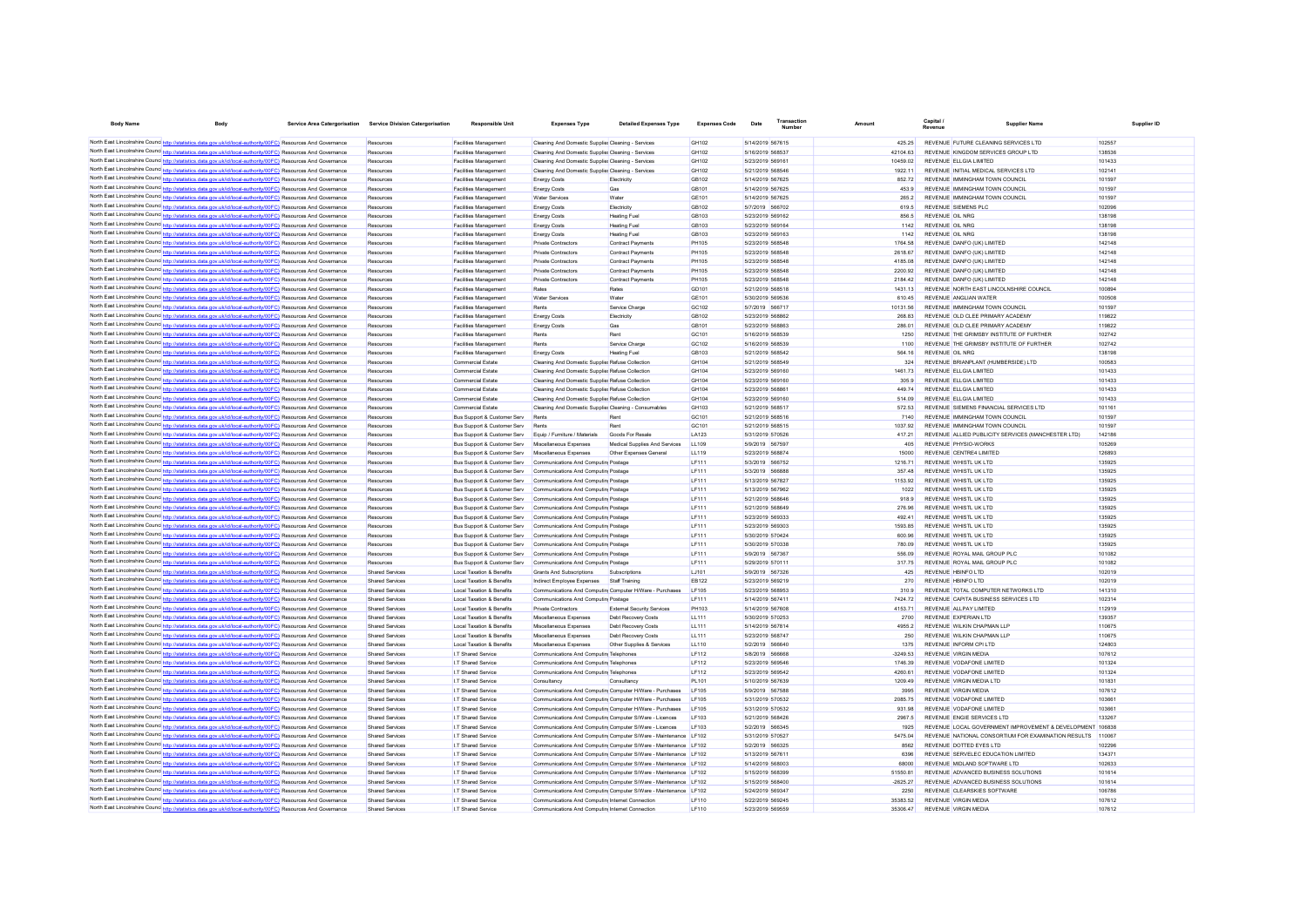| <b>Body Name</b>                                                                                                                                                                                                                 | Body                                                                | Service Area Catergorisation Service Division Catergorisation | <b>Responsible Unit</b>                                                          | <b>Expenses Type</b>                                                                                    | <b>Detailed Expenses Type</b>                                   | <b>Expenses Code</b>  | Date                                 | Transaction | Amount             | <b>Capital</b>                                                             | Supplier Name                                             | Supplier ID      |
|----------------------------------------------------------------------------------------------------------------------------------------------------------------------------------------------------------------------------------|---------------------------------------------------------------------|---------------------------------------------------------------|----------------------------------------------------------------------------------|---------------------------------------------------------------------------------------------------------|-----------------------------------------------------------------|-----------------------|--------------------------------------|-------------|--------------------|----------------------------------------------------------------------------|-----------------------------------------------------------|------------------|
|                                                                                                                                                                                                                                  |                                                                     |                                                               |                                                                                  |                                                                                                         |                                                                 |                       |                                      |             |                    |                                                                            |                                                           |                  |
| North East Lincolnshire Counce http://statistics.data.gov.uk/id/local-authority/00FC) Resources And Governance<br>North East Lincolnshire Counc http://statistics.data.gov.uk/id/local-authority/00FC) Resources And Governance  |                                                                     | Resources<br>Resources                                        | <b>Facilities Management</b><br>Facilities Management                            | Cleaning And Domestic Supplier Cleaning - Services<br>Cleaning And Domestic Supplie Cleaning - Services |                                                                 | GH102<br>GH102        | 5/14/2019 567615<br>5/16/2019 568537 |             | 425.25<br>42104.63 | REVENUE FUTURE CLEANING SERVICES LTD<br>REVENUE KINGDOM SERVICES GROUP LTD |                                                           | 102557<br>138536 |
| North East Lincolnshire Counc http://statistics.data.gov.uk/id/local-authority/00FC) Resources And Governance                                                                                                                    |                                                                     | Resources                                                     | Facilities Management                                                            | Cleaning And Domestic Supplie Cleaning - Services                                                       |                                                                 | GH102                 | 5/23/2019 569161                     |             | 10459.02           | REVENUE ELL GIA LIMITED                                                    |                                                           | 101433           |
| North East Lincolnshire Counc http://statistics.data.gov.uk/id/local-authority/00FC) Resources And Governance                                                                                                                    |                                                                     | Resources                                                     | <b>Facilities Management</b>                                                     | Cleaning And Domestic Supplier Cleaning - Services                                                      |                                                                 | GH102                 | 5/21/2019 568546                     |             | 1922.11            | REVENUE INITIAL MEDICAL SERVICES LTD                                       |                                                           | 102141           |
| North East Lincolnshire Counc http://statistics.data.gov.uk/id/local-authority/00FC) Resources And Governance                                                                                                                    |                                                                     | Resources                                                     | <b>Facilities Management</b>                                                     | <b>Energy Costs</b>                                                                                     | Flectricity                                                     | GR102                 | 5/14/2019 567625                     |             | 85272              | REVENUE IMMINGHAM TOWN COUNCIL                                             |                                                           | 101597           |
| North East Lincolnshire Counc http://statistics.data.gov.uk/id/local-authority/00FC) Resources And Governance                                                                                                                    |                                                                     | Resources                                                     | <b>Facilities Management</b>                                                     | <b>Energy Costs</b>                                                                                     | Gas                                                             | GR101                 | 5/14/2019 567625                     |             | 453.9              | REVENUE IMMINGHAM TOWN COUNCIL                                             |                                                           | 101597           |
| North East Lincolnshire Counc http://statistics.data.gov.uk/id/local-authority/00FC) Resources And Governance                                                                                                                    |                                                                     | Resources                                                     | <b>Facilities Management</b>                                                     | <b>Water Services</b>                                                                                   | Water                                                           | GF101                 | 5/14/2019 567625                     |             | 265.2              | REVENUE IMMINGHAM TOWN COUNCIL                                             |                                                           | 101597           |
| North East Lincolnshire Counc http://statistics.data.gov.uk/id/local-authority/00FC) Resources And Governance                                                                                                                    |                                                                     | Resources                                                     | <b>Facilities Management</b>                                                     | <b>Energy Costs</b>                                                                                     | Electricity                                                     | GB102                 | 5/7/2019 566702                      |             | 619.5              | REVENUE SIEMENS PLC                                                        |                                                           | 102096           |
| North East Lincolnshire Counc http://statistics.data.gov.uk/id/local-authority/00FC) Resources And Governance                                                                                                                    |                                                                     | Resources                                                     | <b>Facilities Management</b>                                                     | <b>Energy Costs</b>                                                                                     | <b>Heating Fuel</b>                                             | GB103                 | 5/23/2019 569162                     |             | 856.5              | REVENUE OIL NRG                                                            |                                                           | 138198           |
| North East Lincolnshire Counc http://statistics.data.gov.uk/id/local-authority/00FC) Resources And Governance<br>North East Lincolnshire Counc http://st                                                                         | ics.data.gov.uk/id/local-authority/00FC) Resources And Governance   | Resources<br>Resources                                        | <b>Facilities Management</b><br><b>Facilities Management</b>                     | <b>Energy Costs</b><br><b>Energy Costs</b>                                                              | <b>Heating Fuel</b><br><b>Heating Fuel</b>                      | GB103<br>GB103        | 5/23/2019 569164<br>5/23/2019 569163 |             | 1142<br>1142       | REVENUE OIL NRG<br>REVENUE OIL NRG                                         |                                                           | 138198<br>138198 |
| North East Lincolnshire Counc http://statistics.data.gov.uk/id/local-authority/00FC) Resources And Governance                                                                                                                    |                                                                     | Resources                                                     | Facilities Management                                                            | Private Contractors                                                                                     | Contract Payments                                               | <b>PH105</b>          | 5/23/2019 568548                     |             | 1764.58            | REVENUE DANFO (UK) LIMITED                                                 |                                                           | 142148           |
| North East Lincolnshire Counc http://statistics.data.gov.uk/id/local-authority/00FC) Resources And Governance                                                                                                                    |                                                                     | Resources                                                     | <b>Facilities Management</b>                                                     | <b>Private Contractors</b>                                                                              | Contract Payments                                               | <b>PH105</b>          | 5/23/2019 568548                     |             | 2618.67            | REVENUE DANFO (UK) LIMITED                                                 |                                                           | 142148           |
| North East Lincolnshire Counc http://statistics.data.gov.uk/id/local-authority/00FC) Resources And Governance                                                                                                                    |                                                                     | Resources                                                     | <b>Facilities Management</b>                                                     | Private Contractors                                                                                     | Contract Payments                                               | <b>PH105</b>          | 5/23/2019 568548                     |             | 4185.08            | REVENUE DANFO (UK) LIMITED                                                 |                                                           | 142148           |
| North East Lincolnshire Counce http://statistics.data.gov.uk/id/local-authority/00FC) Resources And Governance                                                                                                                   |                                                                     | Resourcer                                                     | <b>Facilities Management</b>                                                     | Private Contractors                                                                                     | Contract Payment                                                | <b>PH105</b>          | 5/23/2019 568548                     |             | 2200.92            | REVENUE DANFO (UK) LIMITED                                                 |                                                           | 142148           |
| North East Lincolnshire Counc http://statistics.data.gov.uk/id/local-authority/00FC) Resources And Governance                                                                                                                    |                                                                     | Resources                                                     | <b>Facilities Management</b>                                                     | Private Contractors                                                                                     | Contract Payment                                                | <b>PH105</b>          | 5/23/2019 568548                     |             | 2184.42            | REVENUE DANFO (UK) LIMITED                                                 |                                                           | 142148           |
| North East Lincolnshire Counce http://statistics.data.gov.uk/id/local-authority/00FC) Resources And Governance                                                                                                                   |                                                                     | Resources                                                     | <b>Facilities Management</b>                                                     | Rates                                                                                                   | Rates                                                           | GD101                 | 5/21/2019 568518                     |             | 1431.13            | REVENUE ANGLIAN WATER                                                      | REVENUE NORTH EAST LINCOLNSHIRE COUNCIL                   | 100894           |
| North East Lincolnshire Counc. http://statistics.data.gov.uk/id/local-authority/00FC) Resources And Governance<br>North East Lincolnshire Counce http://statistics.data.gov.uk/id/local-authority/00FC) Resources And Governance |                                                                     | Resources<br>Resources                                        | <b>Facilities Management</b><br><b>Facilities Management</b>                     | <b>Water Services</b><br>Rents                                                                          | Water<br>Service Charge                                         | GF101<br>GC102        | 5/30/2019 569536<br>5/7/2019 566717  |             | 610.45<br>10131.56 | REVENUE IMMINGHAM TOWN COUNCIL                                             |                                                           | 100508<br>101597 |
| North East Lincolnshire Counc http://statistics.data.gov.uk/id/local-authority/00FC) Resources And Governance                                                                                                                    |                                                                     | Resources                                                     | <b>Facilities Management</b>                                                     | <b>Energy Costs</b>                                                                                     | Electricity                                                     | GR102                 | 5/23/2019 568862                     |             | 268.83             | REVENUE OLD CLEE PRIMARY ACADEMY                                           |                                                           | 119822           |
| North East Lincolnshire Counc http://statistics.data.gov.uk/id/local-authority/00FC) Resources And Governance                                                                                                                    |                                                                     | Resources                                                     | <b>Facilities Management</b>                                                     | <b>Energy Costs</b>                                                                                     | Gas                                                             | GR <sub>101</sub>     | 5/23/2019 568863                     |             | 286.01             | REVENUE OLD CLEE PRIMARY ACADEMY                                           |                                                           | 119822           |
| North East Lincolnshire Counc http://statistics.data.gov.uk/id/local-authority/00FC) Resources And Governance                                                                                                                    |                                                                     | Resources                                                     | <b>Facilities Management</b>                                                     | Rents                                                                                                   | Rent                                                            | GC <sub>101</sub>     | 5/16/2019 568539                     |             | 1250               |                                                                            | REVENUE THE GRIMSBY INSTITUTE OF FURTHER                  | 102742           |
| North East Lincolnshire Counc http://statistics.data.gov.uk/id/local-authority/00FC) Resources And Governance                                                                                                                    |                                                                     | Resources                                                     | <b>Facilities Management</b>                                                     | Rents                                                                                                   | Service Charge                                                  | GC102                 | 5/16/2019 568539                     |             | 1100               |                                                                            | REVENUE THE GRIMSBY INSTITUTE OF FURTHER                  | 102742           |
| North East Lincolnshire Counc http://statistics.data.gov.uk/id/local-authority/00FC) Resources And Governance                                                                                                                    |                                                                     | Resources                                                     | <b>Facilities Management</b>                                                     | <b>Energy Costs</b>                                                                                     | <b>Heating Fuel</b>                                             | GB103                 | 5/21/2019 568542                     |             | 564 16             | REVENUE OIL NRG                                                            |                                                           | 138198           |
| North East Lincolnshire Counc http://statistics.data.gov.uk/id/local-authority/00FC) Resources And Governance                                                                                                                    |                                                                     | Resources                                                     | Commercial Estate                                                                | Cleaning And Domestic Supplie Refuse Collection                                                         |                                                                 | GH104                 | 5/21/2019 568549                     |             | 324                | REVENUE BRIANPLANT (HUMBERSIDE) LTD                                        |                                                           | 100583           |
| North East Lincolnshire Counc http://statistics.data.gov.uk/id/local-authority/00FC) Resources And Governance                                                                                                                    |                                                                     | Resources                                                     | Commercial Estate                                                                | Cleaning And Domestic Supplier Refuse Collection                                                        |                                                                 | GH104                 | 5/23/2019 569160                     |             | 1461.73            | REVENUE ELLGIA LIMITED                                                     |                                                           | 101433           |
| North East Lincolnshire Counc http://statistics.data.gov.uk/id/local-authority/00FC) Resources And Governance                                                                                                                    |                                                                     | Resources                                                     | Commercial Estate                                                                | Cleaning And Domestic Supplier Refuse Collection                                                        |                                                                 | GH104                 | 5/23/2019 569160                     |             | 305.9              | REVENUE ELLGIA LIMITED                                                     |                                                           | 101433           |
| North East Lincolnshire Counc http://statistics.data.gov.uk/id/local-authority/00FC) Resources And Governance<br>North East Lincolnshire Counc http://statistics.data.gov.uk/id/local-authority/00FC) Resources And Governance   |                                                                     | Resources<br>Resources                                        | Commercial Estate<br>Commercial Estate                                           | Cleaning And Domestic Supplier Refuse Collection<br>Cleaning And Domestic Supplier Refuse Collection    |                                                                 | GH104<br>GH104        | 5/23/2019 568861<br>5/23/2019 569160 |             | 449.74<br>514.09   | REVENUE ELLGIA LIMITED<br>REVENUE ELLGIA LIMITED                           |                                                           | 101433<br>101433 |
| North East Lincolnshire Counc http://statistics.data.gov.uk/id/local-authority/00FC) Resources And Governance                                                                                                                    |                                                                     | Resources                                                     | Commercial Estate                                                                | Cleaning And Domestic Supplie: Cleaning - Consumables                                                   |                                                                 | GH103                 | 5/21/2019 568517                     |             | 572.53             | REVENUE SIEMENS FINANCIAL SERVICES LTD                                     |                                                           | 101161           |
| North East Lincolnshire Counc http://statistics.data.gov.uk/id/local-authority/00FC) Resources And Governance                                                                                                                    |                                                                     | Resources                                                     | Bus Support & Customer Serv                                                      | Rents                                                                                                   | Rent                                                            | GC101                 | 5/21/2019 568516                     |             | 7140               | REVENUE IMMINGHAM TOWN COUNCIL                                             |                                                           | 101597           |
| North East Lincolnshire Counc http://statistics.data.gov.uk/id/local-authority/00FC) Resources And Governance                                                                                                                    |                                                                     | Resources                                                     | Bus Support & Customer Serv                                                      | Rents                                                                                                   |                                                                 | GC101                 | 5/21/2019 568515                     |             | 1037.92            | REVENUE IMMINGHAM TOWN COUNCIL                                             |                                                           | 101597           |
| North East Lincolnshire Counc http://statistics.data.gov.uk/id/local-authority/00FC) Resources And Governance                                                                                                                    |                                                                     | Resources                                                     | Bus Support & Customer Serv                                                      | Equip / Furniture / Materials                                                                           | Goods For Resale                                                | LA123                 | 5/31/2019 570526                     |             | 417.21             |                                                                            | REVENUE ALLIED PUBLICITY SERVICES (MANCHESTER LTD)        | 142186           |
| North East Lincolnshire Counc http://statistics.data.gov.uk/id/local-authority/00FC) Resources And Governance                                                                                                                    |                                                                     | Resources                                                     | Bus Support & Customer Serv                                                      | Miscellaneous Expenses                                                                                  | Medical Supplies And Services                                   | LL109                 | 5/9/2019 567597                      |             | 405                | REVENUE PHYSIO-WORKS                                                       |                                                           | 105269           |
| North East Lincolnshire Counc http://statistics.data.gov.uk/id/local-authority/00FC) Resources And Governance                                                                                                                    |                                                                     | Resources                                                     | Bus Support & Customer Serv                                                      | Miscellaneous Expenses                                                                                  | Other Expenses General                                          | LL119                 | 5/23/2019 568874                     |             | 15000              | REVENUE CENTRE4 LIMITED                                                    |                                                           | 126893           |
| North East Lincolnshire Counce http://statistics.data.gov.uk/id/local-authority/00FC) Resources And Governance                                                                                                                   |                                                                     | Resources                                                     | Bus Support & Customer Serv                                                      | Communications And Computin Postage                                                                     |                                                                 | <b>LF111</b>          | 5/3/2019 566752                      |             | 1216.71            | REVENUE WHISTL UK LTD                                                      |                                                           | 135925           |
| North East Lincolnshire Counc http://statistics.data.gov.uk/id/local-authority/00FC) Resources And Governance                                                                                                                    |                                                                     | Resources<br>Resources                                        | <b>Bus Support &amp; Customer Serv</b><br><b>Bus Support &amp; Customer Serv</b> | Communications And Computin Postage<br>Communications And Computin Postage                              |                                                                 | IF111<br>IF111        | 5/3/2019 566885<br>5/13/2019 567827  |             | 357 48<br>1153.92  | REVENUE WHISTLUK ITD<br>REVENUE WHISTLUK ITD                               |                                                           | 135925<br>135925 |
| North East Lincolnshire Counc http://statistics.data.gov.uk/id/local-authority/00FC) Resources And Governance<br>North East Lincolnshire Counce http://statistics.data.gov.uk/id/local-authority/00FC) Resources And Governance  |                                                                     | Resources                                                     | <b>Bus Support &amp; Customer Serv</b>                                           | Communications And Computin Postage                                                                     |                                                                 | I F111                | 5/13/2019 567962                     |             | 1022               | REVENUE WHISTLUK ITD                                                       |                                                           | 135925           |
| North East Lincolnshire Counc http://statistics.data.gov.uk/id/local-authority/00FC) Resources And Governance                                                                                                                    |                                                                     | Resources                                                     | Bus Support & Customer Serv                                                      | Communications And Computin Postage                                                                     |                                                                 | I F111                | 5/21/2019 568646                     |             | 9189               | REVENUE WHISTI UK I TD                                                     |                                                           | 135925           |
| North East Lincolnshire Counc http://statistics.data.gov.uk/id/local-authority/00FC) Resources And Governance                                                                                                                    |                                                                     | Resources                                                     | Bus Support & Customer Serv                                                      | Communications And Computin Postage                                                                     |                                                                 | I F111                | 5/21/2019 568649                     |             | 276.96             | REVENUE WHISTI UK I TD                                                     |                                                           | 135925           |
| North East Lincolnshire Counc http://statistics.data.gov.uk/id/local-authority/00FC) Resources And Governance                                                                                                                    |                                                                     | Resources                                                     | Bus Support & Customer Serv                                                      | Communications And Computin Postage                                                                     |                                                                 | IF111                 | 5/23/2019 569333                     |             | 492 41             | REVENUE WHISTI UK I TD                                                     |                                                           | 135925           |
| North East Lincolnshire Counc http://statistics.data.gov.uk/id/local-authority/00FC) Resources And Governance                                                                                                                    |                                                                     | Resources                                                     | Bus Support & Customer Serv                                                      | Communications And Computin Postage                                                                     |                                                                 | <b>LF111</b>          | 5/23/2019 569303                     |             | 1593.85            | REVENUE WHISTL UK LTD                                                      |                                                           | 135925           |
| North East Lincolnshire Counc http://statistics.data.gov.uk/id/local-authority/00FC) Resources And Governance                                                                                                                    |                                                                     | Resources                                                     | Bus Support & Customer Serv                                                      | Communications And Computin Postage                                                                     |                                                                 | <b>LF111</b>          | 5/30/2019 570424                     |             | 600.96             | REVENUE WHISTL UK LTD                                                      |                                                           | 135925           |
| North East Lincolnshire Counc http://statistics.data.gov.uk/id/local-authority/00FC) Resources And Governance                                                                                                                    |                                                                     | Resources                                                     | Bus Support & Customer Serv                                                      | Communications And Computin Postage                                                                     |                                                                 | <b>LF111</b>          | 5/30/2019 570338                     |             | 780.09             | REVENUE WHISTL UK LTD                                                      |                                                           | 135925           |
| North East Lincolnshire Counc http://statistics.data.gov.uk/id/local-authority/00FC) Resources And Governance<br>North East Lincolnshire Counc http://statistics.data.gov.uk/id/local-authority/00FC) Resources And Governance   |                                                                     | Resources<br>Resources                                        | Bus Support & Customer Serv                                                      | Communications And Computin Postage                                                                     |                                                                 | LF111<br><b>LF111</b> | 5/9/2019 567367<br>5/29/2019 570111  |             | 556.09<br>317.75   | REVENUE ROYAL MAIL GROUP PLC<br>REVENUE ROYAL MAIL GROUP PLC               |                                                           | 101082<br>101082 |
| North East Lincolnshire Counc http://statistics.data.gov.uk/id/local-authority/00FC) Resources And Governance                                                                                                                    |                                                                     | Shared Services                                               | Bus Support & Customer Serv<br>Local Taxation & Benefits                         | Communications And Computin Postage<br>Grants And Subscriptions                                         | Subscriptions                                                   | LJ101                 | 5/9/2019 567326                      |             | 425                | REVENUE HRINFO LTD                                                         |                                                           | 102019           |
| North East Lincolnshire Counce http://statistics.data.gov.uk/id/local-authority/00FC) Resources And Governance                                                                                                                   |                                                                     | Shared Services                                               | <b>Local Taxation &amp; Benefits</b>                                             | Indirect Employee Expenses                                                                              | Staff Training                                                  | EB122                 | 5/23/2019 569219                     |             | 270                | REVENUE HBINFO LTD                                                         |                                                           | 102019           |
| North East Lincolnshire Counc http://statistics.data.gov.uk/id/local-authority/00FC) Resources And Governance                                                                                                                    |                                                                     | Shared Services                                               | Local Taxation & Benefits                                                        | Communications And Computin Computer H/Ware - Purchases                                                 |                                                                 | LF105                 | 5/23/2019 568953                     |             | 310.9              | REVENUE TOTAL COMPUTER NETWORKS LTD                                        |                                                           | 141310           |
| North East Lincolnshire Counc http://statistics.data.gov.uk/id/local-authority/00FC) Resources And Governance                                                                                                                    |                                                                     | Shared Services                                               | Local Taxation & Benefits                                                        | Communications And Computin Postage                                                                     |                                                                 | <b>LF111</b>          | 5/14/2019 567411                     |             | 7424 72            | REVENUE CAPITA BUSINESS SERVICES LTD                                       |                                                           | 102314           |
| North East Lincolnshire Counc http://statistics.data.gov.uk/id/local-authority/00FC) Resources And Governance                                                                                                                    |                                                                     | Shared Services                                               | Local Taxation & Benefits                                                        | <b>Private Contractors</b>                                                                              | <b>External Security Services</b>                               | PH103                 | 5/14/2019 567608                     |             | 4153.71            | REVENUE ALL PAY LIMITED                                                    |                                                           | 112919           |
| North East Lincolnshire Counc http://statistics.data.gov.uk/id/local-authority/00FC) Resources And Governance                                                                                                                    |                                                                     | Shared Services                                               | Local Taxation & Benefits                                                        | Miscellaneous Expenses                                                                                  | Debt Recovery Costs                                             | LL111                 | 5/30/2019 570253                     |             | 2700               | REVENUE EXPERIAN LTD                                                       |                                                           | 139357           |
| North East Lincolnshire Counc http://statistics.data.gov.uk/id/local-authority/00FC) Resources And Governance                                                                                                                    |                                                                     | Shared Services                                               | Local Taxation & Benefits                                                        | Miscellaneous Expenses                                                                                  | Debt Recovery Costs                                             | LL111                 | 5/14/2019 567814                     |             | 4955.2             | REVENUE WILKIN CHAPMAN LLP                                                 |                                                           | 110675           |
| North East Lincolnshire Counc http://statistics.data.gov.uk/id/local-authority/00FC) Resources And Governance<br>North East Lincolnshire Counc http://statistics.data.gov.uk/id/local-authority/00FC) Resources And Governance   |                                                                     | Shared Services<br>Shared Services                            | Local Taxation & Benefits<br>Local Taxation & Benefits                           | Miscellaneous Expenses<br>Miscellaneous Expenses                                                        | Debt Recovery Costs<br>Other Supplies & Services                | LL111<br>LL110        | 5/23/2019 568747<br>5/2/2019 566640  |             | 250<br>1375        | REVENUE WILKIN CHAPMAN LLP<br>REVENUE INFORM CPLLTD                        |                                                           | 110675<br>124803 |
| North East Lincolnshire Counc http://statistics.data.gov.uk/id/local-authority/00FC) Resources And Governance                                                                                                                    |                                                                     | Shared Services                                               | I.T Shared Service                                                               | Communications And Computin Telephones                                                                  |                                                                 | I F112                | 5/8/2019 566668                      |             | $-3249.53$         | <b>REVENUE VIRGIN MEDIA</b>                                                |                                                           | 107612           |
| North East Lincolnshire Counc http://statistics.data.gov.uk/id/local-authority/00FC) Resources And Governance                                                                                                                    |                                                                     | Shared Services                                               | I.T Shared Service                                                               | Communications And Computin Telephones                                                                  |                                                                 | I F112                | 5/23/2019 569546                     |             | 1746.39            | REVENUE VODAFONE LIMITED                                                   |                                                           | 101324           |
| North East Lincolnshire Counc http://statistics.data.gov.uk/id/local-authority/00FC) Resources And Governance                                                                                                                    |                                                                     | Shared Services                                               | I.T Shared Service                                                               | Communications And Computin Telephones                                                                  |                                                                 | LF112                 | 5/23/2019 569542                     |             | 4260.61            | REVENUE VODAFONE LIMITED                                                   |                                                           | 101324           |
| North East Lincolnshire Counc http://statistics.data.gov.uk/id/local-authority/00FC) Resources And Governance                                                                                                                    |                                                                     | Shared Services                                               | I.T Shared Service                                                               | Consultancy                                                                                             | Consultancy                                                     | PL101                 | 5/10/2019 567639                     |             | 1209.49            | REVENUE VIRGIN MEDIA LTD                                                   |                                                           | 101831           |
| North East Lincolnshire Counc http://statistics.data.gov.uk/id/local-authority/00FC) Resources And Governance                                                                                                                    |                                                                     | Shared Services                                               | I.T Shared Service                                                               | Communications And Computin Computer H/Ware - Purchases                                                 |                                                                 | LF105                 | 5/9/2019 567588                      |             | 3995               | <b>REVENUE VIRGIN MEDIA</b>                                                |                                                           | 107612           |
| North East Lincolnshire Counc http://statistics.data.gov.uk/id/local-authority/00FC) Resources And Governance                                                                                                                    |                                                                     | Shared Services                                               | I.T Shared Service                                                               | Communications And Computin Computer H/Ware - Purchases                                                 |                                                                 | LF105                 | 5/31/2019 570532                     |             | 2085.75            | REVENUE VODAFONE LIMITED                                                   |                                                           | 103661           |
| North East Lincolnshire Counc http://statistics.data.gov.uk/id/local-authority/00FC) Resources And Governance                                                                                                                    |                                                                     | Shared Services                                               | I.T Shared Service                                                               | Communications And Computin Computer H/Ware - Purchases                                                 |                                                                 | LF105                 | 5/31/2019 570532                     |             | 931.98             | REVENUE VODAFONE LIMITED                                                   |                                                           | 103661           |
| North East Lincolnshire Counc http://statistics.data.gov.uk/id/local-authority/00FC) Resources And Governance                                                                                                                    |                                                                     | Shared Services<br>Shared Services                            | I.T Shared Service                                                               | Communications And Computin Computer S/Ware - Licences                                                  |                                                                 | LF103<br><b>IF103</b> | 5/21/2019 568426<br>5/2/2019 566345  |             | 2967.5<br>1925     | REVENUE ENGIE SERVICES LTD                                                 | REVENUE LOCAL GOVERNMENT IMPROVEMENT & DEVELOPMENT 106838 | 133267           |
| North East Lincolnshire Counc http://statistics.data.gov.uk/id/local-authority/00FC) Resources And Governance<br>North East Lincolnshire Counc http://statistics.data.gov.uk/id/local-authority/00FC) Resources And Governance   |                                                                     | Shared Services                                               | I.T Shared Service<br>I.T Shared Service                                         | Communications And Computin Computer S/Ware - Licences                                                  | Communications And Computin Computer S/Ware - Maintenance LF102 |                       | 5/31/2019 570527                     |             | 5475.04            |                                                                            | REVENUE NATIONAL CONSORTIUM FOR EXAMINATION RESULTS.      | 110067           |
| North East Lincolnshire Counc http://statistics.data.gov.uk/id/local-authority/00FC) Resources And Governance                                                                                                                    |                                                                     | Shared Services                                               | I.T Shared Service                                                               |                                                                                                         | Communications And Computin Computer S/Ware - Maintenance LF102 |                       | 5/2/2019 566325                      |             | 8562               | REVENUE DOTTED EYES LTD                                                    |                                                           | 102296           |
| North East Lincolnshire Counc http://statistics.data.gov.uk/id/local-authority/00FC) Resources And Governance                                                                                                                    |                                                                     | Shared Services                                               | I.T Shared Service                                                               |                                                                                                         | Communications And Computin Computer S/Ware - Maintenance LF102 |                       | 5/13/2019 567611                     |             | 6396               | REVENUE SERVELEC EDUCATION LIMITED.                                        |                                                           | 134371           |
| North East Lincolnshire Counc http://statistics.data.gov.uk/id/local-authority/00FC) Resources And Governance                                                                                                                    |                                                                     | Shared Services                                               | I.T Shared Service                                                               |                                                                                                         | Communications And Computin Computer S/Ware - Maintenance LF102 |                       | 5/14/2019 568003                     |             | 68000              | REVENUE MIDLAND SOFTWARE LTD                                               |                                                           | 102633           |
| North East Lincolnshire Counc http://statistics.data.gov.uk/id/local-authority/00FC) Resources And Governance                                                                                                                    |                                                                     | Shared Services                                               | I.T Shared Service                                                               |                                                                                                         | Communications And Computin Computer S/Ware - Maintenance LF102 |                       | 5/15/2019 568399                     |             | 51550.81           | REVENUE ADVANCED BUSINESS SOLUTIONS                                        |                                                           | 101614           |
| North East Lincolnshire Counce http://etc                                                                                                                                                                                        | stics.data.gov.uk/id/local-authority/00FC) Resources And Governance | <b>Shared Services</b>                                        | I.T Shared Service                                                               |                                                                                                         | Communications And Computin Computer S/Ware - Maintenance LF102 |                       | 5/15/2019 568400                     |             | $-2625.27$         | REVENUE ADVANCED BUSINESS SOLUTIONS                                        |                                                           | 101614           |
| North East Lincolnshire Counc http://statistics.data.gov.uk/id/local-authority/00FC) Resources And Governance                                                                                                                    |                                                                     | <b>Shared Services</b>                                        | I.T Shared Service                                                               |                                                                                                         | Communications And Computin Computer S/Ware - Maintenance LF102 |                       | 5/24/2019 569347                     |             | 2250               | REVENUE CLEARSKIES SOFTWARE                                                |                                                           | 106786           |
| North East Lincolnshire Counc http://statistics.data.gov.uk/id/local-authority/00FC) Resources And Governance                                                                                                                    |                                                                     | Shared Services                                               | I.T Shared Service                                                               | Communications And Computin Internet Connection                                                         |                                                                 | LF110                 | 5/22/2019 569245                     |             | 35383.52           | <b>REVENUE VIRGIN MEDIA</b>                                                |                                                           | 107612           |
| North East Lincolnshire Counc http://statistics.data.gov.uk/id/local-authority/00FC) Resources And Governance                                                                                                                    |                                                                     | <b>Shared Services</b>                                        | I.T Shared Service                                                               | Communications And Computin Internet Connection                                                         |                                                                 | LF110                 | 5/23/2019 569559                     |             | 35306.47           | REVENUE VIRGIN MEDIA                                                       |                                                           | 107612           |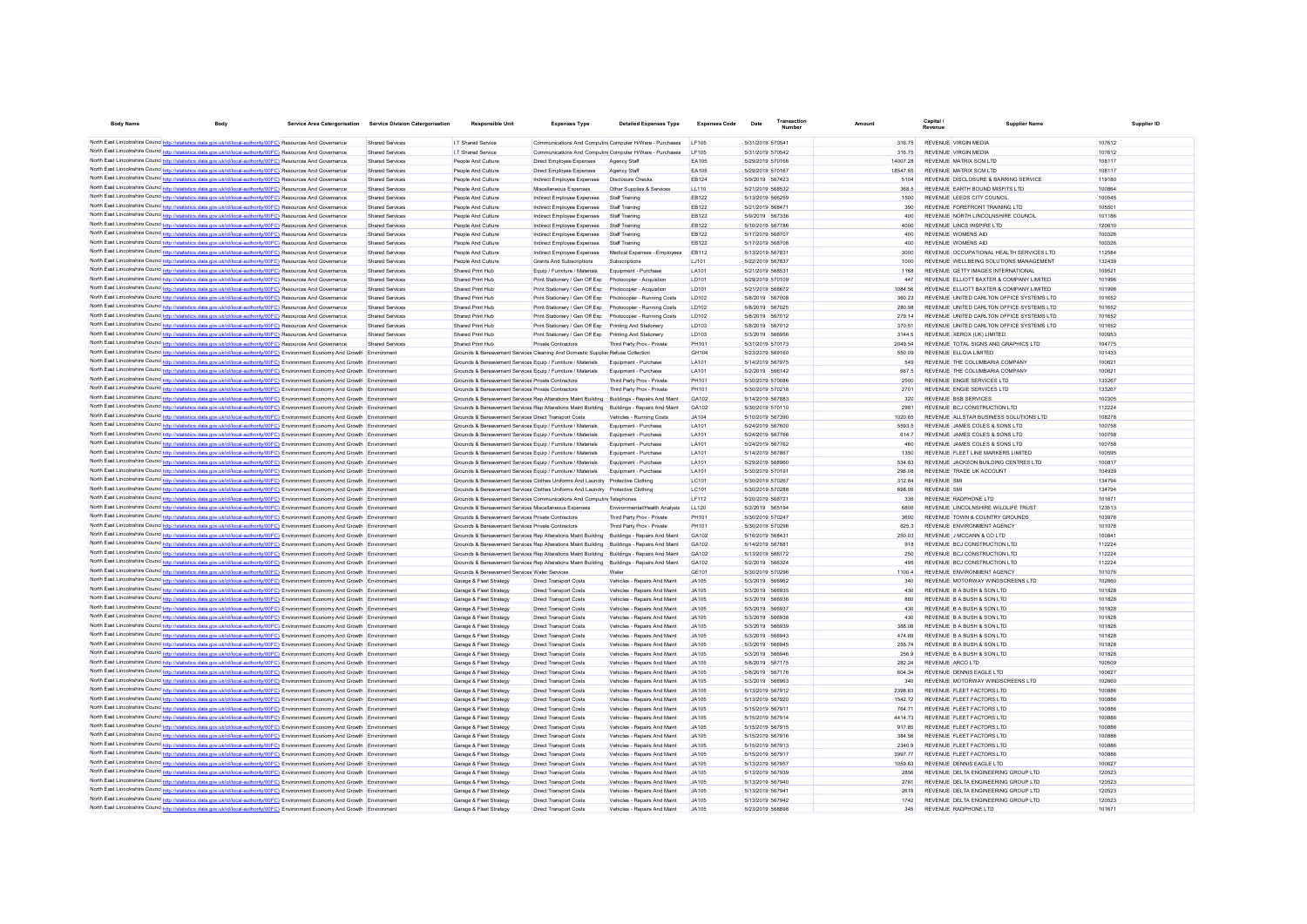| <b>Body Name</b>                                                                                                                                                                                                                                                                | Body                                                                                  | Service Area Catergorisation | <b>Service Division Catergorisation</b> | Responsible Uni                                                                                                                                                                            | <b>Expenses Type</b>                                                                        | <b>Detailed Expenses Type</b>                                | <b>Expenses Code</b>  | Date                                 | Transaction<br>Number |                   | Capital /<br>Revenue                                         | Supplier Nam-                             | Supplier ID      |
|---------------------------------------------------------------------------------------------------------------------------------------------------------------------------------------------------------------------------------------------------------------------------------|---------------------------------------------------------------------------------------|------------------------------|-----------------------------------------|--------------------------------------------------------------------------------------------------------------------------------------------------------------------------------------------|---------------------------------------------------------------------------------------------|--------------------------------------------------------------|-----------------------|--------------------------------------|-----------------------|-------------------|--------------------------------------------------------------|-------------------------------------------|------------------|
| North East Lincolnshire Counc http://statistics.data.gov.uk/id/local-authority/00FC) Resources And Governance                                                                                                                                                                   |                                                                                       |                              | Shared Services                         | I.T Shared Service                                                                                                                                                                         | Communications And Computin Computer H/Ware - Purchases                                     |                                                              | <b>IF105</b>          | 5/31/2019 570541                     |                       | 316.75            | REVENUE VIRGIN MEDIA                                         |                                           | 107612           |
| North East Lincolnshire Counc http://statistics.data.gov.uk/id/local-authority/00FC) Resources And Governance                                                                                                                                                                   |                                                                                       |                              | Shared Services                         | I.T Shared Service                                                                                                                                                                         | Communications And Computin Computer H/Ware - Purchases                                     |                                                              | LF105                 | 5/31/2019 570542                     |                       | 316.75            | <b>REVENUE VIRGIN MEDIA</b>                                  |                                           | 107612           |
| North East Lincolnshire Counc http://statistics.data.gov.uk/id/local-authority/00FC) Resources And Governance                                                                                                                                                                   |                                                                                       |                              | Shared Services                         | People And Culture                                                                                                                                                                         | Direct Employee Expenses                                                                    | Agency Staf                                                  | EA105                 | 5/29/2019 570166                     |                       | 14007.28          | REVENUE MATRIX SCM LTD                                       |                                           | 108117           |
| North East Lincolnshire Counc http://statistics.data.gov.uk/id/local-authority/00FC) Resources And Governance                                                                                                                                                                   |                                                                                       |                              | Shared Services                         | People And Culture                                                                                                                                                                         | Direct Employee Expenses                                                                    | Agency Staff                                                 | EA105                 | 5/29/2019 570167                     |                       | 18547.65          | REVENUE MATRIX SCM LTD                                       |                                           | 108117           |
| North East Lincolnshire Counc http://statistics.data.gov.uk/id/local-authority/00FC) Resources And Governance                                                                                                                                                                   |                                                                                       |                              | Shared Services                         | People And Culture                                                                                                                                                                         | Indirect Employee Expenses                                                                  | <b>Disclosure Checks</b>                                     | <b>EB124</b>          | 5/9/2019 567423                      |                       | 5104              | REVENUE DISCLOSURE & BARRING SERVICE                         |                                           | 119180           |
| North East Lincolnshire Counc http://statistics.data.gov.uk/id/local-authority/00FC) Resources And Governance                                                                                                                                                                   |                                                                                       |                              | Shared Services                         | People And Culture                                                                                                                                                                         | Miscellaneous Expenses                                                                      | Other Supplies & Services                                    | LL110                 | 5/21/2019 568532                     |                       | 368.5             | REVENUE EARTH BOUND MISFITS LTD                              |                                           | 100864           |
| North East Lincolnshire Counc http://statistics.data.gov.uk/id/local-authority/00FC) Resources And Governance                                                                                                                                                                   |                                                                                       |                              | Shared Services                         | People And Culture                                                                                                                                                                         | Indirect Employee Expenses                                                                  | Staff Training                                               | <b>EB122</b>          | 5/13/2019 566259                     |                       | 1500              | REVENUE LEEDS CITY COUNCIL                                   |                                           | 100545           |
| North East Lincolnshire Counc http://statistics.data.gov.uk/id/local-authority/00FC) Resources And Governance                                                                                                                                                                   |                                                                                       |                              | Shared Services                         | People And Culture                                                                                                                                                                         | Indirect Employee Expenses                                                                  | Staff Training                                               | <b>FR122</b>          | 5/21/2019 568471                     |                       | 390               | REVENUE FOREFRONT TRAINING LTD                               |                                           | 105501           |
| North East Lincolnshire Counc http://statistics.data.gov.uk/id/local-authority/00FC) Resources And Governance                                                                                                                                                                   |                                                                                       |                              | Shared Services                         | People And Culture                                                                                                                                                                         | Indirect Employee Expenses                                                                  | Staff Training                                               | <b>EB122</b>          | 5/9/2019 567336                      |                       | 400               | REVENUE NORTH LINCOLNSHIRE COUNCIL                           |                                           | 101186           |
| North East Lincolnshire Counc http://statistics.data.gov.uk/id/local-authority/00FC) Resources And Governance                                                                                                                                                                   |                                                                                       |                              | Shared Services                         | People And Culture                                                                                                                                                                         | Indirect Employee Expenses                                                                  | Staff Training                                               | <b>EB122</b>          | 5/10/2019 567786                     |                       | 4000              | REVENUE LINCS INSPIRE LTD                                    |                                           | 120610           |
| North East Lincolnshire Counc http://statistics.data.gov.uk/id/local-authority/00FC) Resources And Governance                                                                                                                                                                   |                                                                                       |                              | Shared Services                         | People And Culture                                                                                                                                                                         | Indirect Employee Expenses                                                                  | Staff Training                                               | <b>EB122</b>          | 5/17/2019 568707                     |                       | 400               | REVENUE WOMENS AID                                           |                                           | 100326           |
| North East Lincolnshire Counc http://statistics.data.gov.uk/id/local-authority/00FC) Resources And Governance                                                                                                                                                                   |                                                                                       |                              | Shared Services                         | People And Culture                                                                                                                                                                         | Indirect Employee Expenses                                                                  | Staff Training                                               | <b>EB122</b>          | 5/17/2019 568708                     |                       | 400               | REVENUE WOMENS AID                                           |                                           | 100326           |
| North East Lincolnshire Counc http://statistics.data.gov.uk/id/local-authority/00FC) Resources And Governance                                                                                                                                                                   |                                                                                       |                              | Shared Services                         | People And Culture                                                                                                                                                                         | Indirect Employee Expenses                                                                  | Medical Expenses - Employees                                 | <b>EB112</b>          | 5/13/2019 567831                     |                       | 3000              |                                                              | REVENUE OCCUPATIONAL HEALTH SERVICES LTD  | 112584           |
| North East Lincolnshire Counc http://statistics.data.gov.uk/id/local-authority/00FC) Resources And Governance<br>North East Lincolnshire Counc http://statistics.data.gov.uk/id/local-authority/00FC) Resources And Governance                                                  |                                                                                       |                              | Shared Services                         | People And Culture                                                                                                                                                                         | Grants And Subscriptions                                                                    | Subscriptions<br>Equipment - Purchase                        | LJ101<br>LA101        | 5/22/2019 567837                     |                       | 1000<br>1188      |                                                              | REVENUE WELLBEING SOLUTIONS MANAGEMENT    | 132439<br>109521 |
| North East Lincolnshire Counc http://statistics.data.gov.uk/id/local-authority/00FC) Resources And Governance                                                                                                                                                                   |                                                                                       |                              | Shared Services<br>Shared Services      | Shared Print Hub<br>Shared Print Hub                                                                                                                                                       | Equip / Furniture / Materials<br>Print Stationery / Gen Off Exp                             | Photocopier - Acquistion                                     | LD101                 | 5/21/2019 568531<br>5/29/2019 570109 |                       | 447               | REVENUE GETTY IMAGES INTERNATIONAL                           | REVENUE ELLIOTT BAXTER & COMPANY LIMITED  | 101996           |
| North East Lincolnshire Counc http://statistics.data.gov.uk/id/local-authority/00FC) Resources And Governance                                                                                                                                                                   |                                                                                       |                              | <b>Shared Services</b>                  | Shared Print Hub                                                                                                                                                                           | Print Stationery / Gen Off Exp                                                              | Photocopier - Acquistion                                     | LD101                 | 5/21/2019 568672                     |                       | 1084.56           |                                                              | REVENUE ELLIOTT BAXTER & COMPANY LIMITED  | 101996           |
| North East Lincolnshire Counc http://statistics.data.gov.uk/id/local-authority/00FC) Resources And Governance                                                                                                                                                                   |                                                                                       |                              | Shared Services                         | Shared Print Hub                                                                                                                                                                           | Print Stationery / Gen Off Exp                                                              | Photocopier - Running Costs                                  | LD102                 | 5/8/2019 567008                      |                       | 360.23            |                                                              | REVENUE UNITED CARLTON OFFICE SYSTEMS LTD | 101652           |
| North East Lincolnshire Counc http://statistics.data.gov.uk/id/local-authority/00FC) Resources And Governance                                                                                                                                                                   |                                                                                       |                              | Shared Services                         | Shared Print Hub                                                                                                                                                                           | Print Stationery / Gen Off Exp                                                              | Photocopier - Running Costs                                  | LD102                 | 5/8/2019 567025                      |                       | 280.98            |                                                              | REVENUE UNITED CARLTON OFFICE SYSTEMS LTD | 101652           |
| North East Lincolnshire Counc http://statistics.data.gov.uk/id/local-authority/00FC) Resources And Governance                                                                                                                                                                   |                                                                                       |                              | Shared Services                         | Shared Print Hub                                                                                                                                                                           | Print Stationery / Gen Off Exp                                                              | Photocopier - Running Costs                                  | LD102                 | 5/8/2019 567012                      |                       | 279.14            |                                                              | REVENUE UNITED CARLTON OFFICE SYSTEMS LTD | 101652           |
| North East Lincolnshire Counc http://statistics.data.gov.uk/id/local-authority/00FC) Resources And Governance                                                                                                                                                                   |                                                                                       |                              | Shared Services                         | Shared Print Hub                                                                                                                                                                           | Print Stationery / Gen Off Exp Printing And Stationery                                      |                                                              | LD103                 | 5/8/2019 567012                      |                       | 370.51            |                                                              | REVENUE UNITED CARLTON OFFICE SYSTEMS LTD | 101652           |
| North East Lincolnshire Counc http://statistics.data.gov.uk/id/local-authority/00FC) Resources And Governance                                                                                                                                                                   |                                                                                       |                              | Shared Services                         | Shared Print Hub                                                                                                                                                                           | Print Stationery / Gen Off Exp Printing And Stationery                                      |                                                              | LD103                 | 5/3/2019 566956                      |                       | 3144.5            | REVENUE XEROX (UK) LIMITED                                   |                                           | 100953           |
| North East Lincolnshire Counc http://statistics.data.gov.uk/id/local-authority/00FC) Resources And Governance                                                                                                                                                                   |                                                                                       |                              | <b>Shared Services</b>                  | Shared Print Hub                                                                                                                                                                           | Private Contractors                                                                         | Third Party Prov - Private                                   | <b>PH101</b>          | 5/31/2019 570173                     |                       | 2049.54           | REVENUE TOTAL SIGNS AND GRAPHICS LTD                         |                                           | 104775           |
| North East Lincolnshire Counc http://statistics.data.gov.uk/id/local-authority/00FC) Environment Economy And Growth Environment                                                                                                                                                 |                                                                                       |                              |                                         | Grounds & Bereavement Services Cleaning And Domestic Supplier Refuse Collection                                                                                                            |                                                                                             |                                                              | GH104                 | 5/23/2019 569160                     |                       | 550.09            | REVENUE ELL GIA LIMITED                                      |                                           | 101433           |
| North East Lincolnshire Counc http://statistics.data.gov.uk/id/local-authority/00FC) Environment Economy And Growth Environment                                                                                                                                                 |                                                                                       |                              |                                         | Grounds & Bereavement Services Equip / Furniture / Materials                                                                                                                               |                                                                                             | Foujoment - Purchase                                         | <b>LA101</b>          | 5/14/2019 567975                     |                       | 549               | REVENUE THE COLUMBARIA COMPANY                               |                                           | 100621           |
| North East Lincolnshire Counc http://statistics.data.gov.uk/id/local-authority/00FC) Environment Economy And Growth Environment                                                                                                                                                 |                                                                                       |                              |                                         | Grounds & Bereavement Services Equip / Furniture / Materials                                                                                                                               |                                                                                             | Foujoment - Purchase                                         | LA101                 | 5/2/2019 566142                      |                       | 667.5             | REVENUE THE COLUMBARIA COMPANY                               |                                           | 100621           |
| North East Lincolnshire Counc http://statistics.data.gov.uk/id/local-authority/00FC) Environment Economy And Growth Environment                                                                                                                                                 |                                                                                       |                              |                                         | Grounds & Bereavement Services Private Contractors                                                                                                                                         |                                                                                             | Third Party Prov - Private                                   | <b>PH101</b>          | 5/30/2019 570086                     |                       | 2500              | REVENUE ENGIE SERVICES LTD                                   |                                           | 133267           |
| North East Lincolnshire Counc http://statistics.data.gov.uk/id/local-authority/00FC) Environment Economy And Growth Environment                                                                                                                                                 |                                                                                       |                              |                                         | Grounds & Bereavement Services Private Contractors                                                                                                                                         |                                                                                             | Third Party Prov - Private                                   | <b>PH101</b><br>GA102 | 5/30/2019 570218<br>5/14/2019 567883 |                       | 2701<br>320       | REVENUE ENGIE SERVICES LTD<br><b>REVENUE BSB SERVICES</b>    |                                           | 133267<br>102305 |
| North East Lincolnshire Counc http://statistics.data.gov.uk/id/local-authority/00FC) Environment Economy And Growth Environment<br>North East Lincolnshire Counce http://statistics.data.gov.uk/id/local-authority/00FC) Environment Economy And Growth Environment             |                                                                                       |                              |                                         | Grounds & Bereavement Services Rep Alterations Maint Building Buildings - Repairs And Maint<br>Grounds & Bereavement Services Rep Alterations Maint Building Buildings - Repairs And Maint |                                                                                             |                                                              | GA102                 | 5/30/2019 570110                     |                       | 2981              | REVENUE BCJ CONSTRUCTION LTD                                 |                                           | 112224           |
| North East Lincolnshire Counc http://statistics.data.gov.uk/id/local-authority/00FC) Environment Economy And Growth Environment                                                                                                                                                 |                                                                                       |                              |                                         | Grounds & Bereavement Services Direct Transport Costs                                                                                                                                      |                                                                                             | Vehicles - Running Costs                                     | JA104                 | 5/10/2019 567390                     |                       | 1020.65           | REVENUE ALLSTAR BUSINESS SOLUTIONS LTD                       |                                           | 108278           |
| North East Lincolnshire Counc http://statistics.data.gov.uk/id/local-authority/00FC) Environment Economy And Growth Environment                                                                                                                                                 |                                                                                       |                              |                                         | Grounds & Bereavement Services Equip / Furniture / Materials                                                                                                                               |                                                                                             | Equipment - Purchase                                         | LA101                 | 5/24/2019 567600                     |                       | 5593.5            | REVENUE JAMES COLES & SONS LTD                               |                                           | 100758           |
| North East Lincolnshire Counc http://statistics.data.gov.uk/id/local-authority/00FC) Environment Economy And Growth Environment                                                                                                                                                 |                                                                                       |                              |                                         | Grounds & Bereavement Services Equip / Furniture / Materials                                                                                                                               |                                                                                             | Equipment - Purchase                                         | LA101                 | 5/24/2019 567766                     |                       | 614.7             | REVENUE JAMES COLES & SONS LTD                               |                                           | 100758           |
| North East Lincolnshire Counc http://statistics.data.gov.uk/id/local-authority/00FC) Environment Economy And Growth Environment                                                                                                                                                 |                                                                                       |                              |                                         | Grounds & Bereavement Services Equip / Furniture / Materials                                                                                                                               |                                                                                             | Equipment - Purchase                                         | LA101                 | 5/24/2019 567762                     |                       | 460               | REVENUE JAMES COLES & SONS LTD                               |                                           | 100758           |
| North East Lincolnshire Counc http://statistics.data.gov.uk/id/local-authority/00FC) Environment Economy And Growth Environment                                                                                                                                                 |                                                                                       |                              |                                         | Grounds & Bereavement Services Equip / Furniture / Materials                                                                                                                               |                                                                                             | Equipment - Purchase                                         | LA101                 | 5/14/2019 567867                     |                       | 1350              | REVENUE FLEET LINE MARKERS LIMITED                           |                                           | 100595           |
| North East Lincolnshire Councert http://statistics.data.gov.uk/id/local-authority/00FC) Environment Economy And Growth Environment                                                                                                                                              |                                                                                       |                              |                                         | Grounds & Bereavement Services Equip / Furniture / Materials                                                                                                                               |                                                                                             | Equipment - Purchase                                         | LA101                 | 5/29/2019 568960                     |                       | 534.83            | REVENUE JACKSON BUILDING CENTRES LTD                         |                                           | 100817           |
| North East Lincolnshire Counc http://statistics.data.gov.uk/id/local-authority/00FC) Environment Economy And Growth Environment                                                                                                                                                 |                                                                                       |                              |                                         | Grounds & Bereavement Services Equip / Furniture / Materials                                                                                                                               |                                                                                             | Equipment - Purchase                                         | LA101                 | 5/30/2019 570191                     |                       | 296.08            | REVENUE TRADE UK ACCOUNT                                     |                                           | 104939           |
| North East Lincolnshire Counc http://statistics.data.gov.uk/id/local-authority/00FC) Environment Economy And Growth Environment                                                                                                                                                 |                                                                                       |                              |                                         | Grounds & Bereavement Services Clothes Uniforms And Laundry Protective Clothing                                                                                                            |                                                                                             |                                                              | LC101                 | 5/30/2019 570267                     |                       | 312.84            | <b>REVENUE SMI</b>                                           |                                           | 134794           |
| North East Lincolnshire Counc <sup>http://statistics.data.gov.uk/id/local-authority/00FC) Environment Economy And Growth Environment</sup>                                                                                                                                      |                                                                                       |                              |                                         | Grounds & Bereavement Services Clothes Uniforms And Laundry Protective Clothing                                                                                                            |                                                                                             |                                                              | LC101                 | 5/30/2019 570288                     |                       | 698.06            | <b>REVENUE SMI</b>                                           |                                           | 134794           |
| North East Lincolnshire Councint the Watatistics.data.gov.uk/id/local-authority/00FC) Environment Economy And Growth                                                                                                                                                            |                                                                                       |                              |                                         | Grounds & Bereavement Services Communications And Computin Telephones<br>Grounds & Bereavement Services Miscellaneous Expenses                                                             |                                                                                             |                                                              | IF112<br>11120        | 5/20/2019 568721                     |                       | 336               | REVENUE RADPHONE I TD<br>REVENUE LINCOLNSHIRE WILDLIFE TRUST |                                           | 101671<br>123513 |
| North East Lincolnshire Councint the ://statistics.data.gov.uk/id/local-authority/00FC) Environment Economy And Growth Environment<br>North East Lincolnshire Councint the ://statistics.data.gov.uk/id/local-authority/00FC) Environment Economy And Growth Environment        |                                                                                       |                              |                                         | Grounds & Bereavement Services Private Contractors                                                                                                                                         |                                                                                             | Fnyimnmental/Health Analysis<br>Third Party Prov - Private   | <b>PH101</b>          | 5/2/2019 565194<br>5/30/2019 570247  |                       | 6806<br>3600      | REVENUE TOWN & COUNTRY GROUNDS                               |                                           | 103976           |
| North East Lincolnshire Councert http://statistics.data.gov.uk/id/local-authority/00FC) Environment Economy And Growth Environment                                                                                                                                              |                                                                                       |                              |                                         | Grounds & Bereavement Services Private Contractors                                                                                                                                         |                                                                                             | Third Party Prov - Private                                   | <b>PH101</b>          | 5/30/2019 570296                     |                       | 6253              | REVENUE ENVIRONMENT AGENCY                                   |                                           | 101076           |
| North East Lincolnshire Councert http://statistics.data.gov.uk/id/local-authority/00FC) Environment Economy And Growth Environment                                                                                                                                              |                                                                                       |                              |                                         | Grounds & Bereavement Services Rep Alterations Maint Building Buildings - Repairs And Maint                                                                                                |                                                                                             |                                                              | GA102                 | 5/16/2019 568431                     |                       | 250.03            | REVENUE J MCCANN & CO LTD                                    |                                           | 100841           |
| North East Lincolnshire Counc http://statistics.data.gov.uk/id/local-authority/00FC) Environment Economy And Growth Environment                                                                                                                                                 |                                                                                       |                              |                                         | Grounds & Bereavement Services Rep Alterations Maint Building Buildings - Repairs And Maint                                                                                                |                                                                                             |                                                              | GA102                 | 5/14/2019 567881                     |                       | 918               | REVENUE BCJ CONSTRUCTION LTD                                 |                                           | 112224           |
| North East Lincolnshire Counce http://statistics.data.gov.uk/id/local-authority/00FC) Environment Economy And Growth Environment                                                                                                                                                |                                                                                       |                              |                                         |                                                                                                                                                                                            | Grounds & Bereavement Services Rep Alterations Maint Building Buildings - Repairs And Maint |                                                              | GA102                 | 5/13/2019 566172                     |                       | 250               | REVENUE BCJ CONSTRUCTION LTD                                 |                                           | 112224           |
| North East Lincolnshire Counce http://statistics.data.gov.uk/id/local-authority/00FC) Environment Economy And Growth Environment                                                                                                                                                |                                                                                       |                              |                                         | Grounds & Bereavement Services Rep Alterations Maint Building                                                                                                                              |                                                                                             | Buildings - Repairs And Maint                                | GA102                 | 5/2/2019 566324                      |                       | 495               | REVENUE BCJ CONSTRUCTION LTD                                 |                                           | 112224           |
| North East Lincolnshire Counce http://statistics.data.gov.uk/id/local-authority/00FC) Environment Economy And Growth Environment                                                                                                                                                |                                                                                       |                              |                                         | Grounds & Bereavement Services Water Services                                                                                                                                              |                                                                                             | Water                                                        | GE101                 | 5/30/2019 570296                     |                       | 1100.4            | REVENUE ENVIRONMENT AGENCY                                   |                                           | 101076           |
| North East Lincolnshire Councintent Hotels                                                                                                                                                                                                                                      | ics.data.gov.uk/id/local-authority/00FC) Environment Economy And Growth Environment   |                              |                                         | Garage & Fleet Strategy                                                                                                                                                                    | <b>Direct Transport Costs</b>                                                               | Vehicles - Repairs And Maint                                 | JA105                 | 5/3/2019 566962                      |                       | 340               | REVENUE MOTORWAY WINDSCREENS LTD                             |                                           | 102660           |
| North East Lincolnshire Counc http://statistics.data.gov.uk/id/local-authority/00FC) Environment Economy And Growth Environment                                                                                                                                                 |                                                                                       |                              |                                         | Garage & Fleet Strategy                                                                                                                                                                    | <b>Direct Transport Costs</b>                                                               | Vehicles - Repairs And Maint                                 | JA105                 | 5/3/2019 566935                      |                       | 430               | REVENUE B A BUSH & SON LTD                                   |                                           | 101828           |
| North East Lincolnshire Councert http://statistics.data.gov.uk/id/local-authority/00FC) Environment Economy And Growth Environment                                                                                                                                              |                                                                                       |                              |                                         | Garage & Fleet Strategy                                                                                                                                                                    | <b>Direct Transport Costs</b>                                                               | Vehicles - Repairs And Main                                  | JA105                 | 5/3/2019 566936                      |                       | 860               | REVENUE B A BUSH & SON LTD                                   |                                           | 101828           |
| North East Lincolnshire Counc http://statistics.data.gov.uk/id/local-authority/00FC) Environment Economy And Growth Environment                                                                                                                                                 |                                                                                       |                              |                                         | Garage & Fleet Strategy                                                                                                                                                                    | <b>Direct Transport Costs</b>                                                               | Vehicles - Repairs And Main                                  | JA105                 | 5/3/2019 566937                      |                       | 430               | REVENUE B A BUSH & SON LTD                                   |                                           | 101828           |
| North East Lincolnshire Counc <sup>1</sup> http://statistics.data.gov.uk/id/local-authority/00FC) Environment Economy And Growth Environment<br>North East Lincolnshire Counc http://statistics.data.gov.uk/id/local-authority/00FC) Environment Economy And Growth Environment |                                                                                       |                              |                                         | Garage & Fleet Strategy                                                                                                                                                                    | <b>Direct Transport Costs</b>                                                               | Vehicles - Repairs And Maint                                 | JA105<br>JA105        | 5/3/2019 566938<br>5/3/2019 566939   |                       | 430<br>388.08     | REVENUE B A BUSH & SON LTD<br>REVENUE B A BUSH & SON LTD     |                                           | 101828<br>101828 |
| North East Lincolnshire Counc <sup>1</sup> http://statistics.data.gov.uk/id/local-authority/00FC) Environment Economy And Growth Environment                                                                                                                                    |                                                                                       |                              |                                         | Garage & Fleet Strategy<br>Garage & Fleet Strategy                                                                                                                                         | <b>Direct Transport Costs</b><br><b>Direct Transport Costs</b>                              | Vehicles - Repairs And Maint<br>Vehicles - Repairs And Maint | JA105                 | 5/3/2019 566943                      |                       | 474 69            | REVENUE B A BUSH & SON LTD                                   |                                           | 101828           |
| North East Lincolnshire Counc <sup>1</sup> http://statistics.data.gov.uk/id/local-authority/00FC) Environment Economy And Growth Environment                                                                                                                                    |                                                                                       |                              |                                         | Garage & Fleet Strategy                                                                                                                                                                    | Direct Transport Costs                                                                      | Vehicles - Renairs And Maint                                 | .IA105                | 5/3/2019 566945                      |                       | 255 74            | REVENUE B A BUSH & SON LTD.                                  |                                           | 101828           |
| North East Lincolnshire Counc http://statistics.data.gov.uk/id/local-authority/00FC) Environment Economy And Growth Environment                                                                                                                                                 |                                                                                       |                              |                                         | Garage & Fleet Strategy                                                                                                                                                                    | Direct Transport Costs                                                                      | Vehicles - Renairs And Maint                                 | .IA105                | 5/3/2019 566946                      |                       | 256.9             | REVENUE B A BUSH & SON LTD.                                  |                                           | 101828           |
| North East Lincolnshire Counc <sup>1</sup> http://statistics.data.gov.uk/id/local-authority/00FC) Environment Economy And Growth Environment                                                                                                                                    |                                                                                       |                              |                                         | Garage & Fleet Strategy                                                                                                                                                                    | Direct Transport Costs                                                                      | Vehicles - Renairs And Maint                                 | .IA105                | 5/8/2019 567175                      |                       | 282.24            | REVENUE ARCO LTD                                             |                                           | 100509           |
| North East Lincolnshire Counc http://statistics.data.gov.uk/id/local-authority/00FC) Environment Economy And Growth Environment                                                                                                                                                 |                                                                                       |                              |                                         | Garage & Fleet Strategy                                                                                                                                                                    | <b>Direct Transport Costs</b>                                                               | Vehicles - Repairs And Maint                                 | .IA105                | 5/8/2019 567176                      |                       | 604 34            | REVENUE DENNIS EAGLE LTD                                     |                                           | 100627           |
| North East Lincolnshire Counc http://statistics.data.gov.uk/id/local-authority/00FC) Environment Economy And Growth Environment                                                                                                                                                 |                                                                                       |                              |                                         | Garage & Fleet Strategy                                                                                                                                                                    | <b>Direct Transport Costs</b>                                                               | Vehicles - Repairs And Maint                                 | JA105                 | 5/3/2019 566963                      |                       | 340               | REVENUE MOTORWAY WINDSCREENS LTD                             |                                           | 102660           |
| North East Lincolnshire Counc http://statistics.data.gov.uk/id/local-authority/00FC) Environment Economy And Growth Environment                                                                                                                                                 |                                                                                       |                              |                                         | Garage & Fleet Strategy                                                                                                                                                                    | <b>Direct Transport Costs</b>                                                               | Vehicles - Repairs And Maint                                 | JA105                 | 5/13/2019 567912                     |                       | 2398.63           | REVENUE ELEET FACTORS LTD.                                   |                                           | 100886           |
| North East Lincolnshire Counce http://statistics.data.gov.uk/id/local-authority/00FC) Environment Economy And Growth Environment                                                                                                                                                |                                                                                       |                              |                                         | Garage & Fleet Strategy                                                                                                                                                                    | <b>Direct Transport Costs</b>                                                               | Vehicles - Repairs And Maint                                 | JA105                 | 5/13/2019 567920                     |                       | 154272            | REVENUE FLEET FACTORS LTD                                    |                                           | 100886           |
| North East Lincolnshire Counce http://statistics.data.gov.uk/id/local-authority/00FC) Environment Economy And Growth Environment                                                                                                                                                |                                                                                       |                              |                                         | Garage & Fleet Strategy                                                                                                                                                                    | <b>Direct Transport Costs</b>                                                               | Vehicles - Repairs And Maint                                 | JA105                 | 5/15/2019 567911                     |                       | 764.71            | REVENUE FLEET FACTORS LTD                                    |                                           | 10088            |
| North East Lincolnshire Counc http://statistics.data.gov.uk/id/local-authority/00FC) Environment Economy And Growth Environment                                                                                                                                                 |                                                                                       |                              |                                         | Garage & Fleet Strategy                                                                                                                                                                    | <b>Direct Transport Costs</b>                                                               | Vehicles - Repairs And Maint                                 | JA105                 | 5/15/2019 567914                     |                       | 4414.73           | REVENUE FLEET FACTORS LTD                                    |                                           | 10088            |
| North East Lincolnshire Counc <sup>1</sup> http://statistics.data.gov.uk/id/local-authority/00FC) Environment Economy And Growth Environment                                                                                                                                    |                                                                                       |                              |                                         | Garage & Fleet Strategy                                                                                                                                                                    | <b>Direct Transport Costs</b>                                                               | Vehicles - Repairs And Maint                                 | JA105                 | 5/15/2019 567915                     |                       | 917.85            | REVENUE FLEET FACTORS LTD                                    |                                           | 100886           |
| North East Lincolnshire Counc http://statistics.data.gov.uk/id/local-authority/00FC) Environment Economy And Growth Environment                                                                                                                                                 |                                                                                       |                              |                                         | Garage & Fleet Strategy                                                                                                                                                                    | <b>Direct Transport Costs</b>                                                               | Vehicles - Repairs And Maint                                 | JA105                 | 5/15/2019 567916                     |                       | 384.56            | REVENUE FLEET FACTORS LTD                                    |                                           | 100886           |
| North East Lincolnshire Counc http://statistics.data.gov.uk/id/local-authority/00FC) Environment Economy And Growth Environment<br>North East Lincolnshire Councert http://statistics.data.gov.uk/id/local-authority/00FC) Environment Economy And Growth Environment           |                                                                                       |                              |                                         | Garage & Fleet Strategy                                                                                                                                                                    | <b>Direct Transport Costs</b>                                                               | Vehicles - Repairs And Maint                                 | JA105                 | 5/15/2019 567913                     |                       | 2340.9<br>3997.77 | REVENUE FLEET FACTORS LTD<br>REVENUE FLEET FACTORS LTD       |                                           | 100886<br>100886 |
| North East Lincolnshire Counc http://statistics.data.gov.uk/id/local-authority/00FC) Environment Economy And Growth Environment                                                                                                                                                 |                                                                                       |                              |                                         | Garage & Fleet Strategy<br>Garage & Fleet Strategy                                                                                                                                         | <b>Direct Transport Costs</b><br><b>Direct Transport Costs</b>                              | Vehicles - Repairs And Maint<br>Vehicles - Repairs And Maint | JA105<br>JA105        | 5/15/2019 567917<br>5/13/2019 567957 |                       | 1059.63           | REVENUE DENNIS EAGLE LTD                                     |                                           | 100627           |
| North East Lincolnshire Counc <sup>http://statistics.data.gov.uk/id/local-authority/00FC) Environment Economy And Growth Environment</sup>                                                                                                                                      |                                                                                       |                              |                                         | Garage & Fleet Strategy                                                                                                                                                                    | <b>Direct Transport Costs</b>                                                               | Vehicles - Repairs And Maint                                 | JA105                 | 5/13/2019 567939                     |                       | 2856              | REVENUE DELTA ENGINEERING GROUP LTD                          |                                           | 120523           |
| North East Lincolnshire Counc http://statistics.data.gov.uk/id/local-authority/00FC) Environment Economy And Growth Environment                                                                                                                                                 |                                                                                       |                              |                                         | Garage & Fleet Strategy                                                                                                                                                                    | <b>Direct Transport Costs</b>                                                               | Vehicles - Repairs And Maint                                 | JA105                 | 5/13/2019 567940                     |                       | 2761              | REVENUE DELTA ENGINEERING GROUP LTD                          |                                           | 120523           |
| North East Lincolnshire Counc http://statistics.data.gov.uk/id/local-authority/00FC) Environment Economy And Growth Environment                                                                                                                                                 |                                                                                       |                              |                                         | Garage & Fleet Strategy                                                                                                                                                                    | <b>Direct Transport Costs</b>                                                               | Vehicles - Repairs And Maint                                 | JA105                 | 5/13/2019 567941                     |                       | 2618              | REVENUE DELTA ENGINEERING GROUP LTD                          |                                           | 120523           |
| North East Lincolnshire Counc http://statistics.data.gov.uk/id/local-authority/00FC) Environment Economy And Growth Environment                                                                                                                                                 |                                                                                       |                              |                                         | Garage & Fleet Strategy                                                                                                                                                                    | <b>Direct Transport Costs</b>                                                               | Vehicles - Repairs And Maint                                 | JA105                 | 5/13/2019 567942                     |                       | 1742              | REVENUE DELTA ENGINEERING GROUP LTD                          |                                           | 120523           |
| North East Lincolnshire Counc http://stat                                                                                                                                                                                                                                       | stics.data.gov.uk/id/local-authority/00FC) Environment Economy And Growth Environment |                              |                                         | Garage & Fleet Strategy                                                                                                                                                                    | <b>Direct Transport Costs</b>                                                               | Vehicles - Repairs And Maint                                 | JA105                 | 5/23/2019 568898                     |                       | 345               | REVENUE RADPHONE LTD                                         |                                           | 101671           |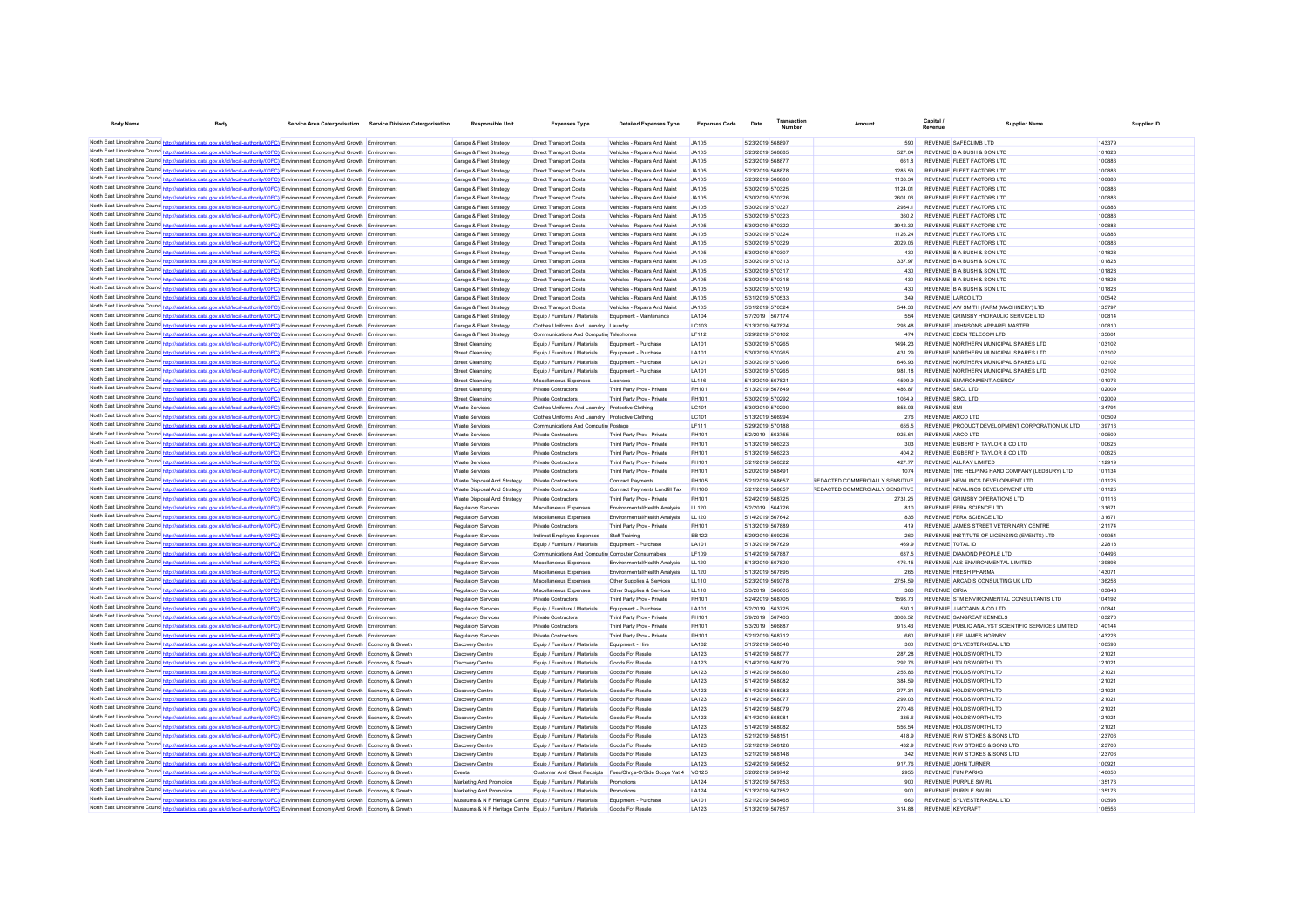| <b>Body Name</b>                           | <b>Body</b>                                                                                                                                                                                                                                                                     | Service Area Catergorisation Service Division Catergorisation | <b>Responsible Unit</b>                                                                                                    | <b>Expenses Type</b>                                                              | <b>Detailed Expenses Type</b>                                    | <b>Expenses Code</b>  | Transaction<br>Date                  | Amoun                           | <b>Capital</b>                                         | <b>Supplier Nam</b>                                | Supplier ID      |
|--------------------------------------------|---------------------------------------------------------------------------------------------------------------------------------------------------------------------------------------------------------------------------------------------------------------------------------|---------------------------------------------------------------|----------------------------------------------------------------------------------------------------------------------------|-----------------------------------------------------------------------------------|------------------------------------------------------------------|-----------------------|--------------------------------------|---------------------------------|--------------------------------------------------------|----------------------------------------------------|------------------|
|                                            |                                                                                                                                                                                                                                                                                 |                                                               |                                                                                                                            |                                                                                   |                                                                  |                       |                                      |                                 | REVENUE SAFECLIMB LTD                                  |                                                    |                  |
|                                            | North East Lincolnshire Counc http://statistics.data.gov.uk/id/local-authority/00FC) Environment Economy And Growth Environment<br>North East Lincolnshire Counc http://statistics.data.gov.uk/id/local-authority/00FC) Environment Economy And Growth Environment              |                                                               | Garage & Fleet Strategy<br>Garage & Fleet Strategy                                                                         | <b>Direct Transport Costs</b><br><b>Direct Transport Costs</b>                    | Vehicles - Repairs And Maint<br>Vehicles - Repairs And Maint     | .IA105<br>.14105      | 5/23/2019 568897<br>5/23/2019 568885 | 590<br>527.04                   | REVENUE B A BUSH & SON LTD                             |                                                    | 143379<br>101828 |
|                                            | North East Lincolnshire Counce http://statistics.data.gov.uk/id/local-authority/00FC) Environment Economy And Growth Environment                                                                                                                                                |                                                               | Garage & Fleet Strategy                                                                                                    | <b>Direct Transport Costs</b>                                                     | Vehicles - Repairs And Maint                                     | .14105                | 5/23/2019 568877                     | 661.8                           | REVENUE ELEFT FACTORS LTD                              |                                                    | 100886           |
|                                            | North East Lincolnshire Counce http://statistics.data.gov.uk/id/local-authority/00FC) Environment Economy And Growth Environment                                                                                                                                                |                                                               | Garage & Fleet Strategy                                                                                                    | Direct Transport Costs                                                            | Vehicles - Repairs And Maint                                     | IAA105                | 5/23/2019 568878                     | 1285 53                         | REVENUE ELEFT FACTORS LTD                              |                                                    | 100886           |
|                                            | North East Lincolnshire Councint the ://statistics.data.gov.uk/id/local-authority/00FC) Environment Economy And Growth Environment                                                                                                                                              |                                                               | Garage & Fleet Strategy                                                                                                    | <b>Direct Transport Costs</b>                                                     | Vehicles - Renairs And Maint                                     | .14105                | 5/23/2019 568880                     | 1138 34                         | REVENUE ELEET FACTORS LTD                              |                                                    | 100886           |
|                                            | North East Lincolnshire Councint the ://statistics.data.gov.uk/id/local-authority/00FC) Environment Economy And Growth Environment                                                                                                                                              |                                                               | Garage & Fleet Strategy                                                                                                    | Direct Transport Costs                                                            | Vehicles - Renairs And Maint                                     | .IA105                | 5/30/2019 570325                     | 1124 01                         | REVENUE ELEFT FACTORS LTD                              |                                                    | 100886           |
|                                            | North East Lincolnshire Counc http://statistics.data.gov.uk/id/local-authority/00FC) Environment Economy And Growth Environment                                                                                                                                                 |                                                               | Garage & Fleet Strategy                                                                                                    | <b>Direct Transport Costs</b>                                                     | Vehicles - Renairs And Maint                                     | IAA105                | 5/30/2019 570326                     | 2601.06                         | REVENUE ELEET FACTORS LTD                              |                                                    | 100886           |
|                                            | North East Lincolnshire Counc <sup>1</sup> http://statistics.data.gov.uk/id/local-authority/00FC) Environment Economy And Growth Environment                                                                                                                                    |                                                               | Garage & Fleet Strategy<br>Garage & Fleet Strategy                                                                         | <b>Direct Transport Costs</b><br><b>Direct Transport Costs</b>                    | Vehicles - Repairs And Maint<br>Vehicles - Repairs And Maint     | .IA105<br>.IA105      | 5/30/2019 570327<br>5/30/2019 570323 | 2984 1                          | REVENUE FLEET FACTORS LTD<br>REVENUE FLEET FACTORS LTD |                                                    | 100886<br>100886 |
|                                            | North East Lincolnshire Counc <sup>1</sup> http://statistics.data.gov.uk/id/local-authority/00FC) Environment Economy And Growth Environment<br>North East Lincolnshire Counc http://statistics.data.gov.uk/id/local-authority/00FC) Environment Economy And Growth Environment |                                                               | Garage & Fleet Strategy                                                                                                    | <b>Direct Transport Costs</b>                                                     | Vehicles - Repairs And Maint                                     | .IA105                | 5/30/2019 570322                     | 360.2<br>394232                 | REVENUE FLEET FACTORS LTD                              |                                                    | 100886           |
| North East Lincolnshire Counc http://etc   | stics.data.gov.uk/id/local-authority/00FC) Environment Economy And Growth Environment                                                                                                                                                                                           |                                                               | Garage & Fleet Strategy                                                                                                    | <b>Direct Transport Costs</b>                                                     | Vehicles - Repairs And Maint                                     | .IA105                | 5/30/2019 570324                     | 1126.24                         | REVENUE FLEET FACTORS LTD                              |                                                    | 100886           |
|                                            | North East Lincolnshire Counc http://statistics.data.gov.uk/id/local-authority/00FC) Environment Economy And Growth Environment                                                                                                                                                 |                                                               | Garage & Fleet Strategy                                                                                                    | Direct Transport Costs                                                            | Vehicles - Repairs And Maint                                     | JA105                 | 5/30/2019 570329                     | 2029.05                         | REVENUE FLEET FACTORS LTD                              |                                                    | 100886           |
|                                            | North East Lincolnshire Counc http://statistics.data.gov.uk/id/local-authority/00FC) Environment Economy And Growth Environment                                                                                                                                                 |                                                               | Garage & Fleet Strategy                                                                                                    | Direct Transport Costs                                                            | Vehicles - Repairs And Maint                                     | JA105                 | 5/30/2019 570307                     | 430                             | REVENUE B A BUSH & SON LTD                             |                                                    | 101828           |
|                                            | North East Lincolnshire Counce http://statistics.data.gov.uk/id/local-authority/00FC) Environment Economy And Growth Environment                                                                                                                                                |                                                               | Garage & Fleet Strategy                                                                                                    | Direct Transport Costs                                                            | Vehicles - Repairs And Maint                                     | JA105                 | 5/30/2019 570313                     | 337.97                          | REVENUE B A BUSH & SON LTD                             |                                                    | 101828           |
|                                            | North East Lincolnshire Counc http://statistics.data.gov.uk/id/local-authority/00FC) Environment Economy And Growth Environment                                                                                                                                                 |                                                               | Garage & Fleet Strategy                                                                                                    | <b>Direct Transport Costs</b>                                                     | Vehicles - Repairs And Maint                                     | JA105                 | 5/30/2019 570317                     | 430                             | REVENUE B A BUSH & SON LTD                             |                                                    | 101828           |
|                                            | North East Lincolnshire Counc http://statistics.data.gov.uk/id/local-authority/00FC) Environment Economy And Growth Environment                                                                                                                                                 |                                                               | Garage & Fleet Strategy                                                                                                    | <b>Direct Transport Costs</b>                                                     | Vehicles - Repairs And Maint                                     | JA105                 | 5/30/2019 570318                     | 430                             | REVENUE B A BUSH & SON LTD                             |                                                    | 101828           |
|                                            | North East Lincolnshire Counc http://statistics.data.gov.uk/id/local-authority/00FC) Environment Economy And Growth Environment<br>North East Lincolnshire Counce http://statistics.data.gov.uk/id/local-authority/00FC) Environment Economy And Growth Environment             |                                                               | Garage & Fleet Strategy<br>Garage & Fleet Strategy                                                                         | <b>Direct Transport Costs</b><br>Direct Transport Costs                           | Vehicles - Repairs And Maint<br>Vehicles - Repairs And Maint     | JA105<br>.IA105       | 5/30/2019 570319<br>5/31/2019 570533 | 430<br>349                      | REVENUE B A BUSH & SON LTD<br>REVENUE LARCO LTD        |                                                    | 101828<br>100542 |
|                                            | North East Lincolnshire Counc http://statistics.data.gov.uk/id/local-authority/00FC) Environment Economy And Growth Environment                                                                                                                                                 |                                                               | Garage & Fleet Strategy                                                                                                    | Direct Transport Costs                                                            | Vehicles - Repairs And Maint                                     | .IA105                | 5/31/2019 570524                     | <b>544 38</b>                   |                                                        | REVENUE AW SMITH (FARM (MACHINERY) I TD            | 135797           |
|                                            | North East Lincolnshire Counc http://statistics.data.gov.uk/id/local-authority/00FC) Environment Economy And Growth Environment                                                                                                                                                 |                                                               | Garage & Fleet Strategy                                                                                                    | Foujo / Furniture / Materials                                                     | Foujoment - Maintenance                                          | <b>1 A104</b>         | 5/7/2019 567174                      | 554                             |                                                        | REVENUE GRIMSRY HYDRAULIC SERVICE LTD              | 100814           |
|                                            | North East Lincolnshire Counce http://statistics.data.gov.uk/id/local-authority/00FC) Environment Economy And Growth Environment                                                                                                                                                |                                                               | Garage & Fleet Strategy                                                                                                    | Clothes Uniforms And Laundry Laundry                                              |                                                                  | <b>IC103</b>          | 5/13/2019 567824                     | 293 48                          |                                                        | REVENUE JOHNSONS APPARELMASTER                     | 100810           |
|                                            | North East Lincolnshire Counce http://statistics.data.gov.uk/id/local-authority/00FC) Environment Economy And Growth                                                                                                                                                            |                                                               | Garage & Fleet Strategy                                                                                                    | Communications And Computin Telephones                                            |                                                                  | I F112                | 5/29/2019 570102                     | 474                             | REVENUE FOEN TELECOM LTD                               |                                                    | 135601           |
|                                            | North East Lincolnshire Counc http://statistics.data.gov.uk/id/local-authority/00FC) Environment Economy And Growth Environment                                                                                                                                                 |                                                               | Street Cleansing                                                                                                           | Foujo / Furniture / Materials                                                     | Foujoment - Purchase                                             | <b>LA101</b>          | 5/30/2019 570265                     | 1494 23                         |                                                        | REVENUE NORTHERN MUNICIPAL SPARES LTD.             | 103102           |
|                                            | North East Lincolnshire Counc http://statistics.data.gov.uk/id/local-authority/00FC) Environment Economy And Growth Environment                                                                                                                                                 |                                                               | <b>Street Cleansing</b>                                                                                                    | Equip / Furniture / Materials                                                     | Equipment - Purchase                                             | LA101                 | 5/30/2019 570265                     | 431.29                          |                                                        | REVENUE NORTHERN MUNICIPAL SPARES LTD              | 103102           |
|                                            | North East Lincolnshire Counc http://statistics.data.gov.uk/id/local-authority/00FC) Environment Economy And Growth Environment                                                                                                                                                 |                                                               | <b>Street Cleansing</b>                                                                                                    | Equip / Furniture / Materials                                                     | Equipment - Purchase                                             | LA101                 | 5/30/2019 570266                     | 646.93                          |                                                        | REVENUE NORTHERN MUNICIPAL SPARES LTD              | 103102           |
|                                            | North East Lincolnshire Counc http://statistics.data.gov.uk/id/local-authority/00FC) Environment Economy And Growth Environment<br>North East Lincolnshire Counc http://statistics.data.gov.uk/id/local-authority/00FC) Environment Economy And Growth Environment              |                                                               | Street Cleansing<br>Street Cleansing                                                                                       | Equip / Furniture / Materials<br>Miscellaneous Expenses                           | Equipment - Purchase<br>Licences                                 | LA101<br><b>LL116</b> | 5/30/2019 570265<br>5/13/2019 567821 | 981 18<br>4599.9                | REVENUE ENVIRONMENT AGENCY                             | REVENUE NORTHERN MUNICIPAL SPARES LTD              | 103102<br>101076 |
|                                            | North East Lincolnshire Counc <sup>1</sup> http://statistics.data.gov.uk/id/local-authority/00FC) Environment Economy And Growth Environment                                                                                                                                    |                                                               | Street Cleansing                                                                                                           | Private Contractors                                                               | Third Party Prov - Private                                       | <b>PH101</b>          | 5/13/2019 567849                     | 486.87                          | REVENUE SRCL LTD                                       |                                                    | 102009           |
|                                            | North East Lincolnshire Counc http://statistics.data.gov.uk/id/local-authority/00FC) Environment Economy And Growth Environment                                                                                                                                                 |                                                               | Street Cleansing                                                                                                           | Private Contractors                                                               | Third Party Prov - Private                                       | <b>PH101</b>          | 5/30/2019 570292                     | 1064.9                          | REVENUE SRCL LTD                                       |                                                    | 102009           |
|                                            | North East Lincolnshire Counc http://statistics.data.gov.uk/id/local-authority/00FC) Environment Economy And Growth Environment                                                                                                                                                 |                                                               | <b>Waste Services</b>                                                                                                      | Clothes Uniforms And Laundry Protective Clothing                                  |                                                                  | LC101                 | 5/30/2019 570290                     | 858.03                          | <b>REVENUE SMI</b>                                     |                                                    | 134794           |
|                                            | North East Lincolnshire Counc http://statistics.data.gov.uk/id/local-authority/00FC) Environment Economy And Growth Environment                                                                                                                                                 |                                                               | <b>Waste Services</b>                                                                                                      | Clothes Uniforms And Laundry Protective Clothing                                  |                                                                  | LC101                 | 5/13/2019 566994                     | 276                             | REVENUE ARCO LTD                                       |                                                    | 100509           |
|                                            | North East Lincolnshire Councint the Material State Advised Council authority/00FC) Environment Economy And Growth Environment                                                                                                                                                  |                                                               | <b>Waste Services</b>                                                                                                      | Communications And Computin Postage                                               |                                                                  | <b>LF111</b>          | 5/29/2019 570188                     | 655.5                           |                                                        | REVENUE PRODUCT DEVELOPMENT CORPORATION UK LTD     | 139716           |
|                                            | North East Lincolnshire Counc http://statistics.data.gov.uk/id/local-authority/00FC) Environment Economy And Growth Environment                                                                                                                                                 |                                                               | <b>Waste Services</b>                                                                                                      | Private Contractors                                                               | Third Party Prov - Private                                       | PH101                 | 5/2/2019 563755                      | 925 61                          | REVENUE ARCO LTD                                       |                                                    | 100509           |
|                                            | North East Lincolnshire Counc http://statistics.data.gov.uk/id/local-authority/00FC) Environment Economy And Growth Environment                                                                                                                                                 |                                                               | <b>Waste Services</b>                                                                                                      | <b>Private Contractors</b>                                                        | Third Party Prov - Private                                       | <b>PH101</b>          | 5/13/2019 566323                     | 303                             |                                                        | REVENUE EGBERT H TAYLOR & CO LTD                   | 100625           |
|                                            | North East Lincolnshire Councint the ://statistics.data.gov.uk/id/local-authority/00FC) Environment Economy And Growth Environment                                                                                                                                              |                                                               | <b>Waste Services</b>                                                                                                      | <b>Private Contractors</b>                                                        | Third Party Prov - Private                                       | PH101                 | 5/13/2019 566323                     | 404.2                           |                                                        | REVENUE EGBERT H TAYLOR & CO LTD                   | 100625           |
|                                            | North East Lincolnshire Councinto://statistics.data.gov.uk/id/local-authority/00FC) Environment Economy And Growth Environment<br>North East Lincolnshire Counc http://statistics.data.gov.uk/id/local-authority/00FC) Environment Economy And Growth Environment               |                                                               | <b>Waste Services</b><br>Waste Services                                                                                    | <b>Private Contractors</b><br>Private Contractors                                 | Third Party Prov - Private<br>Third Party Prov - Private         | PH101<br>PH101        | 5/21/2019 568522<br>5/20/2019 568491 | 427 77<br>1074                  | REVENUE ALL PAY LIMITED                                | REVENUE THE HELPING HAND COMPANY (LEDBURY) LTD.    | 112919<br>101134 |
|                                            | North East Lincolnshire Counc http://statistics.data.gov.uk/id/local-authority/00FC) Environment Economy And Growth Environment                                                                                                                                                 |                                                               | Waste Disnosal And Strategy                                                                                                | Private Contractors                                                               | Contract Payments                                                | <b>PH105</b>          | 5/21/2019 568657                     | REDACTED COMMERCIALLY SENSITIVE |                                                        | REVENUE NEWLINGS DEVELOPMENT LTD                   | 101125           |
|                                            | North East Lincolnshire Counc http://statistics.data.gov.uk/id/local-authority/00FC) Environment Economy And Growth Environment                                                                                                                                                 |                                                               | Waste Disnosal And Strategy                                                                                                | Private Contractors                                                               | Contract Payments Landfill Tax                                   | <b>PH106</b>          | 5/21/2019 568657                     | REDACTED COMMERCIALLY SENSITIVE |                                                        | REVENUE NEWLINGS DEVELOPMENT LTD                   | 101125           |
|                                            | North East Lincolnshire Counce http://statistics.data.gov.uk/id/local-authority/00FC) Environment Economy And Growth Environment                                                                                                                                                |                                                               | Waste Disposal And Strategy                                                                                                | Private Contractors                                                               | Third Party Prov - Private                                       | PH101                 | 5/24/2019 568725                     | 2731 25                         |                                                        | REVENUE GRIMSBY OPERATIONS LTD                     | 101116           |
|                                            | North East Lincolnshire Counc http://statistics.data.gov.uk/id/local-authority/00FC) Environment Economy And Growth Environment                                                                                                                                                 |                                                               | Regulatory Services                                                                                                        | Miscellaneous Expenses                                                            | Environmental/Health Analysis                                    | 11120                 | 5/2/2019 564726                      | 810                             | REVENUE FERA SCIENCE LTD                               |                                                    | 13167            |
|                                            | North East Lincolnshire Counc <sup>1</sup> http://statistics.data.gov.uk/id/local-authority/00FC) Environment Economy And Growth Environment                                                                                                                                    |                                                               | Regulatory Services                                                                                                        | Miscellaneous Expenses                                                            | Environmental/Health Analysis                                    | 11120                 | 5/14/2019 567642                     | 835                             | REVENUE FERA SCIENCE LTD                               |                                                    | 131671           |
|                                            | North East Lincolnshire Counc http://statistics.data.gov.uk/id/local-authority/00FC) Environment Economy And Growth Environment                                                                                                                                                 |                                                               | Regulatory Services                                                                                                        | Private Contractors                                                               | Third Party Prov - Private                                       | <b>PH101</b>          | 5/13/2019 567889                     | 419                             |                                                        | REVENUE JAMES STREET VETERINARY CENTRE             | 121174           |
|                                            | North East Lincolnshire Counce http://statistics.data.gov.uk/id/local-authority/00FC) Environment Economy And Growth Environment                                                                                                                                                |                                                               | Regulatory Services                                                                                                        | Indirect Employee Expenses                                                        | <b>Staff Training</b>                                            | EB122                 | 5/29/2019 569225                     | 260                             |                                                        | REVENUE INSTITUTE OF LICENSING (EVENTS) LTD        | 109054           |
|                                            | North East Lincolnshire Counc http://statistics.data.gov.uk/id/local-authority/00FC) Environment Economy And Growth Environment<br>North East Lincolnshire Counc http://statistics.data.gov.uk/id/local-authority/00FC) Environment Economy And Growth Environment              |                                                               | Regulatory Services<br><b>Regulatory Services</b>                                                                          | Equip / Furniture / Materials<br>Communications And Computin Computer Consumables | Equipment - Purchase                                             | LA101<br>I F109       | 5/13/2019 567629<br>5/14/2019 567887 | 469.9<br>637.5                  | REVENUE TOTAL ID<br>REVENUE DIAMOND PEOPLE LTD         |                                                    | 122813<br>104496 |
|                                            | North East Lincolnshire Counce http://statistics.data.gov.uk/id/local-authority/00FC) Environment Economy And Growth Environment                                                                                                                                                |                                                               | <b>Regulatory Services</b>                                                                                                 | Miscellaneous Expenses                                                            | Environmental/Health Analysis                                    | LL120                 | 5/13/2019 567820                     | 476 15                          |                                                        | REVENUE ALS ENVIRONMENTAL LIMITED                  | 139898           |
|                                            | North East Lincolnshire Counce http://statistics.data.gov.uk/id/local-authority/00FC) Environment Economy And Growth Environment                                                                                                                                                |                                                               | <b>Regulatory Services</b>                                                                                                 | Miscellaneous Expenses                                                            | Environmental/Health Analysis                                    | LL120                 | 5/13/2019 567895                     | 265                             | <b>REVENUE FRESH PHARMA</b>                            |                                                    | 143071           |
|                                            | North East Lincolnshire Counce http://statistics.data.gov.uk/id/local-authority/00FC) Environment Economy And Growth Environment                                                                                                                                                |                                                               | <b>Regulatory Services</b>                                                                                                 | Miscellaneous Expenses                                                            | Other Supplies & Services                                        | LL110                 | 5/23/2019 569378                     | 2754.59                         |                                                        | REVENUE ARCADIS CONSULTING UK LTD                  | 136258           |
|                                            | North East Lincolnshire Counc http://statistics.data.gov.uk/id/local-authority/00FC) Environment Economy And Growth Environment                                                                                                                                                 |                                                               | <b>Regulatory Services</b>                                                                                                 | Miscellaneous Expenses                                                            | Other Supplies & Services                                        | LL110                 | 5/3/2019 566605                      | 380                             | <b>REVENUE CIRIA</b>                                   |                                                    | 103848           |
|                                            | North East Lincolnshire Counc http://statistics.data.gov.uk/id/local-authority/00FC) Environment Economy And Growth Environment                                                                                                                                                 |                                                               | <b>Regulatory Services</b>                                                                                                 | <b>Private Contractors</b>                                                        | Third Party Prov - Private                                       | PH101                 | 5/24/2019 568705                     | 1598 73                         |                                                        | REVENUE STM ENVIRONMENTAL CONSULTANTS LTD          | 104192           |
|                                            | North East Lincolnshire Counc http://statistics.data.gov.uk/id/local-authority/00FC) Environment Economy And Growth Environment                                                                                                                                                 |                                                               | Regulatory Services                                                                                                        | Equip / Furniture / Materials                                                     | Equipment - Purchase                                             | LA101                 | 5/2/2019 563725                      | 530.1                           | REVENUE J MCCANN & CO LTD                              |                                                    | 10084            |
|                                            | North East Lincolnshire Counc http://statistics.data.gov.uk/id/local-authority/00FC) Environment Economy And Growth Environment                                                                                                                                                 |                                                               | Regulatory Services                                                                                                        | <b>Private Contractors</b>                                                        | Third Party Prov - Private                                       | PH101                 | 5/9/2019 567403                      | 3008.52                         | REVENUE SANGREAT KENNELS                               |                                                    | 103270           |
|                                            | North East Lincolnshire Counc http://statistics.data.gov.uk/id/local-authority/00FC) Environment Economy And Growth Environment<br>North East Lincolnshire Counce http://statistics.data.gov.uk/id/local-authority/00FC) Environment Economy And Growth Environment             |                                                               | Regulatory Services<br>Regulatory Services                                                                                 | <b>Private Contractors</b><br><b>Private Contractors</b>                          | Third Party Prov - Private<br>Third Party Prov - Private         | PH101<br>PH101        | 5/3/2019 566887<br>5/21/2019 568712  | 915.43<br>660                   | REVENUE LEE JAMES HORNBY                               | REVENUE PUBLIC ANALYST SCIENTIFIC SERVICES LIMITED | 140144<br>143223 |
|                                            | North East Lincolnshire Counc http://statistics.data.gov.uk/id/local-authority/00FC) Environment Economy And Growth Economy & Growth                                                                                                                                            |                                                               | <b>Discovery Centre</b>                                                                                                    | Equip / Furniture / Materials                                                     | Foujoment - Hire                                                 | LA102                 | 5/15/2019 568348                     | 300                             | REVENUE SYLVESTER-KEAL LTD                             |                                                    | 100593           |
|                                            | North East Lincolnshire Counc http://statistics.data.gov.uk/id/local-authority/00FC) Environment Economy And Growth Economy & Growth                                                                                                                                            |                                                               | <b>Discovery Centre</b>                                                                                                    | Equip / Furniture / Materials                                                     | Goods For Resale                                                 | LA123                 | 5/14/2019 568077                     | 287 28                          | REVENUE HOLDSWORTH LTD                                 |                                                    | 121021           |
|                                            | North East Lincolnshire Counc http://statistics.data.gov.uk/id/local-authority/00FC) Environment Economy And Growth Economy & Growth                                                                                                                                            |                                                               | <b>Discovery Centre</b>                                                                                                    | Equip / Furniture / Materials                                                     | Goods For Resale                                                 | LA123                 | 5/14/2019 568079                     | 292.76                          | REVENUE HOLDSWORTH LTD                                 |                                                    | 121021           |
|                                            | North East Lincolnshire Councert http://statistics.data.gov.uk/id/local-authority/00FC) Environment Economy And Growth Economy & Growth                                                                                                                                         |                                                               | <b>Discovery Centre</b>                                                                                                    | Equip / Furniture / Materials                                                     | Goods For Resale                                                 | LA123                 | 5/14/2019 568080                     | 255.86                          | REVENUE HOLDSWORTH LTD                                 |                                                    | 12102            |
|                                            | North East Lincolnshire Counc http://statistics.data.gov.uk/id/local-authority/00FC) Environment Economy And Growth Economy & Growth                                                                                                                                            |                                                               | <b>Discovery Centre</b>                                                                                                    | Equip / Furniture / Materials                                                     | Goods For Resale                                                 | LA123                 | 5/14/2019 568082                     | 384.59                          | REVENUE HOLDSWORTH LTD                                 |                                                    | 12102            |
|                                            | North East Lincolnshire Councint the Material State Council of Article Authority (ODFC) Environment Economy And Growth Economy & Growth                                                                                                                                         |                                                               | <b>Discovery Centre</b>                                                                                                    | Equip / Furniture / Materials                                                     | Goods For Resale                                                 | LA123                 | 5/14/2019 568083                     | 277.31                          | REVENUE HOLDSWORTH LTD                                 |                                                    | 12102            |
|                                            | North East Lincolnshire Counc http://statistics.data.gov.uk/id/local-authority/00FC) Environment Economy And Growth Economy & Growth                                                                                                                                            |                                                               | <b>Discovery Centre</b>                                                                                                    | Equip / Furniture / Materials                                                     | Goods For Resale                                                 | LA123                 | 5/14/2019 568077                     | 299.03                          | REVENUE HOLDSWORTH LTD                                 |                                                    | 121021           |
|                                            | North East Lincolnshire Counc http://statistics.data.gov.uk/id/local-authority/00FC) Environment Economy And Growth Economy & Growth                                                                                                                                            |                                                               | <b>Discovery Centre</b>                                                                                                    | Equip / Furniture / Materials                                                     | Goods For Resale                                                 | LA123                 | 5/14/2019 568079                     | 270.46                          | REVENUE HOLDSWORTH LTD<br>REVENUE HOLDSWORTH LTD       |                                                    | 121021<br>121021 |
|                                            | North East Lincolnshire Counc. http://statistics.data.gov.uk/id/local-authority/00FC) Environment Economy And Growth Economy & Growth<br>North East Lincolnshire Counc http://statistics.data.gov.uk/id/local-authority/00FC) Environment Economy And Growth Economy & Growth   |                                                               | <b>Discovery Centre</b><br><b>Discovery Centre</b>                                                                         | Equip / Furniture / Materials<br>Equip / Furniture / Materials                    | Goods For Resale<br><b>Goods For Resale</b>                      | LA123<br>I A123       | 5/14/2019 568081<br>5/14/2019 568082 | 335.6<br>556 54                 | REVENUE HOLDSWORTH LTD                                 |                                                    | 121021           |
|                                            | North East Lincolnshire Counc <sup>http://statistics.data.gov.uk/id/local-authority/00FC) Environment Economy And Growth Economy &amp; Growth</sup>                                                                                                                             |                                                               | <b>Discovery Centre</b>                                                                                                    | Equip / Furniture / Materials                                                     | Goods For Resale                                                 | I A123                | 5/21/2019 568151                     | 4189                            | REVENUE R W STOKES & SONS LTD                          |                                                    | 123706           |
|                                            | North East Lincolnshire Councint the Material State Council of Article Authority (ODFC) Environment Economy And Growth Economy & Growth                                                                                                                                         |                                                               | <b>Discovery Centre</b>                                                                                                    | Equip / Furniture / Materials                                                     | <b>Goods For Resale</b>                                          | LA123                 | 5/21/2019 568126                     | 4329                            | REVENUE R W STOKES & SONS LTD                          |                                                    | 123706           |
|                                            | North East Lincolnshire Counc http://statistics.data.gov.uk/id/local-authority/00FC) Environment Economy And Growth Economy & Growth                                                                                                                                            |                                                               | <b>Discovery Centre</b>                                                                                                    | Equip / Furniture / Materials                                                     | <b>Goods For Resale</b>                                          | I A123                | 5/21/2019 568148                     | 342                             | REVENUE R W STOKES & SONS LTD                          |                                                    | 123706           |
|                                            | North East Lincolnshire Counc http://statistics.data.gov.uk/id/local-authority/00FC) Environment Economy And Growth Economy & Growth                                                                                                                                            |                                                               | <b>Discovery Centre</b>                                                                                                    | Equip / Furniture / Materials                                                     | Goods For Resale                                                 | LA123                 | 5/24/2019 569652                     | 917.76                          | REVENUE JOHN TURNER                                    |                                                    | 100921           |
|                                            | North East Lincolnshire Councint the ://statistics.data.gov.uk/id/local-authority/00FC) Environment Economy And Growth Economy & Growth                                                                                                                                         |                                                               | Events                                                                                                                     |                                                                                   | Customer And Client Receipts Fees/Chras-O/Side Scope Vat 4 VC125 |                       | 5/28/2019 569742                     | 2955                            | <b>REVENUE FUN PARKS</b>                               |                                                    | 140050           |
| North East Lincolnshire Counce http://stat | stics.data.gov.uk/id/local-authority/00FC) Environment Economy And Growth Economy & Growth                                                                                                                                                                                      |                                                               | Marketing And Promotion                                                                                                    | Equip / Furniture / Materials                                                     | Promotions                                                       | LA124                 | 5/13/2019 567853                     | 900                             | <b>REVENUE PURPLE SWIRL</b>                            |                                                    | 135176           |
|                                            | North East Lincolnshire Counc http://statistics.data.gov.uk/id/local-authority/00FC) Environment Economy And Growth Economy & Growth                                                                                                                                            |                                                               | Marketing And Promotion                                                                                                    | Equip / Furniture / Materials                                                     | Promotions                                                       | LA124                 | 5/13/2019 567852                     | 900                             | <b>REVENUE PURPLE SWIRL</b>                            |                                                    | 135176           |
|                                            | North East Lincolnshire Counc http://statistics.data.gov.uk/id/local-authority/00FC) Environment Economy And Growth Economy & Growth<br>North East Lincolnshire Counc http://statistics.data.gov.uk/id/local-authority/00FC) Environment Economy And Growth Economy & Growth    |                                                               | Museums & N F Heritage Centre Equip / Furniture / Materials<br>Museums & N F Heritage Centre Equip / Furniture / Materials |                                                                                   | Equipment - Purchase<br>Goods For Resale                         | LA101<br>LA123        | 5/21/2019 568465<br>5/13/2019 567857 | 660<br>314.88                   | REVENUE SYLVESTER-KEAL LTD<br><b>REVENUE KEYCRAF</b>   |                                                    | 100593<br>10655  |
|                                            |                                                                                                                                                                                                                                                                                 |                                                               |                                                                                                                            |                                                                                   |                                                                  |                       |                                      |                                 |                                                        |                                                    |                  |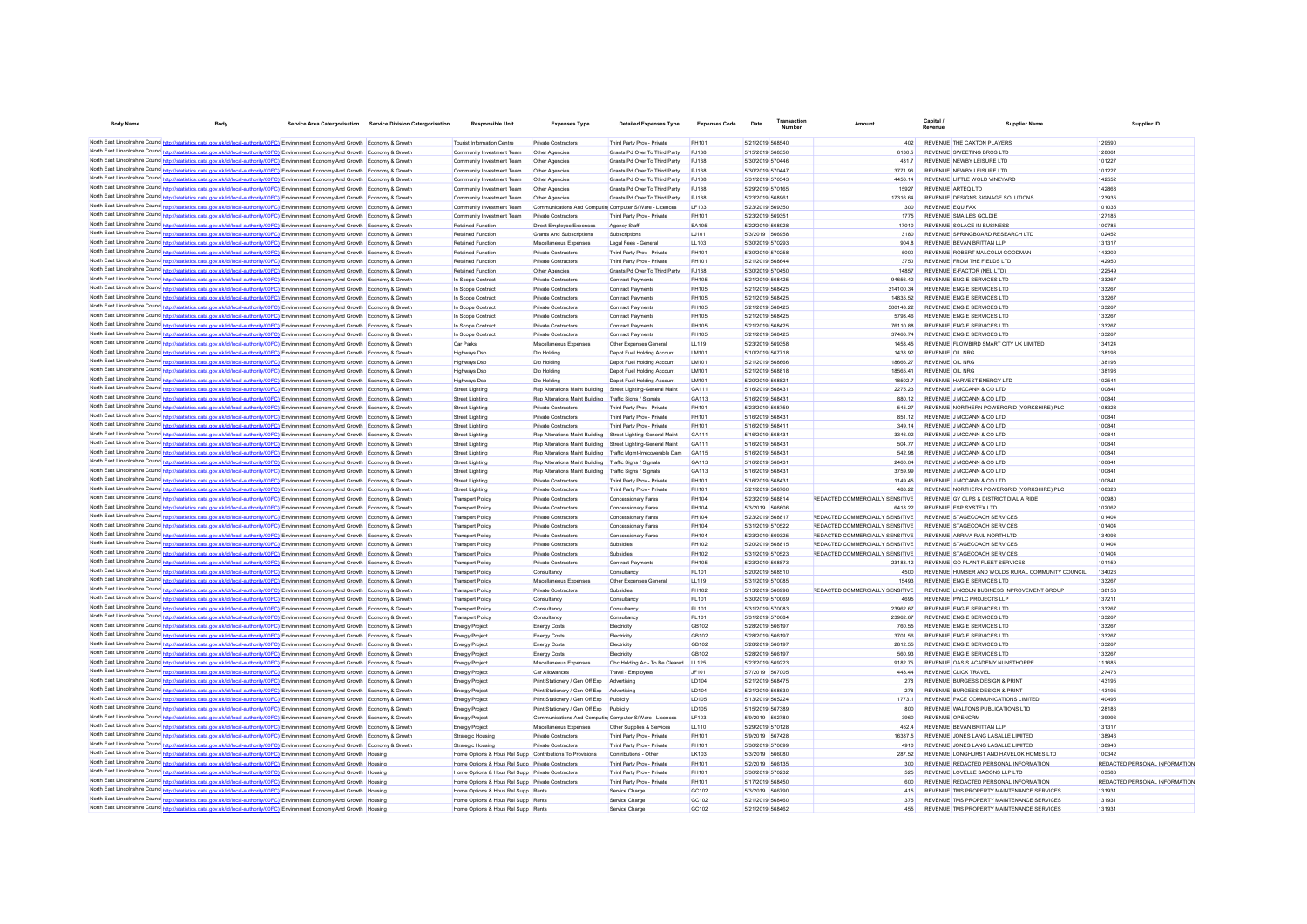| <b>Body Name</b>                         |                                                                                                                                                                                                                                                                                           | Service Area Catergorisation | <b>Service Division Catergorisation</b> | <b>Responsible Unit</b>                                  | <b>Expenses Type</b>                                          | <b>Detailed Expenses Type</b>                               | <b>Expenses Code</b> | Transaction<br>Date                  |                                                                    | Capital.<br>Supplier Nam-<br>Revenue                                                   | Supplier ID                   |
|------------------------------------------|-------------------------------------------------------------------------------------------------------------------------------------------------------------------------------------------------------------------------------------------------------------------------------------------|------------------------------|-----------------------------------------|----------------------------------------------------------|---------------------------------------------------------------|-------------------------------------------------------------|----------------------|--------------------------------------|--------------------------------------------------------------------|----------------------------------------------------------------------------------------|-------------------------------|
|                                          | North East Lincolnshire Counc http://statistics.data.gov.uk/id/local-authority/00FC) Environment Economy And Growth Economy & Growth                                                                                                                                                      |                              |                                         | Tourist Information Centre                               | Private Contractors                                           | Third Party Prov - Private                                  | <b>PH101</b>         | 5/21/2019 568540                     | 402                                                                | REVENUE THE CAXTON PLAYERS                                                             | 129590                        |
|                                          | North East Lincolnshire Counc http://statistics.data.gov.uk/id/local-authority/00FC) Environment Economy And Growth Economy & Growth                                                                                                                                                      |                              |                                         | Community Investment Team                                | Other Agencies                                                | Grants Pd Over To Third Party                               | PJ138                | 5/15/2019 568350                     | 6130.5                                                             | REVENUE SWEETING BROS LTD                                                              | 12806                         |
|                                          | North East Lincolnshire Counc <sup>1</sup> http://statistics.data.gov.uk/id/local-authority/00FC) Environment Economy And Growth Economy & Growth                                                                                                                                         |                              |                                         | Community Investment Team                                | Other Agencies                                                | Grants Pd Over To Third Party                               | PJ138                | 5/30/2019 570446                     | 431.7                                                              | REVENUE NEWBY LEISURE LTD                                                              | 101227                        |
|                                          | North East Lincolnshire Counc <sup>1</sup> http://statistics.data.gov.uk/id/local-authority/00FC) Environment Economy And Growth Economy & Growth                                                                                                                                         |                              |                                         | Community Investment Team                                | Other Agencies                                                | Grants Pd Over To Third Party                               | PJ138                | 5/30/2019 570447                     | 3771.96                                                            | REVENUE NEWBY LEISURE LTD                                                              | 101227                        |
|                                          | North East Lincolnshire Counc http://statistics.data.gov.uk/id/local-authority/00FC) Environment Economy And Growth Economy & Growth                                                                                                                                                      |                              |                                         | Community Investment Team                                | Other Agencies                                                | Grants Pd Over To Third Party                               | PJ138                | 5/31/2019 570543                     | 4456 14                                                            | REVENUE LITTLE WOLD VINEYARD                                                           | 142552                        |
|                                          | North East Lincolnshire Counc http://statistics.data.gov.uk/id/local-authority/00FC) Environment Economy And Growth Economy & Growth                                                                                                                                                      |                              |                                         | Community Investment Team                                | Other Agencies                                                | Grants Pd Over To Third Party                               | PJ138                | 5/29/2019 570165                     | 15927                                                              | REVENUE ARTEO LTD                                                                      | 142868                        |
|                                          | North East Lincolnshire Counc http://statistics.data.gov.uk/id/local-authority/00FC) Environment Economy And Growth Economy & Growth                                                                                                                                                      |                              |                                         | Community Investment Team                                | Other Agencies                                                | Grants Pd Over To Third Party                               | PJ138                | 5/23/2019 568961                     | 17316.64                                                           | REVENUE DESIGNS SIGNAGE SOLUTIONS                                                      | 123935                        |
|                                          | North East Lincolnshire Counc http://statistics.data.gov.uk/id/local-authority/00FC) Environment Economy And Growth Economy & Growth                                                                                                                                                      |                              |                                         | Community Investment Team                                | Communications And Computin Computer S/Ware - Licences        |                                                             | I F103               | 5/23/2019 569350                     | 300                                                                | <b>REVENUE FOUJEAX</b>                                                                 | 101035                        |
|                                          | North East Lincolnshire Counc <sup>1</sup> http://statistics.data.gov.uk/id/local-authority/00FC) Environment Economy And Growth Economy & Growth                                                                                                                                         |                              |                                         | Community Investment Team                                | Private Contractors                                           | Third Party Prov - Private                                  | PH101                | 5/23/2019 56935                      | 1775                                                               | REVENUE SMAILES GOLDIE                                                                 | 127185                        |
|                                          | North East Lincolnshire Counc http://statistics.data.gov.uk/id/local-authority/00FC) Environment Economy And Growth Economy & Growth                                                                                                                                                      |                              |                                         | <b>Retained Function</b>                                 | Direct Employee Expenses                                      | Agency Staff                                                | EA105                | 5/22/2019 568928                     | 17010                                                              | REVENUE SOLACE IN BUSINESS                                                             | 100785                        |
|                                          | North East Lincolnshire Counc http://statistics.data.gov.uk/id/local-authority/00FC) Environment Economy And Growth Economy & Growth                                                                                                                                                      |                              |                                         | <b>Retained Function</b>                                 | Grants And Subscriptions                                      | Subscriptions                                               | LJ101                | 5/3/2019 566958                      | 3180                                                               | REVENUE SPRINGBOARD RESEARCH LTD                                                       | 102452                        |
|                                          | North East Lincolnshire Counc <sup>1</sup> http://statistics.data.gov.uk/id/local-authority/00FC) Environment Economy And Growth Economy & Growth                                                                                                                                         |                              |                                         | <b>Retained Function</b>                                 | Miscellaneous Expenses                                        | Legal Fees - General                                        | LL103                | 5/30/2019 570293                     | 904.8                                                              | REVENUE BEVAN BRITTAN LLF                                                              | 131317                        |
| North East Lincolnshire Counc http://etc | North East Lincolnshire Counc <sup>http://statistics.data.gov.uk/id/local-authority/00FC) Environment Economy And Growth Economy &amp; Growth</sup>                                                                                                                                       |                              |                                         | <b>Retained Function</b>                                 | Private Contractors                                           | Third Party Prov - Private                                  | PH101                | 5/30/2019 570258                     | 5000                                                               | REVENUE ROBERT MALCOLM GOODMAN                                                         | 143202                        |
|                                          | tics.data.gov.uk/id/local-authority/00FC) Environment Economy And Growth Economy & Growth<br>North East Lincolnshire Counc <sup>1</sup> http://statistics.data.gov.uk/id/local-authority/00FC) Environment Economy And Growth Economy & Growth                                            |                              |                                         | <b>Retained Function</b><br><b>Retained Function</b>     | Private Contractors                                           | Third Party Prov - Private<br>Grants Pd Over To Third Party | PH101<br>PJ138       | 5/21/2019 568644<br>5/30/2019 570450 | 3750<br>14857                                                      | REVENUE FROM THE FIELDS LTD<br>REVENUE E-FACTOR (NEL LTD)                              | 142950<br>122549              |
|                                          | North East Lincolnshire Counc <sup>1</sup> http://statistics.data.gov.uk/id/local-authority/00FC) Environment Economy And Growth Economy & Growth                                                                                                                                         |                              |                                         | In Scope Contract                                        | Other Agencies<br><b>Private Contractors</b>                  | Contract Payments                                           | <b>PH105</b>         | 5/21/2019 568425                     | 94656.42                                                           | REVENUE ENGIE SERVICES LTD                                                             | 133267                        |
|                                          | North East Lincolnshire Counc http://statistics.data.gov.uk/id/local-authority/00FC) Environment Economy And Growth Economy & Growth                                                                                                                                                      |                              |                                         | In Scope Contract                                        | <b>Private Contractors</b>                                    | Contract Payments                                           | <b>PH105</b>         | 5/21/2019 568425                     | 314100.34                                                          | REVENUE ENGIE SERVICES LTD                                                             | 133267                        |
|                                          | North East Lincolnshire Counc http://statistics.data.gov.uk/id/local-authority/00FC) Environment Economy And Growth Economy & Growth                                                                                                                                                      |                              |                                         | In Scope Contract                                        | Private Contractors                                           | Contract Payments                                           | PH105                | 5/21/2019 568425                     | 14835.52                                                           | REVENUE ENGIE SERVICES LTD                                                             | 133267                        |
|                                          | North East Lincolnshire Counc http://statistics.data.gov.uk/id/local-authority/00FC) Environment Economy And Growth Economy & Growth                                                                                                                                                      |                              |                                         | In Scope Contrac                                         | Private Contractors                                           | Contract Payments                                           | PH105                | 5/21/2019 568425                     | 500148.22                                                          | REVENUE ENGIE SERVICES LTD                                                             | 133267                        |
|                                          | North East Lincolnshire Counc http://statistics.data.gov.uk/id/local-authority/00FC) Environment Economy And Growth Economy & Growth                                                                                                                                                      |                              |                                         | In Scope Contrac                                         | Private Contractors                                           | Contract Payments                                           | PH105                | 5/21/2019 568425                     | 5798.46                                                            | REVENUE ENGIE SERVICES LTD                                                             | 133267                        |
|                                          | North East Lincolnshire Councint trup://statistics.data.gov.uk/id/local-authority/00FC) Environment Economy And Growth Economy & Growth                                                                                                                                                   |                              |                                         | In Scope Contract                                        | Private Contractors                                           | Contract Payments                                           | PH105                | 5/21/2019 568425                     | 76110.88                                                           | REVENUE ENGIE SERVICES LTD                                                             | 133267                        |
|                                          | North East Lincolnshire Counc <sup>http://statistics.data.gov.uk/id/local-authority/00FC) Environment Economy And Growth Economy &amp; Growth</sup>                                                                                                                                       |                              |                                         | In Scope Contract                                        | Private Contractors                                           | Contract Payments                                           | PH105                | 5/21/2019 568425                     | 37466.74                                                           | REVENUE ENGIE SERVICES LTD                                                             | 133267                        |
|                                          | North East Lincolnshire Counc http://statistics.data.gov.uk/id/local-authority/00FC) Environment Economy And Growth Economy & Growth                                                                                                                                                      |                              |                                         | <b>Car Parks</b>                                         | Miscellaneous Expenses                                        | Other Expenses General                                      | LL119                | 5/23/2019 569358                     | 1458.45                                                            | REVENUE FLOWBIRD SMART CITY UK LIMITED                                                 | 134124                        |
|                                          | North East Lincolnshire Councint trup://statistics.data.gov.uk/id/local-authority/00FC) Environment Economy And Growth Economy & Growth                                                                                                                                                   |                              |                                         | Highways Dso                                             | Dio Holding                                                   | Denot Fuel Holding Account                                  | <b>IM101</b>         | 5/10/2019 567718                     | 1438.92                                                            | REVENUE OIL NRG                                                                        | 138198                        |
|                                          | North East Lincolnshire Counc. http://statistics.data.gov.uk/id/local-authority/00FC) Environment Economy And Growth Economy & Growth                                                                                                                                                     |                              |                                         | Highways Dso                                             | Dio Holding                                                   | Depot Fuel Holding Account                                  | <b>IM101</b>         | 5/21/2019 568666                     | 18666.27                                                           | REVENUE OIL NRG                                                                        | 138198                        |
|                                          | North East Lincolnshire Counce http://statistics.data.gov.uk/id/local-authority/00FC) Environment Economy And Growth Economy & Growth                                                                                                                                                     |                              |                                         | Highways Dso                                             | Dio Holding                                                   | Depot Fuel Holding Account                                  | <b>IM101</b>         | 5/21/2019 568818                     | 18565 41                                                           | REVENUE OIL NRG                                                                        | 138198                        |
|                                          | North East Lincolnshire Councint http://statistics.data.gov.uk/id/local-authority/00FC) Environment Economy And Growth Economy & Growth                                                                                                                                                   |                              |                                         | Highways Dso                                             | Dlo Holding                                                   | Depot Fuel Holding Account                                  | <b>IM101</b>         | 5/20/2019 568821                     | 18502.7                                                            | REVENUE HARVEST ENFRGY LTD                                                             | 102544                        |
|                                          | North East Lincolnshire Councint http://statistics.data.gov.uk/id/local-authority/00FC) Environment Economy And Growth Economy & Growth                                                                                                                                                   |                              |                                         | Street Lighting                                          | Rep Alterations Maint Building Street Lighting-General Maint  |                                                             | GA111                | 5/16/2019 568431                     | 2275.23                                                            | REVENUE J MCCANN & CO LTD                                                              | 10084                         |
|                                          | North East Lincolnshire Councint trup://statistics.data.gov.uk/id/local-authority/00FC) Environment Economy And Growth Economy & Growth                                                                                                                                                   |                              |                                         | <b>Street Lighting</b>                                   | Rep Alterations Maint Building Traffic Signs / Signals        |                                                             | GA113<br>PH101       | 5/16/2019 568431                     | 880 12                                                             | REVENUE J MCCANN & CO LTD                                                              | 100841                        |
|                                          | North East Lincolnshire Counc http://statistics.data.gov.uk/id/local-authority/00FC) Environment Economy And Growth Economy & Growth<br>North East Lincolnshire Counc <sup>1</sup> http://statistics.data.gov.uk/id/local-authority/00FC) Environment Economy And Growth Economy & Growth |                              |                                         | <b>Street Lighting</b><br><b>Street Lighting</b>         | Private Contractors<br>Private Contractors                    | Third Party Prov - Private<br>Third Party Prov - Private    | PH101                | 5/23/2019 568759<br>5/16/2019 56843  | 545.27<br>851.12                                                   | REVENUE NORTHERN POWERGRID (YORKSHIRE) PLC<br>REVENUE J MCCANN & CO LTD                | 108328<br>10084               |
|                                          | North East Lincolnshire Counc <sup>1</sup> http://statistics.data.gov.uk/id/local-authority/00FC) Environment Economy And Growth Economy & Growth                                                                                                                                         |                              |                                         | <b>Street Lighting</b>                                   | Private Contractors                                           | Third Party Prov - Private                                  | PH101                | 5/16/2019 56841                      | 349.14                                                             | REVENUE J MCCANN & CO LTD                                                              | 10084                         |
|                                          | North East Lincolnshire Councint http://statistics.data.gov.uk/id/local-authority/00FC) Environment Economy And Growth Economy & Growth                                                                                                                                                   |                              |                                         | Street Lighting                                          | Rep Alterations Maint Building Street Lighting-General Maint  |                                                             | GA111                | 5/16/2019 56843                      | 3346.02                                                            | REVENUE J MCCANN & CO LTD                                                              | 10084                         |
|                                          | North East Lincolnshire Counc http://statistics.data.gov.uk/id/local-authority/00FC) Environment Economy And Growth Economy & Growth                                                                                                                                                      |                              |                                         | <b>Street Lighting</b>                                   | Rep Alterations Maint Building Street Lighting-General Maint  |                                                             | GA111                | 5/16/2019 568431                     | 504.77                                                             | REVENUE J MCCANN & CO LTD                                                              | 10084                         |
|                                          | North East Lincolnshire Counc http://statistics.data.gov.uk/id/local-authority/00FC) Environment Economy And Growth Economy & Growth                                                                                                                                                      |                              |                                         | <b>Street Lighting</b>                                   | Rep Alterations Maint Building Traffic Mgmt-Irrecoverable Dam |                                                             | GA115                | 5/16/2019 568431                     | 542.98                                                             | REVENUE J MCCANN & CO LTD                                                              | 10084                         |
|                                          | North East Lincolnshire Counc <sup>http://statistics.data.gov.uk/id/local-authority/00FC) Environment Economy And Growth Economy &amp; Growth</sup>                                                                                                                                       |                              |                                         | <b>Street Lighting</b>                                   | Rep Alterations Maint Building Traffic Signs / Signals        |                                                             | GA113                | 5/16/2019 568431                     | 2460.04                                                            | REVENUE J MCCANN & CO LTD                                                              | 10084                         |
|                                          | North East Lincolnshire Councint true intertions.data.gov.uk/id/local-authority/00FC) Environment Economy And Growth Economy & Growth                                                                                                                                                     |                              |                                         | <b>Street Lighting</b>                                   | Rep Alterations Maint Building Traffic Signs / Signals        |                                                             | GA113                | 5/16/2019 568431                     | 3759.99                                                            | REVENUE J MCCANN & CO LTD                                                              | 10084                         |
|                                          | North East Lincolnshire Counc http://statistics.data.gov.uk/id/local-authority/00FC) Environment Economy And Growth Economy & Growth                                                                                                                                                      |                              |                                         | <b>Street Lighting</b>                                   | <b>Private Contractors</b>                                    | Third Party Prov - Private                                  | PH101                | 5/16/2019 568431                     | 1149.45                                                            | REVENUE J MCCANN & CO LTD                                                              | 10084                         |
|                                          | North East Lincolnshire Counc http://statistics.data.gov.uk/id/local-authority/00FC) Environment Economy And Growth Economy & Growth                                                                                                                                                      |                              |                                         | <b>Street Lighting</b>                                   | <b>Private Contractors</b>                                    | Third Party Prov - Private                                  | <b>PH101</b>         | 5/21/2019 568760                     | 488.22                                                             | REVENUE NORTHERN POWERGRID (YORKSHIRE) PLC                                             | 108328                        |
|                                          | North East Lincolnshire Councint true intertions.data.gov.uk/id/local-authority/00FC) Environment Economy And Growth Economy & Growth                                                                                                                                                     |                              |                                         | <b>Transport Policy</b>                                  | <b>Private Contractors</b>                                    | Concessionary Fares                                         | PH104                | 5/23/2019 568814                     | REDACTED COMMERCIALLY SENSITIVE                                    | REVENUE GY CLPS & DISTRICT DIAL A RIDE                                                 | 100980                        |
|                                          | North East Lincolnshire Councint true intertions.data.gov.uk/id/local-authority/00FC) Environment Economy And Growth Economy & Growth                                                                                                                                                     |                              |                                         | <b>Transport Policy</b>                                  | <b>Private Contractors</b>                                    | Concessionary Fares                                         | PH104                | 5/3/2019 566606                      | 6418.22                                                            | REVENUE ESP SYSTEX LTD                                                                 | 102062                        |
|                                          | North East Lincolnshire Councint trup://statistics.data.gov.uk/id/local-authority/00FC) Environment Economy And Growth Economy & Growth                                                                                                                                                   |                              |                                         | <b>Transport Policy</b>                                  | <b>Private Contractors</b>                                    | Concessionary Fares                                         | PH104                | 5/23/2019 568817                     | REDACTED COMMERCIALLY SENSITIVE                                    | REVENUE STAGECOACH SERVICES                                                            | 101404                        |
|                                          | North East Lincolnshire Councint http://statistics.data.gov.uk/id/local-authority/00FC) Environment Economy And Growth Economy & Growth<br>North East Lincolnshire Counc http://statistics.data.gov.uk/id/local-authority/00FC) Environment Economy And Growth Economy & Growth           |                              |                                         | <b>Transport Policy</b><br><b>Transport Policy</b>       | Private Contractors<br>Private Contractors                    | Concessionary Fares<br>Concessionary Fares                  | PH104<br>PH104       | 5/31/2019 570522<br>5/23/2019 569325 | REDACTED COMMERCIALLY SENSITIVE<br>REDACTED COMMERCIALLY SENSITIVE | REVENUE STAGECOACH SERVICES<br>REVENUE ARRIVA RAIL NORTH LTD                           | 101404<br>134093              |
|                                          | North East Lincolnshire Counc http://statistics.data.gov.uk/id/local-authority/00FC) Environment Economy And Growth Economy & Growth                                                                                                                                                      |                              |                                         | <b>Transport Policy</b>                                  | Private Contractors                                           | Subsidies                                                   | PH102                | 5/20/2019 568815                     | REDACTED COMMERCIALLY SENSITIVE                                    | REVENUE STAGECOACH SERVICES                                                            | 101404                        |
|                                          | North East Lincolnshire Counce http://statistics.data.gov.uk/id/local-authority/00FC) Environment Economy And Growth Economy & Growth                                                                                                                                                     |                              |                                         | <b>Transport Policy</b>                                  | Private Contractor                                            | Subsidies                                                   | PH102                | 5/31/2019 570523                     | REDACTED COMMERCIALLY SENSITIVE                                    | REVENUE STAGECOACH SERVICES                                                            | 101404                        |
|                                          | North East Lincolnshire Counce http://statistics.data.gov.uk/id/local-authority/00FC) Environment Economy And Growth Economy & Growth                                                                                                                                                     |                              |                                         | <b>Transport Policy</b>                                  | Private Contractor                                            | Contract Payments                                           | PH105                | 5/23/2019 568873                     | 23183.12                                                           | REVENUE GO PLANT FLEET SERVICES                                                        | 101159                        |
|                                          | North East Lincolnshire Counc http://statistics.data.gov.uk/id/local-authority/00FC) Environment Economy And Growth Economy & Growth                                                                                                                                                      |                              |                                         | <b>Transport Policy</b>                                  | Consultancy                                                   | Consultancy                                                 | PL101                | 5/20/2019 568510                     | 4500                                                               | REVENUE HUMBER AND WOLDS RURAL COMMUNITY COUNCIL                                       | 134026                        |
|                                          | North East Lincolnshire Councinto://statistics.data.gov.uk/id/local-authority/00FC) Environment Economy And Growth                                                                                                                                                                        |                              |                                         | <b>Transport Policy</b>                                  | Miscellaneous Expenses                                        | Other Expenses Genera                                       | LL119                | 5/31/2019 570085                     | 15493                                                              | REVENUE ENGIE SERVICES LTD                                                             | 133267                        |
|                                          | North East Lincolnshire Councint true intertions.data.gov.uk/id/local-authority/00FC) Environment Economy And Growth Economy & Growth                                                                                                                                                     |                              |                                         | <b>Transport Policy</b>                                  | Private Contractor                                            | Subsidies                                                   | PH102                | 5/13/2019 566998                     | REDACTED COMMERCIALLY SENSITIVE                                    | REVENUE LINCOLN BUSINESS INPROVEMENT GROUP                                             | 138153                        |
|                                          | North East Lincolnshire Counc <sup>http://statistics.data.gov.uk/id/local-authority/00FC) Environment Economy And Growth Economy &amp; Growth</sup>                                                                                                                                       |                              |                                         | <b>Transport Policy</b>                                  | Consultance                                                   | Consultancy                                                 | <b>PL101</b>         | 5/30/2019 570069                     | 4695                                                               | REVENUE PWLC PROJECTS LLP                                                              | 13721                         |
|                                          | North East Lincolnshire Counc http://statistics.data.gov.uk/id/local-authority/00FC) Environment Economy And Growth Economy & Growth                                                                                                                                                      |                              |                                         | <b>Transport Policy</b>                                  | Consultancy                                                   | Consultance                                                 | <b>PL101</b>         | 5/31/2019 570083                     | 23962.67                                                           | REVENUE ENGIE SERVICES LTD                                                             | 133267                        |
|                                          | North East Lincolnshire Councint true intertions.data.gov.uk/id/local-authority/00FC) Environment Economy And Growth Economy & Growth                                                                                                                                                     |                              |                                         | <b>Transport Policy</b>                                  | Consultancy                                                   | Consultancy                                                 | PI 101               | 5/31/2019 570084                     | 23962.67                                                           | REVENUE ENGIE SERVICES LTD                                                             | 133267                        |
|                                          | North East Lincolnshire Councint trup://statistics.data.gov.uk/id/local-authority/00FC) Environment Economy And Growth Economy & Growth                                                                                                                                                   |                              |                                         | <b>Energy Project</b>                                    | <b>Energy Costs</b>                                           | Flectricity                                                 | GR102                | 5/28/2019 566197                     | 760.55                                                             | REVENUE ENGIE SERVICES LTD                                                             | 133267                        |
|                                          | North East Lincolnshire Counc http://statistics.data.gov.uk/id/local-authority/00FC) Environment Economy And Growth Economy & Growth                                                                                                                                                      |                              |                                         | <b>Energy Project</b>                                    | <b>Energy Costs</b>                                           | Flectricity                                                 | GR102                | 5/28/2019 566197                     | 3701.56                                                            | REVENUE ENGIE SERVICES LTD                                                             | 133267                        |
|                                          | North East Lincolnshire Counc http://statistics.data.gov.uk/id/local-authority/00FC) Environment Economy And Growth Economy & Growth                                                                                                                                                      |                              |                                         | <b>Energy Project</b>                                    | <b>Energy Costs</b>                                           | Electricity                                                 | GR102<br>GB102       | 5/28/2019 566197                     | 2812.55<br>560.93                                                  | REVENUE ENGIE SERVICES LTD                                                             | 133267                        |
|                                          | North East Lincolnshire Counc <sup>1</sup> http://statistics.data.gov.uk/id/local-authority/00FC) Environment Economy And Growth Economy & Growth<br>North East Lincolnshire Counc http://statistics.data.gov.uk/id/local-authority/00FC) Environment Economy And Growth Economy & Growth |                              |                                         | <b>Energy Project</b><br><b>Energy Project</b>           | <b>Energy Costs</b><br>Miscellaneous Expenses                 | Electricity<br>Obc Holding Ac - To Be Cleared               | LL125                | 5/28/2019 566197<br>5/23/2019 569223 | 9182.75                                                            | REVENUE ENGIE SERVICES LTD<br>REVENUE OASIS ACADEMY NUNSTHORPE                         | 133267<br>111685              |
|                                          | North East Lincolnshire Counc http://statistics.data.gov.uk/id/local-authority/00FC) Environment Economy And Growth Economy & Growth                                                                                                                                                      |                              |                                         | <b>Energy Project</b>                                    | Car Allowances                                                | Travel - Employees                                          | JF101                | 5/7/2019 567005                      | 448.44                                                             | REVENUE CLICK TRAVEL                                                                   | 127476                        |
|                                          | North East Lincolnshire Counc http://statistics.data.gov.uk/id/local-authority/00FC) Environment Economy And Growth Economy & Growth                                                                                                                                                      |                              |                                         | <b>Energy Project</b>                                    | Print Stationery / Gen Off Exp                                | Advertising                                                 | LD104                | 5/21/2019 568475                     | 278                                                                | REVENUE BURGESS DESIGN & PRINT                                                         | 143195                        |
|                                          | North East Lincolnshire Counc <sup>1</sup> http://statistics.data.gov.uk/id/local-authority/00FC) Environment Economy And Growth Economy & Growth                                                                                                                                         |                              |                                         | <b>Energy Project</b>                                    | Print Stationery / Gen Off Exp                                | Advertising                                                 | LD104                | 5/21/2019 568630                     | 278                                                                | REVENUE BURGESS DESIGN & PRINT                                                         | 143195                        |
|                                          | North East Lincolnshire Counc http://statistics.data.gov.uk/id/local-authority/00FC) Environment Economy And Growth Economy & Growth                                                                                                                                                      |                              |                                         | <b>Energy Project</b>                                    | Print Stationery / Gen Off Exp                                | Publicity                                                   | LD105                | 5/13/2019 565224                     | 1773.1                                                             | REVENUE PACE COMMUNICATIONS LIMITED                                                    | 140495                        |
|                                          | North East Lincolnshire Counc http://statistics.data.gov.uk/id/local-authority/00FC) Environment Economy And Growth Economy & Growth                                                                                                                                                      |                              |                                         | <b>Energy Project</b>                                    | Print Stationery / Gen Off Exp Publicity                      |                                                             | LD105                | 5/15/2019 567389                     | 800                                                                | REVENUE WALTONS PUBLICATIONS LTD                                                       | 128186                        |
|                                          | North East Lincolnshire Councint the Manufacture and Article and Article and Article and Article and Article and Article and Article and Article and Article and Article and Article and Article and Article and Article and A                                                            |                              |                                         | <b>Energy Project</b>                                    | Communications And Computin Computer S/Ware - Licences        |                                                             | LF103                | 5/9/2019 562780                      | 3960                                                               | <b>REVENUE OPENCRM</b>                                                                 | 139996                        |
|                                          | North East Lincolnshire Counc <sup>1</sup> http://statistics.data.gov.uk/id/local-authority/00FC) Environment Economy And Growth Economy & Growth                                                                                                                                         |                              |                                         | <b>Energy Project</b>                                    | Miscellaneous Expenses                                        | Other Supplies & Services                                   | LL110                | 5/29/2019 570128                     | 4524                                                               | REVENUE BEVAN BRITTAN LLP                                                              | 131317                        |
|                                          | North East Lincolnshire Counc <sup>1</sup> http://statistics.data.gov.uk/id/local-authority/00FC) Environment Economy And Growth Economy & Growth                                                                                                                                         |                              |                                         | <b>Strategic Housing</b>                                 | <b>Private Contractors</b>                                    | Third Party Prov - Private                                  | PH101                | 5/9/2019 567428                      | 16387.5                                                            | REVENUE JONES LANG LASALLE LIMITED                                                     | 138946                        |
|                                          | North East Lincolnshire Counc http://statistics.data.gov.uk/id/local-authority/00FC) Environment Economy And Growth Economy & Growth                                                                                                                                                      |                              |                                         | Strategic Housing                                        | <b>Private Contractors</b>                                    | Third Party Prov - Private                                  | PH101                | 5/30/2019 570099                     | 4910                                                               | REVENUE JONES LANG LASALLE LIMITED                                                     | 138946                        |
|                                          | North East Lincolnshire Councint to the Matatistics data gov.uk/id/local-authority/00FC) Environment Economy And Growth                                                                                                                                                                   |                              |                                         | Home Options & Hous Rel Supp Contributions To Provisions |                                                               | Contributions - Other                                       | LK103                | 5/3/2019 566080                      | 287.52                                                             | REVENUE LONGHURST AND HAVELOK HOMES LTD                                                | 100342                        |
|                                          | North East Lincolnshire Counc http://statistics.data.gov.uk/id/local-authority/00FC) Environment Economy And Growth Housing                                                                                                                                                               |                              |                                         | Home Options & Hous Rel Supp Private Contractors         |                                                               | Third Party Prov - Private                                  | PH101                | 5/2/2019 566135                      | 300                                                                | REVENUE REDACTED PERSONAL INFORMATION                                                  | REDACTED PERSONAL INFORMATION |
|                                          | North East Lincolnshire Counc http://statistics.data.gov.uk/id/local-authority/00FC) Environment Economy And Growth Housing                                                                                                                                                               |                              |                                         | Home Options & Hous Rel Supp Private Contractors         |                                                               | Third Party Prov - Private                                  | <b>PH101</b>         | 5/30/2019 570232                     | 525                                                                | REVENUE LOVELLE BACONS LLP LTD                                                         | 103583                        |
|                                          | North East Lincolnshire Counc http://statistics.data.gov.uk/id/local-authority/00FC) Environment Economy And Growth Housing                                                                                                                                                               |                              |                                         | Home Options & Hous Rel Supp Private Contractors         |                                                               | Third Party Prov - Private                                  | <b>PH101</b>         | 5/17/2019 568450                     | 600                                                                | REVENUE REDACTED PERSONAL INFORMATION                                                  | REDACTED PERSONAL INFORMATION |
|                                          | North East Lincolnshire Counc http://statistics.data.gov.uk/id/local-authority/00FC) Environment Economy And Growth Housing                                                                                                                                                               |                              |                                         | Home Options & Hous Rel Supp Rents                       |                                                               | Service Charge                                              | GC102                | 5/3/2019 566790                      | 415                                                                | REVENUE TMS PROPERTY MAINTENANCE SERVICES                                              | 13193                         |
|                                          | North East Lincolnshire Counc http://statistics.data.gov.uk/id/local-authority/00FC) Environment Economy And Growth Housing<br>North East Lincolnshire Counc http://statistics.data.gov.uk/id/local-authority/00FC) Environment Economy And Growth Housing                                |                              |                                         | Home Options & Hous Rel Supp Rents                       |                                                               | Service Charge                                              | GC102<br>GC102       | 5/21/2019 568460<br>5/21/2019 568462 | 375<br>455                                                         | REVENUE TMS PROPERTY MAINTENANCE SERVICES<br>REVENUE TMS PROPERTY MAINTENANCE SERVICES | 13193<br>13193                |
|                                          |                                                                                                                                                                                                                                                                                           |                              |                                         | Home Options & Hous Rel Supp Rents                       |                                                               | Service Charge                                              |                      |                                      |                                                                    |                                                                                        |                               |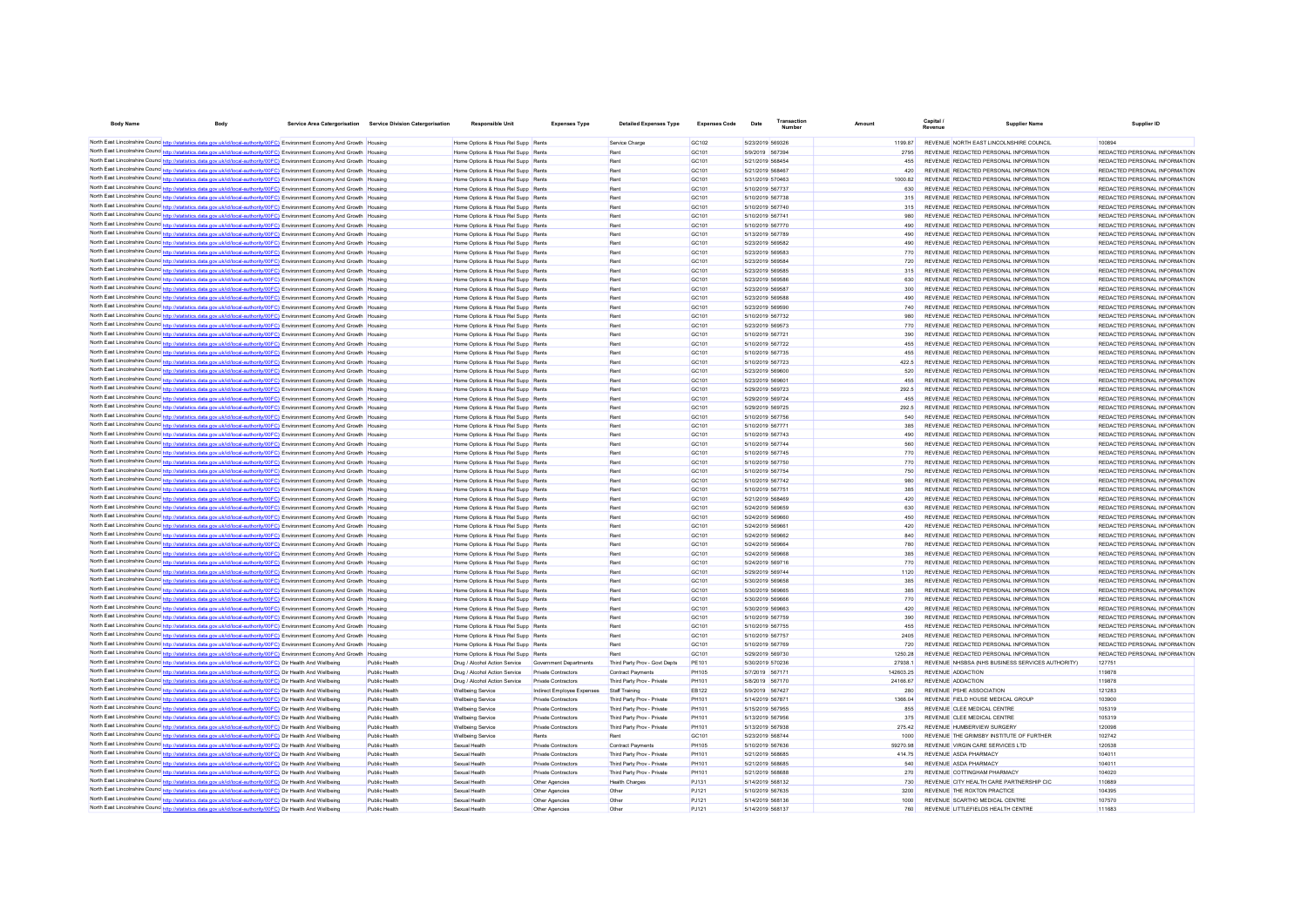| <b>Body Name</b><br><b>Body</b>                                                                                                                                                                                                                              |                                                                                  | Service Area Catergorisation Service Division Catergorisation | Responsible Unit                                                         | <b>Expenses Type</b>         | <b>Detailed Expenses Type</b>                            | <b>Expenses Code</b>              | Date                                 | Amount         |                                                                                | <b>Supplier Name</b> | Supplier ID                                                    |
|--------------------------------------------------------------------------------------------------------------------------------------------------------------------------------------------------------------------------------------------------------------|----------------------------------------------------------------------------------|---------------------------------------------------------------|--------------------------------------------------------------------------|------------------------------|----------------------------------------------------------|-----------------------------------|--------------------------------------|----------------|--------------------------------------------------------------------------------|----------------------|----------------------------------------------------------------|
| North East Lincolnshire Counc <sub>http://statistics.data.gov.uk/id/local-authority/00FC)</sub> Environment Economy And Growth                                                                                                                               |                                                                                  |                                                               | Home Options & Hous Rel Supp Rents                                       |                              | Service Charge                                           | GC102                             | 5/23/2019 569326                     | 1199.87        | REVENUE NORTH FAST LINCOLNSHIRE COUNCIL                                        |                      | 100894                                                         |
| North East Lincolnshire Counc http://statistics.data.gov.uk/id/local-authority/00FC) Environment Economy And Growth Housing                                                                                                                                  |                                                                                  |                                                               | Home Options & Hous Rel Supp Rents                                       |                              | Rent                                                     | GC <sub>101</sub>                 | 5/9/2019 567394                      | 2795           | REVENUE REDACTED PERSONAL INFORMATION                                          |                      | REDACTED PERSONAL INFORMATION                                  |
| North East Lincolnshire Counc http://statistics.data.gov.uk/id/local-authority/00FC) Environment Economy And Growth Housing                                                                                                                                  |                                                                                  |                                                               | Home Ontions & Hous Rel Supp Rents                                       |                              | Rent                                                     | GC <sub>101</sub>                 | 5/21/2019 568454                     | 455            | REVENUE REDACTED PERSONAL INFORMATION                                          |                      | REDACTED PERSONAL INFORMATION                                  |
| North East Lincolnshire Counc http://statistics.data.gov.uk/id/local-authority/00FC) Environment Economy And Growth Housing                                                                                                                                  |                                                                                  |                                                               | Home Options & Hous Rel Supp Rents                                       |                              | Rent                                                     | GC <sub>101</sub>                 | 5/21/2019 568467                     | 420            | REVENUE REDACTED PERSONAL INFORMATION                                          |                      | REDACTED PERSONAL INFORMATION                                  |
| North East Lincolnshire Counc http://statistics.data.gov.uk/id/local-authority/00FC) Environment Economy And Growth Housing                                                                                                                                  |                                                                                  |                                                               | Home Options & Hous Rel Supp Rents                                       |                              | Rent                                                     | GC101                             | 5/31/2019 570463                     | 100082         | REVENUE REDACTED PERSONAL INFORMATION                                          |                      | REDACTED PERSONAL INFORMATION                                  |
| North East Lincolnshire Counc http://statistics.data.gov.uk/id/local-authority/00FC) Environment Economy And Growth Housing                                                                                                                                  |                                                                                  |                                                               | Home Options & Hous Rel Supp Rents                                       |                              | Rent                                                     | GC101                             | 5/10/2019 567737                     | 630            | REVENUE REDACTED PERSONAL INFORMATION                                          |                      | REDACTED PERSONAL INFORMATION                                  |
| North East Lincolnshire Counc http://statistics.data.gov.uk/id/local-authority/00FC) Environment Economy And Growth Housing                                                                                                                                  |                                                                                  |                                                               | Home Options & Hous Rel Supp Rents                                       |                              | Rent                                                     | GC101                             | 5/10/2019 567738                     | 315            | REVENUE REDACTED PERSONAL INFORMATION                                          |                      | REDACTED PERSONAL INFORMATION                                  |
| North East Lincolnshire Counc http://statistics.data.gov.uk/id/local-authority/00FC) Environment Economy And Growth Housing                                                                                                                                  |                                                                                  |                                                               | Home Options & Hous Rel Supp Rents                                       |                              | Rent                                                     | GC101                             | 5/10/2019 567740                     | 315            | REVENUE REDACTED PERSONAL INFORMATION                                          |                      | REDACTED PERSONAL INFORMATION                                  |
| North East Lincolnshire Counc http://statistics.data.gov.uk/id/local-authority/00FC) Environment Economy And Growth Housing                                                                                                                                  |                                                                                  |                                                               | Home Options & Hous Rel Supp Rents                                       |                              | Rent                                                     | GC101                             | 5/10/2019 567741                     | 980            | REVENUE REDACTED PERSONAL INFORMATION                                          |                      | REDACTED PERSONAL INFORMATION                                  |
| North East Lincolnshire Counc http://statistics.data.gov.uk/id/local-authority/00FC) Environment Economy And Growth Housing                                                                                                                                  |                                                                                  |                                                               | Home Options & Hous Rel Supp Rents                                       |                              | Rent                                                     | GC101                             | 5/10/2019 567770                     | 490            | REVENUE REDACTED PERSONAL INFORMATION                                          |                      | REDACTED PERSONAL INFORMATION                                  |
| North East Lincolnshire Counc http://statistics.data.gov.uk/id/local-authority/00FC) Environment Economy And Growth Housing                                                                                                                                  |                                                                                  |                                                               | Home Options & Hous Rel Supp Rents                                       |                              | Rent                                                     | GC101                             | 5/13/2019 567789                     | 490            | REVENUE REDACTED PERSONAL INFORMATION                                          |                      | REDACTED PERSONAL INFORMATION                                  |
| North East Lincolnshire Councert http://statistics.data.gov.uk/id/local-authority/00FC) Environment Economy And Growth Housing                                                                                                                               |                                                                                  |                                                               | Home Options & Hous Rel Supp Rents                                       |                              | Rent                                                     | GC101                             | 5/23/2019 569582                     | 490            | REVENUE REDACTED PERSONAL INFORMATION                                          |                      | REDACTED PERSONAL INFORMATION                                  |
| North East Lincolnshire Counc http://statistics.data.gov.uk/id/local-authority/00FC) Environment Economy And Growth Housing                                                                                                                                  |                                                                                  |                                                               | Home Options & Hous Rel Supp Rents                                       |                              | Rent                                                     | GC101                             | 5/23/2019 569583                     | 770            | REVENUE REDACTED PERSONAL INFORMATION                                          |                      | REDACTED PERSONAL INFORMATION                                  |
| North East Lincolnshire Counc http://statistics.data.gov.uk/id/local-authority/00FC) Environment Economy And Growth Housing                                                                                                                                  |                                                                                  |                                                               | Home Options & Hous Rel Supp Rents                                       |                              | Rent                                                     | GC101                             | 5/23/2019 569584                     | 720            | REVENUE REDACTED PERSONAL INFORMATION                                          |                      | REDACTED PERSONAL INFORMATION                                  |
| North East Lincolnshire Counc http://statistics.data.gov.uk/id/local-authority/00FC) Environment Economy And Growth Housing                                                                                                                                  |                                                                                  |                                                               | Home Options & Hous Rel Supp Rents                                       |                              | Rent                                                     | GC101                             | 5/23/2019 569585                     | 315            | REVENUE REDACTED PERSONAL INFORMATION                                          |                      | REDACTED PERSONAL INFORMATION                                  |
| North East Lincolnshire Counce http://statistics.data.gov.uk/id/local-authority/00FC) Environment Economy And Growth Housing                                                                                                                                 |                                                                                  |                                                               | Home Options & Hous Rel Supp Rents                                       |                              | Rent                                                     | GC101                             | 5/23/2019 569586                     | 630            | REVENUE REDACTED PERSONAL INFORMATION                                          |                      | REDACTED PERSONAL INFORMATION                                  |
| North East Lincolnshire Counce http://statistics.data.gov.uk/id/local-authority/00FC) Environment Economy And Growth Housing<br>North East Lincolnshire Counce http://statistics.data.gov.uk/id/local-authority/00FC) Environment Economy And Growth Housing |                                                                                  |                                                               | Home Options & Hous Rel Supp Rents<br>Home Options & Hous Rel Supp Rents |                              | Rent<br>Rent                                             | GC101<br>GC <sub>101</sub>        | 5/23/2019 569587<br>5/23/2019 569588 | 300<br>490     | REVENUE REDACTED PERSONAL INFORMATION<br>REVENUE REDACTED PERSONAL INFORMATION |                      | REDACTED PERSONAL INFORMATION<br>REDACTED PERSONAL INFORMATION |
| North East Lincolnshire Counc http://statistics.data.gov.uk/id/local-authority/00FC) Environment Economy And Growth Housing                                                                                                                                  |                                                                                  |                                                               | Home Options & Hous Rel Supp Rents                                       |                              | Rent                                                     | GC <sub>101</sub>                 | 5/23/2019 569590                     | 740            | REVENUE REDACTED PERSONAL INFORMATION                                          |                      | REDACTED PERSONAL INFORMATION                                  |
| North East Lincolnshire Counc http://statistics.data.gov.uk/id/local-authority/00FC) Environment Economy And Growth Housing                                                                                                                                  |                                                                                  |                                                               | Home Ontions & Hous Rel Supp Rents                                       |                              | Rent                                                     | GC <sub>101</sub>                 | 5/10/2019 567732                     | 980            | REVENUE REDACTED PERSONAL INFORMATION                                          |                      | REDACTED PERSONAL INFORMATION                                  |
| North East Lincolnshire Counc http://statistics.data.gov.uk/id/local-authority/00FC) Environment Economy And Growth Housing                                                                                                                                  |                                                                                  |                                                               | Home Options & Hous Rel Supp Rents                                       |                              | Rent                                                     | GC101                             | 5/23/2019 569573                     | 770            | REVENUE REDACTED PERSONAL INFORMATION                                          |                      | REDACTED PERSONAL INFORMATION                                  |
| North East Lincolnshire Counc http://statistics.data.gov.uk/id/local-authority/00FC) Environment Economy And Growth Housing                                                                                                                                  |                                                                                  |                                                               | Home Options & Hous Rel Supp Rents                                       |                              | Rent                                                     | GC101                             | 5/10/2019 567721                     | 390            | REVENUE REDACTED PERSONAL INFORMATION                                          |                      | REDACTED PERSONAL INFORMATION                                  |
| North East Lincolnshire Counc http://statistics.data.gov.uk/id/local-authority/00FC) Environment Economy And Growth Housing                                                                                                                                  |                                                                                  |                                                               | Home Options & Hous Rel Supp Rents                                       |                              | Rent                                                     | GC101                             | 5/10/2019 567722                     | 455            | REVENUE REDACTED PERSONAL INFORMATION                                          |                      | REDACTED PERSONAL INFORMATION                                  |
| North East Lincolnshire Counc http://statistics.data.gov.uk/id/local-authority/00FC) Environment Economy And Growth Housing                                                                                                                                  |                                                                                  |                                                               | Home Options & Hous Rel Supp Rents                                       |                              | Rent                                                     | GC101                             | 5/10/2019 567735                     | 455            | REVENUE REDACTED PERSONAL INFORMATION                                          |                      | REDACTED PERSONAL INFORMATION                                  |
| North East Lincolnshire Counc http://statistics.data.gov.uk/id/local-authority/00FC) Environment Economy And Growth Housing                                                                                                                                  |                                                                                  |                                                               | Home Options & Hous Rel Supp Rents                                       |                              | Rent                                                     | GC101                             | 5/10/2019 567723                     | 422.5          | REVENUE REDACTED PERSONAL INFORMATION                                          |                      | REDACTED PERSONAL INFORMATION                                  |
| North East Lincolnshire Counc http://statistics.data.gov.uk/id/local-authority/00FC) Environment Economy And Growth Housing                                                                                                                                  |                                                                                  |                                                               | Home Options & Hous Rel Supp Rents                                       |                              | Rent                                                     | GC101                             | 5/23/2019 569600                     | 520            | REVENUE REDACTED PERSONAL INFORMATION                                          |                      | REDACTED PERSONAL INFORMATION                                  |
| North East Lincolnshire Counc http://statistics.data.gov.uk/id/local-authority/00FC) Environment Economy And Growth Housing                                                                                                                                  |                                                                                  |                                                               | Home Options & Hous Rel Supp Rents                                       |                              | Rent                                                     | GC101                             | 5/23/2019 569601                     | 455            | REVENUE REDACTED PERSONAL INFORMATION                                          |                      | REDACTED PERSONAL INFORMATION                                  |
| North East Lincolnshire Counc http://statistics.data.gov.uk/id/local-authority/00FC) Environment Economy And Growth Housing                                                                                                                                  |                                                                                  |                                                               | Home Options & Hous Rel Supp Rents                                       |                              | Rent                                                     | GC101                             | 5/29/2019 569723                     | 292.5          | REVENUE REDACTED PERSONAL INFORMATION                                          |                      | REDACTED PERSONAL INFORMATION                                  |
| North East Lincolnshire Counc http://statistics.data.gov.uk/id/local-authority/00FC) Environment Economy And Growth Housing                                                                                                                                  |                                                                                  |                                                               | Home Options & Hous Rel Supp Rents                                       |                              | Rent                                                     | GC101                             | 5/29/2019 569724                     | 455            | REVENUE REDACTED PERSONAL INFORMATION                                          |                      | REDACTED PERSONAL INFORMATION                                  |
| North East Lincolnshire Counc http://statistics.data.gov.uk/id/local-authority/00FC) Environment Economy And Growth Housing                                                                                                                                  |                                                                                  |                                                               | Home Options & Hous Rel Supp Rents                                       |                              | Rent                                                     | GC101                             | 5/29/2019 569725                     | 292.5          | REVENUE REDACTED PERSONAL INFORMATION                                          |                      | REDACTED PERSONAL INFORMATION                                  |
| North East Lincolnshire Counc http://statistics.data.gov.uk/id/local-authority/00FC) Environment Economy And Growth Housing                                                                                                                                  |                                                                                  |                                                               | Home Options & Hous Rel Supp Rents                                       |                              | <b>Rent</b>                                              | GC101                             | 5/10/2019 567756                     | 540            | REVENUE REDACTED PERSONAL INFORMATION                                          |                      | REDACTED PERSONAL INFORMATION                                  |
| North East Lincolnshire Counce http://statistics.data.gov.uk/id/local-authority/00FC) Environment Economy And Growth                                                                                                                                         |                                                                                  |                                                               | Home Options & Hous Rel Supp Rents                                       |                              | Rent                                                     | GC101                             | 5/10/2019 567771                     | 385            | REVENUE REDACTED PERSONAL INFORMATION                                          |                      | REDACTED PERSONAL INFORMATION                                  |
| North East Lincolnshire Counc <sub>http://statistics.data.gov.uk/id/local-authority/00FC) Environment Economy And Growth</sub>                                                                                                                               |                                                                                  |                                                               | Home Options & Hous Rel Supp Rents                                       |                              | Rent                                                     | GC101                             | 5/10/2019 567743                     | 490            | REVENUE REDACTED PERSONAL INFORMATION                                          |                      | REDACTED PERSONAL INFORMATION                                  |
| North East Lincolnshire Councint the Material State Add Agov.uk/id/local-authority/00FC) Environment Economy And Growth                                                                                                                                      |                                                                                  |                                                               | Home Options & Hous Rel Supp Rents                                       |                              | Rent                                                     | GC101                             | 5/10/2019 567744                     | 560            | REVENUE REDACTED PERSONAL INFORMATION                                          |                      | REDACTED PERSONAL INFORMATION                                  |
| North East Lincolnshire Counc http://statistics.data.gov.uk/id/local-authority/00FC) Environment Economy And Growth Housing                                                                                                                                  |                                                                                  |                                                               | Home Options & Hous Rel Supp Rents                                       |                              | Rent                                                     | GC101                             | 5/10/2019 567745                     | 770            | REVENUE REDACTED PERSONAL INFORMATION                                          |                      | REDACTED PERSONAL INFORMATION                                  |
| North East Lincolnshire Counc http://statistics.data.gov.uk/id/local-authority/00FC) Environment Economy And Growth Housing                                                                                                                                  |                                                                                  |                                                               | Home Options & Hous Rel Supp Rents                                       |                              | Rent                                                     | GC101                             | 5/10/2019 567750                     | 770            | REVENUE REDACTED PERSONAL INFORMATION                                          |                      | REDACTED PERSONAL INFORMATION                                  |
| North East Lincolnshire Counce http://statistics.data.gov.uk/id/local-authority/00FC) Environment Economy And Growth Housing                                                                                                                                 |                                                                                  |                                                               | Home Options & Hous Rel Supp Rents                                       |                              | Rent                                                     | GC101                             | 5/10/2019 567754                     | 750            | REVENUE REDACTED PERSONAL INFORMATION                                          |                      | REDACTED PERSONAL INFORMATION                                  |
| North East Lincolnshire Counc http://statistics.data.gov.uk/id/local-authority/00FC) Environment Economy And Growth Housing                                                                                                                                  |                                                                                  |                                                               | Home Options & Hous Rel Supp Rents                                       |                              | Rent                                                     | GC101                             | 5/10/2019 567742                     | 980            | REVENUE REDACTED PERSONAL INFORMATION                                          |                      | REDACTED PERSONAL INFORMATION                                  |
| North East Lincolnshire Counc http://statisf                                                                                                                                                                                                                 | tics.data.gov.uk/id/local-authority/00FC) Environment Economy And Growth Housing |                                                               | Home Options & Hous Rel Supp Rents                                       |                              | Rent                                                     | GC101                             | 5/10/2019 567751                     | 385            | REVENUE REDACTED PERSONAL INFORMATION                                          |                      | REDACTED PERSONAL INFORMATION                                  |
| North East Lincolnshire Counc http://statistics.data.gov.uk/id/local-authority/00FC) Environment Economy And Growth Housing                                                                                                                                  |                                                                                  |                                                               | Home Options & Hous Rel Supp Rents                                       |                              | Rent                                                     | GC101                             | 5/21/2019 568469                     | 420            | REVENUE REDACTED PERSONAL INFORMATION                                          |                      | REDACTED PERSONAL INFORMATION                                  |
| North East Lincolnshire Counc http://statistics.data.gov.uk/id/local-authority/00FC) Environment Economy And Growth Housing                                                                                                                                  |                                                                                  |                                                               | Home Options & Hous Rel Supp Rents                                       |                              | Rent                                                     | GC101                             | 5/24/2019 569659                     | 630            | REVENUE REDACTED PERSONAL INFORMATION                                          |                      | REDACTED PERSONAL INFORMATION                                  |
| North East Lincolnshire Counc http://statistics.data.gov.uk/id/local-authority/00FC) Environment Economy And Growth Housing<br>North East Lincolnshire Counc http://statistics.data.gov.uk/id/local-authority/00FC) Environment Economy And Growth Housing   |                                                                                  |                                                               | Home Options & Hous Rel Supp Rents<br>Home Options & Hous Rel Supp Rents |                              | Rent<br>Rent                                             | GC101<br>GC101                    | 5/24/2019 569660<br>5/24/2019 569661 | 450<br>420     | REVENUE REDACTED PERSONAL INFORMATION<br>REVENUE REDACTED PERSONAL INFORMATION |                      | REDACTED PERSONAL INFORMATION<br>REDACTED PERSONAL INFORMATION |
| North East Lincolnshire Counce http://statistics.data.gov.uk/id/local-authority/00FC) Environment Economy And Growth Housing                                                                                                                                 |                                                                                  |                                                               | Home Options & Hous Rel Supp Rents                                       |                              | Rent                                                     | GC101                             | 5/24/2019 569662                     | 840            | REVENUE REDACTED PERSONAL INFORMATION                                          |                      | REDACTED PERSONAL INFORMATION                                  |
| North East Lincolnshire Counc http://statistics.data.gov.uk/id/local-authority/00FC) Environment Economy And Growth Housing                                                                                                                                  |                                                                                  |                                                               | Home Options & Hous Rel Supp Rents                                       |                              | Rent                                                     | GC101                             | 5/24/2019 569664                     | 780            | REVENUE REDACTED PERSONAL INFORMATION                                          |                      | REDACTED PERSONAL INFORMATION                                  |
| North East Lincolnshire Counc http://statistics.data.gov.uk/id/local-authority/00FC) Environment Economy And Growth Housing                                                                                                                                  |                                                                                  |                                                               | Home Options & Hous Rel Supp Rents                                       |                              | Rent                                                     | GC101                             | 5/24/2019 569668                     | 385            | REVENUE REDACTED PERSONAL INFORMATION                                          |                      | REDACTED PERSONAL INFORMATION                                  |
| North East Lincolnshire Counc. http://statistics.data.gov.uk/id/local-authority/00FC) Environment Economy And Growth                                                                                                                                         |                                                                                  |                                                               | Home Options & Hous Rel Supp Rents                                       |                              | Rent                                                     | GC101                             | 5/24/2019 569716                     | 770            | REVENUE REDACTED PERSONAL INFORMATION                                          |                      | REDACTED PERSONAL INFORMATION                                  |
| North East Lincolnshire Councint the Watabistics.data.gov.uk/id/local-authority/00FC) Environment Economy And Growth                                                                                                                                         |                                                                                  |                                                               | Home Options & Hous Rel Supp Rents                                       |                              | Rent                                                     | GC101                             | 5/29/2019 569744                     | 1120           | REVENUE REDACTED PERSONAL INFORMATION                                          |                      | REDACTED PERSONAL INFORMATION                                  |
| North East Lincolnshire Counc http://statistics.data.gov.uk/id/local-authority/00FC) Environment Economy And Growth Housing                                                                                                                                  |                                                                                  |                                                               | Home Options & Hous Rel Supp Rents                                       |                              | Rent                                                     | GC101                             | 5/30/2019 569658                     | 385            | REVENUE REDACTED PERSONAL INFORMATION                                          |                      | REDACTED PERSONAL INFORMATION                                  |
| North East Lincolnshire Counc http://statistics.data.gov.uk/id/local-authority/00FC) Environment Economy And Growth Housing                                                                                                                                  |                                                                                  |                                                               | Home Options & Hous Rel Supp Rents                                       |                              | Rent                                                     | GC <sub>101</sub>                 | 5/30/2019 569665                     | 385            | REVENUE REDACTED PERSONAL INFORMATION                                          |                      | REDACTED PERSONAL INFORMATION                                  |
| North East Lincolnshire Councint the://statistics.data.gov.uk/id/local-authority/00FC) Environment Economy And Growth                                                                                                                                        |                                                                                  |                                                               | Home Options & Hous Rel Supp Rents                                       |                              | Rent                                                     | GC <sub>101</sub>                 | 5/30/2019 569666                     | 770            | REVENUE REDACTED PERSONAL INFORMATION                                          |                      | REDACTED PERSONAL INFORMATION                                  |
| North East Lincolnshire Counc http://statistics.data.gov.uk/id/local-authority/00FC) Environment Economy And Growth Housing                                                                                                                                  |                                                                                  |                                                               | Home Options & Hous Rel Supp Rents                                       |                              | Rent                                                     | GC <sub>101</sub>                 | 5/30/2019 569663                     | 420            | REVENUE REDACTED PERSONAL INFORMATION                                          |                      | REDACTED PERSONAL INFORMATION                                  |
| North East Lincolnshire Counc http://statistics.data.gov.uk/id/local-authority/00FC) Environment Economy And Growth Housing                                                                                                                                  |                                                                                  |                                                               | Home Options & Hous Rel Supp Rents                                       |                              | Rent                                                     | GC101                             | 5/10/2019 567759                     | 390            | REVENUE REDACTED PERSONAL INFORMATION                                          |                      | REDACTED PERSONAL INFORMATION                                  |
| North East Lincolnshire Counc http://statistics.data.gov.uk/id/local-authority/00FC) Environment Economy And Growth Housing                                                                                                                                  |                                                                                  |                                                               | Home Options & Hous Rel Supp Rents                                       |                              | Rent                                                     | GC101                             | 5/10/2019 567755                     | 455            | REVENUE REDACTED PERSONAL INFORMATION                                          |                      | REDACTED PERSONAL INFORMATION                                  |
| North East Lincolnshire Counc http://statistics.data.gov.uk/id/local-authority/00FC) Environment Economy And Growth Housing                                                                                                                                  |                                                                                  |                                                               | Home Options & Hous Rel Supp Rents                                       |                              | Rent                                                     | GC101                             | 5/10/2019 567757                     | 2405           | REVENUE REDACTED PERSONAL INFORMATION                                          |                      | REDACTED PERSONAL INFORMATION                                  |
| North East Lincolnshire Counc http://statistics.data.gov.uk/id/local-authority/00FC) Environment Economy And Growth Housing                                                                                                                                  |                                                                                  |                                                               | Home Options & Hous Rel Supp Rents                                       |                              |                                                          | GC101                             | 5/10/2019 567769                     | 720            | REVENUE REDACTED PERSONAL INFORMATION                                          |                      | REDACTED PERSONAL INFORMATION                                  |
| North East Lincolnshire Counc http://statistics.data.gov.uk/id/local-authority/00FC) Environment Economy And Growth Housing                                                                                                                                  |                                                                                  |                                                               | Home Options & Hous Rel Supp Rents                                       |                              |                                                          | GC101                             | 5/29/2019 569730                     | 1250.28        | REVENUE REDACTED PERSONAL INFORMATION                                          |                      | REDACTED PERSONAL INFORMATION                                  |
| North East Lincolnshire Counc http://statistics.data.gov.uk/id/local-authority/00FC) Dir Health And Wellbeing                                                                                                                                                |                                                                                  | Public Health                                                 | Drug / Alcohol Action Service Government Departments                     |                              | Third Party Prov - Govt Depts                            | PE101                             | 5/30/2019 570236                     | 27938.1        | REVENUE NHSBSA (NHS BUSINESS SERVICES AUTHORITY)                               |                      | 127751                                                         |
| North East Lincolnshire Counc http://statistics.data.gov.uk/id/local-authority/00FC) Dir Health And Wellbeing                                                                                                                                                |                                                                                  | Public Health                                                 | Drug / Alcohol Action Service                                            | Private Contractors          | Contract Payments                                        | PH105                             | 5/7/2019 567171                      | 142603.25      | REVENUE ADDACTION                                                              |                      | 119878                                                         |
| North East Lincolnshire Counc http://statistics.data.gov.uk/id/local-authority/00FC) Dir Health And Wellbeing                                                                                                                                                |                                                                                  | Public Health                                                 | Drug / Alcohol Action Service                                            | Private Contractors          | Third Party Prov - Private                               | <b>PH101</b>                      | 5/8/2019 567170                      | 24166.67       | <b>REVENUE ADDACTION</b>                                                       |                      | 119878                                                         |
| North East Lincolnshire Councint the Material State down with the authority (OFC) Dir Health And Wellbeing                                                                                                                                                   |                                                                                  | Public Health                                                 | <b>Wellbeing Service</b>                                                 | Indirect Employee Expenses   | Staff Training                                           | <b>EB122</b>                      | 5/9/2019 567427                      | 280            | REVENUE PSHE ASSOCIATION                                                       |                      | 121283                                                         |
| North East Lincolnshire Counc http://statistics.data.gov.uk/id/local-authority/00FC) Dir Health And Wellbeing                                                                                                                                                |                                                                                  | Public Health                                                 | <b>Wellbeing Service</b>                                                 | Private Contractors          | Third Party Prov - Private                               | PH101                             | 5/14/2019 567871                     | 1366.04        | REVENUE FIELD HOUSE MEDICAL GROUP                                              |                      | 103900                                                         |
| North East Lincolnshire Councint http://statistics.data.gov.uk/id/local-authority/00FC) Dir Health And Wellbeing                                                                                                                                             |                                                                                  | Public Health                                                 | <b>Wellbeing Service</b>                                                 | Private Contractors          | Third Party Prov - Private                               | PH101                             | 5/15/2019 567955                     | 855            | REVENUE CLEE MEDICAL CENTRE                                                    |                      | 105319                                                         |
| North East Lincolnshire Counc http://statistics.data.gov.uk/id/local-authority/00FC) Dir Health And Wellbeing                                                                                                                                                |                                                                                  | Public Health                                                 | <b>Wellbeing Service</b>                                                 | Private Contractors          | Third Party Prov - Private                               | <b>PH101</b>                      | 5/13/2019 567956                     | 375            | REVENUE CLEE MEDICAL CENTRE                                                    |                      | 105319                                                         |
| North East Lincolnshire Counc http://statistics.data.gov.uk/id/local-authority/00FC) Dir Health And Wellbeing<br>North East Lincolnshire Counc http://statistics.data.gov.uk/id/local-authority/00FC) Dir Health And Wellbeing                               |                                                                                  | Public Health                                                 | <b>Wellbeing Service</b>                                                 | Private Contractors<br>Rents | Third Party Prov - Private<br>Rent                       | <b>PH101</b><br>GC <sub>101</sub> | 5/13/2019 567938<br>5/23/2019 568744 | 275.42<br>1000 | REVENUE HUMBERVIEW SURGERY                                                     |                      | 120098<br>102742                                               |
| North East Lincolnshire Counc http://statistics.data.gov.uk/id/local-authority/00FC) Dir Health And Wellbeing                                                                                                                                                |                                                                                  | Public Health<br>Public Health                                | <b>Wellbeing Service</b><br>Sexual Health                                | Private Contractors          |                                                          | <b>PH105</b>                      | 5/10/2019 567636                     | 59270.98       | REVENUE THE GRIMSBY INSTITUTE OF FURTHER<br>REVENUE VIRGIN CARE SERVICES LTD   |                      | 120538                                                         |
| North East Lincolnshire Counc http://statistics.data.gov.uk/id/local-authority/00FC) Dir Health And Wellbeing                                                                                                                                                |                                                                                  | Public Health                                                 | Sexual Health                                                            | Private Contractors          | Contract Payments                                        | PH101                             | 5/21/2019 568685                     | 414 75         | <b>REVENUE ASDA PHARMACY</b>                                                   |                      | 104011                                                         |
| North East Lincolnshire Counc http://statistics.data.gov.uk/id/local-authority/00FC) Dir Health And Wellbeing                                                                                                                                                |                                                                                  | Public Health                                                 | Sexual Health                                                            | Private Contractors          | Third Party Prov - Private<br>Third Party Prov - Private | <b>PH101</b>                      | 5/21/2019 568685                     | 540            | REVENUE ASDA PHARMACY                                                          |                      | 104011                                                         |
| North East Lincolnshire Counc http://statistics.data.gov.uk/id/local-authority/00FC) Dir Health And Wellbeing                                                                                                                                                |                                                                                  | Public Health                                                 | Sexual Health                                                            | Private Contractors          | Third Party Prov - Private                               | PH101                             | 5/21/2019 568688                     | 270            | REVENUE COTTINGHAM PHARMACY                                                    |                      | 104020                                                         |
| North East Lincolnshire Counc http://statistics.data.gov.uk/id/local-authority/00FC) Dir Health And Wellbeing                                                                                                                                                |                                                                                  | Public Health                                                 | Sexual Health                                                            | Other Agencies               | <b>Health Charges</b>                                    | PJ131                             | 5/14/2019 568132                     | 730            | REVENUE CITY HEALTH CARE PARTNERSHIP CIC                                       |                      | 110889                                                         |
| North East Lincolnshire Counc http://statistics.data.gov.uk/id/local-authority/00FC) Dir Health And Wellbeing                                                                                                                                                |                                                                                  | Public Health                                                 | Sexual Health                                                            | Other Agencies               | Other                                                    | PJ121                             | 5/10/2019 567635                     | 3200           | REVENUE THE ROXTON PRACTICE                                                    |                      | 104395                                                         |
| North East Lincolnshire Counc http://statistics.data.gov.uk/id/local-authority/00FC) Dir Health And Wellbeing                                                                                                                                                |                                                                                  | Public Health                                                 | Sexual Health                                                            | Other Agencies               | Other                                                    | PJ121                             | 5/14/2019 568136                     | 1000           | REVENUE SCARTHO MEDICAL CENTRE                                                 |                      | 107570                                                         |
| North East Lincolnshire Counc http://statistics.data.gov.uk/id/local-authority/00FC) Dir Health And Wellbeing                                                                                                                                                |                                                                                  | Public Health                                                 | Sexual Health                                                            | Other Agencie                | Other                                                    | PJ121                             | 5/14/2019 568137                     | 760            | REVENUE LITTLEFIELDS HEALTH CENTRE                                             |                      | 111683                                                         |